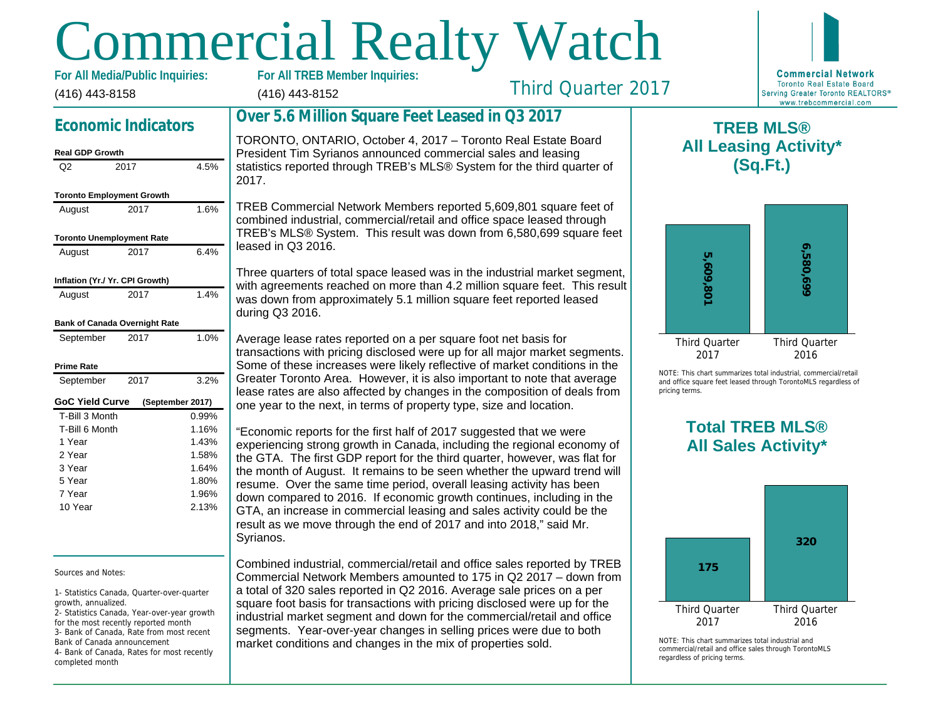# Commercial Realty Watch

(416) 443-8158 For All Media/Public Inquiries:

# (416) 443-8152

Third Quarter 2017

## Economic Indicators

#### Real GDP Growth

| Q2                               | 2017 | 4.5%             |
|----------------------------------|------|------------------|
|                                  |      |                  |
| <b>Toronto Employment Growth</b> |      |                  |
| August                           | 2017 | 1.6%             |
| <b>Toronto Unemployment Rate</b> |      |                  |
| August                           | 2017 | 6.4%             |
| Inflation (Yr./ Yr. CPI Growth)  |      |                  |
| August                           | 2017 | 1.4%             |
| Bank of Canada Overnight Rate    |      |                  |
| September                        | 2017 | 1.0%             |
| Prime Rate                       |      |                  |
| September                        | 2017 | 3.2%             |
| <b>GoC Yield Curve</b>           |      | (September 2017) |
| T-Bill 3 Month                   |      | 0.99%            |
| T-Bill 6 Month                   |      | 1.16%            |
| 1 Year                           |      | 1.43%            |
| 2 Year                           |      | 1.58%            |
| 3 Year                           |      | 1.64%            |
| 5 Year                           |      | 1.80%            |
| 7 Year                           |      | 1.96%            |
| 10 Year                          |      | 2.13%            |

#### Sources and Notes:

1- Statistics Canada, Quarter-over-quarter growth, annualized.

2- Statistics Canada, Year-over-year growth for the most recently reported month 3- Bank of Canada, Rate from most recent Bank of Canada announcement 4- Bank of Canada, Rates for most recently completed month

# Over 5.6 Million Square Feet Leased in Q3 2017

TORONTO, ONTARIO, October 4, 2017 – Toronto Real Estate Board President Tim Syrianos announced commercial sales and leasing statistics reported through TREB's MLS® System for the third quarter of 2017.

TREB Commercial Network Members reported 5,609,801 square feet of combined industrial, commercial/retail and office space leased through TREB's MLS® System. This result was down from 6,580,699 square feet leased in Q3 2016.

Three quarters of total space leased was in the industrial market segment, with agreements reached on more than 4.2 million square feet. This result was down from approximately 5.1 million square feet reported leased during Q3 2016.

Average lease rates reported on a per square foot net basis for transactions with pricing disclosed were up for all major market segments. Some of these increases were likely reflective of market conditions in the Greater Toronto Area. However, it is also important to note that average lease rates are also affected by changes in the composition of deals from one year to the next, in terms of property type, size and location.

"Economic reports for the first half of 2017 suggested that we were experiencing strong growth in Canada, including the regional economy of the GTA. The first GDP report for the third quarter, however, was flat for the month of August. It remains to be seen whether the upward trend will resume. Over the same time period, overall leasing activity has been down compared to 2016. If economic growth continues, including in the GTA, an increase in commercial leasing and sales activity could be the result as we move through the end of 2017 and into 2018," said Mr. Syrianos.

Combined industrial, commercial/retail and office sales reported by TREB Commercial Network Members amounted to 175 in Q2 2017 – down from a total of 320 sales reported in Q2 2016. Average sale prices on a per square foot basis for transactions with pricing disclosed were up for the industrial market segment and down for the commercial/retail and office segments. Year-over-year changes in selling prices were due to both market conditions and changes in the mix of properties sold.

All Lea

 $\mathsf T$ 

NOTE: This chart sur and office square fee pricing terms.

## Total All Sa

 $NOTF: This chart sur$ commercial/retail and regardless of pricing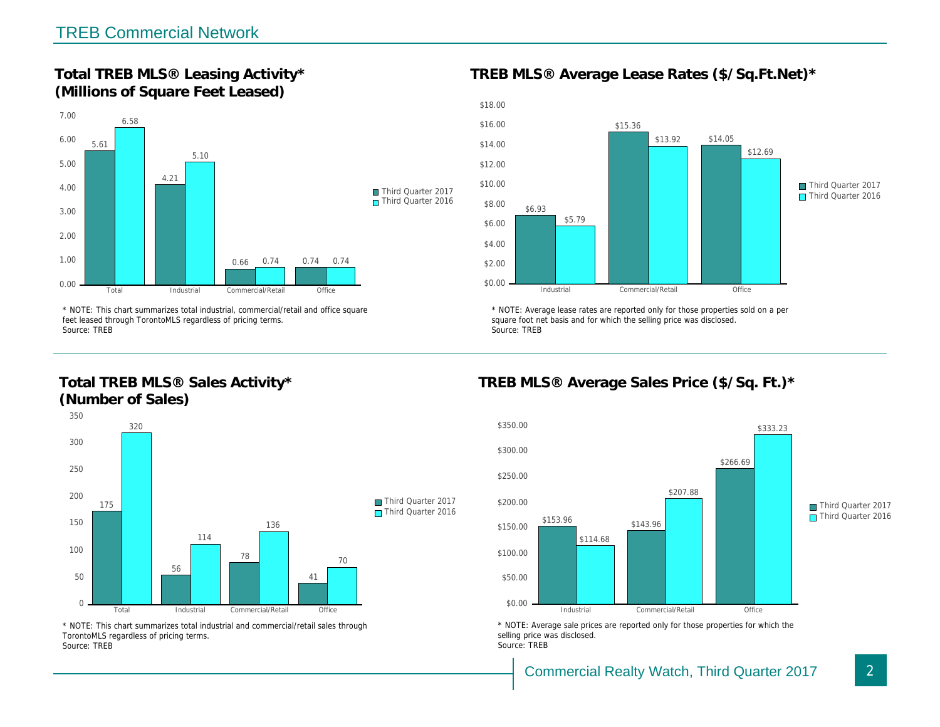Total TREB MLS® Leasing Activity\* (Millions of Square Feet Leased)

TREB MLS® Average Lease Rates (\$/So.

\* NOTE: This chart summarizes total industrial, commercial/retail and office square feet leased through TorontoMLS regardless of pricing terms. Source: TREB

Total TREB MLS® Sales Activity\* (Number of Sales)

\* NOTE: Average lease rates are reported only for those proper square foot net basis and for which the selling price was disclos Source: TREB

TREB MLS® Average Sales Price (\$/So.

\* NOTE: This chart summarizes total industrial and commercial/retail sales through TorontoMLS regardless of pricing terms. Source: TREB

\* NOTE: Average sale prices are reported only for those prope selling price was disclosed. Source: TREB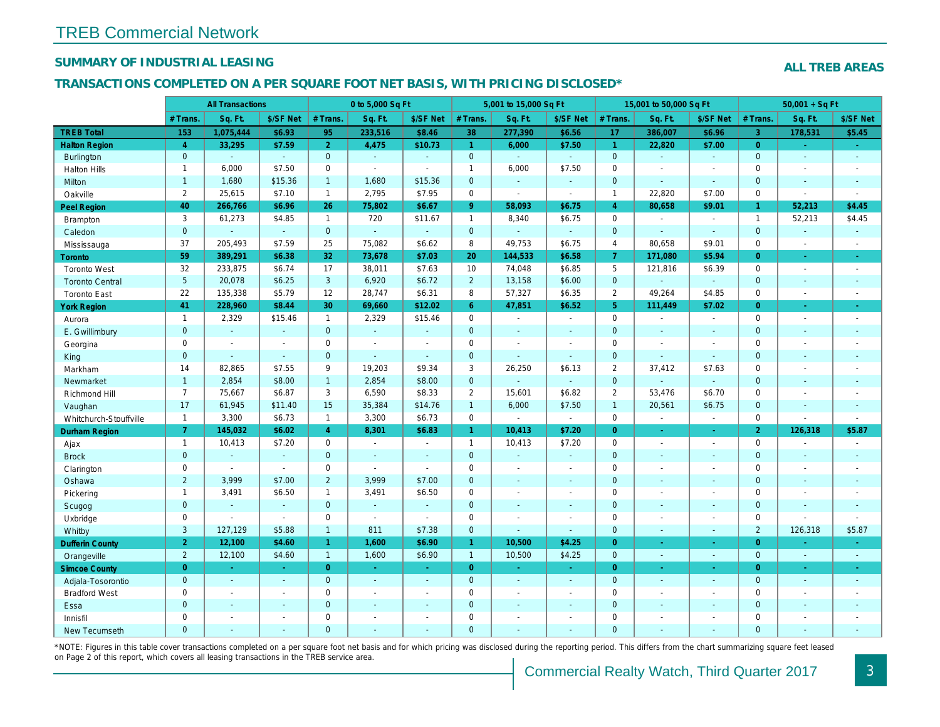#### SUMMARY OF INDUSTRIAL LEASING

#### TRANSACTIONS COMPLETED ON A PER SQUARE FOOT NET BASIS, WITH PRICING DISCLOSED\*

|                        | <b>All Transactions</b> |                |                | 0 to 5,000 Sq Ft |                       |                | 5,001 to 15,000 Sq Ft |                |                | 15,001 to 50,000 Sq Ft |                |                      |
|------------------------|-------------------------|----------------|----------------|------------------|-----------------------|----------------|-----------------------|----------------|----------------|------------------------|----------------|----------------------|
|                        | # Trans.                | Sq. Ft.        | \$/SF Net      | # Trans.         | Sq. Ft.               | \$/SF Net      | # Trans.              | Sq. Ft.        | \$/SF Net      | # Trans.               | Sq. Ft.        | \$/SF Ne             |
| <b>TREB Total</b>      | 153                     | 1,075,444      | \$6.93         | 95               | 233,516               | \$8.46         | 38                    | 277,390        | \$6.56         | 17                     | 386,007        | \$6.96               |
| <b>Halton Region</b>   | $\overline{4}$          | 33,295         | \$7.59         | 2 <sup>1</sup>   | 4,475                 | \$10.73        | $\blacktriangleleft$  | 6,000          | \$7.50         | $\blacktriangleleft$   | 22,820         | \$7.00               |
| Burlington             | $\mathbf{0}$            |                | $\omega$       | $\mathbf{0}$     | $\omega$              | $\omega$       | $\mathbf{0}$          | ÷.             | $\omega$       | $\overline{0}$         | $\omega$       | $\blacksquare$       |
| <b>Halton Hills</b>    | $\mathbf{1}$            | 6,000          | \$7.50         | 0                | $\blacksquare$        | $\blacksquare$ | $\mathbf{1}$          | 6,000          | \$7.50         | 0                      | $\blacksquare$ | $\blacksquare$       |
| Milton                 | $\mathbf{1}$            | 1,680          | \$15.36        | $\mathbf{1}$     | 1,680                 | \$15.36        | $\mathbf{0}$          | $\omega$       | $\Delta$       | $\mathbf{0}$           | $\Delta$       | $\sim$               |
| Oakville               | $\overline{2}$          | 25,615         | \$7.10         | $\mathbf{1}$     | 2,795                 | \$7.95         | $\mathbf 0$           | $\mathbf{r}$   | $\sim$         | $\overline{1}$         | 22,820         | \$7.00               |
| <b>Peel Region</b>     | 40                      | 266,766        | \$6.96         | 26               | 75,802                | \$6.67         | 9 <sup>°</sup>        | 58,093         | \$6.75         | $\overline{4}$         | 80,658         | \$9.01               |
| Brampton               | 3                       | 61,273         | \$4.85         | $\mathbf{1}$     | 720                   | \$11.67        | $\mathbf{1}$          | 8,340          | \$6.75         | $\mathbf 0$            |                | $\sim$               |
| Caledon                | $\mathbf{0}$            |                | $\omega$       | $\mathbf{0}$     | $\mathbf{u}$          | $\omega$       | $\mathbf 0$           | ä,             | $\omega$       | $\mathbf{0}$           | $\omega$       | $\blacksquare$       |
| Mississauga            | 37                      | 205,493        | \$7.59         | 25               | 75,082                | \$6.62         | 8                     | 49,753         | \$6.75         | $\overline{4}$         | 80,658         | \$9.01               |
| <b>Toronto</b>         | 59                      | 389,291        | \$6.38         | 32               | 73,678                | \$7.03         | 20                    | 144,533        | \$6.58         | $\overline{7}$         | 171,080        | \$5.94               |
| <b>Toronto West</b>    | 32                      | 233,875        | \$6.74         | 17               | 38,011                | \$7.63         | 10                    | 74,048         | \$6.85         | $5\phantom{.0}$        | 121,816        | \$6.39               |
| <b>Toronto Central</b> | $5\phantom{.0}$         | 20,078         | \$6.25         | $\mathbf{3}$     | 6,920                 | \$6.72         | $2^{\circ}$           | 13,158         | \$6.00         | $\mathbf{0}$           | $\omega$       | $\sim$               |
| <b>Toronto East</b>    | 22                      | 135,338        | \$5.79         | 12               | 28,747                | \$6.31         | 8                     | 57,327         | \$6.35         | 2                      | 49,264         | \$4.85               |
| <b>York Region</b>     | 41                      | 228,960        | \$8.44         | 30               | 69,660                | \$12.02        | 6 <sup>°</sup>        | 47,851         | \$6.52         | 5 <sup>5</sup>         | 111,449        | \$7.02               |
| Aurora                 | $\mathbf{1}$            | 2,329          | \$15.46        | $\mathbf{1}$     | 2,329                 | \$15.46        | $\mathbf 0$           | $\blacksquare$ | $\blacksquare$ | $\mathbf 0$            | $\omega$       | $\sim$               |
| E. Gwillimbury         | $\mathbf 0$             | $\omega$       | $\omega$       | $\mathbf{0}$     | $\omega$              | $\blacksquare$ | $\mathbf{0}$          | $\omega$       | ä,             | $\mathbf{0}$           | $\omega$       | $\blacksquare$       |
| Georgina               | 0                       | $\sim$         | $\sim$         | $\mathbf 0$      | $\sim$                | $\blacksquare$ | $\mathbf 0$           | $\sim$         | $\sim$         | $\mathbf 0$            | $\blacksquare$ | $\blacksquare$       |
| King                   | $\mathbf{0}$            | $\omega$       | $\omega$       | $\overline{0}$   | ä,                    | $\omega$       | $\mathbf{0}$          | $\Delta$       | $\Delta$       | $\mathbf{0}$           | $\Delta$       | $\omega$             |
| Markham                | 14                      | 82,865         | \$7.55         | 9                | 19,203                | \$9.34         | 3                     | 26,250         | \$6.13         | $\overline{2}$         | 37,412         | \$7.63               |
| Newmarket              | $\mathbf{1}$            | 2,854          | \$8.00         | $\mathbf{1}$     | 2,854                 | \$8.00         | $\mathbf{0}$          | $\blacksquare$ | $\omega$       | $\mathbf{0}$           |                |                      |
| Richmond Hill          | $\overline{7}$          | 75,667         | \$6.87         | 3                | 6,590                 | \$8.33         | $\overline{2}$        | 15,601         | \$6.82         | $\overline{2}$         | 53,476         | \$6.70               |
| Vaughan                | 17                      | 61,945         | \$11.40        | 15               | 35,384                | \$14.76        | $\mathbf{1}$          | 6,000          | \$7.50         | $\overline{1}$         | 20,561         | \$6.75               |
| Whitchurch-Stouffville | $\mathbf{1}$            | 3,300          | \$6.73         | $\mathbf{1}$     | 3,300                 | \$6.73         | $\mathbf 0$           | $\blacksquare$ | $\sim$         | $\mathbf 0$            | $\blacksquare$ | $\sim$               |
| Durham Region          | $\overline{7}$          | 145,032        | \$6.02         | $\overline{4}$   | 8,301                 | \$6.83         | $\mathbf{1}$          | 10,413         | \$7.20         | $\overline{0}$         | ÷.             | $\sim$               |
| Ajax                   | $\mathbf{1}$            | 10,413         | \$7.20         | $\mathbf 0$      | $\sim$                | $\blacksquare$ | $\mathbf{1}$          | 10,413         | \$7.20         | $\mathbf 0$            | $\blacksquare$ | $\sim$               |
| <b>Brock</b>           | $\mathbf{0}$            | $\omega$       | $\omega$       | $\mathbf{0}$     | $\omega$              | $\omega$       | $\mathbf{0}$          | $\Delta$       | $\Delta$       | $\mathbf{0}$           | $\omega$       | $\sim$               |
| Clarington             | $\mathbf 0$             | $\blacksquare$ | $\blacksquare$ | $\mathbf 0$      | $\tilde{\phantom{a}}$ | $\mathbf{r}$   | $\mathsf 0$           | $\blacksquare$ | $\omega$       | $\mathbf 0$            | $\blacksquare$ | $\blacksquare$       |
| Oshawa                 | $\overline{2}$          | 3,999          | \$7.00         | $\overline{2}$   | 3,999                 | \$7.00         | $\mathbf 0$           | ٠              | ٠              | $\mathbf{0}$           | $\omega$       | $\blacksquare$       |
| Pickering              | $\mathbf{1}$            | 3,491          | \$6.50         | $\mathbf{1}$     | 3,491                 | \$6.50         | $\mathbf 0$           | $\blacksquare$ | $\blacksquare$ | $\mathbf 0$            | $\blacksquare$ | $\blacksquare$       |
| Scugog                 | $\mathbf 0$             | $\sim$         | $\omega$       | $\mathbf 0$      | $\omega$              | $\blacksquare$ | $\mathbf 0$           | $\blacksquare$ | $\blacksquare$ | $\mathbf{0}$           | $\blacksquare$ | $\blacksquare$       |
| Uxbridge               | $\mathbf 0$             | $\blacksquare$ | $\sim$         | $\mathbf 0$      | $\sim$                | $\sim$         | $\mathbf 0$           | $\blacksquare$ | $\blacksquare$ | $\mathbf 0$            | $\blacksquare$ | $\blacksquare$       |
| Whitby                 | 3                       | 127,129        | \$5.88         | $\mathbf{1}$     | 811                   | \$7.38         | $\mathbf{0}$          | $\blacksquare$ | $\sim$         | $\mathbf{0}$           | $\sim$         | $\sim$               |
| <b>Dufferin County</b> | 2 <sub>1</sub>          | 12,100         | \$4.60         | $\mathbf{1}$     | 1,600                 | \$6.90         | $\mathbf{1}$          | 10,500         | \$4.25         | $\overline{0}$         | $\sim$         | $\sim$               |
| Orangeville            | $\overline{2}$          | 12,100         | \$4.60         | $\mathbf{1}$     | 1,600                 | \$6.90         | $\mathbf{1}$          | 10,500         | \$4.25         | $\mathbf{0}$           | $\omega$       | $\sim$               |
| <b>Simcoe County</b>   | $\overline{0}$          | $\sim$         | $\sim$         | $\overline{0}$   | $\omega$              | $\blacksquare$ | $\mathbf{0}$          | $\blacksquare$ | ÷.             | $\overline{0}$         | $\sim$         | $\frac{1}{\sqrt{2}}$ |
| Adjala-Tosorontio      | $\mathbf{0}$            | $\omega$       | $\sim$         | $\mathbf{0}$     | $\omega$              | $\omega$       | $\mathbf{0}$          | $\Delta$       | $\omega$       | $\overline{0}$         | $\Delta$       | $\sim$               |
| <b>Bradford West</b>   | $\mathbf 0$             | $\sim$         | $\sim$         | $\mathbf 0$      | $\sim$                | $\sim$         | $\mathbf 0$           | $\blacksquare$ | $\blacksquare$ | $\mathbf 0$            | $\blacksquare$ | $\blacksquare$       |
| Essa                   | $\mathbf 0$             | $\omega$       | $\omega$       | $\overline{0}$   | $\mathbf{u}$          | $\blacksquare$ | $\mathbf 0$           | $\blacksquare$ | $\blacksquare$ | $\mathbf{0}$           | $\blacksquare$ | $\blacksquare$       |
| Innisfil               | 0                       |                |                | $\mathbf 0$      | $\blacksquare$        | $\blacksquare$ | $\mathbf 0$           |                | ä,             | $\mathbf 0$            | $\blacksquare$ | $\blacksquare$       |
| New Tecumseth          | $\Omega$                | $\mathbf{r}$   |                | $\Omega$         | ä,                    | $\blacksquare$ | $\mathbf{0}$          | ä,             |                | $\Omega$               | $\omega$       | $\sim$               |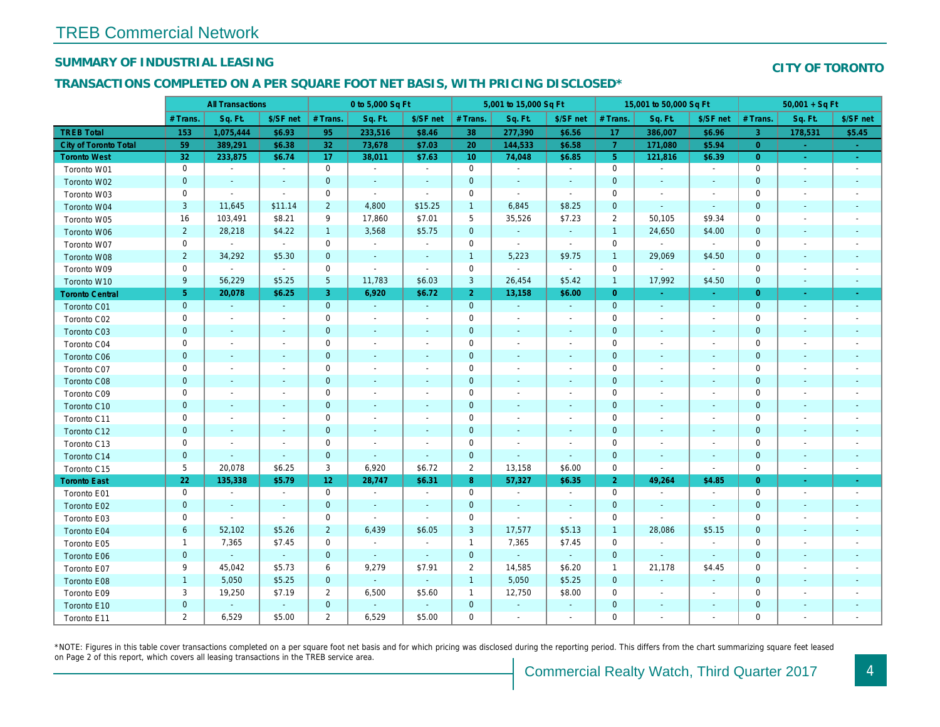#### SUMMARY OF INDUSTRIAL LEASING

#### TRANSACTIONS COMPLETED ON A PER SQUARE FOOT NET BASIS, WITH PRICING DISCLOSED\*

|                        | <b>All Transactions</b> |                          |                | 0 to 5,000 Sq Ft |                          |                          | 5,001 to 15,000 Sq Ft |                          |                          | 15,001 to 50,000 Sq Ft |                          |                          |
|------------------------|-------------------------|--------------------------|----------------|------------------|--------------------------|--------------------------|-----------------------|--------------------------|--------------------------|------------------------|--------------------------|--------------------------|
|                        | # Trans.                | Sq. Ft.                  | \$/SF net      | # Trans.         | Sq. Ft.                  | \$/SF net                | # Trans.              | Sq. Ft.                  | \$/SF net                | # Trans.               | Sq. Ft.                  | \$/SF ne                 |
| <b>TREB Total</b>      | 153                     | 1,075,444                | \$6.93         | 95               | 233,516                  | \$8.46                   | 38                    | 277,390                  | \$6.56                   | 17                     | 386,007                  | \$6.96                   |
| City of Toronto Total  | 59                      | 389,291                  | \$6.38         | 32               | 73,678                   | \$7.03                   | 20                    | 144,533                  | \$6.58                   | $\overline{7}$         | 171,080                  | \$5.94                   |
| <b>Toronto West</b>    | 32                      | 233,875                  | \$6.74         | 17               | 38,011                   | \$7.63                   | 10 <sup>°</sup>       | 74,048                   | \$6.85                   | $5\phantom{.0}$        | 121,816                  | \$6.39                   |
| Toronto W01            | $\mathbf 0$             | $\blacksquare$           | $\blacksquare$ | $\mathbf 0$      | $\blacksquare$           | $\sim$                   | $\mathbf 0$           | $\blacksquare$           | $\blacksquare$           | $\mathbf 0$            | $\overline{\phantom{a}}$ | $\blacksquare$           |
| Toronto W02            | $\pmb{0}$               | $\sim$                   | $\blacksquare$ | $\mathbf 0$      | $\blacksquare$           | $\blacksquare$           | $\mathbf 0$           | $\sim$                   | $\blacksquare$           | 0                      | $\sim$                   | $\sim$                   |
| Toronto W03            | 0                       | $\sim$                   | $\blacksquare$ | 0                | $\blacksquare$           | $\overline{\phantom{a}}$ | 0                     | $\blacksquare$           | $\blacksquare$           | 0                      |                          | $\sim$                   |
| Toronto W04            | $\mathbf{3}$            | 11,645                   | \$11.14        | $\overline{2}$   | 4,800                    | \$15.25                  | $\overline{1}$        | 6,845                    | \$8.25                   | $\mathbf{0}$           | $\sim$                   | $\sim$                   |
| Toronto W05            | 16                      | 103,491                  | \$8.21         | 9                | 17,860                   | \$7.01                   | 5                     | 35,526                   | \$7.23                   | 2                      | 50,105                   | \$9.34                   |
| Toronto W06            | $\overline{2}$          | 28,218                   | \$4.22         | $\mathbf{1}$     | 3,568                    | \$5.75                   | $\mathbf 0$           | $\blacksquare$           | $\blacksquare$           | $\overline{1}$         | 24,650                   | \$4.00                   |
| Toronto W07            | $\mathsf 0$             | $\sim$                   | $\sim$         | $\mathbf 0$      | $\blacksquare$           | $\blacksquare$           | $\mathbf 0$           | $\blacksquare$           | $\sim$                   | $\mathbf 0$            | $\blacksquare$           | $\blacksquare$           |
| Toronto W08            | $\overline{2}$          | 34,292                   | \$5.30         | $\mathbf 0$      | $\blacksquare$           | $\blacksquare$           | $\overline{1}$        | 5,223                    | \$9.75                   | $\overline{1}$         | 29,069                   | \$4.50                   |
| Toronto W09            | $\mathbf 0$             | $\sim$                   | $\sim$         | $\mathbf 0$      | ÷,                       | $\blacksquare$           | $\mathbf 0$           | $\blacksquare$           | $\blacksquare$           | $\mathbf 0$            | $\sim$                   | $\blacksquare$           |
| Toronto W10            | 9                       | 56,229                   | \$5.25         | $\sqrt{5}$       | 11,783                   | \$6.03                   | 3                     | 26,454                   | \$5.42                   | $\overline{1}$         | 17,992                   | \$4.50                   |
| <b>Toronto Central</b> | $\sqrt{5}$              | 20,078                   | \$6.25         | 3                | 6,920                    | \$6.72                   | $\overline{2}$        | 13,158                   | \$6.00                   | $\overline{0}$         | $\sim$                   | $\sim$                   |
| Toronto C01            | $\mathbf 0$             | $\sim$                   | $\sim$         | $\mathbf{0}$     | $\sim$                   | $\sim$                   | $\mathbf 0$           | $\sim$                   | $\sim$                   | $\mathbf{0}$           | $\blacksquare$           | $\sim$                   |
| Toronto C02            | $\mathbf 0$             | $\blacksquare$           | $\sim$         | $\mathbf 0$      | ÷,                       | $\overline{\phantom{a}}$ | $\mathbf 0$           | $\sim$                   | $\blacksquare$           | 0                      |                          | $\sim$                   |
| Toronto C03            | $\pmb{0}$               | $\blacksquare$           | ٠              | $\mathbf 0$      | $\blacksquare$           | $\blacksquare$           | $\pmb{0}$             | $\blacksquare$           | $\overline{\phantom{a}}$ | $\mathbf{0}$           | $\sim$                   | $\sim$                   |
| Toronto C04            | 0                       | $\overline{\phantom{a}}$ | $\overline{a}$ | $\mathbf 0$      | $\blacksquare$           | $\blacksquare$           | $\mathbf 0$           | $\blacksquare$           | $\overline{a}$           | 0                      |                          | $\overline{\phantom{a}}$ |
| Toronto C06            | $\pmb{0}$               | $\blacksquare$           | $\sim$         | $\mathbf 0$      | $\blacksquare$           | $\blacksquare$           | $\mathbf 0$           | $\blacksquare$           | $\blacksquare$           | $\mathbf 0$            | $\blacksquare$           | $\overline{\phantom{a}}$ |
| Toronto C07            | 0                       | $\blacksquare$           | $\overline{a}$ | $\mathbf 0$      | $\blacksquare$           | $\overline{\phantom{a}}$ | $\mathbf 0$           | $\blacksquare$           | $\blacksquare$           | 0                      |                          | $\overline{\phantom{a}}$ |
| Toronto C08            | $\pmb{0}$               | $\blacksquare$           | ٠              | $\mathbf 0$      | $\blacksquare$           | $\blacksquare$           | 0                     | $\blacksquare$           | $\blacksquare$           | $\mathbf 0$            |                          | $\overline{\phantom{a}}$ |
| Toronto C09            | 0                       | $\overline{\phantom{a}}$ |                | $\mathbf 0$      | $\overline{a}$           | $\overline{\phantom{a}}$ | 0                     | $\overline{\phantom{a}}$ |                          | 0                      |                          |                          |
| Toronto C10            | $\pmb{0}$               | $\blacksquare$           | $\blacksquare$ | $\mathbf 0$      | $\blacksquare$           | $\blacksquare$           | $\mathbf 0$           | $\blacksquare$           | $\blacksquare$           | $\pmb{0}$              | $\blacksquare$           | $\sim$                   |
| Toronto C11            | $\mathsf 0$             | $\sim$                   |                | $\mathsf 0$      | ä,                       | $\blacksquare$           | $\mathbf 0$           | $\blacksquare$           | $\blacksquare$           | $\mathbf 0$            |                          |                          |
| Toronto C12            | $\mathbf 0$             | $\blacksquare$           | ٠              | $\mathbf 0$      | $\blacksquare$           | ٠                        | $\pmb{0}$             | $\blacksquare$           | $\blacksquare$           | $\mathbf 0$            |                          |                          |
| Toronto C13            | $\mathbf 0$             | $\sim$                   | $\blacksquare$ | $\mathsf 0$      | $\overline{a}$           | $\blacksquare$           | $\mathbf 0$           | $\blacksquare$           | $\blacksquare$           | $\mathbf 0$            |                          |                          |
| Toronto C14            | $\pmb{0}$               | $\blacksquare$           | $\sim$         | $\mathbf{0}$     | $\omega$                 | $\blacksquare$           | $\mathbf 0$           | $\blacksquare$           | $\blacksquare$           | $\mathbf 0$            | $\blacksquare$           | $\blacksquare$           |
| Toronto C15            | 5                       | 20,078                   | \$6.25         | 3                | 6,920                    | \$6.72                   | $\overline{2}$        | 13,158                   | \$6.00                   | $\mathbf 0$            | $\blacksquare$           | $\blacksquare$           |
| <b>Toronto East</b>    | 22                      | 135,338                  | \$5.79         | 12 <sub>2</sub>  | 28,747                   | \$6.31                   | 8 <sub>o</sub>        | 57,327                   | \$6.35                   | $\overline{2}$         | 49,264                   | \$4.85                   |
| Toronto E01            | $\mathbf 0$             | $\sim$                   | $\sim$         | $\mathbf 0$      | $\sim$                   | $\overline{\phantom{a}}$ | $\mathbf 0$           | $\blacksquare$           | $\blacksquare$           | $\mathbf 0$            | $\overline{\phantom{a}}$ | $\blacksquare$           |
| Toronto E02            | $\pmb{0}$               | $\blacksquare$           | $\blacksquare$ | $\mathbf 0$      | $\blacksquare$           | $\blacksquare$           | $\mathbf 0$           | $\blacksquare$           | $\blacksquare$           | $\mathbf 0$            | $\blacksquare$           | $\blacksquare$           |
| Toronto E03            | $\mathbf 0$             | $\blacksquare$           | $\sim$         | $\mathbf 0$      | $\overline{\phantom{a}}$ | $\blacksquare$           | $\mathbf 0$           | $\blacksquare$           | $\blacksquare$           | $\mathbf 0$            |                          | $\overline{\phantom{a}}$ |
| Toronto E04            | $6\phantom{a}$          | 52,102                   | \$5.26         | $\overline{2}$   | 6,439                    | \$6.05                   | $\mathbf{3}$          | 17,577                   | \$5.13                   | $\mathbf{1}$           | 28,086                   | \$5.15                   |
| Toronto E05            | $\mathbf{1}$            | 7,365                    | \$7.45         | $\mathbf 0$      | $\blacksquare$           | $\blacksquare$           | $\mathbf{1}$          | 7,365                    | \$7.45                   | $\mathbf 0$            | $\blacksquare$           | $\blacksquare$           |
| Toronto E06            | $\mathbf 0$             | $\omega$                 | $\omega$       | $\mathbf{0}$     | $\omega$                 | $\blacksquare$           | $\mathbf 0$           | $\blacksquare$           | $\omega$                 | $\mathbf{0}$           | $\omega$                 | $\blacksquare$           |
| Toronto E07            | 9                       | 45,042                   | \$5.73         | 6                | 9,279                    | \$7.91                   | $\overline{2}$        | 14,585                   | \$6.20                   | $\overline{1}$         | 21,178                   | \$4.45                   |
| Toronto E08            | $\mathbf{1}$            | 5,050                    | \$5.25         | $\mathbf{0}$     | $\bullet$                | $\blacksquare$           | $\mathbf{1}$          | 5,050                    | \$5.25                   | $\mathbf 0$            | $\blacksquare$           | $\blacksquare$           |
| Toronto E09            | 3                       | 19,250                   | \$7.19         | $\overline{2}$   | 6,500                    | \$5.60                   | $\mathbf{1}$          | 12,750                   | \$8.00                   | 0                      | $\overline{\phantom{a}}$ | $\blacksquare$           |
| Toronto E10            | $\pmb{0}$               | $\omega$                 | $\sim$         | $\mathbf 0$      | $\omega$                 | $\blacksquare$           | $\mathbf 0$           | $\omega$                 | $\sim$                   | $\mathbf 0$            | $\blacksquare$           | $\sim$                   |
| Toronto E11            | $\overline{2}$          | 6,529                    | \$5.00         | $\overline{2}$   | 6,529                    | \$5.00                   | 0                     | $\blacksquare$           | $\blacksquare$           | 0                      |                          | $\overline{\phantom{a}}$ |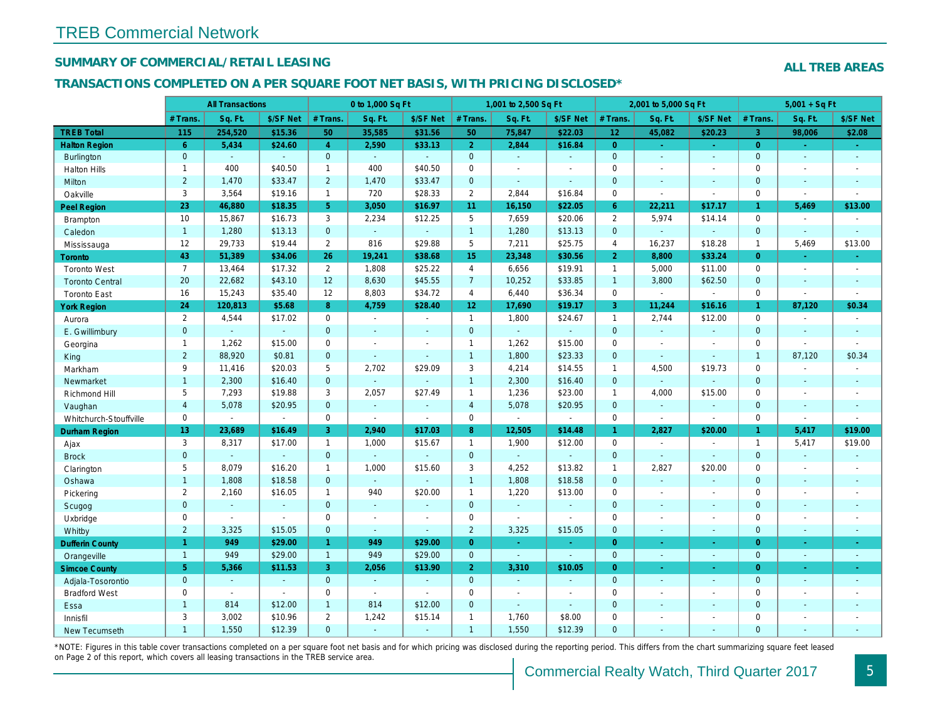#### SUMMARY OF COMMERCIAL/RETAIL LEASING

#### TRANSACTIONS COMPLETED ON A PER SQUARE FOOT NET BASIS, WITH PRICING DISCLOSED\*

|                        | <b>All Transactions</b> |                |                | 0 to 1,000 Sq Ft      |                |                | 1,001 to 2,500 Sq Ft |                          |                          | 2,001 to 5,000 Sq Ft |                          |                          |
|------------------------|-------------------------|----------------|----------------|-----------------------|----------------|----------------|----------------------|--------------------------|--------------------------|----------------------|--------------------------|--------------------------|
|                        | # Trans.                | Sq. Ft.        | \$/SF Net      | # Trans.              | Sq. Ft.        | \$/SF Net      | # Trans.             | Sq. Ft.                  | \$/SF Net                | # Trans.             | Sq. Ft.                  | \$/SF Ne                 |
| <b>TREB Total</b>      | 115                     | 254,520        | \$15.36        | 50                    | 35,585         | \$31.56        | 50                   | 75,847                   | \$22.03                  | 12 <sub>2</sub>      | 45,082                   | \$20.23                  |
| <b>Halton Region</b>   | $6^{\circ}$             | 5,434          | \$24.60        | $\overline{4}$        | 2,590          | \$33.13        | 2 <sup>1</sup>       | 2,844                    | \$16.84                  | $\overline{0}$       | $\bullet$                | $\sim$                   |
| <b>Burlington</b>      | $\mathbf{0}$            | $\omega$       | $\omega$       | $\overline{0}$        | $\Delta \phi$  | $\sim$         | $\mathbf{0}$         | $\sim$                   | $\omega$ .               | $\mathbf{0}$         | $\omega$                 | $\omega$                 |
| <b>Halton Hills</b>    | $\mathbf{1}$            | 400            | \$40.50        | $\mathbf{1}$          | 400            | \$40.50        | $\mathbf 0$          | $\blacksquare$           | $\overline{a}$           | $\Omega$             | $\blacksquare$           | $\sim$                   |
| Milton                 | $\overline{2}$          | 1,470          | \$33.47        | $\overline{2}$        | 1,470          | \$33.47        | $\pmb{0}$            | $\omega$                 | $\mathbf{r}$             | $\mathbf{0}$         | $\omega$                 | $\blacksquare$           |
| Oakville               | 3                       | 3,564          | \$19.16        | $\mathbf{1}$          | 720            | \$28.33        | $\overline{2}$       | 2,844                    | \$16.84                  | $\mathbf 0$          | $\blacksquare$           | $\blacksquare$           |
| <b>Peel Region</b>     | 23                      | 46,880         | \$18.35        | 5 <sup>1</sup>        | 3,050          | \$16.97        | 11                   | 16,150                   | \$22.05                  | $6^{\circ}$          | 22,211                   | \$17.17                  |
| <b>Brampton</b>        | 10                      | 15,867         | \$16.73        | 3                     | 2,234          | \$12.25        | 5                    | 7,659                    | \$20.06                  | 2                    | 5,974                    | \$14.14                  |
| Caledon                | $\mathbf{1}$            | 1,280          | \$13.13        | $\mathbf 0$           | $\omega$       | $\blacksquare$ | $\mathbf{1}$         | 1,280                    | \$13.13                  | $\mathbf{0}$         | $\omega$                 | $\blacksquare$           |
| Mississauga            | 12                      | 29,733         | \$19.44        | $\overline{2}$        | 816            | \$29.88        | 5                    | 7,211                    | \$25.75                  | $\overline{4}$       | 16,237                   | \$18.28                  |
| Toronto                | 43                      | 51,389         | \$34.06        | 26                    | 19,241         | \$38.68        | 15 <sub>15</sub>     | 23,348                   | \$30.56                  | $\overline{2}$       | 8,800                    | \$33.24                  |
| <b>Toronto West</b>    | $\overline{7}$          | 13,464         | \$17.32        | $\mathbf{2}^{\prime}$ | 1,808          | \$25.22        | $\overline{4}$       | 6,656                    | \$19.91                  | $\mathbf{1}$         | 5,000                    | \$11.00                  |
| <b>Toronto Central</b> | 20                      | 22,682         | \$43.10        | 12                    | 8,630          | \$45.55        | 7 <sup>7</sup>       | 10,252                   | \$33.85                  | $\overline{1}$       | 3,800                    | \$62.50                  |
| <b>Toronto East</b>    | 16                      | 15,243         | \$35.40        | 12                    | 8,803          | \$34.72        | $\overline{4}$       | 6,440                    | \$36.34                  | $\mathbf 0$          | $\overline{\phantom{a}}$ | $\blacksquare$           |
| <b>York Region</b>     | 24                      | 120,813        | \$5.68         | 8                     | 4,759          | \$28.40        | 12 <sub>2</sub>      | 17,690                   | \$19.17                  | $\overline{3}$       | 11,244                   | \$16.16                  |
| Aurora                 | $\overline{2}$          | 4,544          | \$17.02        | 0                     | $\sim$         | $\sim$         | $\mathbf{1}$         | 1,800                    | \$24.67                  | $\mathbf{1}$         | 2,744                    | \$12.00                  |
| E. Gwillimbury         | $\overline{0}$          | $\omega$       | $\omega$       | $\mathbf{0}$          | $\blacksquare$ | ۰              | $\overline{0}$       | ä,                       | $\omega$                 | $\mathbf{0}$         | $\omega$                 | $\blacksquare$           |
| Georgina               | $\mathbf{1}$            | 1,262          | \$15.00        | 0                     | $\sim$         | $\sim$         | $\mathbf{1}$         | 1,262                    | \$15.00                  | $\mathbf 0$          | $\blacksquare$           | $\blacksquare$           |
| King                   | $\overline{2}$          | 88,920         | \$0.81         | $\mathbf{0}$          | $\omega$       | $\blacksquare$ | $\mathbf{1}$         | 1,800                    | \$23.33                  | $\mathbf{0}$         | $\Delta$                 | $\blacksquare$           |
| Markham                | 9                       | 11,416         | \$20.03        | 5                     | 2,702          | \$29.09        | 3                    | 4,214                    | \$14.55                  | $\mathbf{1}$         | 4,500                    | \$19.73                  |
| Newmarket              | $\mathbf{1}$            | 2,300          | \$16.40        | $\mathbf{0}$          | $\omega$       |                | $\overline{1}$       | 2,300                    | \$16.40                  | $\Omega$             | ÷.                       |                          |
| Richmond Hill          | 5                       | 7,293          | \$19.88        | 3                     | 2,057          | \$27.49        | $\mathbf{1}$         | 1,236                    | \$23.00                  | $\mathbf{1}$         | 4,000                    | \$15.00                  |
| Vaughan                | $\overline{4}$          | 5,078          | \$20.95        | $\mathbf{0}$          | $\omega$       | $\blacksquare$ | $\overline{4}$       | 5,078                    | \$20.95                  | $\mathbf{0}$         | $\omega$                 | $\blacksquare$           |
| Whitchurch-Stouffville | 0                       | $\blacksquare$ | $\blacksquare$ | $\mathbf 0$           | $\omega$       | $\sim$         | $\mathsf{O}$         | $\blacksquare$           | $\sim$                   | $\mathbf 0$          | $\omega$                 | $\blacksquare$           |
| Durham Region          | 13                      | 23,689         | \$16.49        | 3                     | 2,940          | \$17.03        | 8 <sup>°</sup>       | 12,505                   | \$14.48                  | 1 <sup>1</sup>       | 2,827                    | \$20.00                  |
| Ajax                   | 3                       | 8,317          | \$17.00        | $\mathbf{1}$          | 1,000          | \$15.67        | $\mathbf{1}$         | 1,900                    | \$12.00                  | $\mathbf 0$          | $\sim$                   | $\overline{\phantom{a}}$ |
| <b>Brock</b>           | $\mathbf{0}$            | $\omega$       | $\omega$       | $\overline{0}$        | $\omega$       | $\blacksquare$ | $\mathbf{0}$         | $\omega_{\rm c}$         | $\omega$                 | $\mathbf{0}$         | $\omega$                 | $\blacksquare$           |
| Clarington             | 5                       | 8,079          | \$16.20        | $\mathbf{1}$          | 1,000          | \$15.60        | 3                    | 4,252                    | \$13.82                  | $\mathbf{1}$         | 2,827                    | \$20.00                  |
| Oshawa                 | $\mathbf{1}$            | 1,808          | \$18.58        | $\mathbf{0}$          | $\sim$         |                | $\mathbf{1}$         | 1,808                    | \$18.58                  | $\mathbf{0}$         | $\omega$                 | $\sim$                   |
| Pickering              | $\mathbf{2}$            | 2,160          | \$16.05        | $\mathbf{1}$          | 940            | \$20.00        | $\mathbf{1}$         | 1,220                    | \$13.00                  | $\mathbf 0$          | $\blacksquare$           | $\sim$                   |
| Scugog                 | $\overline{0}$          | $\omega$       | $\sim$         | $\overline{0}$        | $\Delta$       | $\blacksquare$ | $\mathbf{0}$         | ä,                       | $\blacksquare$           | $\mathbf{0}$         | $\Delta$                 | $\blacksquare$           |
| Uxbridge               | 0                       | $\blacksquare$ | $\blacksquare$ | $\mathbf 0$           | $\sim$         | $\blacksquare$ | $\mathbf 0$          | $\blacksquare$           | $\blacksquare$           | $\mathbf 0$          | $\blacksquare$           | $\blacksquare$           |
| Whitby                 | $\overline{2}$          | 3,325          | \$15.05        | $\mathbf 0$           | $\mathbf{r}$   | $\blacksquare$ | $\overline{2}$       | 3,325                    | \$15.05                  | $\mathbf{0}$         | $\blacksquare$           | $\sim$                   |
| <b>Dufferin County</b> | $\mathbf{1}$            | 949            | \$29.00        | $\mathbf{1}$          | 949            | \$29.00        | $\overline{0}$       | $\sim$                   | ÷.                       | $\overline{0}$       | $\omega$                 | $\sim$                   |
| Orangeville            | $\overline{1}$          | 949            | \$29.00        | $\mathbf{1}$          | 949            | \$29.00        | $\mathbf{0}$         | $\omega$                 | $\omega$                 | $\mathbf{0}$         | $\omega$                 | $\blacksquare$           |
| <b>Simcoe County</b>   | 5 <sup>5</sup>          | 5,366          | \$11.53        | 3                     | 2,056          | \$13.90        | 2 <sup>1</sup>       | 3,310                    | \$10.05                  | $\overline{0}$       | $\blacksquare$           | ÷                        |
| Adjala-Tosorontio      | $\overline{0}$          | $\omega$       | $\sim$         | $\mathbf{0}$          | $\Delta \phi$  | $\sim$         | $\overline{0}$       | $\omega$                 | ÷.                       | $\mathbf{0}$         | $\sim$                   | $\sim$                   |
| <b>Bradford West</b>   | 0                       | $\blacksquare$ | $\blacksquare$ | 0                     | $\sim$         | $\sim$         | $\mathsf{O}\xspace$  | $\overline{\phantom{a}}$ | $\overline{\phantom{a}}$ | $\mathbf 0$          | $\overline{\phantom{a}}$ | $\overline{\phantom{a}}$ |
| Essa                   | $\mathbf{1}$            | 814            | \$12.00        | $\mathbf{1}$          | 814            | \$12.00        | $\overline{0}$       | $\blacksquare$           | $\sim$                   | $\mathbf 0$          | $\sim$                   | $\blacksquare$           |
| Innisfil               | 3                       | 3,002          | \$10.96        | $\overline{2}$        | 1,242          | \$15.14        | $\mathbf{1}$         | 1,760                    | \$8.00                   | $\mathbf 0$          | $\blacksquare$           | $\blacksquare$           |
| <b>New Tecumseth</b>   | $\mathbf{1}$            | 1,550          | \$12.39        | $\Omega$              | $\overline{a}$ | $\sim$         | $\overline{1}$       | 1,550                    | \$12.39                  | $\Omega$             | $\sim$                   | $\sim$                   |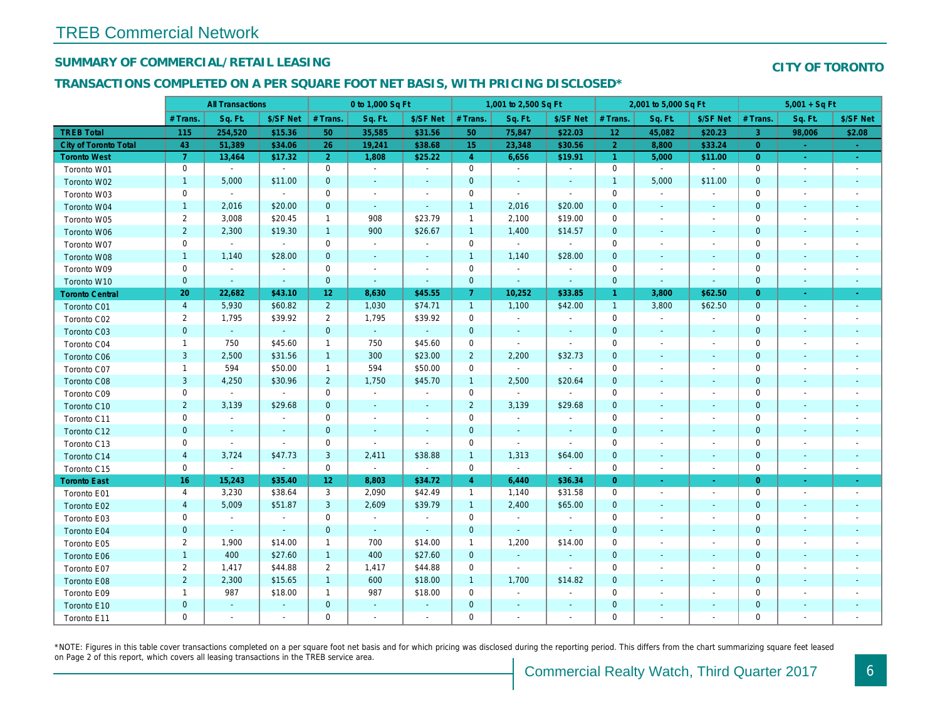#### SUMMARY OF COMMERCIAL/RETAIL LEASING

## TRANSACTIONS COMPLETED ON A PER SQUARE FOOT NET BASIS, WITH PRICING DISCLOSED\*

|                              | <b>All Transactions</b> |                          |                | 0 to 1,000 Sq Ft |                |                          | 1,001 to 2,500 Sq Ft |                |                          | 2,001 to 5,000 Sq Ft |                          |                          |
|------------------------------|-------------------------|--------------------------|----------------|------------------|----------------|--------------------------|----------------------|----------------|--------------------------|----------------------|--------------------------|--------------------------|
|                              | # Trans.                | Sq. Ft.                  | \$/SF Net      | # Trans.         | Sq. Ft.        | \$/SF Net                | # Trans.             | Sq. Ft.        | \$/SF Net                | # Trans.             | Sq. Ft.                  | \$/SF Ne                 |
| <b>TREB Total</b>            | 115                     | 254,520                  | \$15.36        | 50               | 35,585         | \$31.56                  | 50                   | 75,847         | \$22.03                  | 12 <sub>2</sub>      | 45,082                   | \$20.23                  |
| <b>City of Toronto Total</b> | 43                      | 51,389                   | \$34.06        | 26               | 19,241         | \$38.68                  | 15 <sub>1</sub>      | 23,348         | \$30.56                  | $\overline{2}$       | 8,800                    | \$33.24                  |
| <b>Toronto West</b>          | $\overline{7}$          | 13,464                   | \$17.32        | 2 <sup>1</sup>   | 1,808          | \$25.22                  | $\overline{4}$       | 6,656          | \$19.91                  | $\mathbf{1}$         | 5,000                    | \$11.00                  |
| Toronto W01                  | 0                       | $\sim$                   | $\sim$         | 0                | $\sim$         | $\blacksquare$           | $\mathbf 0$          | $\sim$         | $\blacksquare$           | $\mathbf 0$          | $\sim$                   | $\blacksquare$           |
| Toronto W02                  | $\mathbf{1}$            | 5,000                    | \$11.00        | $\mathbf{0}$     | $\omega$       | $\sim$                   | $\mathbf{0}$         | $\sim$         | $\omega$                 | $\overline{1}$       | 5,000                    | \$11.00                  |
| Toronto W03                  | 0                       | $\blacksquare$           | $\sim$         | $\mathbf 0$      | $\sim$         | $\sim$                   | $\mathbf 0$          | $\sim$         | $\sim$                   | $\mathbf 0$          | $\blacksquare$           |                          |
| Toronto W04                  | $\mathbf{1}$            | 2,016                    | \$20.00        | $\mathbf{0}$     | $\sim$         | $\blacksquare$           | $\mathbf{1}$         | 2,016          | \$20.00                  | $\mathbf 0$          | $\blacksquare$           | $\sim$                   |
| Toronto W05                  | 2                       | 3,008                    | \$20.45        | $\mathbf{1}$     | 908            | \$23.79                  | $\mathbf{1}$         | 2,100          | \$19.00                  | $\mathbf 0$          | $\overline{\phantom{a}}$ | $\blacksquare$           |
| Toronto W06                  | $\overline{2}$          | 2,300                    | \$19.30        | $\mathbf{1}$     | 900            | \$26.67                  | $\mathbf{1}$         | 1,400          | \$14.57                  | $\mathbf 0$          | $\blacksquare$           | $\sim$                   |
| Toronto W07                  | 0                       | $\sim$                   | $\sim$         | 0                | $\bullet$      | $\overline{\phantom{a}}$ | $\mathbf 0$          | $\sim$         | $\sim$                   | 0                    | $\overline{\phantom{a}}$ | $\overline{\phantom{a}}$ |
| Toronto W08                  | $\mathbf{1}$            | 1,140                    | \$28.00        | $\mathbf{0}$     | $\sim$         | $\blacksquare$           | $\mathbf{1}$         | 1,140          | \$28.00                  | $\mathbf{0}$         | $\omega$                 | $\sim$                   |
| Toronto W09                  | 0                       | $\blacksquare$           | $\sim$         | $\mathbf 0$      | $\sim$         | $\blacksquare$           | $\mathbf 0$          | $\sim$         | $\sim$                   | $\mathbf 0$          | $\blacksquare$           | $\blacksquare$           |
| Toronto W10                  | $\mathbf{0}$            | $\sim$                   | $\sim$         | $\mathbf{0}$     | $\sim$         | $\sim$                   | $\mathbf 0$          | $\blacksquare$ | $\sim$                   | $\mathbf{0}$         | $\sim$                   | $\sim$                   |
| <b>Toronto Central</b>       | 20                      | 22,682                   | \$43.10        | 12               | 8,630          | \$45.55                  | $\mathbf{7}$         | 10,252         | \$33.85                  | $\mathbf{1}$         | 3,800                    | \$62.50                  |
| Toronto C01                  | $\overline{4}$          | 5,930                    | \$60.82        | $2^{\circ}$      | 1,030          | \$74.71                  | $\mathbf{1}$         | 1,100          | \$42.00                  | $\overline{1}$       | 3,800                    | \$62.50                  |
| Toronto C02                  | $\overline{2}$          | 1,795                    | \$39.92        | $\overline{2}$   | 1,795          | \$39.92                  | $\mathbf 0$          | $\bullet$      | $\blacksquare$           | 0                    | $\blacksquare$           | $\overline{\phantom{a}}$ |
| Toronto C03                  | $\mathbf{0}$            | $\omega$                 | $\omega$ .     | $\mathbf{0}$     | $\sim$         | $\omega$                 | $\mathbf 0$          | $\sim$         | $\omega$                 | $\mathbf{0}$         | $\sim$                   | $\sim$                   |
| Toronto C04                  | $\mathbf{1}$            | 750                      | \$45.60        | $\mathbf{1}$     | 750            | \$45.60                  | $\mathbf 0$          | $\blacksquare$ | $\sim$                   | $\mathbf 0$          | $\blacksquare$           | $\blacksquare$           |
| Toronto C06                  | $\mathbf{3}$            | 2,500                    | \$31.56        | $\mathbf{1}$     | 300            | \$23.00                  | $\overline{2}$       | 2,200          | \$32.73                  | $\mathbf{0}$         | $\omega$                 | $\blacksquare$           |
| Toronto C07                  | $\mathbf{1}$            | 594                      | \$50.00        | $\mathbf{1}$     | 594            | \$50.00                  | $\mathbf 0$          | $\sim$         | $\sim$                   | $\mathbf 0$          | $\blacksquare$           | $\blacksquare$           |
| Toronto C08                  | 3                       | 4,250                    | \$30.96        | $\overline{2}$   | 1,750          | \$45.70                  | $\mathbf{1}$         | 2,500          | \$20.64                  | $\mathbf 0$          | $\blacksquare$           | $\blacksquare$           |
| Toronto C09                  | 0                       | $\blacksquare$           | $\sim$         | 0                | $\sim$         | $\blacksquare$           | $\mathbf 0$          | $\blacksquare$ | $\sim$                   | 0                    | $\overline{\phantom{a}}$ | $\blacksquare$           |
| Toronto C10                  | $\overline{2}$          | 3,139                    | \$29.68        | $\mathbf{0}$     | $\sim$         | $\blacksquare$           | $\overline{2}$       | 3,139          | \$29.68                  | $\mathbf{0}$         | $\blacksquare$           | $\blacksquare$           |
| Toronto C11                  | 0                       | $\sim$                   | $\sim$         | $\mathbf 0$      | $\sim$         | $\blacksquare$           | $\mathbf 0$          | $\sim$         | $\omega$                 | $\mathbf 0$          | $\blacksquare$           | $\blacksquare$           |
| Toronto C12                  | $\mathbf{0}$            | $\overline{\phantom{a}}$ |                | $\mathbf 0$      | $\blacksquare$ | $\blacksquare$           | $\mathbf 0$          | $\blacksquare$ | $\sim$                   | $\mathbf 0$          | $\sim$                   |                          |
| Toronto C13                  | 0                       | $\sim$                   | $\sim$         | $\mathbf 0$      | $\sim$         | $\blacksquare$           | $\mathbf 0$          | $\blacksquare$ | $\sim$                   | $\mathbf 0$          | $\blacksquare$           | $\blacksquare$           |
| Toronto C14                  | 4                       | 3,724                    | \$47.73        | 3                | 2,411          | \$38.88                  | $\mathbf{1}$         | 1,313          | \$64.00                  | $\mathbf 0$          | $\blacksquare$           | $\blacksquare$           |
| Toronto C15                  | 0                       | $\sim$                   | $\sim$         | 0                | $\sim$         | $\sim$                   | $\mathbf 0$          | $\sim$         | $\sim$                   | 0                    | $\blacksquare$           | $\sim$                   |
| <b>Toronto East</b>          | 16                      | 15,243                   | \$35.40        | 12               | 8,803          | \$34.72                  | $\overline{4}$       | 6,440          | \$36.34                  | $\overline{0}$       | ÷.                       | $\sim$                   |
| Toronto E01                  | 4                       | 3,230                    | \$38.64        | 3                | 2,090          | \$42.49                  | $\mathbf{1}$         | 1,140          | \$31.58                  | $\mathbf 0$          | $\blacksquare$           | $\sim$                   |
| Toronto E02                  | $\overline{4}$          | 5,009                    | \$51.87        | 3                | 2,609          | \$39.79                  | $\mathbf{1}$         | 2,400          | \$65.00                  | $\mathbf{0}$         | $\blacksquare$           | $\sim$                   |
| Toronto E03                  | 0                       | $\blacksquare$           | $\sim$         | $\mathbf 0$      | $\sim$         | $\mathbf{r}$             | $\mathbf 0$          | $\blacksquare$ | $\sim$                   | $\mathbf 0$          | $\sim$                   | $\blacksquare$           |
| Toronto E04                  | $\mathbf 0$             | $\sim$                   | $\sim$         | $\mathbf 0$      | $\sim$         | $\blacksquare$           | $\mathbf 0$          | $\blacksquare$ | $\blacksquare$           | $\mathbf 0$          | $\overline{\phantom{a}}$ | $\sim$                   |
| Toronto E05                  | $\overline{2}$          | 1,900                    | \$14.00        | $\mathbf{1}$     | 700            | \$14.00                  | $\mathbf{1}$         | 1,200          | \$14.00                  | 0                    | $\overline{\phantom{a}}$ | $\overline{\phantom{a}}$ |
| Toronto E06                  | $\mathbf{1}$            | 400                      | \$27.60        | $\mathbf{1}$     | 400            | \$27.60                  | $\mathbf 0$          | $\omega$       | $\blacksquare$           | $\mathbf{0}$         | $\blacksquare$           | $\blacksquare$           |
| Toronto E07                  | $\overline{2}$          | 1,417                    | \$44.88        | $\overline{2}$   | 1,417          | \$44.88                  | $\mathbf 0$          | $\mathbf{r}$   | $\blacksquare$           | $\mathbf 0$          | ÷.                       | $\blacksquare$           |
| Toronto E08                  | $\overline{2}$          | 2,300                    | \$15.65        | $\mathbf{1}$     | 600            | \$18.00                  | $\mathbf{1}$         | 1,700          | \$14.82                  | $\mathbf 0$          | $\sim$                   | $\blacksquare$           |
| Toronto E09                  | $\mathbf{1}$            | 987                      | \$18.00        | $\mathbf{1}$     | 987            | \$18.00                  | $\mathbf 0$          | $\blacksquare$ | $\overline{\phantom{a}}$ | $\mathbf 0$          | $\blacksquare$           |                          |
| Toronto E10                  | $\mathbf 0$             | $\blacksquare$           | $\sim$         | $\mathbf{0}$     | $\omega$       | $\blacksquare$           | $\mathbf 0$          | $\blacksquare$ | $\blacksquare$           | $\mathbf 0$          | $\blacksquare$           | $\blacksquare$           |
| Toronto E11                  | 0                       | $\blacksquare$           | $\blacksquare$ | $\mathbf 0$      | $\blacksquare$ | $\overline{\phantom{a}}$ | $\mathbf 0$          | $\blacksquare$ | $\overline{\phantom{a}}$ | $\mathbf 0$          | $\blacksquare$           |                          |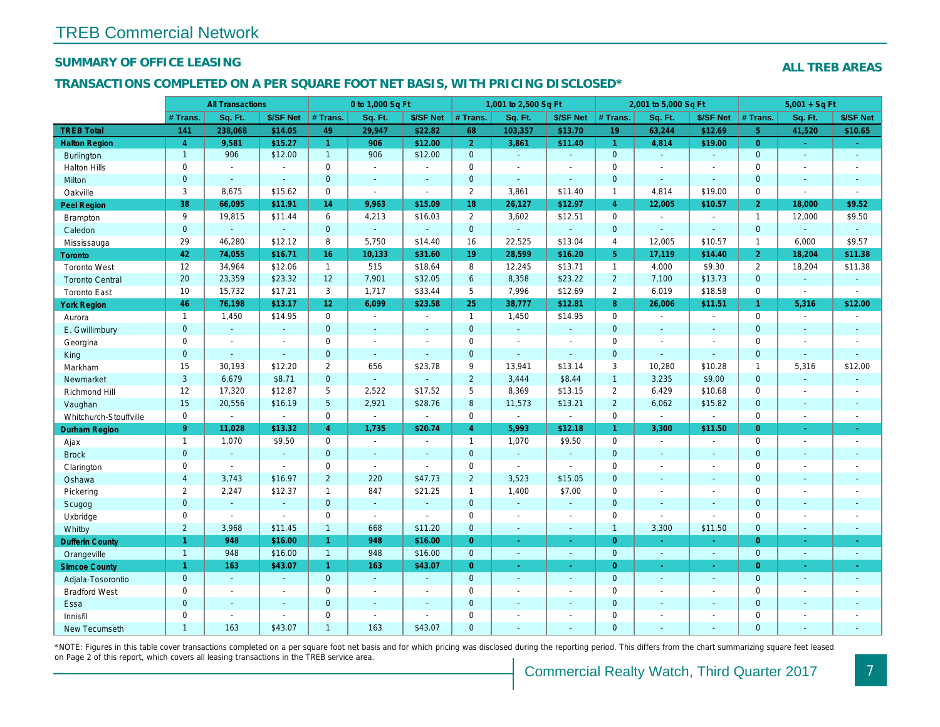#### SUMMARY OF OFFICE LEASING

#### TRANSACTIONS COMPLETED ON A PER SQUARE FOOT NET BASIS, WITH PRICING DISCLOSED\*

|                        |                | <b>All Transactions</b> |                |                      | 0 to 1,000 Sq Ft |                |                     | 1,001 to 2,500 Sq Ft |                       |                | 2,001 to 5,000 Sq Ft |                          |
|------------------------|----------------|-------------------------|----------------|----------------------|------------------|----------------|---------------------|----------------------|-----------------------|----------------|----------------------|--------------------------|
|                        | # Trans.       | Sq. Ft.                 | \$/SF Net      | # Trans.             | Sq. Ft.          | \$/SF Net      | # Trans.            | Sq. Ft.              | \$/SF Net             | # Trans.       | Sq. Ft.              | \$/SF Ne                 |
| <b>TREB Total</b>      | 141            | 238,068                 | \$14.05        | 49                   | 29.947           | \$22.82        | 68                  | 103,357              | \$13.70               | 19             | 63,244               | \$12.69                  |
| <b>Halton Region</b>   | $\overline{4}$ | 9,581                   | \$15.27        | $\blacktriangleleft$ | 906              | \$12.00        | 2 <sup>1</sup>      | 3,861                | \$11.40               | $\vert$ 1      | 4,814                | \$19.00                  |
| <b>Burlington</b>      | $\mathbf{1}$   | 906                     | \$12.00        | $\mathbf{1}$         | 906              | \$12.00        | $\mathbf{0}$        | $\omega$             | $\blacksquare$        | $\mathbf{0}$   | $\omega$             | $\blacksquare$           |
| <b>Halton Hills</b>    | $\mathbf 0$    | $\sim$                  | $\sim$         | $\mathbf 0$          | $\sim$           | $\blacksquare$ | $\mathbf 0$         | $\blacksquare$       | ÷.                    | $\mathbf 0$    | ÷.                   | $\overline{\phantom{a}}$ |
| <b>Milton</b>          | $\mathbf{0}$   | $\sim$                  | $\omega$       | $\overline{0}$       | $\omega$         | $\sim$         | $\mathbf{0}$        | ÷.                   | a.                    | $\mathbf{0}$   | $\mathbf{r}$         | $\sim$                   |
| Oakville               | 3              | 8,675                   | \$15.62        | $\mathbf 0$          | $\mathbf{r}$     | $\sim$         | $\overline{2}$      | 3,861                | \$11.40               | $\overline{1}$ | 4,814                | \$19.00                  |
| <b>Peel Region</b>     | 38             | 66,095                  | \$11.91        | 14                   | 9,963            | \$15.09        | 18                  | 26,127               | \$12.97               | $\overline{4}$ | 12,005               | \$10.57                  |
| <b>Brampton</b>        | 9              | 19,815                  | \$11.44        | 6                    | 4,213            | \$16.03        | $\overline{2}$      | 3,602                | \$12.51               | $\mathbf 0$    | $\blacksquare$       | $\blacksquare$           |
| Caledon                | $\mathbf 0$    | $\omega$                | $\omega$       | $\mathbf{0}$         | $\omega$         | $\omega$       | $\mathbf 0$         | $\omega$             | $\omega$              | $\mathbf{0}$   | $\omega$             | $\blacksquare$           |
| Mississauga            | 29             | 46,280                  | \$12.12        | 8                    | 5,750            | \$14.40        | 16                  | 22,525               | \$13.04               | $\overline{4}$ | 12,005               | \$10.57                  |
| <b>Toronto</b>         | 42             | 74,055                  | \$16.71        | 16                   | 10,133           | \$31.60        | 19                  | 28,599               | \$16.20               | 5 <sup>5</sup> | 17,119               | \$14.40                  |
| <b>Toronto West</b>    | 12             | 34,964                  | \$12.06        | $\mathbf{1}$         | 515              | \$18.64        | 8                   | 12,245               | \$13.71               | $\mathbf{1}$   | 4,000                | \$9.30                   |
| <b>Toronto Central</b> | 20             | 23,359                  | \$23.32        | 12                   | 7,901            | \$32.05        | 6                   | 8,358                | \$23.22               | $\overline{2}$ | 7,100                | \$13.73                  |
| <b>Toronto East</b>    | 10             | 15,732                  | \$17.21        | 3                    | 1,717            | \$33.44        | 5                   | 7,996                | \$12.69               | $\overline{2}$ | 6,019                | \$18.58                  |
| <b>York Region</b>     | 46             | 76,198                  | \$13.17        | 12 <sup>°</sup>      | 6,099            | \$23.58        | 25                  | 38,777               | \$12.81               | 8              | 26,006               | \$11.51                  |
| Aurora                 | $\mathbf{1}$   | 1,450                   | \$14.95        | $\mathbf 0$          | $\sim$           | $\blacksquare$ | $\mathbf{1}$        | 1,450                | \$14.95               | $\mathbf 0$    | $\mathbf{r}$         | $\blacksquare$           |
| E. Gwillimbury         | $\mathbf{0}$   | $\omega$                | $\sim$         | $\mathbf{0}$         | $\sim$           | $\sim$         | $\mathbf{0}$        | $\blacksquare$       | $\omega$              | $\mathbf{0}$   | $\sim$               | $\blacksquare$           |
| Georgina               | $\mathbf 0$    | $\sim$                  | $\sim$         | $\mathbf 0$          | $\sim$           | $\blacksquare$ | $\mathbf 0$         | $\omega$             | $\blacksquare$        | $\mathbf 0$    | $\blacksquare$       | $\overline{\phantom{a}}$ |
| King                   | $\mathbf{0}$   | $\sim$                  | $\omega$       | $\mathbf{0}$         | $\sim$           | $\blacksquare$ | $\mathbf{0}$        | $\omega$             | $\omega$              | $\mathbf{0}$   | $\Delta$             | $\sim$                   |
| Markham                | 15             | 30,193                  | \$12.20        | $\overline{2}$       | 656              | \$23.78        | 9                   | 13,941               | \$13.14               | 3              | 10,280               | \$10.28                  |
| Newmarket              | 3              | 6,679                   | \$8.71         | $\mathbf{0}$         | ä,               | $\blacksquare$ | $\overline{2}$      | 3,444                | \$8.44                | $\mathbf{1}$   | 3,235                | \$9.00                   |
| Richmond Hill          | 12             | 17,320                  | \$12.87        | 5                    | 2,522            | \$17.52        | 5                   | 8,369                | \$13.15               | $\overline{2}$ | 6,429                | \$10.68                  |
| Vaughan                | 15             | 20,556                  | \$16.19        | 5                    | 2,921            | \$28.76        | 8                   | 11,573               | \$13.21               | $\overline{2}$ | 6,062                | \$15.82                  |
| Whitchurch-Stouffville | $\mathbf 0$    | $\blacksquare$          | $\sim$         | $\mathbf 0$          | $\blacksquare$   | $\blacksquare$ | $\mathbf 0$         | $\blacksquare$       | $\blacksquare$        | $\mathbf 0$    | $\blacksquare$       | $\blacksquare$           |
| Durham Region          | 9 <sup>°</sup> | 11,028                  | \$13.32        | $\overline{4}$       | 1,735            | \$20.74        | $\overline{4}$      | 5,993                | \$12.18               | $\mathbf{1}$   | 3,300                | \$11.50                  |
| Ajax                   | $\mathbf{1}$   | 1,070                   | \$9.50         | $\mathbf 0$          | $\sim$           | $\blacksquare$ | $\mathbf{1}$        | 1,070                | \$9.50                | $\Omega$       | $\blacksquare$       | $\blacksquare$           |
| <b>Brock</b>           | $\mathbf 0$    | $\omega$                | $\omega$       | $\mathbf{0}$         | $\omega$         | $\blacksquare$ | $\mathbf{0}$        | $\omega$             | $\omega$              | $\mathbf{0}$   | $\omega$             | $\blacksquare$           |
| Clarington             | 0              | $\blacksquare$          | $\sim$         | $\mathbf 0$          | $\blacksquare$   | $\blacksquare$ | $\mathbf 0$         | $\blacksquare$       | $\tilde{\phantom{a}}$ | $\mathbf 0$    | $\blacksquare$       | $\blacksquare$           |
| Oshawa                 | $\overline{4}$ | 3,743                   | \$16.97        | 2                    | 220              | \$47.73        | $\overline{2}$      | 3,523                | \$15.05               | $\mathbf{0}$   | $\blacksquare$       | $\blacksquare$           |
| Pickering              | 2              | 2,247                   | \$12.37        | $\mathbf{1}$         | 847              | \$21.25        | $\mathbf{1}$        | 1,400                | \$7.00                | $\mathbf 0$    | $\blacksquare$       | $\blacksquare$           |
| Scugog                 | $\mathbf{0}$   | $\blacksquare$          | $\sim$         | $\mathbf{0}$         | $\omega$         | $\blacksquare$ | $\mathbf 0$         | $\blacksquare$       | $\blacksquare$        | $\mathbf{0}$   | $\blacksquare$       | $\blacksquare$           |
| Uxbridge               | 0              | $\sim$                  | $\sim$         | $\mathbf 0$          | $\mathbf{r}$     | $\sim$         | $\mathbf 0$         | $\blacksquare$       | $\blacksquare$        | $\mathbf{0}$   | $\mathbf{r}$         | $\blacksquare$           |
| Whitby                 | $\overline{2}$ | 3,968                   | \$11.45        | $\mathbf{1}$         | 668              | \$11.20        | $\mathbf{0}$        | $\blacksquare$       | $\sim$                | $\mathbf{1}$   | 3,300                | \$11.50                  |
| <b>Dufferin County</b> | $\mathbf{1}$   | 948                     | \$16.00        | $\mathbf{1}$         | 948              | \$16.00        | $\overline{0}$      | ÷.                   | ÷.                    | $\overline{0}$ | ÷.                   | <b>A</b>                 |
| Orangeville            | $\mathbf{1}$   | 948                     | \$16.00        | $\overline{1}$       | 948              | \$16.00        | $\mathbf{0}$        | $\omega$             | $\blacksquare$        | $\overline{0}$ | $\omega$             | $\bullet$ .              |
| <b>Simcoe County</b>   | $\mathbf{1}$   | 163                     | \$43.07        | $\blacktriangleleft$ | 163              | \$43.07        | $\overline{0}$      | $\omega$             | $\omega$              | $\overline{0}$ | $\omega$             | $\sim$                   |
| Adjala-Tosorontio      | $\mathbf{0}$   | $\omega$                | $\sim$         | $\mathbf{0}$         | $\sim$           | $\mathbf{r}$   | $\mathbf{0}$        | $\Delta$             | $\Delta$              | $\overline{0}$ | $\Delta$             | $\sim$                   |
| <b>Bradford West</b>   | $\mathbf 0$    | $\blacksquare$          | $\blacksquare$ | $\pmb{0}$            | $\blacksquare$   | $\sim$         | $\mathsf{O}\xspace$ | $\blacksquare$       | $\omega$              | $\mathbf 0$    | $\blacksquare$       | $\omega$                 |
| Essa                   | $\mathbf{0}$   | $\sim$                  |                | $\overline{0}$       | $\blacksquare$   | $\blacksquare$ | $\mathbf 0$         | ä,                   | $\omega$              | $\mathbf{0}$   | $\blacksquare$       | $\overline{\phantom{a}}$ |
| Innisfil               | $\mathbf 0$    | $\sim$                  | $\sim$         | $\mathbf 0$          | $\sim$           | $\sim$         | $\mathbf 0$         | ä,                   | $\blacksquare$        | $\mathbf 0$    | $\blacksquare$       | $\blacksquare$           |
| <b>New Tecumseth</b>   | $\overline{1}$ | 163                     | \$43.07        | $\mathbf{1}$         | 163              | \$43.07        | $\mathbf{0}$        |                      |                       | $\Omega$       |                      |                          |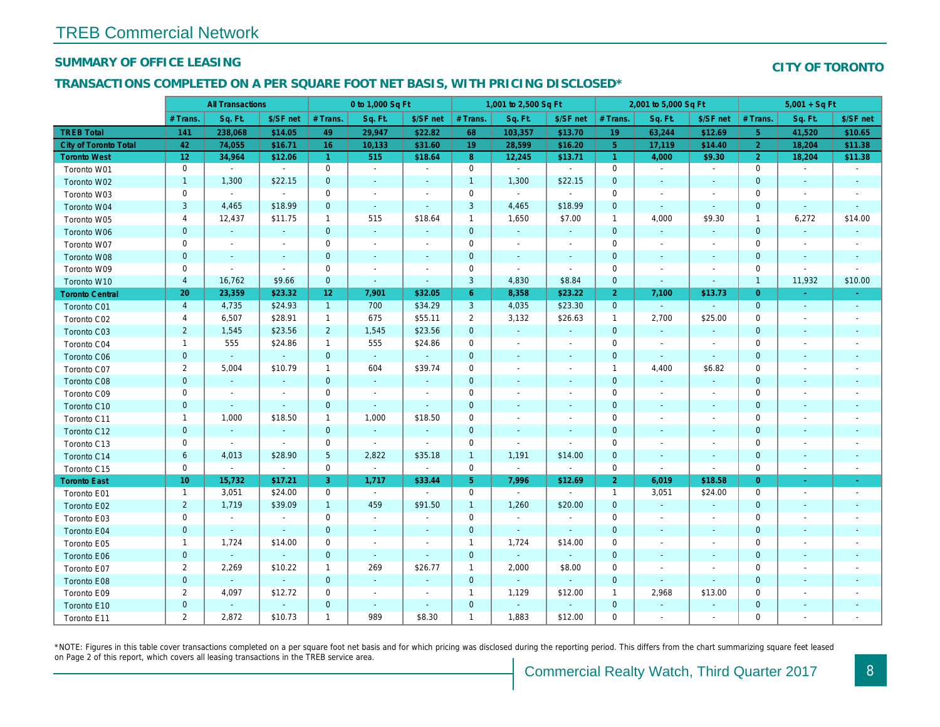#### SUMMARY OF OFFICE LEASING

#### TRANSACTIONS COMPLETED ON A PER SQUARE FOOT NET BASIS, WITH PRICING DISCLOSED\*

|                              | <b>All Transactions</b> |                |                | 0 to 1,000 Sq Ft |                          |                          | 1,001 to 2,500 Sq Ft |                          |                | 2,001 to 5,000 Sq Ft |                          |                          |
|------------------------------|-------------------------|----------------|----------------|------------------|--------------------------|--------------------------|----------------------|--------------------------|----------------|----------------------|--------------------------|--------------------------|
|                              | # Trans.                | Sq. Ft.        | \$/SF net      | # Trans.         | Sq. Ft.                  | \$/SF net                | # Trans.             | Sq. Ft.                  | \$/SF net      | # Trans.             | Sq. Ft.                  | \$/SF ne                 |
| <b>TREB Total</b>            | 141                     | 238,068        | \$14.05        | 49               | 29,947                   | \$22.82                  | 68                   | 103,357                  | \$13.70        | 19                   | 63,244                   | \$12.69                  |
| <b>City of Toronto Total</b> | 42                      | 74,055         | \$16.71        | 16               | 10,133                   | \$31.60                  | 19                   | 28,599                   | \$16.20        | 5 <sup>5</sup>       | 17,119                   | \$14.40                  |
| <b>Toronto West</b>          | 12                      | 34,964         | \$12.06        | $\overline{1}$   | 515                      | \$18.64                  | 8                    | 12,245                   | \$13.71        | $\overline{1}$       | 4,000                    | \$9.30                   |
| Toronto W01                  | $\mathbf 0$             | $\sim$         | $\sim$         | $\mathbf 0$      | $\blacksquare$           | $\blacksquare$           | $\mathbf 0$          | $\blacksquare$           | $\blacksquare$ | $\mathbf 0$          | $\sim$                   | $\sim$                   |
| Toronto W02                  | $\mathbf{1}$            | 1,300          | \$22.15        | $\mathbf 0$      | $\blacksquare$           | $\blacksquare$           | $\mathbf{1}$         | 1,300                    | \$22.15        | $\mathbf 0$          | $\sim$                   | $\sim$                   |
| Toronto W03                  | $\mathbf 0$             | $\sim$         | $\blacksquare$ | $\mathbf 0$      | $\blacksquare$           | $\blacksquare$           | $\mathbf 0$          | $\blacksquare$           | $\blacksquare$ | 0                    | $\overline{\phantom{a}}$ | $\overline{\phantom{a}}$ |
| Toronto W04                  | $\mathsf 3$             | 4,465          | \$18.99        | $\mathbf 0$      | $\sim$                   | $\blacksquare$           | 3                    | 4,465                    | \$18.99        | $\mathbf 0$          | $\blacksquare$           | $\bullet$                |
| Toronto W05                  | 4                       | 12,437         | \$11.75        | $\mathbf{1}$     | 515                      | \$18.64                  | $\mathbf{1}$         | 1,650                    | \$7.00         | $\overline{1}$       | 4,000                    | \$9.30                   |
| Toronto W06                  | $\mathbf 0$             | $\sim$         | $\blacksquare$ | $\mathbf 0$      | $\omega$                 | $\blacksquare$           | $\mathbf 0$          | $\sim$                   | $\sim$         | $\mathbf 0$          | $\blacksquare$           | $\sim$                   |
| Toronto W07                  | 0                       | $\sim$         | $\sim$         | $\mathbf 0$      | $\blacksquare$           | $\blacksquare$           | $\mathbf 0$          | $\blacksquare$           | $\blacksquare$ | $\mathbf 0$          | $\overline{\phantom{a}}$ | $\overline{\phantom{a}}$ |
| Toronto W08                  | $\pmb{0}$               | $\blacksquare$ | $\sim$         | $\mathbf 0$      | $\blacksquare$           | $\blacksquare$           | $\mathbf 0$          | $\sim$                   | $\blacksquare$ | $\mathbf 0$          | $\blacksquare$           | $\overline{\phantom{a}}$ |
| Toronto W09                  | 0                       | $\blacksquare$ | $\sim$         | $\mathsf 0$      | $\blacksquare$           | $\blacksquare$           | $\mathbf 0$          | $\sim$                   | $\blacksquare$ | 0                    |                          | $\overline{\phantom{a}}$ |
| Toronto W10                  | $\overline{4}$          | 16,762         | \$9.66         | $\mathbf{0}$     | $\blacksquare$           | $\blacksquare$           | 3                    | 4,830                    | \$8.84         | $\mathbf 0$          |                          | $\blacksquare$           |
| <b>Toronto Central</b>       | 20                      | 23,359         | \$23.32        | 12 <sub>2</sub>  | 7,901                    | \$32.05                  | $6^{\circ}$          | 8,358                    | \$23.22        | $\overline{2}$       | 7,100                    | \$13.73                  |
| Toronto C01                  | $\overline{4}$          | 4,735          | \$24.93        | $\mathbf{1}$     | 700                      | \$34.29                  | 3                    | 4,035                    | \$23.30        | $\mathbf{0}$         | $\blacksquare$           | $\sim$                   |
| Toronto C02                  | $\overline{a}$          | 6,507          | \$28.91        | $\mathbf{1}$     | 675                      | \$55.11                  | $\overline{2}$       | 3,132                    | \$26.63        | $\overline{1}$       | 2,700                    | \$25.00                  |
| Toronto C03                  | $\overline{c}$          | 1,545          | \$23.56        | $\overline{2}$   | 1,545                    | \$23.56                  | 0                    | $\blacksquare$           | $\blacksquare$ | $\mathbf 0$          | $\blacksquare$           |                          |
| Toronto C04                  | $\mathbf{1}$            | 555            | \$24.86        | $\mathbf{1}$     | 555                      | \$24.86                  | 0                    | $\overline{\phantom{a}}$ | $\blacksquare$ | 0                    | $\overline{\phantom{a}}$ | $\overline{\phantom{a}}$ |
| <b>Toronto C06</b>           | $\pmb{0}$               | $\omega$       | $\omega$       | $\mathbf{0}$     | $\omega$                 | $\omega$                 | $\mathbf 0$          | $\blacksquare$           | $\blacksquare$ | $\mathbf 0$          | $\blacksquare$           | $\blacksquare$           |
| Toronto C07                  | $\overline{2}$          | 5,004          | \$10.79        | $\mathbf{1}$     | 604                      | \$39.74                  | $\mathsf{O}\xspace$  | $\blacksquare$           | $\blacksquare$ | $\overline{1}$       | 4,400                    | \$6.82                   |
| Toronto C08                  | $\mathbf 0$             | $\sim$         | $\sim$         | $\mathbf{0}$     | $\sim$                   | $\blacksquare$           | $\mathbf 0$          | $\blacksquare$           | $\blacksquare$ | $\mathbf 0$          | $\blacksquare$           | $\blacksquare$           |
| Toronto C09                  | $\mathbf 0$             | $\blacksquare$ | $\sim$         | $\mathbf 0$      | $\overline{a}$           | $\blacksquare$           | $\mathbf 0$          | $\blacksquare$           | $\blacksquare$ | $\mathbf 0$          | $\overline{\phantom{a}}$ | $\overline{\phantom{a}}$ |
| Toronto C10                  | $\mathbf 0$             | $\sim$         | $\omega$       | $\mathbf{0}$     | $\omega$                 | $\blacksquare$           | $\mathbf 0$          | $\blacksquare$           | $\blacksquare$ | $\mathbf 0$          | $\blacksquare$           | $\sim$                   |
| Toronto C11                  | $\mathbf{1}$            | 1,000          | \$18.50        | $\mathbf{1}$     | 1,000                    | \$18.50                  | $\mathbf 0$          | $\blacksquare$           | $\blacksquare$ | $\mathbf 0$          |                          | $\overline{\phantom{a}}$ |
| Toronto C12                  | $\mathbf 0$             | $\bullet$      | $\blacksquare$ | $\mathbf{0}$     | $\blacksquare$           | $\blacksquare$           | $\mathbf 0$          | $\blacksquare$           | $\blacksquare$ | $\mathbf 0$          | $\blacksquare$           | $\blacksquare$           |
| Toronto C13                  | $\mathbf 0$             | $\blacksquare$ | $\blacksquare$ | $\mathbf 0$      | $\blacksquare$           | $\blacksquare$           | $\mathbf 0$          | $\blacksquare$           | $\blacksquare$ | $\mathbf 0$          |                          |                          |
| Toronto C14                  | 6                       | 4,013          | \$28.90        | $5\phantom{.0}$  | 2,822                    | \$35.18                  | $\mathbf{1}$         | 1,191                    | \$14.00        | $\pmb{0}$            | $\blacksquare$           | $\blacksquare$           |
| Toronto C15                  | $\mathbf 0$             | $\blacksquare$ | $\blacksquare$ | $\mathbf 0$      | $\omega$                 | $\blacksquare$           | $\mathbf 0$          | $\blacksquare$           | $\blacksquare$ | $\mathbf 0$          | $\blacksquare$           | $\blacksquare$           |
| <b>Toronto East</b>          | 10 <sup>1</sup>         | 15,732         | \$17.21        | 3                | 1,717                    | \$33.44                  | 5 <sub>5</sub>       | 7,996                    | \$12.69        | $\overline{2}$       | 6,019                    | \$18.58                  |
| Toronto E01                  | $\mathbf{1}$            | 3,051          | \$24.00        | $\mathbf 0$      | $\sim$                   | $\overline{\phantom{a}}$ | $\mathbf 0$          | $\sim$                   | $\sim$         | $\overline{1}$       | 3,051                    | \$24.00                  |
| Toronto E02                  | $\overline{2}$          | 1,719          | \$39.09        | $\mathbf{1}$     | 459                      | \$91.50                  | $\mathbf{1}$         | 1,260                    | \$20.00        | $\mathbf{0}$         | $\blacksquare$           | $\sim$                   |
| Toronto E03                  | $\mathsf 0$             | $\blacksquare$ | $\blacksquare$ | $\mathbf 0$      | $\blacksquare$           | $\blacksquare$           | $\mathsf{O}\xspace$  | $\blacksquare$           | $\blacksquare$ | $\mathbf 0$          | $\sim$                   | $\overline{\phantom{a}}$ |
| Toronto E04                  | $\mathbf 0$             | $\blacksquare$ | $\blacksquare$ | $\mathbf 0$      | $\blacksquare$           | $\blacksquare$           | $\mathbf 0$          | $\omega$                 | $\blacksquare$ | $\mathbf 0$          | $\blacksquare$           | $\sim$                   |
| Toronto E05                  | 1                       | 1,724          | \$14.00        | $\mathbf 0$      | $\overline{\phantom{a}}$ | $\blacksquare$           | $\overline{1}$       | 1,724                    | \$14.00        | $\mathbf 0$          | $\sim$                   | $\overline{\phantom{a}}$ |
| Toronto E06                  | $\pmb{0}$               | $\omega$       | $\omega$       | $\mathbf{0}$     | $\omega$                 | $\blacksquare$           | $\mathbf 0$          | $\omega$                 | $\omega$       | $\mathbf 0$          | $\blacksquare$           | $\overline{\phantom{a}}$ |
| Toronto E07                  | $\overline{2}$          | 2,269          | \$10.22        | $\mathbf{1}$     | 269                      | \$26.77                  | $\mathbf{1}$         | 2,000                    | \$8.00         | $\mathbf 0$          | $\overline{\phantom{a}}$ | $\overline{\phantom{a}}$ |
| Toronto E08                  | $\pmb{0}$               | $\bullet$      | $\omega$       | $\mathbf 0$      | $\blacksquare$           | $\blacksquare$           | $\mathbf 0$          | $\bullet$                | $\blacksquare$ | $\mathbf 0$          | $\blacksquare$           | $\blacksquare$           |
| Toronto E09                  | $\overline{\mathbf{c}}$ | 4,097          | \$12.72        | 0                | $\blacksquare$           | $\overline{\phantom{a}}$ | $\mathbf{1}$         | 1,129                    | \$12.00        | $\overline{1}$       | 2,968                    | \$13.00                  |
| Toronto E10                  | $\pmb{0}$               | $\omega$       | $\omega$       | $\mathbf 0$      | $\sim$                   | $\blacksquare$           | $\mathbf 0$          | $\omega$                 | $\sim$         | $\mathbf 0$          | $\blacksquare$           | $\sim$                   |
| Toronto E11                  | $\overline{2}$          | 2,872          | \$10.73        | $\mathbf{1}$     | 989                      | \$8.30                   | $\overline{1}$       | 1,883                    | \$12.00        | $\mathbf 0$          |                          |                          |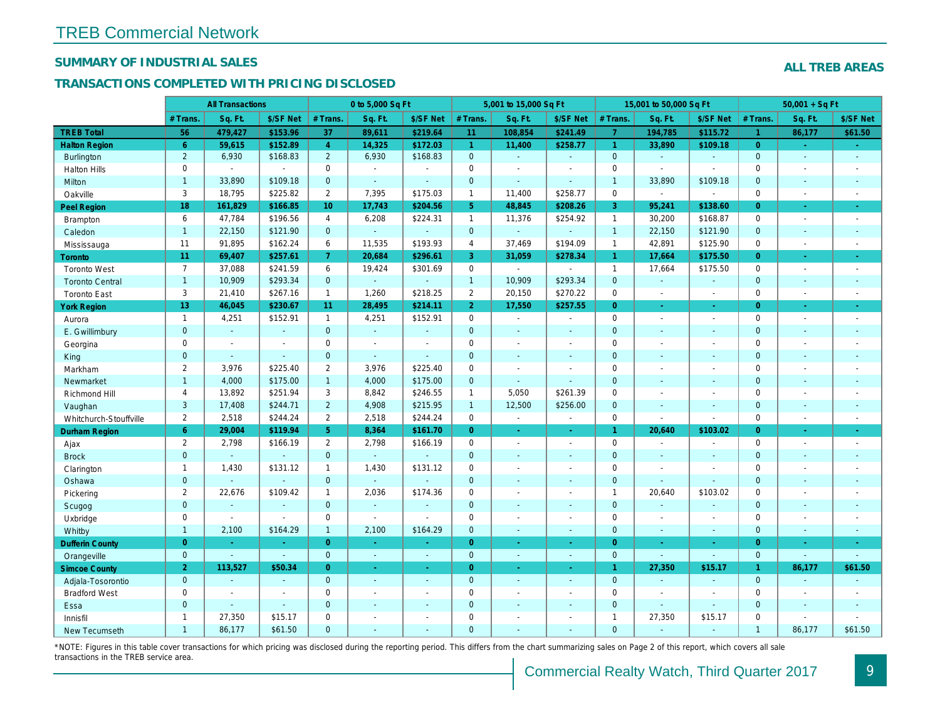#### SUMMARY OF INDUSTRIAL SALES

#### TRANSACTIONS COMPLETED WITH PRICING DISCLOSED

|                        |                       | <b>All Transactions</b> |                |                       | 0 to 5,000 Sq Ft |                |                      | 5,001 to 15,000 Sq Ft    |                          |                      | 15,001 to 50,000 Sq Ft |                          |
|------------------------|-----------------------|-------------------------|----------------|-----------------------|------------------|----------------|----------------------|--------------------------|--------------------------|----------------------|------------------------|--------------------------|
|                        | # Trans.              | Sq. Ft.                 | \$/SF Net      | # Trans.              | Sq. Ft.          | \$/SF Net      | # Trans.             | Sq. Ft.                  | \$/SF Net                | # Trans.             | Sq. Ft.                | \$/SF Ne                 |
| <b>TREB Total</b>      | 56                    | 479,427                 | \$153.96       | 37                    | 89,611           | \$219.64       | 11                   | 108,854                  | \$241.49                 | $\overline{7}$       | 194,785                | \$115.72                 |
| <b>Halton Region</b>   | $6^{\circ}$           | 59,615                  | \$152.89       | $\overline{4}$        | 14,325           | \$172.03       | $\blacktriangleleft$ | 11,400                   | \$258.77                 | $\blacktriangleleft$ | 33,890                 | \$109.18                 |
| <b>Burlington</b>      | $\overline{2}$        | 6,930                   | \$168.83       | $\overline{2}$        | 6,930            | \$168.83       | $\mathbf{0}$         | $\blacksquare$           | $\omega$                 | $\mathbf{0}$         | $\omega$               | $\blacksquare$           |
| <b>Halton Hills</b>    | 0                     | $\blacksquare$          | $\blacksquare$ | $\Omega$              | $\sim$           |                | $\mathbf 0$          | $\blacksquare$           | $\blacksquare$           | $\Omega$             | $\overline{a}$         | $\blacksquare$           |
| Milton                 | $\mathbf{1}$          | 33,890                  | \$109.18       | $\mathbf{0}$          | $\omega$         | $\blacksquare$ | $\mathbf{0}$         | ä,                       | $\blacksquare$           | $\mathbf{1}$         | 33,890                 | \$109.18                 |
| Oakville               | 3                     | 18,795                  | \$225.82       | $\overline{2}$        | 7,395            | \$175.03       | $\mathbf{1}$         | 11,400                   | \$258.77                 | $\mathbf 0$          | $\sim$                 | $\blacksquare$           |
| Peel Region            | 18                    | 161,829                 | \$166.85       | 10 <sup>10</sup>      | 17,743           | \$204.56       | 5 <sup>5</sup>       | 48,845                   | \$208.26                 | $\mathbf{3}$         | 95,241                 | \$138.60                 |
| <b>Brampton</b>        | 6                     | 47,784                  | \$196.56       | $\overline{4}$        | 6,208            | \$224.31       | $\mathbf{1}$         | 11,376                   | \$254.92                 | $\overline{1}$       | 30,200                 | \$168.8                  |
| Caledon                | $\mathbf{1}$          | 22,150                  | \$121.90       | $\mathbf 0$           | $\omega$         | $\mathbf{r}$   | $\mathbf{0}$         | $\blacksquare$           | $\omega$                 | $\overline{1}$       | 22,150                 | \$121.90                 |
| Mississauga            | 11                    | 91,895                  | \$162.24       | 6                     | 11,535           | \$193.93       | $\overline{4}$       | 37,469                   | \$194.09                 | $\mathbf{1}$         | 42,891                 | \$125.90                 |
| Toronto                | 11                    | 69,407                  | \$257.61       | $7^{\circ}$           | 20,684           | \$296.61       | 3                    | 31,059                   | \$278.34                 | $\blacktriangleleft$ | 17,664                 | \$175.50                 |
| <b>Toronto West</b>    | $\overline{7}$        | 37,088                  | \$241.59       | 6                     | 19,424           | \$301.69       | $\mathsf{O}$         | $\blacksquare$           | $\blacksquare$           | $\mathbf{1}$         | 17,664                 | \$175.50                 |
| <b>Toronto Central</b> | $\mathbf{1}$          | 10,909                  | \$293.34       | $\overline{0}$        | $\omega$         | $\blacksquare$ | $\mathbf{1}$         | 10,909                   | \$293.34                 | $\mathbf{0}$         | $\Delta$               | $\blacksquare$           |
| <b>Toronto East</b>    | 3                     | 21,410                  | \$267.16       | $\mathbf{1}$          | 1,260            | \$218.25       | $\overline{2}$       | 20,150                   | \$270.22                 | $\mathbf 0$          | $\blacksquare$         | $\blacksquare$           |
| <b>York Region</b>     | 13                    | 46,045                  | \$230.67       | 11                    | 28,495           | \$214.11       | 2 <sup>1</sup>       | 17,550                   | \$257.55                 | $\overline{0}$       | ÷.                     | $\omega$                 |
| Aurora                 | $\overline{1}$        | 4,251                   | \$152.91       | $\mathbf{1}$          | 4,251            | \$152.91       | $\mathbf 0$          | $\omega$ .               | $\sim$                   | $\Omega$             | $\blacksquare$         | $\sim$                   |
| E. Gwillimbury         | $\mathbf{0}$          | $\omega$                | $\sim$         | $\mathbf 0$           | $\omega$         | $\blacksquare$ | $\mathbf{0}$         | $\blacksquare$           | $\overline{\phantom{a}}$ | $\mathbf{0}$         | $\blacksquare$         | $\blacksquare$           |
| Georgina               | $\mathbf 0$           | $\blacksquare$          | $\blacksquare$ | $\mathbf 0$           | $\blacksquare$   | $\blacksquare$ | $\mathbf 0$          | $\blacksquare$           | $\blacksquare$           | $\mathbf 0$          | $\blacksquare$         | $\blacksquare$           |
| King                   | $\overline{0}$        | $\sim$                  | $\sim$         | $\mathbf{0}$          | $\mathbf{r}$     | $\blacksquare$ | $\mathbf{0}$         | $\blacksquare$           | $\sim$                   | $\mathbf{0}$         | $\omega$               | $\blacksquare$           |
| Markham                | $\overline{2}$        | 3,976                   | \$225.40       | $\mathbf{2}$          | 3,976            | \$225.40       | $\mathbf 0$          | $\overline{\phantom{a}}$ | $\blacksquare$           | $\mathbf 0$          | $\blacksquare$         | $\blacksquare$           |
| Newmarket              | $\mathbf{1}$          | 4,000                   | \$175.00       | $\mathbf{1}$          | 4,000            | \$175.00       | $\mathbf{0}$         | ÷,                       | $\sim$                   | $\mathbf{0}$         | $\sim$                 | $\sim$                   |
| Richmond Hill          | $\overline{4}$        | 13,892                  | \$251.94       | 3                     | 8,842            | \$246.55       | $\mathbf{1}$         | 5,050                    | \$261.39                 | $\mathbf 0$          | $\blacksquare$         | $\blacksquare$           |
| Vaughan                | 3                     | 17,408                  | \$244.71       | $\overline{2}$        | 4,908            | \$215.95       | $\mathbf{1}$         | 12,500                   | \$256.00                 | $\mathbf{0}$         | $\omega$               | $\sim$                   |
| Whitchurch-Stouffville | $\mathbf{2}^{\prime}$ | 2,518                   | \$244.24       | $\mathbf{2}^{\prime}$ | 2,518            | \$244.24       | $\mathsf{O}$         | $\blacksquare$           | $\blacksquare$           | $\mathbf 0$          | ÷,                     | $\blacksquare$           |
| Durham Region          | 6                     | 29,004                  | \$119.94       | 5 <sup>1</sup>        | 8,364            | \$161.70       | $\overline{0}$       | $\omega_{\rm c}$         | ÷.                       | $\mathbf{1}$         | 20,640                 | \$103.02                 |
| Ajax                   | $\overline{2}$        | 2,798                   | \$166.19       | $\mathbf{2}^{\prime}$ | 2,798            | \$166.19       | $\mathsf{O}\xspace$  | $\blacksquare$           | $\blacksquare$           | $\mathbf 0$          | $\blacksquare$         | $\blacksquare$           |
| <b>Brock</b>           | $\mathbf{0}$          | $\sim$                  | $\sim$         | $\overline{0}$        | $\omega$         | $\blacksquare$ | $\mathbf{0}$         | $\blacksquare$           | $\blacksquare$           | $\mathbf{0}$         | $\blacksquare$         | $\blacksquare$           |
| Clarington             | $\mathbf{1}$          | 1,430                   | \$131.12       | $\mathbf{1}$          | 1,430            | \$131.12       | $\mathbf 0$          | $\blacksquare$           | $\blacksquare$           | $\mathbf 0$          | $\sim$                 | $\blacksquare$           |
| Oshawa                 | $\mathbf{0}$          |                         |                | $\mathbf{0}$          | $\omega$         |                | $\mathbf{0}$         | ÷,                       | ÷,                       | $\mathbf{0}$         | $\omega$               |                          |
| Pickering              | $\overline{2}$        | 22,676                  | \$109.42       | $\mathbf{1}$          | 2,036            | \$174.36       | $\mathbf 0$          | $\overline{a}$           | $\overline{a}$           | $\mathbf{1}$         | 20,640                 | \$103.02                 |
| Scugog                 | $\mathbf{0}$          | $\blacksquare$          | $\sim$         | $\mathbf{0}$          | $\omega$         | $\blacksquare$ | $\mathbf{0}$         | $\blacksquare$           | $\omega$                 | $\mathbf{0}$         | $\blacksquare$         | $\blacksquare$           |
| Uxbridge               | 0                     | $\blacksquare$          | $\sim$         | 0                     | $\blacksquare$   |                | $\mathsf{O}$         | ÷,                       | $\overline{a}$           | $\mathbf 0$          | ÷,                     | $\overline{\phantom{a}}$ |
| Whitby                 | $\mathbf{1}$          | 2,100                   | \$164.29       | $\mathbf{1}$          | 2,100            | \$164.29       | $\overline{0}$       | $\blacksquare$           | $\sim$                   | $\mathbf{0}$         | $\blacksquare$         | $\blacksquare$           |
| <b>Dufferin County</b> | $\overline{0}$        | $\sim$                  | $\sim$         | $\overline{0}$        | ÷.               | ×.             | $\overline{0}$       | ÷.                       | $\sim$                   | $\overline{0}$       | $\sim$                 | $\sim$                   |
| Orangeville            | $\mathbf 0$           | $\omega$                | $\omega$       | $\mathbf 0$           | $\omega$         | $\omega$       | $\mathbf{0}$         | $\omega$                 | $\omega_{\rm c}$         | $\mathbf{0}$         | $\omega$               | $\omega$                 |
| <b>Simcoe County</b>   | 2 <sup>1</sup>        | 113,527                 | \$50.34        | $\overline{0}$        | $\omega$         | $\omega$       | $\overline{0}$       | ä,                       | $\omega_{\rm c}$         | $\mathbf{1}$         | 27,350                 | \$15.17                  |
| Adjala-Tosorontio      | $\mathbf{0}$          | $\sim$                  | $\sim$         | $\overline{0}$        | $\omega$         | $\blacksquare$ | $\mathbf{0}$         | $\blacksquare$           | $\blacksquare$           | $\mathbf 0$          | $\Delta$               | $\omega$                 |
| <b>Bradford West</b>   | 0                     | $\sim$                  | $\sim$         | 0                     | $\blacksquare$   | $\blacksquare$ | $\mathbf 0$          | $\blacksquare$           | $\blacksquare$           | $\mathbf 0$          | $\overline{a}$         | $\blacksquare$           |
| Essa                   | $\mathbf{0}$          | $\sim$                  | $\sim$         | $\mathbf 0$           | $\blacksquare$   | $\blacksquare$ | $\mathbf 0$          | ä,                       | $\blacksquare$           | $\mathbf{0}$         | $\omega$               | $\blacksquare$           |
| Innisfil               | $\mathbf{1}$          | 27,350                  | \$15.17        | 0                     | $\blacksquare$   | $\blacksquare$ | $\mathbf 0$          | $\blacksquare$           | $\blacksquare$           | $\mathbf{1}$         | 27,350                 | \$15.17                  |
| <b>New Tecumseth</b>   | $\overline{1}$        | 86.177                  | \$61.50        | $\Omega$              |                  |                | $\mathbf{0}$         |                          |                          | $\Omega$             |                        |                          |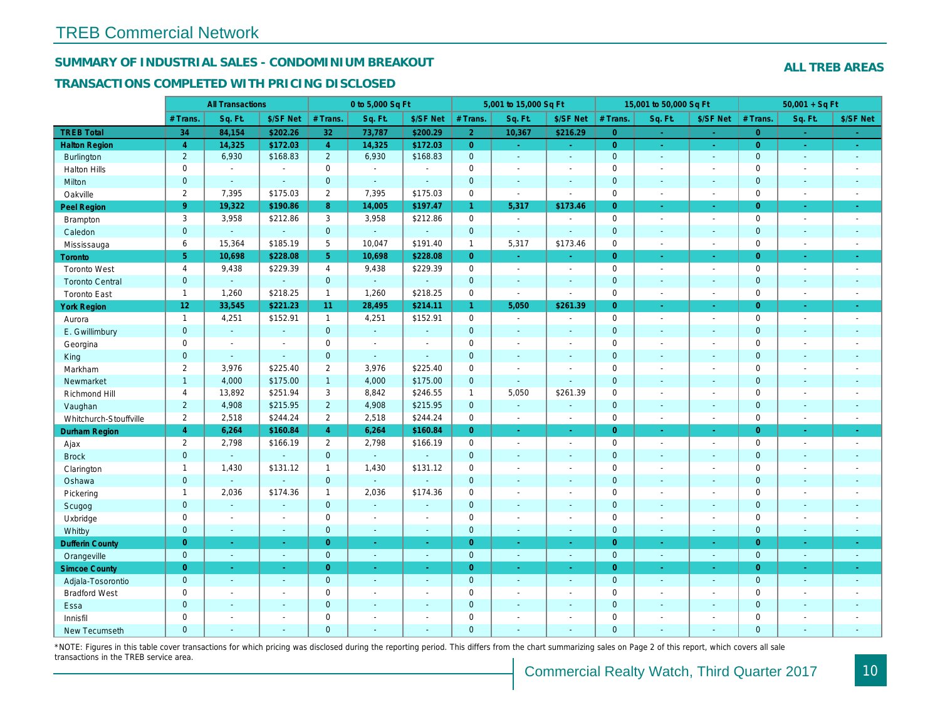#### SUMMARY OF INDUSTRIAL SALES - CONDOMINIUM BREAKOUT

#### TRANSACTIONS COMPLETED WITH PRICING DISCLOSED

| Sq. Ft.<br>\$/SF Net<br># Trans.<br>Sq. Ft.<br>\$/SF Net<br># Trans.<br>Sq. Ft.<br>\$/SF Net<br># Trans.<br>Sq. Ft.<br># Trans.<br><b>TREB Total</b><br>34<br>\$202.26<br>32<br>73,787<br>2 <sup>1</sup><br>84,154<br>\$200.29<br>10,367<br>\$216.29<br>$\overline{0}$<br>$\sim$<br>$\sim$<br>14,325<br>\$172.03<br>$\overline{4}$<br>14,325<br>\$172.03<br>$\overline{0}$<br>$\overline{0}$<br><b>Halton Region</b><br>$\overline{4}$<br>$\omega_{\rm c}$<br>$\omega_{\rm{eff}}$<br>$\omega$<br>$\sim$<br>$\overline{2}$<br>6,930<br>\$168.83<br>$\overline{2}$<br>6,930<br>\$168.83<br>$\overline{0}$<br>$\mathbf{0}$<br>Burlington<br>$\omega$<br>$\omega$<br>$\omega$<br>$\sim$<br>$\mathbf 0$<br>$\mathbf 0$<br>$\pmb{0}$<br>$\mathbf 0$<br><b>Halton Hills</b><br>$\sim$<br>$\overline{a}$<br>$\blacksquare$<br>$\blacksquare$<br>$\blacksquare$<br>÷,<br>$\blacksquare$<br>$\mathbf{0}$<br>$\mathbf 0$<br>$\mathbf{0}$<br>$\mathbf{0}$<br>Milton<br>$\omega$<br>$\sim$<br>$\blacksquare$<br>$\blacksquare$<br>$\blacksquare$<br>$\blacksquare$<br>$\sim$<br>$\sim$<br>$\overline{2}$<br>$\overline{2}$<br>0<br>$\mathbf 0$<br>Oakville<br>7,395<br>\$175.03<br>7,395<br>\$175.03<br>$\overline{\phantom{a}}$<br>$\blacksquare$<br>$\sim$<br>$\sim$<br>9 <sup>°</sup><br>19,322<br>14,005<br>\$197.47<br>5,317<br>\$173.46<br>Peel Region<br>\$190.86<br>8<br>$\mathbf{1}$<br>$\overline{0}$<br>$\blacksquare$<br>$\sim$<br>3<br>3<br>$\mathbf 0$<br>$\mathbf 0$<br>3,958<br>\$212.86<br>3,958<br>\$212.86<br>$\sim$<br>Brampton<br>$\blacksquare$<br>$\blacksquare$<br>$\sim$<br>$\mathbf{0}$<br>$\mathbf{0}$<br>$\mathbf{0}$<br>$\mathbf 0$<br>$\omega$<br>Caledon<br>$\omega$<br>$\Delta$<br>$\mathbf{r}$<br>$\Delta$<br>ä,<br>$\omega$<br>$\sim$<br>6<br>15,364<br>\$185.19<br>5<br>10,047<br>\$191.40<br>$\mathbf{1}$<br>5,317<br>\$173.46<br>$\mathbf 0$<br>Mississauga<br>$\blacksquare$<br>$\sim$<br>5 <sup>5</sup><br>\$228.08<br>5<br>$\overline{0}$<br>$\overline{0}$<br>10,698<br>10,698<br>\$228.08<br><b>Toronto</b><br>$\blacksquare$<br>$\omega_{\rm c}$<br>÷.<br>×.<br>$\overline{4}$<br>9,438<br>\$229.39<br>$\overline{4}$<br>9,438<br>\$229.39<br>$\mathbf 0$<br>$\mathbf 0$<br><b>Toronto West</b><br>$\blacksquare$<br>$\blacksquare$<br>$\sim$<br>$\blacksquare$<br>$\pmb{0}$<br>$\mathbf{0}$<br>$\mathbf{0}$<br>$\mathbf 0$<br>$\omega$<br><b>Toronto Central</b><br>$\omega$<br>$\blacksquare$<br>$\blacksquare$<br>$\blacksquare$<br>$\blacksquare$<br>$\blacksquare$<br>$\blacksquare$<br>1,260<br>\$218.25<br>1,260<br>\$218.25<br>$\pmb{0}$<br>$\mathbf{1}$<br>$\mathbf{1}$<br>$\mathbf 0$<br><b>Toronto East</b><br>$\blacksquare$<br>$\blacksquare$<br>$\blacksquare$<br>$\sim$<br>12 <sub>2</sub><br>\$221.23<br>28,495<br>\$214.11<br>5,050<br>\$261.39<br>33,545<br>11 <sub>1</sub><br>$\mathbf{1}$<br>$\overline{0}$<br><b>York Region</b><br>÷.<br>$\sim$<br>$\mathbf{1}$<br>4,251<br>\$152.91<br>4,251<br>\$152.91<br>0<br>$\mathbf 0$<br>$\mathbf{1}$<br>$\blacksquare$<br>Aurora<br>$\blacksquare$<br>$\blacksquare$<br>$\sim$<br>$\mathbf{0}$<br>$\mathbf{0}$<br>$\mathbf{0}$<br>$\mathbf{0}$<br>$\omega$<br>E. Gwillimbury<br>$\omega$<br>$\blacksquare$<br>$\sim$<br>$\blacksquare$<br>$\blacksquare$<br>$\blacksquare$<br>$\sim$<br>$\mathbf 0$<br>$\pmb{0}$<br>$\mathbf 0$<br>$\mathbf 0$<br>Georgina<br>$\sim$<br>$\sim$<br>$\blacksquare$<br>$\blacksquare$<br>$\blacksquare$<br>$\blacksquare$<br>$\sim$<br>$\overline{a}$<br>$\mathbf{0}$<br>$\mathbf{0}$<br>$\mathbf 0$<br>$\mathbf{0}$<br>$\omega$<br>King<br>$\Delta$<br>$\mathbf{r}$<br>$\sim$<br>$\sim$<br>$\blacksquare$<br>$\blacksquare$<br>$\sim$<br>$\overline{2}$<br>3,976<br>\$225.40<br>$\overline{2}$<br>3,976<br>\$225.40<br>$\pmb{0}$<br>$\mathbf 0$<br>Markham<br>$\tilde{\phantom{a}}$<br>$\blacksquare$<br>$\blacksquare$<br>$\blacksquare$<br>$\overline{1}$<br>4,000<br>\$175.00<br>4,000<br>\$175.00<br>$\pmb{0}$<br>$\mathbf{0}$<br>$\mathbf{1}$<br>Newmarket<br>ä,<br>$\blacksquare$<br>$\blacksquare$<br>$\blacksquare$<br>5,050<br>4<br>13,892<br>\$251.94<br>3<br>8,842<br>\$246.55<br>$\mathbf{1}$<br>\$261.39<br>$\mathbf 0$<br>Richmond Hill<br>$\blacksquare$<br>$\blacksquare$<br>$\overline{2}$<br>$\overline{2}$<br>4,908<br>\$215.95<br>4,908<br>\$215.95<br>$\mathbf{0}$<br>$\mathbf{0}$<br>Vaughan<br>$\blacksquare$<br>$\sim$<br>$\omega$<br>$\sim$<br>$\overline{2}$<br>\$244.24<br>\$244.24<br>2,518<br>$\overline{2}$<br>2,518<br>$\mathsf{O}$<br>$\mathbf 0$<br>Whitchurch-Stouffville<br>$\blacksquare$<br>$\sim$<br>$\overline{a}$<br>$\blacksquare$<br>4<br>6,264<br>\$160.84<br>$\overline{4}$<br>6,264<br>\$160.84<br>$\overline{0}$<br>$\overline{0}$<br>Durham Region<br>$\omega$<br>$\omega$<br>$\sigma$<br>$\blacksquare$<br>$\overline{2}$<br>2,798<br>\$166.19<br>$\overline{2}$<br>2,798<br>\$166.19<br>0<br>$\mathbf 0$<br>Ajax<br>$\blacksquare$<br>$\blacksquare$<br>$\blacksquare$<br>$\blacksquare$<br>$\mathbf{0}$<br>$\mathbf{0}$<br>$\pmb{0}$<br>$\mathbf 0$<br><b>Brock</b><br>$\omega$<br>$\blacksquare$<br>$\omega$<br>$\blacksquare$<br>$\blacksquare$<br>$\blacksquare$<br>$\blacksquare$<br>$\blacksquare$<br>$\mathbf 0$<br>$\mathbf{1}$<br>1,430<br>\$131.12<br>$\mathbf{1}$<br>1,430<br>\$131.12<br>0<br>Clarington<br>$\blacksquare$<br>÷.<br>$\blacksquare$<br>$\blacksquare$<br>$\mathbf 0$<br>$\overline{0}$<br>$\mathbf{0}$<br>$\mathbf 0$<br>Oshawa<br>$\Delta$<br>$\sim$<br>$\sim$<br>$\blacksquare$<br>$\sim$<br>$\blacksquare$<br>$\sim$<br>2,036<br>\$174.36<br>\$174.36<br>$\pmb{0}$<br>$\mathsf 0$<br>$\mathbf{1}$<br>$\mathbf{1}$<br>2,036<br>Pickering<br>$\blacksquare$<br>$\blacksquare$<br>$\blacksquare$<br>$\sim$<br>$\mathbf{0}$<br>$\mathbf{0}$<br>$\mathbf 0$<br>$\mathbf 0$<br>$\omega$<br>Scugog<br>$\Delta$<br>$\sim$<br>$\sim$<br>$\blacksquare$<br>$\blacksquare$<br>$\sim$<br>$\blacksquare$<br>$\mathbf 0$<br>$\mathbf 0$<br>$\pmb{0}$<br>$\mathbf 0$<br>Uxbridge<br>$\blacksquare$<br>$\blacksquare$<br>$\sim$<br>$\blacksquare$<br>$\blacksquare$<br>$\blacksquare$<br>÷.<br>$\blacksquare$<br>$\pmb{0}$<br>$\mathbf{0}$<br>$\mathbf{0}$<br>$\mathbf 0$<br>Whitby<br>$\omega$<br>$\blacksquare$<br>$\omega$<br>$\sim$<br>$\sim$<br>$\blacksquare$<br>$\blacksquare$<br>$\sim$<br>$\overline{0}$<br><b>Dufferin County</b><br>$\overline{0}$<br>$\overline{0}$<br>$\overline{0}$<br>$\sim$<br>$\omega$<br>$\sim$<br>$\sim$<br>$\omega$<br>$\omega$<br>$\omega$<br>$\sim$<br>$\overline{0}$<br>$\mathbf{0}$<br>$\mathbf{0}$<br>$\mathbf{0}$<br>Orangeville<br>$\omega$<br>$\blacksquare$<br>$\blacksquare$<br>$\omega$<br>$\omega$<br>$\omega$<br>$\omega$<br>$\sim$<br>$\overline{0}$<br>$\overline{0}$<br>$\overline{0}$<br>$\overline{0}$<br><b>Simcoe County</b><br>$\bullet$<br>$\blacksquare$<br>$\blacksquare$<br>$\bullet$<br>$\blacksquare$<br>$\blacksquare$<br>$\blacksquare$<br>$\sigma_{\rm c}$<br>$\mathbf{0}$<br>$\mathbf{0}$<br>$\mathbf 0$<br>$\mathbf{0}$<br>Adjala-Tosorontio<br>$\sim$<br>$\sim$<br>$\sim$<br>$\blacksquare$<br>$\blacksquare$<br>$\blacksquare$<br>$\sim$<br>$\sim$<br>$\mathbf 0$<br>$\pmb{0}$<br>$\mathbf 0$<br>$\mathbf 0$<br><b>Bradford West</b><br>$\blacksquare$<br>$\blacksquare$<br>$\sim$<br>$\blacksquare$<br>$\blacksquare$<br>$\blacksquare$<br>$\blacksquare$<br>$\blacksquare$<br>$\mathbf{0}$<br>$\mathbf{0}$<br>$\pmb{0}$<br>$\mathbf{0}$<br>Essa<br>$\sim$<br>$\sim$<br>$\sim$<br>$\sim$<br>$\blacksquare$<br>$\blacksquare$<br>$\blacksquare$<br>$\blacksquare$<br>$\mathbf 0$<br>$\mathbf 0$<br>$\mathbf 0$<br>$\mathbf 0$<br>Innisfil<br>$\blacksquare$<br>$\blacksquare$<br>$\blacksquare$<br>$\sim$<br>$\sim$<br>$\overline{\phantom{a}}$<br>$\blacksquare$<br>$\blacksquare$<br>$\overline{0}$<br>$\Omega$<br>$\Omega$<br>$\mathbf{0}$<br><b>New Tecumseth</b><br>$\sim$<br>÷.<br>÷.<br>$\sim$<br>$\sim$<br>$\sim$<br>$\overline{a}$<br>$\sim$ |  | <b>All Transactions</b> |  | 0 to 5,000 Sq Ft |  | 5,001 to 15,000 Sq Ft |  | 15,001 to 50,000 Sq Ft |          |
|-----------------------------------------------------------------------------------------------------------------------------------------------------------------------------------------------------------------------------------------------------------------------------------------------------------------------------------------------------------------------------------------------------------------------------------------------------------------------------------------------------------------------------------------------------------------------------------------------------------------------------------------------------------------------------------------------------------------------------------------------------------------------------------------------------------------------------------------------------------------------------------------------------------------------------------------------------------------------------------------------------------------------------------------------------------------------------------------------------------------------------------------------------------------------------------------------------------------------------------------------------------------------------------------------------------------------------------------------------------------------------------------------------------------------------------------------------------------------------------------------------------------------------------------------------------------------------------------------------------------------------------------------------------------------------------------------------------------------------------------------------------------------------------------------------------------------------------------------------------------------------------------------------------------------------------------------------------------------------------------------------------------------------------------------------------------------------------------------------------------------------------------------------------------------------------------------------------------------------------------------------------------------------------------------------------------------------------------------------------------------------------------------------------------------------------------------------------------------------------------------------------------------------------------------------------------------------------------------------------------------------------------------------------------------------------------------------------------------------------------------------------------------------------------------------------------------------------------------------------------------------------------------------------------------------------------------------------------------------------------------------------------------------------------------------------------------------------------------------------------------------------------------------------------------------------------------------------------------------------------------------------------------------------------------------------------------------------------------------------------------------------------------------------------------------------------------------------------------------------------------------------------------------------------------------------------------------------------------------------------------------------------------------------------------------------------------------------------------------------------------------------------------------------------------------------------------------------------------------------------------------------------------------------------------------------------------------------------------------------------------------------------------------------------------------------------------------------------------------------------------------------------------------------------------------------------------------------------------------------------------------------------------------------------------------------------------------------------------------------------------------------------------------------------------------------------------------------------------------------------------------------------------------------------------------------------------------------------------------------------------------------------------------------------------------------------------------------------------------------------------------------------------------------------------------------------------------------------------------------------------------------------------------------------------------------------------------------------------------------------------------------------------------------------------------------------------------------------------------------------------------------------------------------------------------------------------------------------------------------------------------------------------------------------------------------------------------------------------------------------------------------------------------------------------------------------------------------------------------------------------------------------------------------------------------------------------------------------------------------------------------------------------------------------------------------------------------------------------------------------------------------------------------------------------------------------------------------------------------------------------------------------------------------------------------------------------------------------------------------------------------------------------------------------------------------------------------------------------------------------------------------------------------------------------------------------------------------------------------------------------------------------------------------------------------------------------------------------------------------------------------------------------------------------------------------------------------------------------------------------------------------------------------------------------------------------------------------------------------------------------------------------------------------------------------------------------------------------------------------------------------------------------------------------------------------------------------------------------------------------------------------------------------------------------------------------------------------------------------------------------------------------------------------------------------------------------------------------------------------------------------------------------------------------------------------------------------------------------------------------------------------------------------------------------------------------------------------------------------------------------------------------------------------------------------------------------------------------------------------------------------------------------------------------------------------------------------------------------------------------------------------------------------------------------------------------------------------------------------------------------------------------------------------------------------------------------------------------------------------------------------------------------------------------------|--|-------------------------|--|------------------|--|-----------------------|--|------------------------|----------|
|                                                                                                                                                                                                                                                                                                                                                                                                                                                                                                                                                                                                                                                                                                                                                                                                                                                                                                                                                                                                                                                                                                                                                                                                                                                                                                                                                                                                                                                                                                                                                                                                                                                                                                                                                                                                                                                                                                                                                                                                                                                                                                                                                                                                                                                                                                                                                                                                                                                                                                                                                                                                                                                                                                                                                                                                                                                                                                                                                                                                                                                                                                                                                                                                                                                                                                                                                                                                                                                                                                                                                                                                                                                                                                                                                                                                                                                                                                                                                                                                                                                                                                                                                                                                                                                                                                                                                                                                                                                                                                                                                                                                                                                                                                                                                                                                                                                                                                                                                                                                                                                                                                                                                                                                                                                                                                                                                                                                                                                                                                                                                                                                                                                                                                                                                                                                                                                                                                                                                                                                                                                                                                                                                                                                                                                                                                                                                                                                                                                                                                                                                                                                                                                                                                                                                                                                                                                                                                                                                                                                                                                                                                                                                                                                                                                                                                                                                                                                                                                                                                                                                                                                                                                                                                                                                                                                                                                                                                                       |  |                         |  |                  |  |                       |  |                        | \$/SF Ne |
|                                                                                                                                                                                                                                                                                                                                                                                                                                                                                                                                                                                                                                                                                                                                                                                                                                                                                                                                                                                                                                                                                                                                                                                                                                                                                                                                                                                                                                                                                                                                                                                                                                                                                                                                                                                                                                                                                                                                                                                                                                                                                                                                                                                                                                                                                                                                                                                                                                                                                                                                                                                                                                                                                                                                                                                                                                                                                                                                                                                                                                                                                                                                                                                                                                                                                                                                                                                                                                                                                                                                                                                                                                                                                                                                                                                                                                                                                                                                                                                                                                                                                                                                                                                                                                                                                                                                                                                                                                                                                                                                                                                                                                                                                                                                                                                                                                                                                                                                                                                                                                                                                                                                                                                                                                                                                                                                                                                                                                                                                                                                                                                                                                                                                                                                                                                                                                                                                                                                                                                                                                                                                                                                                                                                                                                                                                                                                                                                                                                                                                                                                                                                                                                                                                                                                                                                                                                                                                                                                                                                                                                                                                                                                                                                                                                                                                                                                                                                                                                                                                                                                                                                                                                                                                                                                                                                                                                                                                                       |  |                         |  |                  |  |                       |  |                        |          |
|                                                                                                                                                                                                                                                                                                                                                                                                                                                                                                                                                                                                                                                                                                                                                                                                                                                                                                                                                                                                                                                                                                                                                                                                                                                                                                                                                                                                                                                                                                                                                                                                                                                                                                                                                                                                                                                                                                                                                                                                                                                                                                                                                                                                                                                                                                                                                                                                                                                                                                                                                                                                                                                                                                                                                                                                                                                                                                                                                                                                                                                                                                                                                                                                                                                                                                                                                                                                                                                                                                                                                                                                                                                                                                                                                                                                                                                                                                                                                                                                                                                                                                                                                                                                                                                                                                                                                                                                                                                                                                                                                                                                                                                                                                                                                                                                                                                                                                                                                                                                                                                                                                                                                                                                                                                                                                                                                                                                                                                                                                                                                                                                                                                                                                                                                                                                                                                                                                                                                                                                                                                                                                                                                                                                                                                                                                                                                                                                                                                                                                                                                                                                                                                                                                                                                                                                                                                                                                                                                                                                                                                                                                                                                                                                                                                                                                                                                                                                                                                                                                                                                                                                                                                                                                                                                                                                                                                                                                                       |  |                         |  |                  |  |                       |  |                        |          |
|                                                                                                                                                                                                                                                                                                                                                                                                                                                                                                                                                                                                                                                                                                                                                                                                                                                                                                                                                                                                                                                                                                                                                                                                                                                                                                                                                                                                                                                                                                                                                                                                                                                                                                                                                                                                                                                                                                                                                                                                                                                                                                                                                                                                                                                                                                                                                                                                                                                                                                                                                                                                                                                                                                                                                                                                                                                                                                                                                                                                                                                                                                                                                                                                                                                                                                                                                                                                                                                                                                                                                                                                                                                                                                                                                                                                                                                                                                                                                                                                                                                                                                                                                                                                                                                                                                                                                                                                                                                                                                                                                                                                                                                                                                                                                                                                                                                                                                                                                                                                                                                                                                                                                                                                                                                                                                                                                                                                                                                                                                                                                                                                                                                                                                                                                                                                                                                                                                                                                                                                                                                                                                                                                                                                                                                                                                                                                                                                                                                                                                                                                                                                                                                                                                                                                                                                                                                                                                                                                                                                                                                                                                                                                                                                                                                                                                                                                                                                                                                                                                                                                                                                                                                                                                                                                                                                                                                                                                                       |  |                         |  |                  |  |                       |  |                        |          |
|                                                                                                                                                                                                                                                                                                                                                                                                                                                                                                                                                                                                                                                                                                                                                                                                                                                                                                                                                                                                                                                                                                                                                                                                                                                                                                                                                                                                                                                                                                                                                                                                                                                                                                                                                                                                                                                                                                                                                                                                                                                                                                                                                                                                                                                                                                                                                                                                                                                                                                                                                                                                                                                                                                                                                                                                                                                                                                                                                                                                                                                                                                                                                                                                                                                                                                                                                                                                                                                                                                                                                                                                                                                                                                                                                                                                                                                                                                                                                                                                                                                                                                                                                                                                                                                                                                                                                                                                                                                                                                                                                                                                                                                                                                                                                                                                                                                                                                                                                                                                                                                                                                                                                                                                                                                                                                                                                                                                                                                                                                                                                                                                                                                                                                                                                                                                                                                                                                                                                                                                                                                                                                                                                                                                                                                                                                                                                                                                                                                                                                                                                                                                                                                                                                                                                                                                                                                                                                                                                                                                                                                                                                                                                                                                                                                                                                                                                                                                                                                                                                                                                                                                                                                                                                                                                                                                                                                                                                                       |  |                         |  |                  |  |                       |  |                        |          |
|                                                                                                                                                                                                                                                                                                                                                                                                                                                                                                                                                                                                                                                                                                                                                                                                                                                                                                                                                                                                                                                                                                                                                                                                                                                                                                                                                                                                                                                                                                                                                                                                                                                                                                                                                                                                                                                                                                                                                                                                                                                                                                                                                                                                                                                                                                                                                                                                                                                                                                                                                                                                                                                                                                                                                                                                                                                                                                                                                                                                                                                                                                                                                                                                                                                                                                                                                                                                                                                                                                                                                                                                                                                                                                                                                                                                                                                                                                                                                                                                                                                                                                                                                                                                                                                                                                                                                                                                                                                                                                                                                                                                                                                                                                                                                                                                                                                                                                                                                                                                                                                                                                                                                                                                                                                                                                                                                                                                                                                                                                                                                                                                                                                                                                                                                                                                                                                                                                                                                                                                                                                                                                                                                                                                                                                                                                                                                                                                                                                                                                                                                                                                                                                                                                                                                                                                                                                                                                                                                                                                                                                                                                                                                                                                                                                                                                                                                                                                                                                                                                                                                                                                                                                                                                                                                                                                                                                                                                                       |  |                         |  |                  |  |                       |  |                        |          |
|                                                                                                                                                                                                                                                                                                                                                                                                                                                                                                                                                                                                                                                                                                                                                                                                                                                                                                                                                                                                                                                                                                                                                                                                                                                                                                                                                                                                                                                                                                                                                                                                                                                                                                                                                                                                                                                                                                                                                                                                                                                                                                                                                                                                                                                                                                                                                                                                                                                                                                                                                                                                                                                                                                                                                                                                                                                                                                                                                                                                                                                                                                                                                                                                                                                                                                                                                                                                                                                                                                                                                                                                                                                                                                                                                                                                                                                                                                                                                                                                                                                                                                                                                                                                                                                                                                                                                                                                                                                                                                                                                                                                                                                                                                                                                                                                                                                                                                                                                                                                                                                                                                                                                                                                                                                                                                                                                                                                                                                                                                                                                                                                                                                                                                                                                                                                                                                                                                                                                                                                                                                                                                                                                                                                                                                                                                                                                                                                                                                                                                                                                                                                                                                                                                                                                                                                                                                                                                                                                                                                                                                                                                                                                                                                                                                                                                                                                                                                                                                                                                                                                                                                                                                                                                                                                                                                                                                                                                                       |  |                         |  |                  |  |                       |  |                        |          |
|                                                                                                                                                                                                                                                                                                                                                                                                                                                                                                                                                                                                                                                                                                                                                                                                                                                                                                                                                                                                                                                                                                                                                                                                                                                                                                                                                                                                                                                                                                                                                                                                                                                                                                                                                                                                                                                                                                                                                                                                                                                                                                                                                                                                                                                                                                                                                                                                                                                                                                                                                                                                                                                                                                                                                                                                                                                                                                                                                                                                                                                                                                                                                                                                                                                                                                                                                                                                                                                                                                                                                                                                                                                                                                                                                                                                                                                                                                                                                                                                                                                                                                                                                                                                                                                                                                                                                                                                                                                                                                                                                                                                                                                                                                                                                                                                                                                                                                                                                                                                                                                                                                                                                                                                                                                                                                                                                                                                                                                                                                                                                                                                                                                                                                                                                                                                                                                                                                                                                                                                                                                                                                                                                                                                                                                                                                                                                                                                                                                                                                                                                                                                                                                                                                                                                                                                                                                                                                                                                                                                                                                                                                                                                                                                                                                                                                                                                                                                                                                                                                                                                                                                                                                                                                                                                                                                                                                                                                                       |  |                         |  |                  |  |                       |  |                        |          |
|                                                                                                                                                                                                                                                                                                                                                                                                                                                                                                                                                                                                                                                                                                                                                                                                                                                                                                                                                                                                                                                                                                                                                                                                                                                                                                                                                                                                                                                                                                                                                                                                                                                                                                                                                                                                                                                                                                                                                                                                                                                                                                                                                                                                                                                                                                                                                                                                                                                                                                                                                                                                                                                                                                                                                                                                                                                                                                                                                                                                                                                                                                                                                                                                                                                                                                                                                                                                                                                                                                                                                                                                                                                                                                                                                                                                                                                                                                                                                                                                                                                                                                                                                                                                                                                                                                                                                                                                                                                                                                                                                                                                                                                                                                                                                                                                                                                                                                                                                                                                                                                                                                                                                                                                                                                                                                                                                                                                                                                                                                                                                                                                                                                                                                                                                                                                                                                                                                                                                                                                                                                                                                                                                                                                                                                                                                                                                                                                                                                                                                                                                                                                                                                                                                                                                                                                                                                                                                                                                                                                                                                                                                                                                                                                                                                                                                                                                                                                                                                                                                                                                                                                                                                                                                                                                                                                                                                                                                                       |  |                         |  |                  |  |                       |  |                        |          |
|                                                                                                                                                                                                                                                                                                                                                                                                                                                                                                                                                                                                                                                                                                                                                                                                                                                                                                                                                                                                                                                                                                                                                                                                                                                                                                                                                                                                                                                                                                                                                                                                                                                                                                                                                                                                                                                                                                                                                                                                                                                                                                                                                                                                                                                                                                                                                                                                                                                                                                                                                                                                                                                                                                                                                                                                                                                                                                                                                                                                                                                                                                                                                                                                                                                                                                                                                                                                                                                                                                                                                                                                                                                                                                                                                                                                                                                                                                                                                                                                                                                                                                                                                                                                                                                                                                                                                                                                                                                                                                                                                                                                                                                                                                                                                                                                                                                                                                                                                                                                                                                                                                                                                                                                                                                                                                                                                                                                                                                                                                                                                                                                                                                                                                                                                                                                                                                                                                                                                                                                                                                                                                                                                                                                                                                                                                                                                                                                                                                                                                                                                                                                                                                                                                                                                                                                                                                                                                                                                                                                                                                                                                                                                                                                                                                                                                                                                                                                                                                                                                                                                                                                                                                                                                                                                                                                                                                                                                                       |  |                         |  |                  |  |                       |  |                        |          |
|                                                                                                                                                                                                                                                                                                                                                                                                                                                                                                                                                                                                                                                                                                                                                                                                                                                                                                                                                                                                                                                                                                                                                                                                                                                                                                                                                                                                                                                                                                                                                                                                                                                                                                                                                                                                                                                                                                                                                                                                                                                                                                                                                                                                                                                                                                                                                                                                                                                                                                                                                                                                                                                                                                                                                                                                                                                                                                                                                                                                                                                                                                                                                                                                                                                                                                                                                                                                                                                                                                                                                                                                                                                                                                                                                                                                                                                                                                                                                                                                                                                                                                                                                                                                                                                                                                                                                                                                                                                                                                                                                                                                                                                                                                                                                                                                                                                                                                                                                                                                                                                                                                                                                                                                                                                                                                                                                                                                                                                                                                                                                                                                                                                                                                                                                                                                                                                                                                                                                                                                                                                                                                                                                                                                                                                                                                                                                                                                                                                                                                                                                                                                                                                                                                                                                                                                                                                                                                                                                                                                                                                                                                                                                                                                                                                                                                                                                                                                                                                                                                                                                                                                                                                                                                                                                                                                                                                                                                                       |  |                         |  |                  |  |                       |  |                        |          |
|                                                                                                                                                                                                                                                                                                                                                                                                                                                                                                                                                                                                                                                                                                                                                                                                                                                                                                                                                                                                                                                                                                                                                                                                                                                                                                                                                                                                                                                                                                                                                                                                                                                                                                                                                                                                                                                                                                                                                                                                                                                                                                                                                                                                                                                                                                                                                                                                                                                                                                                                                                                                                                                                                                                                                                                                                                                                                                                                                                                                                                                                                                                                                                                                                                                                                                                                                                                                                                                                                                                                                                                                                                                                                                                                                                                                                                                                                                                                                                                                                                                                                                                                                                                                                                                                                                                                                                                                                                                                                                                                                                                                                                                                                                                                                                                                                                                                                                                                                                                                                                                                                                                                                                                                                                                                                                                                                                                                                                                                                                                                                                                                                                                                                                                                                                                                                                                                                                                                                                                                                                                                                                                                                                                                                                                                                                                                                                                                                                                                                                                                                                                                                                                                                                                                                                                                                                                                                                                                                                                                                                                                                                                                                                                                                                                                                                                                                                                                                                                                                                                                                                                                                                                                                                                                                                                                                                                                                                                       |  |                         |  |                  |  |                       |  |                        |          |
|                                                                                                                                                                                                                                                                                                                                                                                                                                                                                                                                                                                                                                                                                                                                                                                                                                                                                                                                                                                                                                                                                                                                                                                                                                                                                                                                                                                                                                                                                                                                                                                                                                                                                                                                                                                                                                                                                                                                                                                                                                                                                                                                                                                                                                                                                                                                                                                                                                                                                                                                                                                                                                                                                                                                                                                                                                                                                                                                                                                                                                                                                                                                                                                                                                                                                                                                                                                                                                                                                                                                                                                                                                                                                                                                                                                                                                                                                                                                                                                                                                                                                                                                                                                                                                                                                                                                                                                                                                                                                                                                                                                                                                                                                                                                                                                                                                                                                                                                                                                                                                                                                                                                                                                                                                                                                                                                                                                                                                                                                                                                                                                                                                                                                                                                                                                                                                                                                                                                                                                                                                                                                                                                                                                                                                                                                                                                                                                                                                                                                                                                                                                                                                                                                                                                                                                                                                                                                                                                                                                                                                                                                                                                                                                                                                                                                                                                                                                                                                                                                                                                                                                                                                                                                                                                                                                                                                                                                                                       |  |                         |  |                  |  |                       |  |                        |          |
|                                                                                                                                                                                                                                                                                                                                                                                                                                                                                                                                                                                                                                                                                                                                                                                                                                                                                                                                                                                                                                                                                                                                                                                                                                                                                                                                                                                                                                                                                                                                                                                                                                                                                                                                                                                                                                                                                                                                                                                                                                                                                                                                                                                                                                                                                                                                                                                                                                                                                                                                                                                                                                                                                                                                                                                                                                                                                                                                                                                                                                                                                                                                                                                                                                                                                                                                                                                                                                                                                                                                                                                                                                                                                                                                                                                                                                                                                                                                                                                                                                                                                                                                                                                                                                                                                                                                                                                                                                                                                                                                                                                                                                                                                                                                                                                                                                                                                                                                                                                                                                                                                                                                                                                                                                                                                                                                                                                                                                                                                                                                                                                                                                                                                                                                                                                                                                                                                                                                                                                                                                                                                                                                                                                                                                                                                                                                                                                                                                                                                                                                                                                                                                                                                                                                                                                                                                                                                                                                                                                                                                                                                                                                                                                                                                                                                                                                                                                                                                                                                                                                                                                                                                                                                                                                                                                                                                                                                                                       |  |                         |  |                  |  |                       |  |                        |          |
|                                                                                                                                                                                                                                                                                                                                                                                                                                                                                                                                                                                                                                                                                                                                                                                                                                                                                                                                                                                                                                                                                                                                                                                                                                                                                                                                                                                                                                                                                                                                                                                                                                                                                                                                                                                                                                                                                                                                                                                                                                                                                                                                                                                                                                                                                                                                                                                                                                                                                                                                                                                                                                                                                                                                                                                                                                                                                                                                                                                                                                                                                                                                                                                                                                                                                                                                                                                                                                                                                                                                                                                                                                                                                                                                                                                                                                                                                                                                                                                                                                                                                                                                                                                                                                                                                                                                                                                                                                                                                                                                                                                                                                                                                                                                                                                                                                                                                                                                                                                                                                                                                                                                                                                                                                                                                                                                                                                                                                                                                                                                                                                                                                                                                                                                                                                                                                                                                                                                                                                                                                                                                                                                                                                                                                                                                                                                                                                                                                                                                                                                                                                                                                                                                                                                                                                                                                                                                                                                                                                                                                                                                                                                                                                                                                                                                                                                                                                                                                                                                                                                                                                                                                                                                                                                                                                                                                                                                                                       |  |                         |  |                  |  |                       |  |                        |          |
|                                                                                                                                                                                                                                                                                                                                                                                                                                                                                                                                                                                                                                                                                                                                                                                                                                                                                                                                                                                                                                                                                                                                                                                                                                                                                                                                                                                                                                                                                                                                                                                                                                                                                                                                                                                                                                                                                                                                                                                                                                                                                                                                                                                                                                                                                                                                                                                                                                                                                                                                                                                                                                                                                                                                                                                                                                                                                                                                                                                                                                                                                                                                                                                                                                                                                                                                                                                                                                                                                                                                                                                                                                                                                                                                                                                                                                                                                                                                                                                                                                                                                                                                                                                                                                                                                                                                                                                                                                                                                                                                                                                                                                                                                                                                                                                                                                                                                                                                                                                                                                                                                                                                                                                                                                                                                                                                                                                                                                                                                                                                                                                                                                                                                                                                                                                                                                                                                                                                                                                                                                                                                                                                                                                                                                                                                                                                                                                                                                                                                                                                                                                                                                                                                                                                                                                                                                                                                                                                                                                                                                                                                                                                                                                                                                                                                                                                                                                                                                                                                                                                                                                                                                                                                                                                                                                                                                                                                                                       |  |                         |  |                  |  |                       |  |                        |          |
|                                                                                                                                                                                                                                                                                                                                                                                                                                                                                                                                                                                                                                                                                                                                                                                                                                                                                                                                                                                                                                                                                                                                                                                                                                                                                                                                                                                                                                                                                                                                                                                                                                                                                                                                                                                                                                                                                                                                                                                                                                                                                                                                                                                                                                                                                                                                                                                                                                                                                                                                                                                                                                                                                                                                                                                                                                                                                                                                                                                                                                                                                                                                                                                                                                                                                                                                                                                                                                                                                                                                                                                                                                                                                                                                                                                                                                                                                                                                                                                                                                                                                                                                                                                                                                                                                                                                                                                                                                                                                                                                                                                                                                                                                                                                                                                                                                                                                                                                                                                                                                                                                                                                                                                                                                                                                                                                                                                                                                                                                                                                                                                                                                                                                                                                                                                                                                                                                                                                                                                                                                                                                                                                                                                                                                                                                                                                                                                                                                                                                                                                                                                                                                                                                                                                                                                                                                                                                                                                                                                                                                                                                                                                                                                                                                                                                                                                                                                                                                                                                                                                                                                                                                                                                                                                                                                                                                                                                                                       |  |                         |  |                  |  |                       |  |                        |          |
|                                                                                                                                                                                                                                                                                                                                                                                                                                                                                                                                                                                                                                                                                                                                                                                                                                                                                                                                                                                                                                                                                                                                                                                                                                                                                                                                                                                                                                                                                                                                                                                                                                                                                                                                                                                                                                                                                                                                                                                                                                                                                                                                                                                                                                                                                                                                                                                                                                                                                                                                                                                                                                                                                                                                                                                                                                                                                                                                                                                                                                                                                                                                                                                                                                                                                                                                                                                                                                                                                                                                                                                                                                                                                                                                                                                                                                                                                                                                                                                                                                                                                                                                                                                                                                                                                                                                                                                                                                                                                                                                                                                                                                                                                                                                                                                                                                                                                                                                                                                                                                                                                                                                                                                                                                                                                                                                                                                                                                                                                                                                                                                                                                                                                                                                                                                                                                                                                                                                                                                                                                                                                                                                                                                                                                                                                                                                                                                                                                                                                                                                                                                                                                                                                                                                                                                                                                                                                                                                                                                                                                                                                                                                                                                                                                                                                                                                                                                                                                                                                                                                                                                                                                                                                                                                                                                                                                                                                                                       |  |                         |  |                  |  |                       |  |                        |          |
|                                                                                                                                                                                                                                                                                                                                                                                                                                                                                                                                                                                                                                                                                                                                                                                                                                                                                                                                                                                                                                                                                                                                                                                                                                                                                                                                                                                                                                                                                                                                                                                                                                                                                                                                                                                                                                                                                                                                                                                                                                                                                                                                                                                                                                                                                                                                                                                                                                                                                                                                                                                                                                                                                                                                                                                                                                                                                                                                                                                                                                                                                                                                                                                                                                                                                                                                                                                                                                                                                                                                                                                                                                                                                                                                                                                                                                                                                                                                                                                                                                                                                                                                                                                                                                                                                                                                                                                                                                                                                                                                                                                                                                                                                                                                                                                                                                                                                                                                                                                                                                                                                                                                                                                                                                                                                                                                                                                                                                                                                                                                                                                                                                                                                                                                                                                                                                                                                                                                                                                                                                                                                                                                                                                                                                                                                                                                                                                                                                                                                                                                                                                                                                                                                                                                                                                                                                                                                                                                                                                                                                                                                                                                                                                                                                                                                                                                                                                                                                                                                                                                                                                                                                                                                                                                                                                                                                                                                                                       |  |                         |  |                  |  |                       |  |                        |          |
|                                                                                                                                                                                                                                                                                                                                                                                                                                                                                                                                                                                                                                                                                                                                                                                                                                                                                                                                                                                                                                                                                                                                                                                                                                                                                                                                                                                                                                                                                                                                                                                                                                                                                                                                                                                                                                                                                                                                                                                                                                                                                                                                                                                                                                                                                                                                                                                                                                                                                                                                                                                                                                                                                                                                                                                                                                                                                                                                                                                                                                                                                                                                                                                                                                                                                                                                                                                                                                                                                                                                                                                                                                                                                                                                                                                                                                                                                                                                                                                                                                                                                                                                                                                                                                                                                                                                                                                                                                                                                                                                                                                                                                                                                                                                                                                                                                                                                                                                                                                                                                                                                                                                                                                                                                                                                                                                                                                                                                                                                                                                                                                                                                                                                                                                                                                                                                                                                                                                                                                                                                                                                                                                                                                                                                                                                                                                                                                                                                                                                                                                                                                                                                                                                                                                                                                                                                                                                                                                                                                                                                                                                                                                                                                                                                                                                                                                                                                                                                                                                                                                                                                                                                                                                                                                                                                                                                                                                                                       |  |                         |  |                  |  |                       |  |                        |          |
|                                                                                                                                                                                                                                                                                                                                                                                                                                                                                                                                                                                                                                                                                                                                                                                                                                                                                                                                                                                                                                                                                                                                                                                                                                                                                                                                                                                                                                                                                                                                                                                                                                                                                                                                                                                                                                                                                                                                                                                                                                                                                                                                                                                                                                                                                                                                                                                                                                                                                                                                                                                                                                                                                                                                                                                                                                                                                                                                                                                                                                                                                                                                                                                                                                                                                                                                                                                                                                                                                                                                                                                                                                                                                                                                                                                                                                                                                                                                                                                                                                                                                                                                                                                                                                                                                                                                                                                                                                                                                                                                                                                                                                                                                                                                                                                                                                                                                                                                                                                                                                                                                                                                                                                                                                                                                                                                                                                                                                                                                                                                                                                                                                                                                                                                                                                                                                                                                                                                                                                                                                                                                                                                                                                                                                                                                                                                                                                                                                                                                                                                                                                                                                                                                                                                                                                                                                                                                                                                                                                                                                                                                                                                                                                                                                                                                                                                                                                                                                                                                                                                                                                                                                                                                                                                                                                                                                                                                                                       |  |                         |  |                  |  |                       |  |                        |          |
|                                                                                                                                                                                                                                                                                                                                                                                                                                                                                                                                                                                                                                                                                                                                                                                                                                                                                                                                                                                                                                                                                                                                                                                                                                                                                                                                                                                                                                                                                                                                                                                                                                                                                                                                                                                                                                                                                                                                                                                                                                                                                                                                                                                                                                                                                                                                                                                                                                                                                                                                                                                                                                                                                                                                                                                                                                                                                                                                                                                                                                                                                                                                                                                                                                                                                                                                                                                                                                                                                                                                                                                                                                                                                                                                                                                                                                                                                                                                                                                                                                                                                                                                                                                                                                                                                                                                                                                                                                                                                                                                                                                                                                                                                                                                                                                                                                                                                                                                                                                                                                                                                                                                                                                                                                                                                                                                                                                                                                                                                                                                                                                                                                                                                                                                                                                                                                                                                                                                                                                                                                                                                                                                                                                                                                                                                                                                                                                                                                                                                                                                                                                                                                                                                                                                                                                                                                                                                                                                                                                                                                                                                                                                                                                                                                                                                                                                                                                                                                                                                                                                                                                                                                                                                                                                                                                                                                                                                                                       |  |                         |  |                  |  |                       |  |                        |          |
|                                                                                                                                                                                                                                                                                                                                                                                                                                                                                                                                                                                                                                                                                                                                                                                                                                                                                                                                                                                                                                                                                                                                                                                                                                                                                                                                                                                                                                                                                                                                                                                                                                                                                                                                                                                                                                                                                                                                                                                                                                                                                                                                                                                                                                                                                                                                                                                                                                                                                                                                                                                                                                                                                                                                                                                                                                                                                                                                                                                                                                                                                                                                                                                                                                                                                                                                                                                                                                                                                                                                                                                                                                                                                                                                                                                                                                                                                                                                                                                                                                                                                                                                                                                                                                                                                                                                                                                                                                                                                                                                                                                                                                                                                                                                                                                                                                                                                                                                                                                                                                                                                                                                                                                                                                                                                                                                                                                                                                                                                                                                                                                                                                                                                                                                                                                                                                                                                                                                                                                                                                                                                                                                                                                                                                                                                                                                                                                                                                                                                                                                                                                                                                                                                                                                                                                                                                                                                                                                                                                                                                                                                                                                                                                                                                                                                                                                                                                                                                                                                                                                                                                                                                                                                                                                                                                                                                                                                                                       |  |                         |  |                  |  |                       |  |                        |          |
|                                                                                                                                                                                                                                                                                                                                                                                                                                                                                                                                                                                                                                                                                                                                                                                                                                                                                                                                                                                                                                                                                                                                                                                                                                                                                                                                                                                                                                                                                                                                                                                                                                                                                                                                                                                                                                                                                                                                                                                                                                                                                                                                                                                                                                                                                                                                                                                                                                                                                                                                                                                                                                                                                                                                                                                                                                                                                                                                                                                                                                                                                                                                                                                                                                                                                                                                                                                                                                                                                                                                                                                                                                                                                                                                                                                                                                                                                                                                                                                                                                                                                                                                                                                                                                                                                                                                                                                                                                                                                                                                                                                                                                                                                                                                                                                                                                                                                                                                                                                                                                                                                                                                                                                                                                                                                                                                                                                                                                                                                                                                                                                                                                                                                                                                                                                                                                                                                                                                                                                                                                                                                                                                                                                                                                                                                                                                                                                                                                                                                                                                                                                                                                                                                                                                                                                                                                                                                                                                                                                                                                                                                                                                                                                                                                                                                                                                                                                                                                                                                                                                                                                                                                                                                                                                                                                                                                                                                                                       |  |                         |  |                  |  |                       |  |                        |          |
|                                                                                                                                                                                                                                                                                                                                                                                                                                                                                                                                                                                                                                                                                                                                                                                                                                                                                                                                                                                                                                                                                                                                                                                                                                                                                                                                                                                                                                                                                                                                                                                                                                                                                                                                                                                                                                                                                                                                                                                                                                                                                                                                                                                                                                                                                                                                                                                                                                                                                                                                                                                                                                                                                                                                                                                                                                                                                                                                                                                                                                                                                                                                                                                                                                                                                                                                                                                                                                                                                                                                                                                                                                                                                                                                                                                                                                                                                                                                                                                                                                                                                                                                                                                                                                                                                                                                                                                                                                                                                                                                                                                                                                                                                                                                                                                                                                                                                                                                                                                                                                                                                                                                                                                                                                                                                                                                                                                                                                                                                                                                                                                                                                                                                                                                                                                                                                                                                                                                                                                                                                                                                                                                                                                                                                                                                                                                                                                                                                                                                                                                                                                                                                                                                                                                                                                                                                                                                                                                                                                                                                                                                                                                                                                                                                                                                                                                                                                                                                                                                                                                                                                                                                                                                                                                                                                                                                                                                                                       |  |                         |  |                  |  |                       |  |                        |          |
|                                                                                                                                                                                                                                                                                                                                                                                                                                                                                                                                                                                                                                                                                                                                                                                                                                                                                                                                                                                                                                                                                                                                                                                                                                                                                                                                                                                                                                                                                                                                                                                                                                                                                                                                                                                                                                                                                                                                                                                                                                                                                                                                                                                                                                                                                                                                                                                                                                                                                                                                                                                                                                                                                                                                                                                                                                                                                                                                                                                                                                                                                                                                                                                                                                                                                                                                                                                                                                                                                                                                                                                                                                                                                                                                                                                                                                                                                                                                                                                                                                                                                                                                                                                                                                                                                                                                                                                                                                                                                                                                                                                                                                                                                                                                                                                                                                                                                                                                                                                                                                                                                                                                                                                                                                                                                                                                                                                                                                                                                                                                                                                                                                                                                                                                                                                                                                                                                                                                                                                                                                                                                                                                                                                                                                                                                                                                                                                                                                                                                                                                                                                                                                                                                                                                                                                                                                                                                                                                                                                                                                                                                                                                                                                                                                                                                                                                                                                                                                                                                                                                                                                                                                                                                                                                                                                                                                                                                                                       |  |                         |  |                  |  |                       |  |                        |          |
|                                                                                                                                                                                                                                                                                                                                                                                                                                                                                                                                                                                                                                                                                                                                                                                                                                                                                                                                                                                                                                                                                                                                                                                                                                                                                                                                                                                                                                                                                                                                                                                                                                                                                                                                                                                                                                                                                                                                                                                                                                                                                                                                                                                                                                                                                                                                                                                                                                                                                                                                                                                                                                                                                                                                                                                                                                                                                                                                                                                                                                                                                                                                                                                                                                                                                                                                                                                                                                                                                                                                                                                                                                                                                                                                                                                                                                                                                                                                                                                                                                                                                                                                                                                                                                                                                                                                                                                                                                                                                                                                                                                                                                                                                                                                                                                                                                                                                                                                                                                                                                                                                                                                                                                                                                                                                                                                                                                                                                                                                                                                                                                                                                                                                                                                                                                                                                                                                                                                                                                                                                                                                                                                                                                                                                                                                                                                                                                                                                                                                                                                                                                                                                                                                                                                                                                                                                                                                                                                                                                                                                                                                                                                                                                                                                                                                                                                                                                                                                                                                                                                                                                                                                                                                                                                                                                                                                                                                                                       |  |                         |  |                  |  |                       |  |                        |          |
|                                                                                                                                                                                                                                                                                                                                                                                                                                                                                                                                                                                                                                                                                                                                                                                                                                                                                                                                                                                                                                                                                                                                                                                                                                                                                                                                                                                                                                                                                                                                                                                                                                                                                                                                                                                                                                                                                                                                                                                                                                                                                                                                                                                                                                                                                                                                                                                                                                                                                                                                                                                                                                                                                                                                                                                                                                                                                                                                                                                                                                                                                                                                                                                                                                                                                                                                                                                                                                                                                                                                                                                                                                                                                                                                                                                                                                                                                                                                                                                                                                                                                                                                                                                                                                                                                                                                                                                                                                                                                                                                                                                                                                                                                                                                                                                                                                                                                                                                                                                                                                                                                                                                                                                                                                                                                                                                                                                                                                                                                                                                                                                                                                                                                                                                                                                                                                                                                                                                                                                                                                                                                                                                                                                                                                                                                                                                                                                                                                                                                                                                                                                                                                                                                                                                                                                                                                                                                                                                                                                                                                                                                                                                                                                                                                                                                                                                                                                                                                                                                                                                                                                                                                                                                                                                                                                                                                                                                                                       |  |                         |  |                  |  |                       |  |                        |          |
|                                                                                                                                                                                                                                                                                                                                                                                                                                                                                                                                                                                                                                                                                                                                                                                                                                                                                                                                                                                                                                                                                                                                                                                                                                                                                                                                                                                                                                                                                                                                                                                                                                                                                                                                                                                                                                                                                                                                                                                                                                                                                                                                                                                                                                                                                                                                                                                                                                                                                                                                                                                                                                                                                                                                                                                                                                                                                                                                                                                                                                                                                                                                                                                                                                                                                                                                                                                                                                                                                                                                                                                                                                                                                                                                                                                                                                                                                                                                                                                                                                                                                                                                                                                                                                                                                                                                                                                                                                                                                                                                                                                                                                                                                                                                                                                                                                                                                                                                                                                                                                                                                                                                                                                                                                                                                                                                                                                                                                                                                                                                                                                                                                                                                                                                                                                                                                                                                                                                                                                                                                                                                                                                                                                                                                                                                                                                                                                                                                                                                                                                                                                                                                                                                                                                                                                                                                                                                                                                                                                                                                                                                                                                                                                                                                                                                                                                                                                                                                                                                                                                                                                                                                                                                                                                                                                                                                                                                                                       |  |                         |  |                  |  |                       |  |                        |          |
|                                                                                                                                                                                                                                                                                                                                                                                                                                                                                                                                                                                                                                                                                                                                                                                                                                                                                                                                                                                                                                                                                                                                                                                                                                                                                                                                                                                                                                                                                                                                                                                                                                                                                                                                                                                                                                                                                                                                                                                                                                                                                                                                                                                                                                                                                                                                                                                                                                                                                                                                                                                                                                                                                                                                                                                                                                                                                                                                                                                                                                                                                                                                                                                                                                                                                                                                                                                                                                                                                                                                                                                                                                                                                                                                                                                                                                                                                                                                                                                                                                                                                                                                                                                                                                                                                                                                                                                                                                                                                                                                                                                                                                                                                                                                                                                                                                                                                                                                                                                                                                                                                                                                                                                                                                                                                                                                                                                                                                                                                                                                                                                                                                                                                                                                                                                                                                                                                                                                                                                                                                                                                                                                                                                                                                                                                                                                                                                                                                                                                                                                                                                                                                                                                                                                                                                                                                                                                                                                                                                                                                                                                                                                                                                                                                                                                                                                                                                                                                                                                                                                                                                                                                                                                                                                                                                                                                                                                                                       |  |                         |  |                  |  |                       |  |                        |          |
|                                                                                                                                                                                                                                                                                                                                                                                                                                                                                                                                                                                                                                                                                                                                                                                                                                                                                                                                                                                                                                                                                                                                                                                                                                                                                                                                                                                                                                                                                                                                                                                                                                                                                                                                                                                                                                                                                                                                                                                                                                                                                                                                                                                                                                                                                                                                                                                                                                                                                                                                                                                                                                                                                                                                                                                                                                                                                                                                                                                                                                                                                                                                                                                                                                                                                                                                                                                                                                                                                                                                                                                                                                                                                                                                                                                                                                                                                                                                                                                                                                                                                                                                                                                                                                                                                                                                                                                                                                                                                                                                                                                                                                                                                                                                                                                                                                                                                                                                                                                                                                                                                                                                                                                                                                                                                                                                                                                                                                                                                                                                                                                                                                                                                                                                                                                                                                                                                                                                                                                                                                                                                                                                                                                                                                                                                                                                                                                                                                                                                                                                                                                                                                                                                                                                                                                                                                                                                                                                                                                                                                                                                                                                                                                                                                                                                                                                                                                                                                                                                                                                                                                                                                                                                                                                                                                                                                                                                                                       |  |                         |  |                  |  |                       |  |                        |          |
|                                                                                                                                                                                                                                                                                                                                                                                                                                                                                                                                                                                                                                                                                                                                                                                                                                                                                                                                                                                                                                                                                                                                                                                                                                                                                                                                                                                                                                                                                                                                                                                                                                                                                                                                                                                                                                                                                                                                                                                                                                                                                                                                                                                                                                                                                                                                                                                                                                                                                                                                                                                                                                                                                                                                                                                                                                                                                                                                                                                                                                                                                                                                                                                                                                                                                                                                                                                                                                                                                                                                                                                                                                                                                                                                                                                                                                                                                                                                                                                                                                                                                                                                                                                                                                                                                                                                                                                                                                                                                                                                                                                                                                                                                                                                                                                                                                                                                                                                                                                                                                                                                                                                                                                                                                                                                                                                                                                                                                                                                                                                                                                                                                                                                                                                                                                                                                                                                                                                                                                                                                                                                                                                                                                                                                                                                                                                                                                                                                                                                                                                                                                                                                                                                                                                                                                                                                                                                                                                                                                                                                                                                                                                                                                                                                                                                                                                                                                                                                                                                                                                                                                                                                                                                                                                                                                                                                                                                                                       |  |                         |  |                  |  |                       |  |                        |          |
|                                                                                                                                                                                                                                                                                                                                                                                                                                                                                                                                                                                                                                                                                                                                                                                                                                                                                                                                                                                                                                                                                                                                                                                                                                                                                                                                                                                                                                                                                                                                                                                                                                                                                                                                                                                                                                                                                                                                                                                                                                                                                                                                                                                                                                                                                                                                                                                                                                                                                                                                                                                                                                                                                                                                                                                                                                                                                                                                                                                                                                                                                                                                                                                                                                                                                                                                                                                                                                                                                                                                                                                                                                                                                                                                                                                                                                                                                                                                                                                                                                                                                                                                                                                                                                                                                                                                                                                                                                                                                                                                                                                                                                                                                                                                                                                                                                                                                                                                                                                                                                                                                                                                                                                                                                                                                                                                                                                                                                                                                                                                                                                                                                                                                                                                                                                                                                                                                                                                                                                                                                                                                                                                                                                                                                                                                                                                                                                                                                                                                                                                                                                                                                                                                                                                                                                                                                                                                                                                                                                                                                                                                                                                                                                                                                                                                                                                                                                                                                                                                                                                                                                                                                                                                                                                                                                                                                                                                                                       |  |                         |  |                  |  |                       |  |                        |          |
|                                                                                                                                                                                                                                                                                                                                                                                                                                                                                                                                                                                                                                                                                                                                                                                                                                                                                                                                                                                                                                                                                                                                                                                                                                                                                                                                                                                                                                                                                                                                                                                                                                                                                                                                                                                                                                                                                                                                                                                                                                                                                                                                                                                                                                                                                                                                                                                                                                                                                                                                                                                                                                                                                                                                                                                                                                                                                                                                                                                                                                                                                                                                                                                                                                                                                                                                                                                                                                                                                                                                                                                                                                                                                                                                                                                                                                                                                                                                                                                                                                                                                                                                                                                                                                                                                                                                                                                                                                                                                                                                                                                                                                                                                                                                                                                                                                                                                                                                                                                                                                                                                                                                                                                                                                                                                                                                                                                                                                                                                                                                                                                                                                                                                                                                                                                                                                                                                                                                                                                                                                                                                                                                                                                                                                                                                                                                                                                                                                                                                                                                                                                                                                                                                                                                                                                                                                                                                                                                                                                                                                                                                                                                                                                                                                                                                                                                                                                                                                                                                                                                                                                                                                                                                                                                                                                                                                                                                                                       |  |                         |  |                  |  |                       |  |                        |          |
|                                                                                                                                                                                                                                                                                                                                                                                                                                                                                                                                                                                                                                                                                                                                                                                                                                                                                                                                                                                                                                                                                                                                                                                                                                                                                                                                                                                                                                                                                                                                                                                                                                                                                                                                                                                                                                                                                                                                                                                                                                                                                                                                                                                                                                                                                                                                                                                                                                                                                                                                                                                                                                                                                                                                                                                                                                                                                                                                                                                                                                                                                                                                                                                                                                                                                                                                                                                                                                                                                                                                                                                                                                                                                                                                                                                                                                                                                                                                                                                                                                                                                                                                                                                                                                                                                                                                                                                                                                                                                                                                                                                                                                                                                                                                                                                                                                                                                                                                                                                                                                                                                                                                                                                                                                                                                                                                                                                                                                                                                                                                                                                                                                                                                                                                                                                                                                                                                                                                                                                                                                                                                                                                                                                                                                                                                                                                                                                                                                                                                                                                                                                                                                                                                                                                                                                                                                                                                                                                                                                                                                                                                                                                                                                                                                                                                                                                                                                                                                                                                                                                                                                                                                                                                                                                                                                                                                                                                                                       |  |                         |  |                  |  |                       |  |                        |          |
|                                                                                                                                                                                                                                                                                                                                                                                                                                                                                                                                                                                                                                                                                                                                                                                                                                                                                                                                                                                                                                                                                                                                                                                                                                                                                                                                                                                                                                                                                                                                                                                                                                                                                                                                                                                                                                                                                                                                                                                                                                                                                                                                                                                                                                                                                                                                                                                                                                                                                                                                                                                                                                                                                                                                                                                                                                                                                                                                                                                                                                                                                                                                                                                                                                                                                                                                                                                                                                                                                                                                                                                                                                                                                                                                                                                                                                                                                                                                                                                                                                                                                                                                                                                                                                                                                                                                                                                                                                                                                                                                                                                                                                                                                                                                                                                                                                                                                                                                                                                                                                                                                                                                                                                                                                                                                                                                                                                                                                                                                                                                                                                                                                                                                                                                                                                                                                                                                                                                                                                                                                                                                                                                                                                                                                                                                                                                                                                                                                                                                                                                                                                                                                                                                                                                                                                                                                                                                                                                                                                                                                                                                                                                                                                                                                                                                                                                                                                                                                                                                                                                                                                                                                                                                                                                                                                                                                                                                                                       |  |                         |  |                  |  |                       |  |                        |          |
|                                                                                                                                                                                                                                                                                                                                                                                                                                                                                                                                                                                                                                                                                                                                                                                                                                                                                                                                                                                                                                                                                                                                                                                                                                                                                                                                                                                                                                                                                                                                                                                                                                                                                                                                                                                                                                                                                                                                                                                                                                                                                                                                                                                                                                                                                                                                                                                                                                                                                                                                                                                                                                                                                                                                                                                                                                                                                                                                                                                                                                                                                                                                                                                                                                                                                                                                                                                                                                                                                                                                                                                                                                                                                                                                                                                                                                                                                                                                                                                                                                                                                                                                                                                                                                                                                                                                                                                                                                                                                                                                                                                                                                                                                                                                                                                                                                                                                                                                                                                                                                                                                                                                                                                                                                                                                                                                                                                                                                                                                                                                                                                                                                                                                                                                                                                                                                                                                                                                                                                                                                                                                                                                                                                                                                                                                                                                                                                                                                                                                                                                                                                                                                                                                                                                                                                                                                                                                                                                                                                                                                                                                                                                                                                                                                                                                                                                                                                                                                                                                                                                                                                                                                                                                                                                                                                                                                                                                                                       |  |                         |  |                  |  |                       |  |                        |          |
|                                                                                                                                                                                                                                                                                                                                                                                                                                                                                                                                                                                                                                                                                                                                                                                                                                                                                                                                                                                                                                                                                                                                                                                                                                                                                                                                                                                                                                                                                                                                                                                                                                                                                                                                                                                                                                                                                                                                                                                                                                                                                                                                                                                                                                                                                                                                                                                                                                                                                                                                                                                                                                                                                                                                                                                                                                                                                                                                                                                                                                                                                                                                                                                                                                                                                                                                                                                                                                                                                                                                                                                                                                                                                                                                                                                                                                                                                                                                                                                                                                                                                                                                                                                                                                                                                                                                                                                                                                                                                                                                                                                                                                                                                                                                                                                                                                                                                                                                                                                                                                                                                                                                                                                                                                                                                                                                                                                                                                                                                                                                                                                                                                                                                                                                                                                                                                                                                                                                                                                                                                                                                                                                                                                                                                                                                                                                                                                                                                                                                                                                                                                                                                                                                                                                                                                                                                                                                                                                                                                                                                                                                                                                                                                                                                                                                                                                                                                                                                                                                                                                                                                                                                                                                                                                                                                                                                                                                                                       |  |                         |  |                  |  |                       |  |                        |          |
|                                                                                                                                                                                                                                                                                                                                                                                                                                                                                                                                                                                                                                                                                                                                                                                                                                                                                                                                                                                                                                                                                                                                                                                                                                                                                                                                                                                                                                                                                                                                                                                                                                                                                                                                                                                                                                                                                                                                                                                                                                                                                                                                                                                                                                                                                                                                                                                                                                                                                                                                                                                                                                                                                                                                                                                                                                                                                                                                                                                                                                                                                                                                                                                                                                                                                                                                                                                                                                                                                                                                                                                                                                                                                                                                                                                                                                                                                                                                                                                                                                                                                                                                                                                                                                                                                                                                                                                                                                                                                                                                                                                                                                                                                                                                                                                                                                                                                                                                                                                                                                                                                                                                                                                                                                                                                                                                                                                                                                                                                                                                                                                                                                                                                                                                                                                                                                                                                                                                                                                                                                                                                                                                                                                                                                                                                                                                                                                                                                                                                                                                                                                                                                                                                                                                                                                                                                                                                                                                                                                                                                                                                                                                                                                                                                                                                                                                                                                                                                                                                                                                                                                                                                                                                                                                                                                                                                                                                                                       |  |                         |  |                  |  |                       |  |                        |          |
|                                                                                                                                                                                                                                                                                                                                                                                                                                                                                                                                                                                                                                                                                                                                                                                                                                                                                                                                                                                                                                                                                                                                                                                                                                                                                                                                                                                                                                                                                                                                                                                                                                                                                                                                                                                                                                                                                                                                                                                                                                                                                                                                                                                                                                                                                                                                                                                                                                                                                                                                                                                                                                                                                                                                                                                                                                                                                                                                                                                                                                                                                                                                                                                                                                                                                                                                                                                                                                                                                                                                                                                                                                                                                                                                                                                                                                                                                                                                                                                                                                                                                                                                                                                                                                                                                                                                                                                                                                                                                                                                                                                                                                                                                                                                                                                                                                                                                                                                                                                                                                                                                                                                                                                                                                                                                                                                                                                                                                                                                                                                                                                                                                                                                                                                                                                                                                                                                                                                                                                                                                                                                                                                                                                                                                                                                                                                                                                                                                                                                                                                                                                                                                                                                                                                                                                                                                                                                                                                                                                                                                                                                                                                                                                                                                                                                                                                                                                                                                                                                                                                                                                                                                                                                                                                                                                                                                                                                                                       |  |                         |  |                  |  |                       |  |                        |          |
|                                                                                                                                                                                                                                                                                                                                                                                                                                                                                                                                                                                                                                                                                                                                                                                                                                                                                                                                                                                                                                                                                                                                                                                                                                                                                                                                                                                                                                                                                                                                                                                                                                                                                                                                                                                                                                                                                                                                                                                                                                                                                                                                                                                                                                                                                                                                                                                                                                                                                                                                                                                                                                                                                                                                                                                                                                                                                                                                                                                                                                                                                                                                                                                                                                                                                                                                                                                                                                                                                                                                                                                                                                                                                                                                                                                                                                                                                                                                                                                                                                                                                                                                                                                                                                                                                                                                                                                                                                                                                                                                                                                                                                                                                                                                                                                                                                                                                                                                                                                                                                                                                                                                                                                                                                                                                                                                                                                                                                                                                                                                                                                                                                                                                                                                                                                                                                                                                                                                                                                                                                                                                                                                                                                                                                                                                                                                                                                                                                                                                                                                                                                                                                                                                                                                                                                                                                                                                                                                                                                                                                                                                                                                                                                                                                                                                                                                                                                                                                                                                                                                                                                                                                                                                                                                                                                                                                                                                                                       |  |                         |  |                  |  |                       |  |                        |          |
|                                                                                                                                                                                                                                                                                                                                                                                                                                                                                                                                                                                                                                                                                                                                                                                                                                                                                                                                                                                                                                                                                                                                                                                                                                                                                                                                                                                                                                                                                                                                                                                                                                                                                                                                                                                                                                                                                                                                                                                                                                                                                                                                                                                                                                                                                                                                                                                                                                                                                                                                                                                                                                                                                                                                                                                                                                                                                                                                                                                                                                                                                                                                                                                                                                                                                                                                                                                                                                                                                                                                                                                                                                                                                                                                                                                                                                                                                                                                                                                                                                                                                                                                                                                                                                                                                                                                                                                                                                                                                                                                                                                                                                                                                                                                                                                                                                                                                                                                                                                                                                                                                                                                                                                                                                                                                                                                                                                                                                                                                                                                                                                                                                                                                                                                                                                                                                                                                                                                                                                                                                                                                                                                                                                                                                                                                                                                                                                                                                                                                                                                                                                                                                                                                                                                                                                                                                                                                                                                                                                                                                                                                                                                                                                                                                                                                                                                                                                                                                                                                                                                                                                                                                                                                                                                                                                                                                                                                                                       |  |                         |  |                  |  |                       |  |                        |          |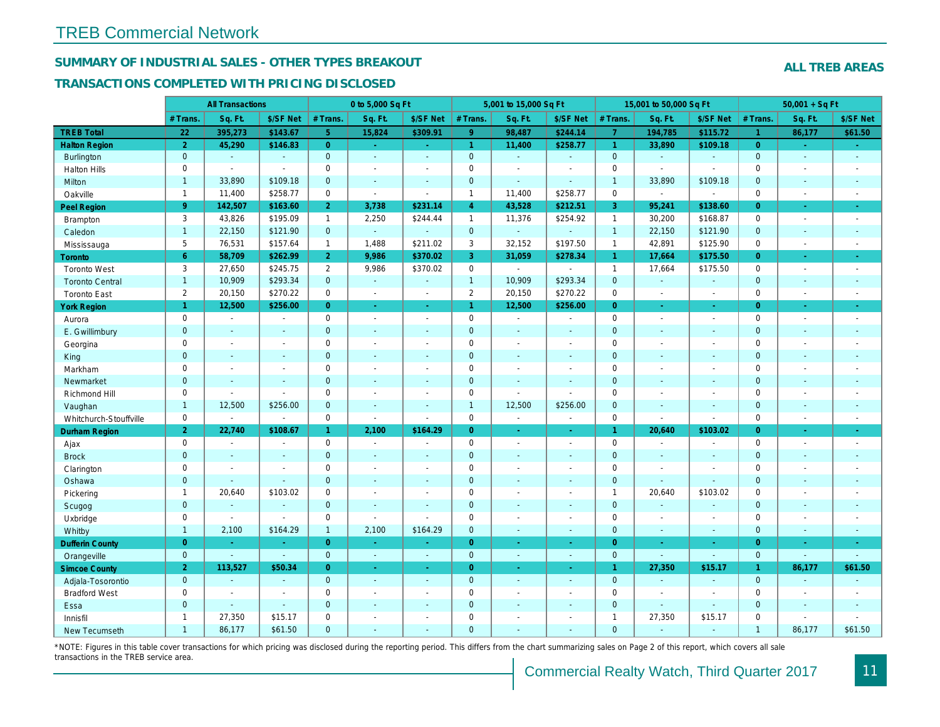#### SUMMARY OF INDUSTRIAL SALES - OTHER TYPES BREAKOUT

#### TRANSACTIONS COMPLETED WITH PRICING DISCLOSED

|                        |                | <b>All Transactions</b>  |                |                | 0 to 5,000 Sq Ft         |                          |                | 5,001 to 15,000 Sq Ft    |                          |                      | 15,001 to 50,000 Sq Ft |                          |
|------------------------|----------------|--------------------------|----------------|----------------|--------------------------|--------------------------|----------------|--------------------------|--------------------------|----------------------|------------------------|--------------------------|
|                        | # Trans        | Sq. Ft.                  | \$/SF Net      | # Trans.       | Sq. Ft.                  | \$/SF Net                | # Trans.       | Sq. Ft.                  | \$/SF Net                | # Trans.             | Sq. Ft.                | \$/SF Ne                 |
| <b>TREB Total</b>      | 22             | 395,273                  | \$143.67       | 5 <sup>1</sup> | 15,824                   | \$309.91                 | 9 <sup>°</sup> | 98,487                   | \$244.14                 | $\overline{7}$       | 194,785                | \$115.72                 |
| <b>Halton Region</b>   | $\overline{2}$ | 45,290                   | \$146.83       | $\overline{0}$ | $\sim$                   | $\sim$                   | $\mathbf{1}$   | 11,400                   | \$258.77                 | $\blacktriangleleft$ | 33,890                 | \$109.18                 |
| Burlington             | $\mathbf{0}$   | $\omega$                 | $\blacksquare$ | $\mathbf{0}$   | $\omega$                 | $\omega$                 | $\mathbf{0}$   | $\blacksquare$           | $\omega$                 | $\mathbf 0$          | $\omega$               | $\blacksquare$           |
| <b>Halton Hills</b>    | $\mathbf 0$    | $\blacksquare$           | $\sim$         | $\Omega$       | $\overline{\phantom{a}}$ |                          | $\pmb{0}$      | $\blacksquare$           | $\blacksquare$           | $\Omega$             | $\overline{a}$         | $\overline{a}$           |
| Milton                 | $\mathbf{1}$   | 33,890                   | \$109.18       | $\mathbf{0}$   | $\blacksquare$           | $\blacksquare$           | $\mathbf 0$    | $\blacksquare$           | $\blacksquare$           | $\overline{1}$       | 33,890                 | \$109.18                 |
| Oakville               | $\overline{1}$ | 11,400                   | \$258.77       | $\mathbf 0$    | $\blacksquare$           | $\sim$                   | $\mathbf{1}$   | 11,400                   | \$258.77                 | $\mathbf 0$          | $\sim$                 | $\blacksquare$           |
| <b>Peel Region</b>     | 9 <sup>°</sup> | 142,507                  | \$163.60       | 2 <sup>1</sup> | 3,738                    | \$231.14                 | $\overline{4}$ | 43,528                   | \$212.51                 | 3                    | 95,241                 | \$138.60                 |
| Brampton               | 3              | 43,826                   | \$195.09       | $\mathbf{1}$   | 2,250                    | \$244.44                 | $\mathbf{1}$   | 11,376                   | \$254.92                 | $\mathbf{1}$         | 30,200                 | \$168.87                 |
| Caledon                | $\mathbf{1}$   | 22,150                   | \$121.90       | $\mathbf{0}$   | $\omega$                 | $\sim$                   | $\mathbf{0}$   | $\blacksquare$           | $\omega$                 | $\overline{1}$       | 22,150                 | \$121.90                 |
| Mississauga            | 5              | 76,531                   | \$157.64       | $\mathbf{1}$   | 1.488                    | \$211.02                 | 3              | 32,152                   | \$197.50                 | $\mathbf{1}$         | 42,891                 | \$125.90                 |
| Toronto                | 6              | 58,709                   | \$262.99       | 2 <sup>1</sup> | 9,986                    | \$370.02                 | 3              | 31,059                   | \$278.34                 | $\blacktriangleleft$ | 17,664                 | \$175.50                 |
| <b>Toronto West</b>    | 3              | 27,650                   | \$245.75       | $\overline{2}$ | 9,986                    | \$370.02                 | $\mathbf 0$    | $\blacksquare$           | $\blacksquare$           | $\mathbf{1}$         | 17,664                 | \$175.50                 |
| <b>Toronto Central</b> | $\mathbf{1}$   | 10,909                   | \$293.34       | $\mathbf{0}$   | $\omega$                 | $\sim$                   | $\overline{1}$ | 10,909                   | \$293.34                 | $\mathbf{0}$         | $\mathbf{r}$           | $\sim$                   |
| <b>Toronto East</b>    | $\overline{2}$ | 20,150                   | \$270.22       | $\mathbf 0$    | $\blacksquare$           | $\blacksquare$           | $\overline{2}$ | 20,150                   | \$270.22                 | $\mathbf 0$          | $\blacksquare$         | $\sim$                   |
| <b>York Region</b>     | $\mathbf{1}$   | 12,500                   | \$256.00       | $\overline{0}$ | $\omega$                 | $\sim$                   | $\mathbf{1}$   | 12,500                   | \$256.00                 | $\overline{0}$       | $\blacksquare$         | $\sim$                   |
| Aurora                 | $\mathbf 0$    | $\sim$                   | $\sim$         | $\Omega$       | $\sim$                   | $\sim$                   | $\pmb{0}$      | $\blacksquare$           | $\blacksquare$           | $\mathbf 0$          | $\blacksquare$         | $\sim$                   |
| E. Gwillimbury         | $\mathbf{0}$   | $\blacksquare$           | $\blacksquare$ | $\mathbf 0$    | $\sim$                   | $\blacksquare$           | $\pmb{0}$      | $\blacksquare$           | $\blacksquare$           | $\mathbf 0$          | $\blacksquare$         | $\blacksquare$           |
| Georgina               | $\mathbf 0$    | $\blacksquare$           | $\blacksquare$ | $\mathbf 0$    | $\sim$                   | $\sim$                   | $\mathbf 0$    | $\blacksquare$           | $\blacksquare$           | $\mathbf 0$          | $\blacksquare$         | $\blacksquare$           |
| King                   | $\mathbf{0}$   | $\sim$                   | $\sim$         | $\mathbf{0}$   | ÷.                       | $\sim$                   | $\mathbf 0$    | $\blacksquare$           | $\blacksquare$           | $\mathbf{0}$         | ÷.                     | $\sim$                   |
| Markham                | $\mathbf 0$    | $\overline{\phantom{a}}$ | $\blacksquare$ | $\mathbf 0$    | $\overline{\phantom{a}}$ | $\overline{\phantom{a}}$ | $\pmb{0}$      | $\overline{\phantom{a}}$ | $\overline{\phantom{a}}$ | $\mathsf 0$          | $\blacksquare$         | $\blacksquare$           |
| Newmarket              | $\mathbf{0}$   | $\sim$                   | $\sim$         | $\mathbf{0}$   | $\sim$                   | $\sim$                   | $\mathbf 0$    | $\blacksquare$           | $\blacksquare$           | $\mathbf{0}$         | $\blacksquare$         | $\overline{\phantom{a}}$ |
| Richmond Hill          | $\mathbf 0$    | $\blacksquare$           | $\blacksquare$ | $\mathbf 0$    | $\sim$                   | $\sim$                   | $\mathbf 0$    | $\blacksquare$           | $\blacksquare$           | $\mathbf 0$          | $\blacksquare$         | $\blacksquare$           |
| Vaughan                | $\mathbf{1}$   | 12,500                   | \$256.00       | $\mathbf{0}$   | $\sim$                   | $\sim$                   | $\mathbf{1}$   | 12,500                   | \$256.00                 | $\mathbf{0}$         | $\blacksquare$         | $\sim$                   |
| Whitchurch-Stouffville | $\mathbf 0$    | $\blacksquare$           | $\blacksquare$ | $\mathbf 0$    | $\sim$                   | $\sim$                   | 0              | $\overline{\phantom{a}}$ | ä,                       | $\mathbf 0$          | $\blacksquare$         | $\blacksquare$           |
| <b>Durham Region</b>   | $\overline{2}$ | 22,740                   | \$108.67       | $\mathbf{1}$   | 2,100                    | \$164.29                 | $\overline{0}$ | Ξ                        | $\omega$                 | $\mathbf{1}$         | 20,640                 | \$103.02                 |
| Ajax                   | $\mathbf 0$    | $\omega$                 | $\omega$       | $\mathbf 0$    | $\sim$                   | $\blacksquare$           | $\pmb{0}$      | $\blacksquare$           | $\blacksquare$           | $\mathbf 0$          | $\overline{a}$         | $\blacksquare$           |
| <b>Brock</b>           | $\mathbf{0}$   | $\blacksquare$           | $\blacksquare$ | $\mathbf{0}$   | $\sim$                   | $\sim$                   | $\mathbf 0$    | $\blacksquare$           | $\blacksquare$           | $\mathbf 0$          | $\blacksquare$         | $\blacksquare$           |
| Clarington             | $\mathbf 0$    | $\blacksquare$           | $\blacksquare$ | $\mathbf 0$    | $\blacksquare$           |                          | $\pmb{0}$      | $\blacksquare$           | $\blacksquare$           | $\mathbf 0$          | L,                     | $\blacksquare$           |
| Oshawa                 | $\overline{0}$ | $\blacksquare$           | $\omega$       | $\overline{0}$ | $\blacksquare$           | $\blacksquare$           | $\mathbf 0$    | $\blacksquare$           | $\blacksquare$           | $\mathbf{0}$         | $\blacksquare$         |                          |
| Pickering              | $\mathbf{1}$   | 20,640                   | \$103.02       | $\mathbf 0$    | $\sim$                   |                          | $\mathbf 0$    | $\blacksquare$           | $\blacksquare$           | $\mathbf{1}$         | 20,640                 | \$103.02                 |
| Scugog                 | $\mathbf{0}$   | $\blacksquare$           | $\blacksquare$ | $\mathbf{0}$   | $\sim$                   | $\sim$                   | $\mathbf 0$    | $\blacksquare$           | $\blacksquare$           | $\mathbf{0}$         | $\blacksquare$         | $\blacksquare$           |
| Uxbridge               | $\mathbf 0$    | $\overline{\phantom{a}}$ | $\blacksquare$ | $\mathbf 0$    | $\blacksquare$           |                          | $\pmb{0}$      | $\blacksquare$           | $\blacksquare$           | $\mathbf 0$          | $\overline{a}$         | $\overline{\phantom{a}}$ |
| Whitby                 | $\mathbf{1}$   | 2,100                    | \$164.29       | $\mathbf{1}$   | 2,100                    | \$164.29                 | $\mathbf{0}$   | $\blacksquare$           | $\blacksquare$           | $\mathbf{0}$         | $\blacksquare$         | $\sim$                   |
| <b>Dufferin County</b> | $\overline{0}$ | $\sim$                   | $\sim$         | $\overline{0}$ | a.                       | $\sim$                   | $\overline{0}$ | $\blacksquare$           | ×.                       | $\overline{0}$       | ×.                     | $\sim$                   |
| Orangeville            | $\mathbf{0}$   | $\omega$                 | $\omega$       | $\mathbf 0$    | $\omega$                 | $\sim$                   | $\mathbf{0}$   | $\omega$                 | ¥.                       | $\mathbf 0$          | $\omega$               | $\sim$                   |
| <b>Simcoe County</b>   | $\overline{2}$ | 113,527                  | \$50.34        | $\overline{0}$ | $\omega$                 | $\omega$                 | $\overline{0}$ | $\blacksquare$           | $\omega$                 | $\mathbf{1}$         | 27,350                 | \$15.17                  |
| Adjala-Tosorontio      | $\mathbf{0}$   | $\sim$                   | $\Delta$       | $\mathbf{0}$   | $\sim$                   | $\sim$                   | $\mathbf 0$    | $\Delta$                 | $\blacksquare$           | $\mathbf 0$          | $\blacksquare$         | $\omega$                 |
| <b>Bradford West</b>   | $\mathbf{0}$   | $\blacksquare$           | $\blacksquare$ | $\mathbf 0$    | $\sim$                   | $\sim$                   | $\pmb{0}$      | $\blacksquare$           | $\blacksquare$           | $\mathbf 0$          | $\overline{a}$         | $\sim$                   |
| Essa                   | $\mathbf{0}$   | $\sim$                   | $\blacksquare$ | $\mathbf{0}$   |                          |                          | $\pmb{0}$      | $\blacksquare$           | $\blacksquare$           | $\mathbf 0$          | $\blacksquare$         | $\sim$                   |
| Innisfil               | $\mathbf{1}$   | 27,350                   | \$15.17        | $\mathbf 0$    | $\sim$                   | $\sim$                   | $\pmb{0}$      | $\blacksquare$           | $\blacksquare$           | $\overline{1}$       | 27,350                 | \$15.17                  |
| <b>New Tecumseth</b>   | $\overline{1}$ | 86.177                   | \$61.50        | $\Omega$       |                          |                          | $\Omega$       |                          |                          | $\Omega$             |                        |                          |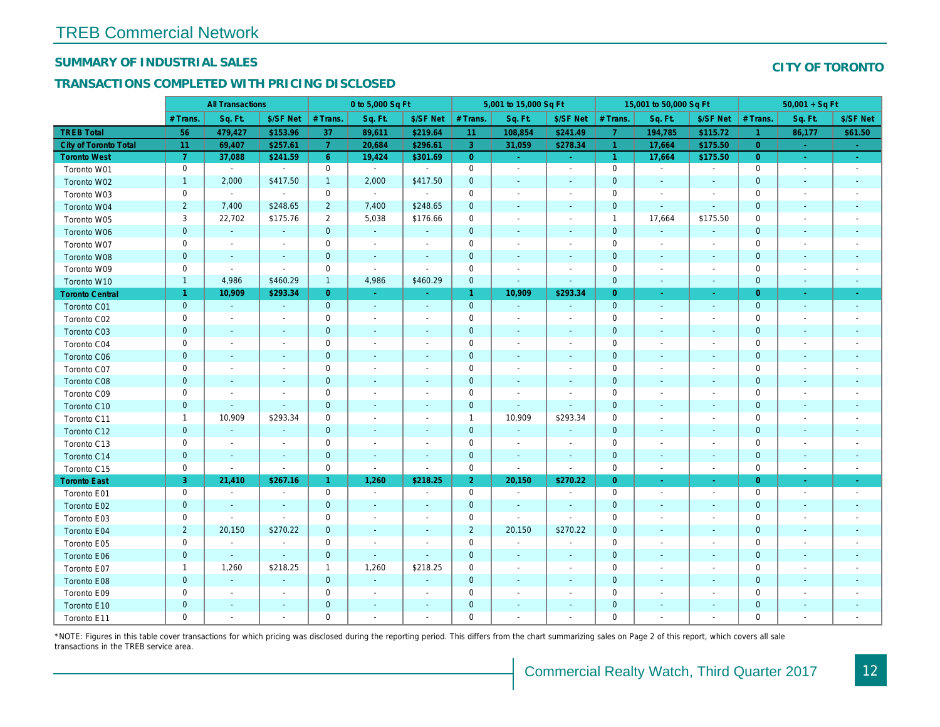#### SUMMARY OF INDUSTRIAL SALES

#### TRANSACTIONS COMPLETED WITH PRICING DISCLOSED

|                        | <b>All Transactions</b> |                |                          | 0 to 5,000 Sq Ft |                          |                          | 5,001 to 15,000 Sq Ft |                          |                          | 15,001 to 50,000 Sq Ft |                          |                          |
|------------------------|-------------------------|----------------|--------------------------|------------------|--------------------------|--------------------------|-----------------------|--------------------------|--------------------------|------------------------|--------------------------|--------------------------|
|                        | # Trans.                | Sq. Ft.        | \$/SF Net                | # Trans.         | Sq. Ft.                  | \$/SF Net                | # Trans.              | Sq. Ft.                  | \$/SF Net                | # Trans.               | Sq. Ft.                  | \$/SF Ne                 |
| <b>TREB Total</b>      | 56                      | 479,427        | \$153.96                 | 37               | 89,611                   | \$219.64                 | 11                    | 108,854                  | \$241.49                 | $\overline{7}$         | 194,785                  | \$115.72                 |
| City of Toronto Total  | 11                      | 69,407         | \$257.61                 | $\overline{7}$   | 20,684                   | \$296.61                 | $\overline{3}$        | 31,059                   | \$278.34                 | $\blacktriangleleft$   | 17,664                   | \$175.50                 |
| <b>Toronto West</b>    | $\overline{7}$          | 37,088         | \$241.59                 | 6 <sup>°</sup>   | 19,424                   | \$301.69                 | $\overline{0}$        | $\omega_{\rm c}$         | $\omega_{\rm{eff}}$      | $\vert$ 1              | 17,664                   | \$175.50                 |
| Toronto W01            | $\mathbf 0$             | $\sim$         | $\sim$                   | 0                | $\sim$                   | $\blacksquare$           | $\mathbf 0$           | $\blacksquare$           | $\blacksquare$           | $\mathbf 0$            | $\blacksquare$           | $\blacksquare$           |
| Toronto W02            | $\mathbf{1}$            | 2,000          | \$417.50                 | $\overline{1}$   | 2,000                    | \$417.50                 | $\mathbf 0$           | $\overline{\phantom{a}}$ |                          | $\mathbf{0}$           | $\blacksquare$           | $\blacksquare$           |
| Toronto W03            | $\mathsf 0$             | $\sim$         | $\sim$                   | $\pmb{0}$        | $\sim$                   | $\sim$                   | $\mathbf 0$           | $\blacksquare$           | $\sim$                   | 0                      | $\blacksquare$           | $\blacksquare$           |
| Toronto W04            | $\overline{2}$          | 7,400          | \$248.65                 | $\overline{2}$   | 7,400                    | \$248.65                 | $\mathbf 0$           | $\blacksquare$           | $\blacksquare$           | $\mathbf{0}$           | $\blacksquare$           | $\blacksquare$           |
| Toronto W05            | 3                       | 22,702         | \$175.76                 | $\overline{2}$   | 5,038                    | \$176.66                 | $\mathbf 0$           | $\blacksquare$           | $\blacksquare$           | $\overline{1}$         | 17,664                   | \$175.50                 |
| Toronto W06            | $\mathbf 0$             | $\mathbf{r}$   | $\blacksquare$           | $\mathbf 0$      | $\sim$                   | $\blacksquare$           | $\mathbf 0$           | $\sim$                   | $\overline{\phantom{a}}$ | $\mathbf 0$            | $\blacksquare$           |                          |
| Toronto W07            | $\mathbf 0$             | $\blacksquare$ | $\overline{\phantom{a}}$ | $\mathbf 0$      | $\blacksquare$           | $\sim$                   | $\mathbf 0$           | $\sim$                   | $\sim$                   | 0                      | $\sim$                   | $\overline{\phantom{a}}$ |
| Toronto W08            | $\pmb{0}$               | $\sim$         | $\sim$                   | $\mathbf 0$      | $\blacksquare$           | $\blacksquare$           | $\mathbf 0$           | $\blacksquare$           | $\blacksquare$           | $\mathbf{0}$           | $\blacksquare$           | $\blacksquare$           |
| Toronto W09            | $\mathbf 0$             | $\blacksquare$ | $\sim$                   | $\mathbf 0$      | $\blacksquare$           | $\overline{\phantom{a}}$ | $\mathbf 0$           | $\overline{a}$           | $\blacksquare$           | 0                      | $\overline{\phantom{a}}$ | $\overline{\phantom{a}}$ |
| Toronto W10            | $\mathbf{1}$            | 4,986          | \$460.29                 | $\mathbf{1}$     | 4,986                    | \$460.29                 | $\mathbf{0}$          | $\blacksquare$           | $\blacksquare$           | $\mathbf{0}$           | $\blacksquare$           | $\blacksquare$           |
| <b>Toronto Central</b> | $\mathbf{1}$            | 10,909         | \$293.34                 | $\overline{0}$   | $\omega$                 | $\blacksquare$           | $\mathbf{1}$          | 10,909                   | \$293.34                 | $\overline{0}$         | $\blacksquare$           | $\blacksquare$           |
| Toronto C01            | $\pmb{0}$               | $\omega$       | $\blacksquare$           | $\mathbf{0}$     | $\sim$                   | $\blacksquare$           | $\mathbf 0$           | $\blacksquare$           | $\blacksquare$           | $\mathbf{0}$           | $\blacksquare$           | $\sim$                   |
| Toronto C02            | $\mathbf 0$             | $\sim$         | $\sim$                   | $\mathbf 0$      | $\overline{a}$           | $\blacksquare$           | $\mathbf 0$           | $\blacksquare$           | $\sim$                   | 0                      | $\sim$                   | $\blacksquare$           |
| Toronto C03            | $\mathbf 0$             | $\blacksquare$ | $\blacksquare$           | $\mathbf 0$      | $\blacksquare$           | $\blacksquare$           | $\mathbf 0$           | $\blacksquare$           | $\blacksquare$           | $\mathbf{0}$           | $\blacksquare$           | $\blacksquare$           |
| Toronto C04            | $\mathbf 0$             | $\blacksquare$ |                          | $\mathbf 0$      | $\blacksquare$           | $\overline{\phantom{a}}$ | $\mathbf 0$           | $\overline{\phantom{a}}$ | $\overline{a}$           | $\mathbf 0$            | ÷,                       | $\blacksquare$           |
| Toronto C06            | $\pmb{0}$               | $\blacksquare$ |                          | $\pmb{0}$        | $\blacksquare$           | $\blacksquare$           | $\mathbf 0$           | $\blacksquare$           | $\blacksquare$           | $\mathbf 0$            | $\overline{\phantom{a}}$ | $\sim$                   |
| Toronto C07            | $\mathbf 0$             | $\blacksquare$ |                          | $\pmb{0}$        | $\tilde{\phantom{a}}$    | $\blacksquare$           | $\mathsf 0$           | $\blacksquare$           | $\sim$                   | $\mathbf 0$            | $\blacksquare$           | $\blacksquare$           |
| Toronto C08            | $\pmb{0}$               | $\blacksquare$ | $\blacksquare$           | $\mathbf 0$      | $\blacksquare$           | $\blacksquare$           | $\mathbf{0}$          | $\blacksquare$           | $\blacksquare$           | $\mathbf{0}$           | $\blacksquare$           | $\blacksquare$           |
| Toronto C09            | 0                       | $\blacksquare$ |                          | $\mathbf 0$      | $\blacksquare$           | $\overline{\phantom{a}}$ | $\mathbf 0$           | $\blacksquare$           | $\sim$                   | 0                      | $\overline{\phantom{a}}$ | $\blacksquare$           |
| Toronto C10            | $\mathbf 0$             | $\sim$         | $\sim$                   | $\mathbf 0$      | $\omega$                 | $\blacksquare$           | $\mathbf{0}$          | $\sim$                   | $\sim$                   | $\mathbf 0$            | $\sim$                   | $\sim$                   |
| Toronto C11            | $\mathbf{1}$            | 10,909         | \$293.34                 | $\mathbf 0$      | $\tilde{\phantom{a}}$    | $\overline{\phantom{a}}$ | $\mathbf{1}$          | 10,909                   | \$293.34                 | 0                      | $\blacksquare$           | $\overline{\phantom{a}}$ |
| Toronto C12            | $\pmb{0}$               | $\blacksquare$ | $\omega$                 | $\mathbf 0$      | $\blacksquare$           | $\blacksquare$           | $\mathbf{0}$          | $\omega$                 | $\blacksquare$           | 0                      | $\blacksquare$           | $\blacksquare$           |
| Toronto C13            | 0                       | $\blacksquare$ | $\overline{\phantom{a}}$ | 0                | $\overline{\phantom{a}}$ | $\overline{\phantom{a}}$ | 0                     | $\blacksquare$           | $\blacksquare$           | 0                      | $\overline{\phantom{a}}$ | $\overline{\phantom{a}}$ |
| Toronto C14            | $\pmb{0}$               | $\sim$         | $\sim$                   | $\mathbf{0}$     | $\sim$                   | $\blacksquare$           | $\mathbf{0}$          | $\sim$                   | $\sim$                   | $\mathbf{0}$           | $\sim$                   | $\sim$                   |
| Toronto C15            | $\mathbf 0$             | $\blacksquare$ | $\blacksquare$           | $\pmb{0}$        | $\blacksquare$           | $\blacksquare$           | $\mathbf 0$           | $\blacksquare$           | $\omega$                 | $\mathbf 0$            | $\overline{\phantom{a}}$ | $\blacksquare$           |
| <b>Toronto East</b>    | 3                       | 21,410         | \$267.16                 | $\mathbf{1}$     | 1,260                    | \$218.25                 | $\overline{2}$        | 20,150                   | \$270.22                 | $\overline{0}$         | $\blacksquare$           | $\sim$                   |
| Toronto E01            | $\mathbf 0$             | $\sim$         | $\overline{\phantom{a}}$ | 0                | $\sim$                   | $\blacksquare$           | $\mathbf 0$           | $\blacksquare$           | $\sim$                   | $\mathbf 0$            | $\blacksquare$           | $\sim$                   |
| Toronto E02            | $\pmb{0}$               | $\sim$         | $\sim$                   | $\mathbf 0$      | $\blacksquare$           | $\blacksquare$           | $\mathbf 0$           | $\blacksquare$           | $\sim$                   | $\mathbf{0}$           | $\sim$                   | $\blacksquare$           |
| Toronto E03            | $\mathbf 0$             | $\blacksquare$ | $\blacksquare$           | $\mathbf 0$      | $\blacksquare$           | $\blacksquare$           | $\mathbf 0$           | $\omega$                 | $\blacksquare$           | 0                      | $\blacksquare$           | $\blacksquare$           |
| Toronto E04            | $\sqrt{2}$              | 20,150         | \$270.22                 | $\mathbf 0$      | $\blacksquare$           | $\blacksquare$           | $\overline{2}$        | 20,150                   | \$270.22                 | $\mathbf{0}$           | $\blacksquare$           | $\blacksquare$           |
| Toronto E05            | $\mathsf 0$             | $\sim$         | $\blacksquare$           | $\pmb{0}$        | $\tilde{\phantom{a}}$    | $\blacksquare$           | $\mathsf{O}\xspace$   | $\omega$                 | $\tilde{\phantom{a}}$    | $\mathbf 0$            | $\sim$                   | $\blacksquare$           |
| Toronto E06            | $\pmb{0}$               | $\blacksquare$ | $\omega$                 | $\mathbf 0$      | $\blacksquare$           | $\blacksquare$           | $\mathbf 0$           | $\blacksquare$           | $\blacksquare$           | $\mathbf 0$            | $\sim$                   | $\blacksquare$           |
| Toronto E07            | $\mathbf{1}$            | 1,260          | \$218.25                 | $\mathbf{1}$     | 1,260                    | \$218.25                 | $\mathbf 0$           | $\blacksquare$           | $\blacksquare$           | 0                      | $\blacksquare$           | $\overline{\phantom{a}}$ |
| Toronto E08            | $\mathbf 0$             | $\blacksquare$ | $\overline{a}$           | $\mathbf 0$      | $\omega$                 | $\blacksquare$           | $\mathbf 0$           | $\sim$                   | $\sim$                   | $\mathbf 0$            | $\sim$                   | ٠                        |
| Toronto E09            | $\mathbf 0$             | $\sim$         | $\sim$                   | $\mathbf 0$      | $\blacksquare$           | $\blacksquare$           | $\mathbf 0$           | $\blacksquare$           | $\sim$                   | 0                      | $\sim$                   | $\blacksquare$           |
| Toronto E10            | $\pmb{0}$               | $\blacksquare$ |                          | $\mathbf 0$      | $\blacksquare$           | $\blacksquare$           | $\mathbf 0$           | $\blacksquare$           |                          | $\mathbf 0$            | $\overline{\phantom{a}}$ | $\overline{\phantom{a}}$ |
| Toronto E11            | $\mathbf 0$             | $\blacksquare$ |                          | $\mathbf 0$      | $\blacksquare$           | $\blacksquare$           | $\mathbf 0$           | $\overline{a}$           | $\blacksquare$           | 0                      | $\blacksquare$           | $\blacksquare$           |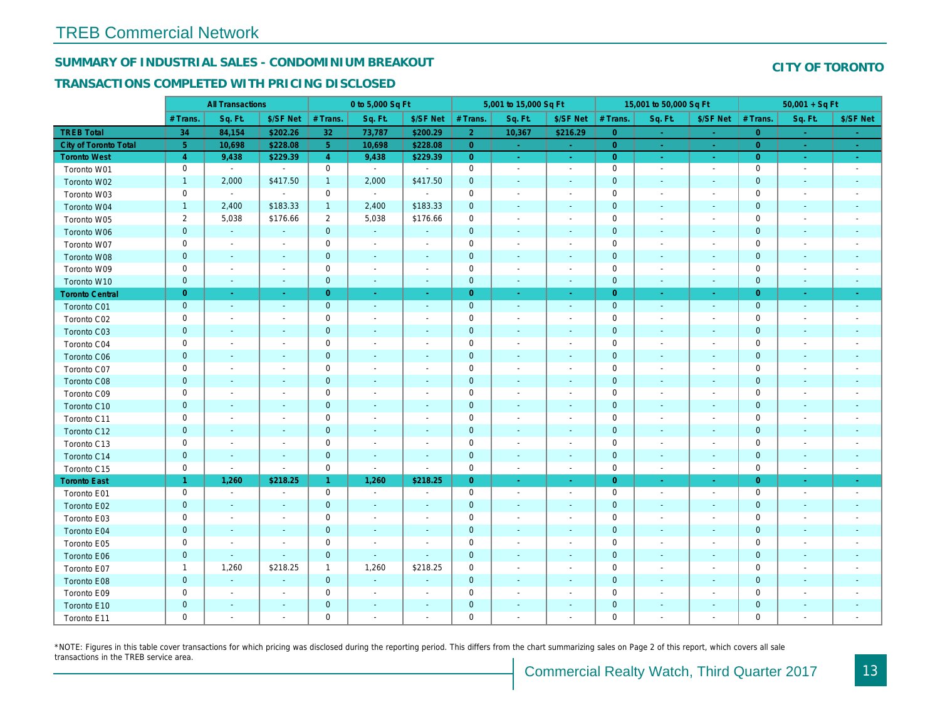## SUMMARY OF INDUSTRIAL SALES - CONDOMINIUM BREAKOUT

#### TRANSACTIONS COMPLETED WITH PRICING DISCLOSED

|                        |                | <b>All Transactions</b>  |                          |                | 0 to 5,000 Sq Ft |                          |                     | 5,001 to 15,000 Sq Ft        |                  |                | 15,001 to 50,000 Sq Ft   |                     |
|------------------------|----------------|--------------------------|--------------------------|----------------|------------------|--------------------------|---------------------|------------------------------|------------------|----------------|--------------------------|---------------------|
|                        | # Trans.       | Sq. Ft.                  | \$/SF Net                | # Trans.       | Sq. Ft.          | \$/SF Net                | # Trans.            | Sq. Ft.                      | \$/SF Net        | # Trans.       | Sq. Ft.                  | \$/SF Ne            |
| <b>TREB Total</b>      | 34             | 84,154                   | \$202.26                 | 32             | 73,787           | \$200.29                 | 2 <sup>1</sup>      | 10,367                       | \$216.29         | $\overline{0}$ | $\sim$                   | $\sim$              |
| City of Toronto Total  | $\sqrt{5}$     | 10,698                   | \$228.08                 | 5 <sup>5</sup> | 10,698           | \$228.08                 | $\overline{0}$      | $\sim$                       | $\sim$           | $\overline{0}$ | $\sim$                   | $\omega_{\rm c}$    |
| <b>Toronto West</b>    | $\overline{4}$ | 9,438                    | \$229.39                 | $\overline{4}$ | 9,438            | \$229.39                 | $\overline{0}$      | $\sim$                       | $\sim$           | $\overline{0}$ | $\sim$                   | $\sigma_{\rm{eff}}$ |
| Toronto W01            | 0              | $\blacksquare$           | $\blacksquare$           | $\mathbf 0$    | $\blacksquare$   |                          | $\mathbf 0$         | $\sim$                       | $\blacksquare$   | $\mathbf 0$    | $\blacksquare$           | $\sim$              |
| Toronto W02            | $\mathbf{1}$   | 2,000                    | \$417.50                 | $\mathbf{1}$   | 2,000            | \$417.50                 | $\mathbf 0$         | $\blacksquare$               | $\blacksquare$   | $\mathbf 0$    | $\blacksquare$           | $\blacksquare$      |
| Toronto W03            | 0              | $\blacksquare$           | $\blacksquare$           | $\mathbf 0$    | $\sim$           | $\sim$                   | $\mathbf 0$         | $\blacksquare$               | $\blacksquare$   | $\mathbf 0$    | $\blacksquare$           | $\blacksquare$      |
| Toronto W04            | $\mathbf{1}$   | 2,400                    | \$183.33                 | $\mathbf{1}$   | 2,400            | \$183.33                 | $\mathbf 0$         | $\blacksquare$               | $\blacksquare$   | $\mathbf 0$    | $\blacksquare$           | $\blacksquare$      |
| Toronto W05            | $\overline{2}$ | 5,038                    | \$176.66                 | $\overline{2}$ | 5,038            | \$176.66                 | $\mathbf 0$         | $\blacksquare$               | $\blacksquare$   | $\mathbf 0$    | $\blacksquare$           | $\blacksquare$      |
| Toronto W06            | $\mathbf{0}$   | $\sim$                   |                          | $\mathbf 0$    | $\mathbf{r}$     |                          | $\mathbf 0$         | ä,                           |                  | $\mathbf 0$    | $\sim$                   |                     |
| Toronto W07            | 0              | $\sim$                   | $\overline{\phantom{a}}$ | $\mathbf 0$    | $\blacksquare$   | $\blacksquare$           | $\mathbf 0$         | $\blacksquare$               | $\blacksquare$   | $\mathbf 0$    | $\blacksquare$           | $\blacksquare$      |
| Toronto W08            | $\mathbf 0$    | $\sim$                   | $\blacksquare$           | $\pmb{0}$      | $\blacksquare$   | $\blacksquare$           | $\mathbf 0$         | $\blacksquare$               | $\blacksquare$   | $\mathbf 0$    | $\blacksquare$           | ٠                   |
| Toronto W09            | 0              | $\sim$                   | $\overline{\phantom{a}}$ | $\mathbf 0$    | $\sim$           | $\blacksquare$           | $\mathbf 0$         | $\overline{\phantom{a}}$     | $\blacksquare$   | 0              | $\blacksquare$           | $\blacksquare$      |
| Toronto W10            | $\mathbf{0}$   | $\sim$                   | $\sim$                   | $\mathbf 0$    | $\omega$         | $\sim$                   | $\mathbf 0$         | $\omega$                     | $\omega$         | $\mathbf 0$    | $\blacksquare$           | $\sim$              |
| <b>Toronto Central</b> | $\overline{0}$ | $\sim$                   | $\sim$                   | $\overline{0}$ | $\omega$         | $\sim$                   | $\overline{0}$      | $\omega$                     | $\omega_{\rm c}$ | $\overline{0}$ | $\bullet$                | $\sim$              |
| Toronto C01            | $\mathbf 0$    | $\sim$                   | $\sim$                   | $\pmb{0}$      | $\omega$         | $\blacksquare$           | $\mathbf 0$         | $\omega$                     | $\blacksquare$   | $\mathbf 0$    | $\omega$                 | $\blacksquare$      |
| Toronto C02            | 0              | $\overline{\phantom{a}}$ | $\sim$                   | $\mathbf 0$    | $\sim$           | $\blacksquare$           | $\mathbf 0$         | $\blacksquare$               | $\blacksquare$   | $\mathbf 0$    | ÷,                       | $\blacksquare$      |
| Toronto C03            | $\mathbf 0$    | $\overline{\phantom{a}}$ |                          | $\mathbf 0$    | $\blacksquare$   | $\blacksquare$           | $\mathbf 0$         | $\blacksquare$               | $\blacksquare$   | $\mathbf{0}$   | $\blacksquare$           | $\blacksquare$      |
| Toronto C04            | 0              | $\overline{\phantom{a}}$ | $\overline{\phantom{a}}$ | $\mathbf 0$    | $\blacksquare$   | $\blacksquare$           | $\mathbf 0$         | $\overline{a}$               | $\overline{a}$   | $\mathbf 0$    | $\overline{\phantom{a}}$ | $\blacksquare$      |
| Toronto C06            | $\mathbf 0$    | $\sim$                   | $\blacksquare$           | $\mathbf 0$    | $\sim$           | $\blacksquare$           | $\mathbf 0$         | $\blacksquare$               | $\blacksquare$   | $\mathbf 0$    | $\blacksquare$           | ٠                   |
| Toronto C07            | 0              | $\sim$                   | $\sim$                   | $\mathsf 0$    | $\sim$           | $\blacksquare$           | $\mathsf 0$         | $\blacksquare$               | $\blacksquare$   | $\mathbf 0$    | ÷,                       | $\blacksquare$      |
| Toronto C08            | $\mathbf 0$    | $\blacksquare$           | $\blacksquare$           | $\mathbf 0$    | $\blacksquare$   | $\blacksquare$           | $\mathbf 0$         | $\blacksquare$               | $\blacksquare$   | $\mathbf{0}$   | $\blacksquare$           | $\blacksquare$      |
| Toronto C09            | 0              | $\overline{\phantom{a}}$ |                          | $\mathbf 0$    | $\blacksquare$   |                          | $\mathbf 0$         | $\overline{a}$               | $\overline{a}$   | $\mathbf 0$    | $\overline{a}$           |                     |
| Toronto C10            | $\mathbf 0$    | $\sim$                   | $\sim$                   | $\mathbf 0$    | $\blacksquare$   | $\blacksquare$           | $\mathbf 0$         | $\blacksquare$               | $\blacksquare$   | $\mathbf{0}$   | $\blacksquare$           | $\blacksquare$      |
| Toronto C11            | 0              | $\blacksquare$           | $\sim$                   | $\mathsf 0$    | $\blacksquare$   | $\blacksquare$           | $\mathsf{O}\xspace$ | $\overline{a}$               | $\overline{a}$   | $\mathbf 0$    | $\blacksquare$           | $\blacksquare$      |
| Toronto C12            | $\mathbf 0$    | $\sim$                   | $\sim$                   | $\mathbf 0$    | $\blacksquare$   | $\blacksquare$           | $\mathbf 0$         | $\blacksquare$               | $\blacksquare$   | $\mathbf 0$    | $\blacksquare$           | $\blacksquare$      |
| Toronto C13            | 0              | $\overline{\phantom{a}}$ | $\overline{\phantom{a}}$ | $\mathbf 0$    | $\blacksquare$   | $\overline{\phantom{a}}$ | $\mathbf 0$         | $\blacksquare$               | $\overline{a}$   | 0              | $\blacksquare$           | $\blacksquare$      |
| Toronto C14            | $\mathbf 0$    | $\sim$                   | $\sim$                   | $\mathbf 0$    | $\omega$         | $\sim$                   | $\mathbf 0$         | $\sim$                       | $\sim$           | $\mathbf 0$    | $\blacksquare$           | $\sim$              |
| Toronto C15            | 0              | $\blacksquare$           | $\blacksquare$           | $\mathsf 0$    | $\blacksquare$   | $\blacksquare$           | $\mathbf 0$         | $\blacksquare$               | $\blacksquare$   | $\mathbf 0$    | $\blacksquare$           | $\sim$              |
| <b>Toronto East</b>    | $\mathbf{1}$   | 1,260                    | \$218.25                 | $\mathbf{1}$   | 1,260            | \$218.25                 | $\overline{0}$      | $\omega$                     | ÷                | $\overline{0}$ | $\bullet$                | $\sigma_{\rm c}$    |
| Toronto E01            | 0              | $\sim$                   | $\overline{\phantom{a}}$ | $\mathbf 0$    | $\sim$           | $\overline{\phantom{a}}$ | $\mathbf 0$         | $\sim$                       | $\blacksquare$   | $\mathbf 0$    | $\blacksquare$           | $\sim$              |
| Toronto E02            | $\mathbf 0$    | $\sim$                   | $\sim$                   | $\mathbf 0$    | $\sim$           | $\sim$                   | $\mathbf 0$         | $\blacksquare$               | $\blacksquare$   | $\mathbf{0}$   | $\sim$                   | $\sim$              |
| Toronto E03            | 0              | $\overline{\phantom{a}}$ | $\overline{\phantom{a}}$ | $\mathbf 0$    | $\blacksquare$   | $\overline{\phantom{a}}$ | $\mathbf 0$         | $\blacksquare$               | $\blacksquare$   | $\mathbf 0$    | $\blacksquare$           | $\blacksquare$      |
| Toronto E04            | $\mathbf 0$    | $\blacksquare$           | $\sim$                   | $\mathbf 0$    | $\blacksquare$   | $\blacksquare$           | $\mathbf 0$         | $\blacksquare$               | $\blacksquare$   | $\mathbf{0}$   | $\blacksquare$           | $\blacksquare$      |
| Toronto E05            | 0              | $\overline{\phantom{a}}$ | $\blacksquare$           | $\mathbf 0$    | $\blacksquare$   | $\blacksquare$           | $\mathbf 0$         | $\blacksquare$               | $\blacksquare$   | $\mathbf 0$    | $\blacksquare$           | $\blacksquare$      |
| Toronto E06            | $\mathbf 0$    | $\blacksquare$           | $\sim$                   | $\mathbf 0$    | $\blacksquare$   | $\blacksquare$           | $\mathbf 0$         | $\overline{\phantom{a}}$     | $\sim$           | $\mathbf 0$    | $\blacksquare$           | $\blacksquare$      |
| Toronto E07            | $\mathbf{1}$   | 1,260                    | \$218.25                 | 1              | 1,260            | \$218.25                 | $\mathbf 0$         | $\blacksquare$               | $\blacksquare$   | $\mathbf 0$    | $\blacksquare$           | $\blacksquare$      |
| Toronto E08            | $\mathbf 0$    | $\sim$                   | $\sim$                   | $\mathbf 0$    | $\mathbf{r}$     | $\blacksquare$           | $\mathbf 0$         | $\sim$                       | $\blacksquare$   | $\mathbf{0}$   | $\sim$                   |                     |
| Toronto E09            | 0              | $\sim$                   | $\blacksquare$           | $\mathbf 0$    | $\sim$           | $\blacksquare$           | $\mathsf{O}\xspace$ | $\blacksquare$               | $\blacksquare$   | $\mathbf 0$    | $\blacksquare$           | $\blacksquare$      |
| Toronto E10            | $\mathbf 0$    | $\sim$                   |                          | $\pmb{0}$      | $\blacksquare$   | $\blacksquare$           | $\pmb{0}$           | $\qquad \qquad \blacksquare$ | $\blacksquare$   | $\mathbf 0$    | $\blacksquare$           |                     |
| Toronto E11            | 0              | $\blacksquare$           | $\overline{\phantom{a}}$ | $\mathbf 0$    | $\blacksquare$   | $\blacksquare$           | $\mathbf 0$         | $\blacksquare$               | $\blacksquare$   | $\mathbf 0$    | $\blacksquare$           | $\blacksquare$      |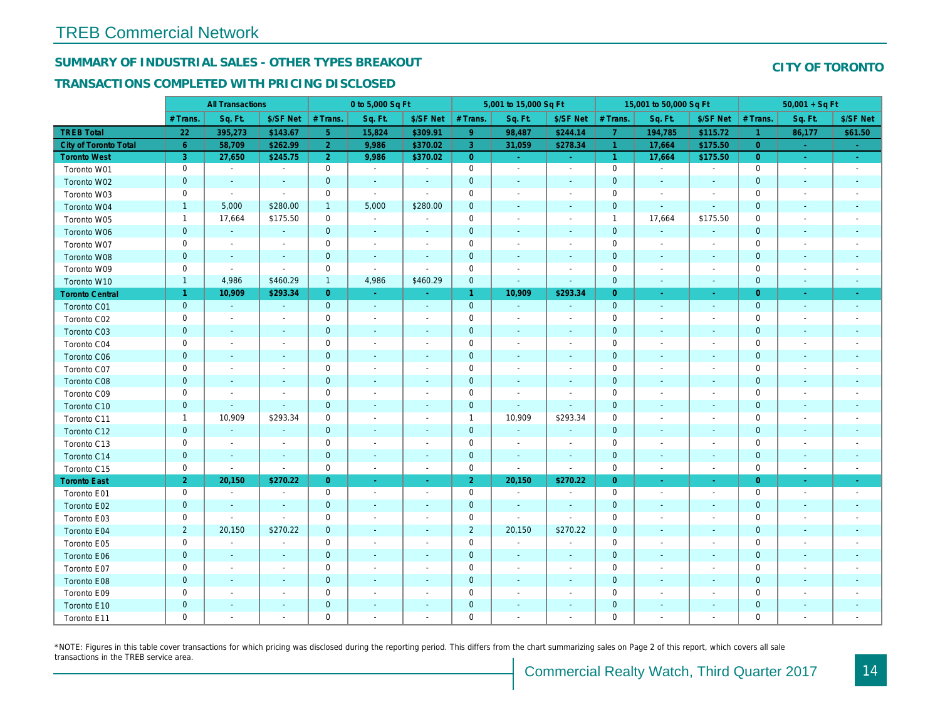## SUMMARY OF INDUSTRIAL SALES - OTHER TYPES BREAKOUT

#### TRANSACTIONS COMPLETED WITH PRICING DISCLOSED

|                              |                | <b>All Transactions</b>  |                          |                | 0 to 5,000 Sq Ft         |                          |                      | 5,001 to 15,000 Sq Ft        |                          |                      | 15,001 to 50,000 Sq Ft   |                          |
|------------------------------|----------------|--------------------------|--------------------------|----------------|--------------------------|--------------------------|----------------------|------------------------------|--------------------------|----------------------|--------------------------|--------------------------|
|                              | # Trans.       | Sq. Ft.                  | \$/SF Net                | # Trans.       | Sq. Ft.                  | \$/SF Net                | # Trans.             | Sq. Ft.                      | \$/SF Net                | # Trans.             | Sq. Ft.                  | \$/SF Ne                 |
| <b>TREB Total</b>            | 22             | 395,273                  | \$143.67                 | 5 <sub>1</sub> | 15,824                   | \$309.91                 | 9                    | 98,487                       | \$244.14                 | $\overline{7}$       | 194,785                  | \$115.72                 |
| <b>City of Toronto Total</b> | 6 <sup>°</sup> | 58,709                   | \$262.99                 | 2 <sup>1</sup> | 9,986                    | \$370.02                 | $\overline{3}$       | 31,059                       | \$278.34                 | $\overline{1}$       | 17,664                   | \$175.50                 |
| <b>Toronto West</b>          | 3              | 27,650                   | \$245.75                 | $\overline{2}$ | 9,986                    | \$370.02                 | $\overline{0}$       | $\omega_{\rm c}$             | $\omega_{\rm{eff}}$      | $\blacktriangleleft$ | 17,664                   | \$175.50                 |
| Toronto W01                  | $\mathbf 0$    | $\sim$                   | $\blacksquare$           | $\pmb{0}$      | $\sim$                   | $\blacksquare$           | $\mathbf 0$          | $\omega$                     | $\blacksquare$           | $\mathbf 0$          | $\omega$                 | $\sim$                   |
| Toronto W02                  | $\mathbf 0$    | $\sim$                   | $\sim$                   | $\mathbf 0$    | $\blacksquare$           | $\blacksquare$           | $\mathbf 0$          | $\blacksquare$               | ٠                        | $\mathbf 0$          | $\blacksquare$           | $\blacksquare$           |
| Toronto W03                  | 0              | $\blacksquare$           | $\blacksquare$           | $\mathbf 0$    | $\blacksquare$           | $\blacksquare$           | $\mathbf 0$          | $\blacksquare$               | $\blacksquare$           | 0                    | $\blacksquare$           | $\blacksquare$           |
| Toronto W04                  | $\mathbf{1}$   | 5,000                    | \$280.00                 | $\mathbf{1}$   | 5,000                    | \$280.00                 | $\mathbf{0}$         | $\omega$                     | $\sim$                   | $\mathbf{0}$         | $\Delta$                 | $\sim$                   |
| Toronto W05                  | $\mathbf{1}$   | 17,664                   | \$175.50                 | $\mathbf 0$    | $\sim$                   | $\sim$                   | $\mathbf 0$          | $\sim$                       | $\sim$                   | $\overline{1}$       | 17,664                   | \$175.50                 |
| Toronto W06                  | $\mathbf 0$    | $\sim$                   | $\sim$                   | $\mathbf 0$    | $\blacksquare$           | $\blacksquare$           | $\mathbf 0$          | $\qquad \qquad \blacksquare$ | $\blacksquare$           | $\mathbf 0$          | $\blacksquare$           |                          |
| Toronto W07                  | 0              | $\overline{\phantom{a}}$ | $\overline{\phantom{a}}$ | 0              | $\sim$                   | $\overline{\phantom{a}}$ | 0                    | $\overline{\phantom{a}}$     | $\frac{1}{2}$            | 0                    | $\overline{\phantom{a}}$ | $\blacksquare$           |
| Toronto W08                  | $\mathbf{0}$   | $\sim$                   | $\sim$                   | $\mathbf{0}$   | $\blacksquare$           | $\blacksquare$           | $\mathbf 0$          | $\blacksquare$               | $\omega$                 | $\mathbf 0$          | $\blacksquare$           | $\blacksquare$           |
| Toronto W09                  | 0              | $\sim$                   | $\sim$                   | $\mathbf 0$    | $\tilde{\phantom{a}}$    | $\blacksquare$           | $\mathbf 0$          | $\sim$                       | $\sim$                   | $\mathbf 0$          | $\sim$                   | $\blacksquare$           |
| Toronto W10                  | $\mathbf{1}$   | 4,986                    | \$460.29                 | $\mathbf{1}$   | 4,986                    | \$460.29                 | $\mathbf 0$          | $\blacksquare$               | $\blacksquare$           | $\mathbf 0$          | $\blacksquare$           | $\blacksquare$           |
| <b>Toronto Central</b>       | $\mathbf{1}$   | 10,909                   | \$293.34                 | $\overline{0}$ | $\sim$                   | $\blacksquare$           | $\blacktriangleleft$ | 10,909                       | \$293.34                 | $\overline{0}$       | $\sim$                   | $\sim$                   |
| Toronto C01                  | $\mathbf{0}$   | $\sim$                   | $\sim$                   | $\mathbf{0}$   | $\sim$                   | $\blacksquare$           | $\mathbf{0}$         | $\sim$                       | $\sim$                   | $\overline{0}$       | $\blacksquare$           | $\sim$                   |
| Toronto C02                  | $\mathbf 0$    | $\blacksquare$           | $\sim$                   | $\mathbf 0$    | $\blacksquare$           | $\overline{\phantom{a}}$ | $\mathsf 0$          | $\blacksquare$               | $\blacksquare$           | $\mathbf 0$          | ٠                        | $\blacksquare$           |
| Toronto C03                  | $\mathbf 0$    | $\blacksquare$           | $\sim$                   | $\mathbf{0}$   | ä,                       | $\blacksquare$           | $\mathbf 0$          | ٠                            | ٠                        | $\mathbf{0}$         | $\blacksquare$           | $\blacksquare$           |
| Toronto C04                  | 0              | $\blacksquare$           |                          | $\mathbf 0$    | $\blacksquare$           | $\blacksquare$           | $\mathbf 0$          | $\blacksquare$               | $\sim$                   | $\mathbf 0$          | ÷,                       | $\blacksquare$           |
| Toronto C06                  | $\mathbf 0$    | $\blacksquare$           |                          | $\mathbf 0$    | $\blacksquare$           | $\blacksquare$           | $\mathbf 0$          | ä,                           | $\blacksquare$           | $\mathbf 0$          | $\blacksquare$           | $\blacksquare$           |
| Toronto C07                  | $\mathbf 0$    |                          |                          | $\mathbf 0$    | $\sim$                   | $\blacksquare$           | $\mathbf 0$          |                              | $\sim$                   | $\mathbf 0$          | J.                       | $\blacksquare$           |
| Toronto C08                  | $\mathbf{0}$   | $\sim$                   | $\sim$                   | $\mathbf 0$    | $\blacksquare$           | $\blacksquare$           | $\mathbf 0$          | ÷,                           | $\blacksquare$           | $\mathbf{0}$         | $\blacksquare$           | $\blacksquare$           |
| Toronto C09                  | 0              | $\blacksquare$           | $\overline{\phantom{a}}$ | $\mathbf 0$    | $\blacksquare$           | $\blacksquare$           | $\mathbf 0$          | $\overline{\phantom{a}}$     | $\overline{\phantom{a}}$ | 0                    | $\overline{\phantom{a}}$ | $\overline{\phantom{a}}$ |
| Toronto C10                  | $\pmb{0}$      | $\sim$                   | $\omega$                 | $\mathbf 0$    | $\blacksquare$           | $\blacksquare$           | $\mathbf 0$          | $\blacksquare$               | $\blacksquare$           | $\mathbf 0$          | $\blacksquare$           | $\blacksquare$           |
| Toronto C11                  | $\mathbf{1}$   | 10,909                   | \$293.34                 | $\mathbf 0$    | $\sim$                   | $\blacksquare$           | $\mathbf{1}$         | 10,909                       | \$293.34                 | $\mathbf 0$          | $\blacksquare$           | $\overline{\phantom{a}}$ |
| Toronto C12                  | $\mathbf{0}$   | $\omega$                 | $\omega$                 | $\overline{0}$ | $\sim$                   | $\blacksquare$           | $\mathbf 0$          | $\omega$                     | $\omega$                 | $\mathbf{0}$         | $\sim$                   | $\sim$                   |
| Toronto C13                  | 0              | $\blacksquare$           | $\overline{\phantom{a}}$ | $\mathbf 0$    | $\sim$                   | $\blacksquare$           | $\mathbf 0$          | $\blacksquare$               | $\sim$                   | 0                    | $\blacksquare$           | $\overline{\phantom{a}}$ |
| Toronto C14                  | $\mathbf 0$    | $\overline{\phantom{a}}$ | $\sim$                   | $\mathbf 0$    | $\blacksquare$           | $\blacksquare$           | $\mathbf 0$          | $\blacksquare$               | $\blacksquare$           | $\mathbf 0$          | $\blacksquare$           | $\sim$                   |
| Toronto C15                  | 0              | $\blacksquare$           | $\blacksquare$           | $\mathbf 0$    | $\blacksquare$           | $\blacksquare$           | $\mathbf 0$          | $\blacksquare$               | $\blacksquare$           | $\mathbf 0$          | $\blacksquare$           | $\sim$                   |
| <b>Toronto East</b>          | 2 <sup>1</sup> | 20,150                   | \$270.22                 | $\overline{0}$ | $\omega$                 | $\omega$                 | 2 <sup>1</sup>       | 20,150                       | \$270.22                 | $\overline{0}$       | $\omega$                 | $\sim$                   |
| Toronto E01                  | 0              | $\sim$                   | $\blacksquare$           | $\mathbf 0$    | $\blacksquare$           | $\blacksquare$           | $\mathbf 0$          | $\sim$                       | $\sim$                   | $\mathbf 0$          | $\blacksquare$           | $\sim$                   |
| Toronto E02                  | $\mathbf 0$    | $\overline{\phantom{a}}$ | $\sim$                   | $\mathbf{0}$   | $\overline{\phantom{a}}$ | $\blacksquare$           | $\mathbf 0$          | $\blacksquare$               | $\blacksquare$           | $\mathbf{0}$         | $\blacksquare$           | $\sim$                   |
| Toronto E03                  | 0              | $\sim$                   | $\overline{\phantom{a}}$ | 0              | $\blacksquare$           | $\overline{\phantom{a}}$ | $\mathbf 0$          | $\blacksquare$               | $\sim$                   | $\mathbf 0$          | $\blacksquare$           | $\blacksquare$           |
| Toronto E04                  | $\overline{2}$ | 20,150                   | \$270.22                 | $\mathbf{0}$   | $\blacksquare$           | $\blacksquare$           | $\overline{2}$       | 20,150                       | \$270.22                 | $\mathbf{0}$         | $\sim$                   | $\blacksquare$           |
| Toronto E05                  | 0              | $\blacksquare$           | $\blacksquare$           | $\mathbf 0$    | $\overline{\phantom{a}}$ | $\overline{\phantom{a}}$ | $\mathbf 0$          | $\blacksquare$               | $\overline{\phantom{a}}$ | $\mathbf 0$          | $\overline{\phantom{a}}$ | $\overline{\phantom{a}}$ |
| Toronto E06                  | $\mathbf 0$    | $\blacksquare$           |                          | $\mathbf 0$    | $\frac{1}{2}$            | ٠                        | $\mathbf 0$          | $\blacksquare$               | ÷,                       | $\mathbf{0}$         | $\blacksquare$           |                          |
| Toronto E07                  | 0              | $\overline{\phantom{a}}$ | $\overline{\phantom{a}}$ | $\mathbf 0$    | $\overline{\phantom{a}}$ | $\overline{\phantom{a}}$ | $\mathbf 0$          | $\blacksquare$               | $\blacksquare$           | 0                    | $\blacksquare$           | $\blacksquare$           |
| Toronto E08                  | $\mathbf{0}$   | $\sim$                   |                          | $\mathbf 0$    | $\sim$                   | $\blacksquare$           | $\mathbf 0$          |                              | $\omega$                 | $\mathbf{0}$         | $\sim$                   |                          |
| Toronto E09                  | 0              | $\blacksquare$           | $\sim$                   | $\mathbf 0$    | $\blacksquare$           | $\blacksquare$           | $\mathbf 0$          | $\sim$                       | $\blacksquare$           | $\mathbf 0$          | $\blacksquare$           | $\blacksquare$           |
| Toronto E10                  | $\mathbf 0$    |                          |                          | $\mathbf 0$    | $\frac{1}{2}$            | $\blacksquare$           | $\mathbf 0$          |                              |                          | $\mathbf 0$          | $\blacksquare$           |                          |
| Toronto E11                  | $\mathbf 0$    | $\blacksquare$           | $\sim$                   | $\mathbf 0$    | $\blacksquare$           | $\blacksquare$           | $\mathbf 0$          | $\blacksquare$               | $\blacksquare$           | $\mathbf 0$          | $\blacksquare$           | $\blacksquare$           |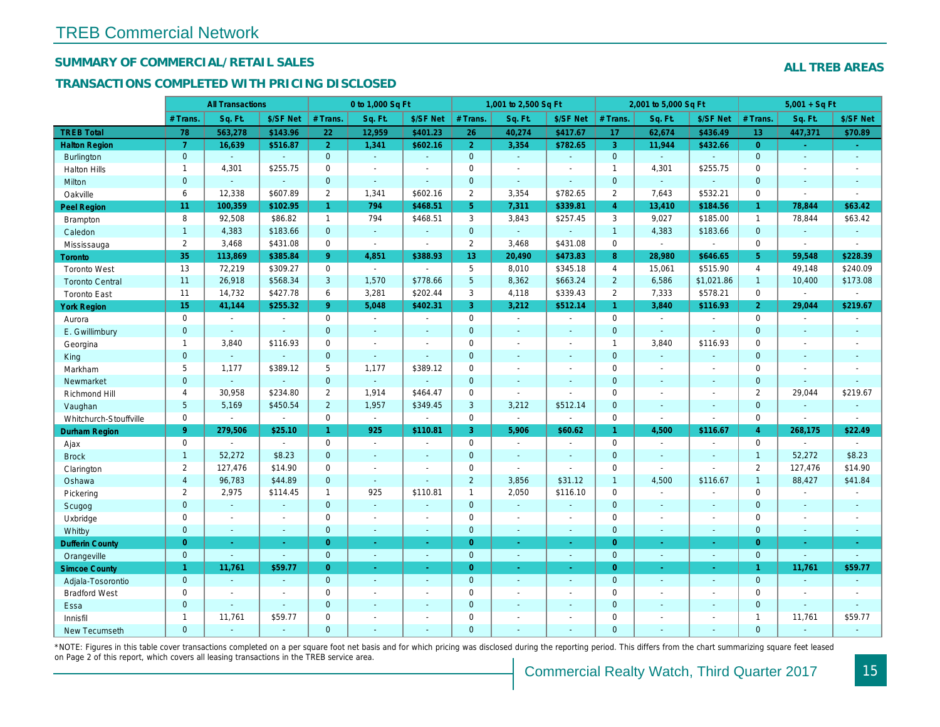### SUMMARY OF COMMERCIAL/RETAIL SALES

#### TRANSACTIONS COMPLETED WITH PRICING DISCLOSED

|                        |                 | <b>All Transactions</b> |                |                | 0 to 1,000 Sq Ft |                |                 | 1,001 to 2,500 Sq Ft     |                          |                | 2,001 to 5,000 Sq Ft |                  |
|------------------------|-----------------|-------------------------|----------------|----------------|------------------|----------------|-----------------|--------------------------|--------------------------|----------------|----------------------|------------------|
|                        | # Trans.        | Sq. Ft.                 | \$/SF Net      | # Trans.       | Sq. Ft.          | \$/SF Net      | # Trans.        | Sq. Ft.                  | \$/SF Net                | # Trans.       | Sq. Ft.              | \$/SF Ne         |
| <b>TREB Total</b>      | 78              | 563,278                 | \$143.96       | 22             | 12,959           | \$401.23       | 26              | 40,274                   | \$417.67                 | 17             | 62,674               | \$436.49         |
| <b>Halton Region</b>   | $\overline{7}$  | 16,639                  | \$516.87       | 2 <sup>1</sup> | 1,341            | \$602.16       | 2 <sup>1</sup>  | 3,354                    | \$782.65                 | $\mathbf{3}$   | 11,944               | \$432.66         |
| Burlington             | $\mathbf{0}$    | $\omega$                | $\omega$       | $\mathbf{0}$   | $\sim$           | $\blacksquare$ | $\mathbf{0}$    | $\omega$                 | $\omega$                 | $\mathbf{0}$   | $\omega$             |                  |
| <b>Halton Hills</b>    | $\mathbf{1}$    | 4,301                   | \$255.75       | $\Omega$       | $\overline{a}$   |                | $\mathbf 0$     | $\blacksquare$           | $\blacksquare$           | $\mathbf{1}$   | 4,301                | \$255.75         |
| Milton                 | $\mathbf{0}$    | $\blacksquare$          | $\blacksquare$ | $\mathbf{0}$   | $\omega$         | $\sim$         | $\pmb{0}$       | $\omega$                 | $\blacksquare$           | $\mathbf 0$    | $\omega$             | $\blacksquare$   |
| Oakville               | 6               | 12,338                  | \$607.89       | $\overline{2}$ | 1,341            | \$602.16       | $\overline{2}$  | 3,354                    | \$782.65                 | $\overline{2}$ | 7,643                | \$532.2'         |
| <b>Peel Region</b>     | 11              | 100,359                 | \$102.95       | $\mathbf{1}$   | 794              | \$468.51       | 5 <sup>5</sup>  | 7,311                    | \$339.81                 | $\overline{4}$ | 13,410               | \$184.56         |
| <b>Brampton</b>        | 8               | 92,508                  | \$86.82        | $\mathbf{1}$   | 794              | \$468.51       | 3               | 3,843                    | \$257.45                 | 3              | 9,027                | \$185.00         |
| Caledon                | $\mathbf{1}$    | 4,383                   | \$183.66       | $\mathbf{0}$   | $\blacksquare$   | $\sim$         | $\mathbf 0$     | $\omega_{\rm c}$         | $\omega$                 | $\overline{1}$ | 4,383                | \$183.66         |
| Mississauga            | $\overline{2}$  | 3,468                   | \$431.08       | $\Omega$       | $\mathbf{r}$     | $\sim$         | $\overline{2}$  | 3,468                    | \$431.08                 | $\mathbf 0$    | $\blacksquare$       | $\blacksquare$   |
| <b>Toronto</b>         | 35              | 113,869                 | \$385.84       | 9              | 4,851            | \$388.93       | 13              | 20,490                   | \$473.83                 | 8              | 28,980               | \$646.65         |
| <b>Toronto West</b>    | 13              | 72,219                  | \$309.27       | $\mathbf 0$    | $\sim$           |                | 5               | 8,010                    | \$345.18                 | $\overline{4}$ | 15,061               | \$515.90         |
| <b>Toronto Central</b> | 11              | 26,918                  | \$568.34       | 3              | 1,570            | \$778.66       | $5\phantom{.0}$ | 8,362                    | \$663.24                 | $\overline{2}$ | 6,586                | \$1,021.8        |
| <b>Toronto East</b>    | 11              | 14,732                  | \$427.78       | 6              | 3,281            | \$202.44       | 3               | 4,118                    | \$339.43                 | 2              | 7,333                | \$578.2'         |
| <b>York Region</b>     | 15              | 41,144                  | \$255.32       | 9 <sup>°</sup> | 5,048            | \$402.31       | 3               | 3,212                    | \$512.14                 | $\mathbf{1}$   | 3,840                | \$116.93         |
| Aurora                 | $\mathbf 0$     | $\sim$                  | $\blacksquare$ | $\mathbf 0$    | $\sim$           | $\blacksquare$ | 0               | $\sim$                   | $\sim$                   | $\mathbf 0$    | $\blacksquare$       | $\blacksquare$   |
| E. Gwillimbury         | $\mathbf{0}$    | $\sim$                  | $\sim$         | $\mathbf{0}$   | $\sim$           | $\sim$         | $\mathbf 0$     | $\blacksquare$           | $\blacksquare$           | $\mathbf{0}$   | $\mathbf{r}$         | $\blacksquare$   |
| Georgina               | $\mathbf{1}$    | 3,840                   | \$116.93       | $\mathbf 0$    | $\blacksquare$   | $\sim$         | $\pmb{0}$       | $\overline{\phantom{a}}$ | $\blacksquare$           | $\mathbf{1}$   | 3,840                | \$116.93         |
| King                   | $\mathbf{0}$    | $\sim$                  | $\blacksquare$ | $\mathbf{0}$   | $\sim$           | $\sim$         | $\mathbf 0$     | $\sim$                   | $\blacksquare$           | $\mathbf{0}$   | $\sim$               | $\sim$           |
| Markham                | 5               | 1,177                   | \$389.12       | 5              | 1,177            | \$389.12       | $\mathbf 0$     | $\blacksquare$           | $\blacksquare$           | $\mathbf 0$    | $\blacksquare$       | $\blacksquare$   |
| Newmarket              | $\overline{0}$  | $\sim$                  | $\blacksquare$ | $\overline{0}$ | $\Delta$         |                | $\mathbf 0$     | $\blacksquare$           | $\blacksquare$           | $\mathbf{0}$   | ÷.                   | $\sim$           |
| Richmond Hill          | 4               | 30,958                  | \$234.80       | $\overline{2}$ | 1,914            | \$464.47       | $\mathbf 0$     | $\blacksquare$           | $\blacksquare$           | $\mathbf 0$    | $\blacksquare$       | $\blacksquare$   |
| Vaughan                | $5\phantom{.0}$ | 5,169                   | \$450.54       | $\overline{2}$ | 1,957            | \$349.45       | $\mathbf{3}$    | 3,212                    | \$512.14                 | $\mathbf{0}$   | $\blacksquare$       | $\sim$           |
| Whitchurch-Stouffville | $\mathbf 0$     | $\mathbf{r}$            | $\blacksquare$ | $\mathbf 0$    | $\mathbf{r}$     |                | $\mathbf 0$     | $\overline{\phantom{a}}$ | $\sim$                   | $\mathbf 0$    | $\sim$               | $\blacksquare$   |
| Durham Region          | 9 <sup>°</sup>  | 279,506                 | \$25.10        | $\mathbf{1}$   | 925              | \$110.81       | 3 <sup>7</sup>  | 5,906                    | \$60.62                  | $\mathbf{1}$   | 4,500                | \$116.67         |
| Ajax                   | $\mathbf 0$     | $\blacksquare$          | $\sim$         | $\mathbf 0$    | $\sim$           | $\blacksquare$ | $\pmb{0}$       | $\blacksquare$           | $\blacksquare$           | $\mathbf 0$    | $\blacksquare$       | $\blacksquare$   |
| <b>Brock</b>           | $\mathbf{1}$    | 52,272                  | \$8.23         | $\mathbf{0}$   | ÷.               | $\sim$         | $\mathbf 0$     | $\blacksquare$           | $\sim$                   | $\mathbf{0}$   | $\blacksquare$       | $\sim$           |
| Clarington             | $\overline{2}$  | 127,476                 | \$14.90        | $\mathbf 0$    | $\blacksquare$   |                | $\pmb{0}$       | $\overline{a}$           | $\sim$                   | $\mathbf 0$    | $\sim$               | $\blacksquare$   |
| Oshawa                 | $\overline{4}$  | 96,783                  | \$44.89        | $\overline{0}$ | $\sim$           | $\sim$         | $\overline{2}$  | 3,856                    | \$31.12                  | $\mathbf{1}$   | 4,500                | \$116.67         |
| Pickering              | $\overline{2}$  | 2,975                   | \$114.45       | 1              | 925              | \$110.81       | $\mathbf{1}$    | 2,050                    | \$116.10                 | $\mathbf 0$    | $\sim$               | $\blacksquare$   |
| Scugog                 | $\overline{0}$  | $\blacksquare$          | $\sim$         | $\mathbf{0}$   | ÷.               | $\blacksquare$ | $\mathbf{0}$    | $\omega$                 | $\omega$                 | $\mathbf{0}$   | $\omega$             | $\blacksquare$   |
| Uxbridge               | $\mathbf 0$     | $\blacksquare$          | $\blacksquare$ | $\mathbf 0$    | $\sim$           |                | 0               | $\blacksquare$           | $\overline{\phantom{a}}$ | $\mathbf 0$    | $\blacksquare$       | $\blacksquare$   |
| Whitby                 | $\mathbf{0}$    | $\sim$                  | $\sim$         | $\mathbf{0}$   | $\sim$           | $\sim$         | $\mathbf{0}$    | $\blacksquare$           | $\omega$                 | $\mathbf{0}$   | $\blacksquare$       | $\sim$           |
| <b>Dufferin County</b> | $\overline{0}$  | ÷.                      | $\sim$         | $\overline{0}$ | a.               | $\sim$         | $\overline{0}$  | ÷.                       | ×.                       | $\overline{0}$ | ×.                   | <b>A</b>         |
| Orangeville            | $\mathbf{0}$    | $\omega$                | $\omega$       | $\mathbf{0}$   | $\omega$         | $\omega$       | $\mathbf{0}$    | $\omega$                 | $\omega$                 | $\mathbf 0$    | $\omega$             | $\omega_{\rm c}$ |
| <b>Simcoe County</b>   | $\mathbf{1}$    | 11,761                  | \$59.77        | $\overline{0}$ | $\omega$         | $\omega$       | $\overline{0}$  | ä,                       | $\omega$                 | $\overline{0}$ | $\blacksquare$       | $\sim$           |
| Adjala-Tosorontio      | $\mathbf{0}$    | $\sim$                  | $\Delta$       | $\mathbf{0}$   | $\sim$           | $\sim$         | $\mathbf 0$     | $\Delta$                 | $\blacksquare$           | $\mathbf 0$    | $\blacksquare$       | $\sim$           |
| <b>Bradford West</b>   | $\mathbf 0$     | $\omega$                | $\omega$       | $\mathbf 0$    | $\sim$           | $\sim$         | $\pmb{0}$       | $\blacksquare$           | $\blacksquare$           | $\mathbf 0$    | $\blacksquare$       | $\blacksquare$   |
| Essa                   | $\mathbf{0}$    | $\sim$                  | $\sim$         | $\mathbf{0}$   |                  |                | $\pmb{0}$       | $\blacksquare$           | $\blacksquare$           | $\mathbf 0$    | $\blacksquare$       |                  |
| Innisfil               | $\mathbf{1}$    | 11,761                  | \$59.77        | $\mathbf 0$    | $\sim$           | $\blacksquare$ | $\mathbf 0$     | $\blacksquare$           | $\blacksquare$           | $\mathbf 0$    | $\blacksquare$       | $\blacksquare$   |
| <b>New Tecumseth</b>   | $\Omega$        |                         |                | $\Omega$       |                  |                | $\Omega$        |                          |                          | $\Omega$       |                      |                  |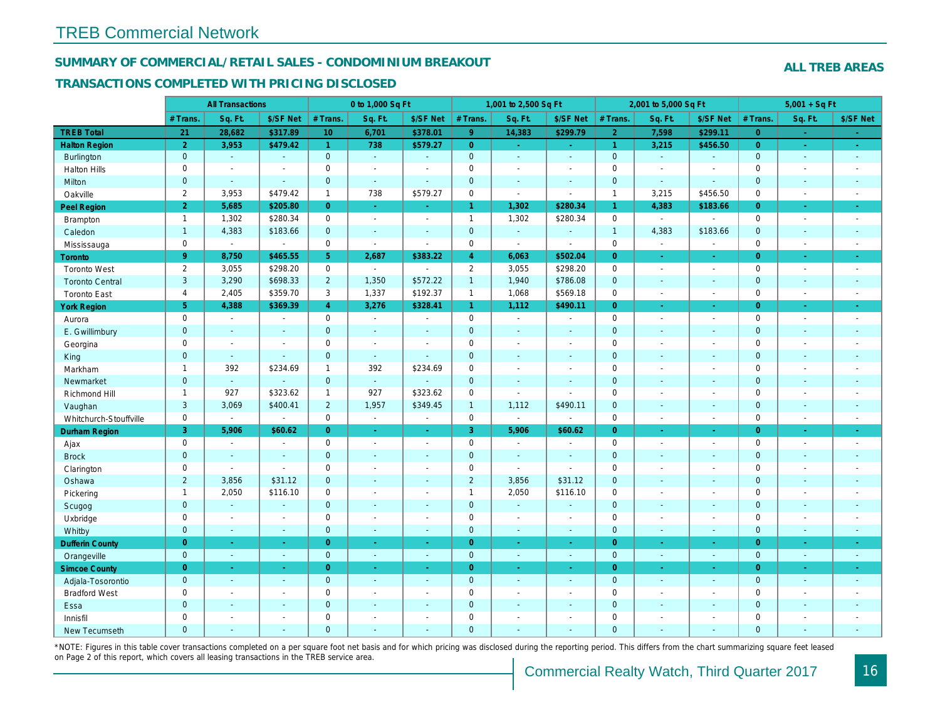#### SUMMARY OF COMMERCIAL/RETAIL SALES - CONDOMINIUM BREAKOUT

#### TRANSACTIONS COMPLETED WITH PRICING DISCLOSED

|                        |                | <b>All Transactions</b>     |                          |                 | 0 to 1,000 Sq Ft      |                |                | 1,001 to 2,500 Sq Ft     |                          |                      | 2,001 to 5,000 Sq Ft |                          |
|------------------------|----------------|-----------------------------|--------------------------|-----------------|-----------------------|----------------|----------------|--------------------------|--------------------------|----------------------|----------------------|--------------------------|
|                        | # Trans        | Sq. Ft.                     | \$/SF Net                | # Trans.        | Sq. Ft.               | \$/SF Net      | # Trans.       | Sq. Ft.                  | \$/SF Net                | # Trans.             | Sq. Ft.              | \$/SF Ne                 |
| <b>TREB Total</b>      | 21             | 28,682                      | \$317.89                 | 10 <sub>1</sub> | 6,701                 | \$378.01       | 9 <sup>°</sup> | 14,383                   | \$299.79                 | $\overline{2}$       | 7,598                | \$299.1                  |
| <b>Halton Region</b>   | $\overline{2}$ | 3,953                       | \$479.42                 | $\mathbf{1}$    | 738                   | \$579.27       | $\overline{0}$ | $\omega_{\rm c}$         | $\omega_{\rm{eff}}$      | $\blacktriangleleft$ | 3,215                | \$456.50                 |
| Burlington             | $\mathbf{0}$   | $\omega$                    | $\blacksquare$           | $\mathbf{0}$    | $\omega$              | $\sim$         | $\mathbf{0}$   | $\omega$                 | $\omega$                 | $\mathbf 0$          | $\omega$             | $\omega$                 |
| <b>Halton Hills</b>    | $\mathbf 0$    | $\blacksquare$              | $\blacksquare$           | $\Omega$        | $\sim$                |                | $\pmb{0}$      | $\blacksquare$           | $\blacksquare$           | $\mathbf 0$          | $\sim$               | $\blacksquare$           |
| Milton                 | $\mathbf{0}$   | $\blacksquare$              | $\omega$                 | $\mathbf{0}$    | $\blacksquare$        | $\blacksquare$ | $\mathbf 0$    | $\blacksquare$           | $\blacksquare$           | $\mathbf 0$          | $\omega$             | $\blacksquare$           |
| Oakville               | $\overline{2}$ | 3,953                       | \$479.42                 | $\mathbf{1}$    | 738                   | \$579.27       | $\mathsf{O}$   | $\overline{\phantom{a}}$ | $\sim$                   | $\mathbf{1}$         | 3,215                | \$456.50                 |
| Peel Region            | $\overline{2}$ | 5,685                       | \$205.80                 | $\overline{0}$  | $\omega$              | $\omega$       | $\mathbf{1}$   | 1,302                    | \$280.34                 | $\mathbf{1}$         | 4,383                | \$183.66                 |
| Brampton               | $\mathbf{1}$   | 1,302                       | \$280.34                 | $\mathbf 0$     | $\sim$                | $\overline{a}$ | $\mathbf{1}$   | 1,302                    | \$280.34                 | $\mathbf 0$          | $\blacksquare$       | $\sim$                   |
| Caledon                | $\mathbf{1}$   | 4,383                       | \$183.66                 | $\mathbf{0}$    | $\sim$                | $\sim$         | $\mathbf{0}$   | $\omega$                 | $\blacksquare$           | $\mathbf{1}$         | 4,383                | \$183.66                 |
| Mississauga            | $\mathbf 0$    | $\mathcal{L}_{\mathcal{A}}$ | $\blacksquare$           | $\Omega$        | $\mathbf{r}$          | $\sim$         | $\mathbf 0$    | $\overline{\phantom{a}}$ | $\sim$                   | $\mathbf 0$          | $\omega$             | $\sim$                   |
| Toronto                | 9 <sup>°</sup> | 8,750                       | \$465.55                 | 5               | 2,687                 | \$383.22       | $\overline{4}$ | 6,063                    | \$502.04                 | $\overline{0}$       | $\omega$             | $\sim$                   |
| <b>Toronto West</b>    | $\overline{2}$ | 3,055                       | \$298.20                 | $\mathbf 0$     | $\sim$                | $\sim$         | $\overline{2}$ | 3,055                    | \$298.20                 | $\mathbf 0$          | $\blacksquare$       | $\sim$                   |
| <b>Toronto Central</b> | 3              | 3,290                       | \$698.33                 | $2^{\circ}$     | 1,350                 | \$572.22       | $\overline{1}$ | 1,940                    | \$786.08                 | $\mathbf{0}$         | $\omega$             | $\sim$                   |
| <b>Toronto East</b>    | 4              | 2,405                       | \$359.70                 | 3               | 1,337                 | \$192.37       | $\mathbf{1}$   | 1,068                    | \$569.18                 | $\mathbf 0$          | $\blacksquare$       | $\sim$                   |
| <b>York Region</b>     | 5 <sup>5</sup> | 4,388                       | \$369.39                 | $\overline{4}$  | 3,276                 | \$328.41       | $\mathbf{1}$   | 1,112                    | \$490.11                 | $\overline{0}$       | $\blacksquare$       | $\sigma_{\rm c}$         |
| Aurora                 | $\mathbf 0$    | $\sim$                      | $\sim$                   | $\Omega$        | $\sim$                | $\blacksquare$ | $\mathbf 0$    | $\blacksquare$           | $\sim$                   | $\mathbf 0$          | $\blacksquare$       | $\sim$                   |
| E. Gwillimbury         | $\mathbf{0}$   | $\blacksquare$              | $\blacksquare$           | $\mathbf 0$     | $\sim$                |                | $\pmb{0}$      | $\blacksquare$           | $\blacksquare$           | $\mathbf 0$          | $\blacksquare$       | $\blacksquare$           |
| Georgina               | $\mathbf 0$    | $\blacksquare$              | $\blacksquare$           | $\mathbf 0$     | $\blacksquare$        | $\sim$         | $\pmb{0}$      | $\blacksquare$           | $\blacksquare$           | $\mathbf 0$          | $\blacksquare$       | $\blacksquare$           |
| King                   | $\overline{0}$ | $\sim$                      | $\sim$                   | $\mathbf{0}$    | $\sim$                | $\sim$         | $\mathbf 0$    | $\omega$                 | $\blacksquare$           | $\overline{0}$       | $\blacksquare$       | $\omega$                 |
| Markham                | $\mathbf{1}$   | 392                         | \$234.69                 | $\mathbf{1}$    | 392                   | \$234.69       | $\pmb{0}$      | $\overline{\phantom{a}}$ | $\overline{\phantom{a}}$ | $\mathsf 0$          | $\blacksquare$       | $\blacksquare$           |
| Newmarket              | $\mathbf{0}$   | $\omega$                    | $\blacksquare$           | $\mathbf{0}$    | $\omega$              |                | $\mathbf 0$    | $\blacksquare$           | $\blacksquare$           | $\mathbf{0}$         | $\blacksquare$       | $\blacksquare$           |
| Richmond Hill          | $\mathbf{1}$   | 927                         | \$323.62                 | $\mathbf{1}$    | 927                   | \$323.62       | $\mathbf 0$    | $\blacksquare$           | $\sim$                   | $\mathbf 0$          | $\sim$               | $\blacksquare$           |
| Vaughan                | $\mathbf{3}$   | 3,069                       | \$400.41                 | $\overline{2}$  | 1,957                 | \$349.45       | $\mathbf{1}$   | 1,112                    | \$490.11                 | $\mathbf 0$          | $\mathbf{r}$         | $\sim$                   |
| Whitchurch-Stouffville | $\mathbf 0$    | $\blacksquare$              | $\blacksquare$           | $\mathbf 0$     | $\omega$              | $\sim$         | 0              | $\blacksquare$           | $\blacksquare$           | $\mathbf 0$          | $\overline{a}$       | $\sim$                   |
| <b>Durham Region</b>   | 3              | 5,906                       | \$60.62                  | $\overline{0}$  | $\omega$              | $\sim$         | 3 <sup>1</sup> | 5,906                    | \$60.62                  | $\overline{0}$       | $\blacksquare$       | $\omega$                 |
| Ajax                   | $\mathsf 0$    | $\blacksquare$              | $\blacksquare$           | $\mathbf 0$     | $\blacksquare$        | $\blacksquare$ | $\pmb{0}$      | $\blacksquare$           | $\sim$                   | $\mathbf 0$          | $\blacksquare$       | $\sim$                   |
| <b>Brock</b>           | $\mathbf{0}$   | $\sim$                      | $\blacksquare$           | $\mathbf{0}$    | $\Delta$              | $\sim$         | $\mathbf 0$    | $\blacksquare$           | $\blacksquare$           | $\mathbf 0$          | $\blacksquare$       | $\sim$                   |
| Clarington             | $\mathbf 0$    | $\sim$                      | $\blacksquare$           | $\mathbf 0$     | $\blacksquare$        |                | $\pmb{0}$      | $\blacksquare$           | $\sim$                   | $\mathbf 0$          | L.                   | $\blacksquare$           |
| Oshawa                 | $\overline{2}$ | 3,856                       | \$31.12                  | $\overline{0}$  | $\blacksquare$        | $\blacksquare$ | $\overline{2}$ | 3,856                    | \$31.12                  | $\mathbf{0}$         | $\blacksquare$       | $\blacksquare$           |
| Pickering              | $\mathbf{1}$   | 2,050                       | \$116.10                 | $\mathbf 0$     | $\sim$                | $\blacksquare$ | $\overline{1}$ | 2,050                    | \$116.10                 | $\mathbf 0$          | $\overline{a}$       | $\blacksquare$           |
| Scugog                 | $\mathbf{0}$   | $\blacksquare$              | $\blacksquare$           | $\mathbf{0}$    | $\sim$                | $\sim$         | $\mathbf 0$    | $\omega$                 | $\blacksquare$           | $\mathbf{0}$         | $\blacksquare$       | $\blacksquare$           |
| Uxbridge               | $\mathbf 0$    | $\overline{\phantom{a}}$    | $\overline{\phantom{a}}$ | 0               | $\tilde{\phantom{a}}$ | $\sim$         | $\pmb{0}$      | $\blacksquare$           | $\blacksquare$           | $\mathbf 0$          | $\overline{a}$       | $\overline{\phantom{a}}$ |
| Whitby                 | $\mathbf{0}$   | $\sim$                      | $\sim$                   | $\mathbf{0}$    | $\sim$                | $\blacksquare$ | $\mathbf 0$    | $\blacksquare$           | $\blacksquare$           | $\mathbf{0}$         | $\blacksquare$       | $\sim$                   |
| <b>Dufferin County</b> | $\overline{0}$ | ÷.                          | $\sim$                   | $\overline{0}$  | a.                    | $\blacksquare$ | $\overline{0}$ | $\blacksquare$           | $\blacksquare$           | $\overline{0}$       | ×.                   | $\sim$                   |
| Orangeville            | $\mathbf{0}$   | $\omega$                    | $\blacksquare$           | $\mathbf 0$     | $\omega$              | $\omega$       | $\mathbf{0}$   | $\omega$                 | $\omega$                 | $\mathbf 0$          | $\omega$             | $\sim$                   |
| <b>Simcoe County</b>   | $\overline{0}$ | $\sim$                      | $\omega$                 | $\overline{0}$  | $\omega$              | $\omega$       | $\overline{0}$ | Ξ                        | $\omega$                 | $\overline{0}$       | $\blacksquare$       | $\sigma_{\rm c}$         |
| Adjala-Tosorontio      | $\mathbf{0}$   | $\sim$                      | $\sim$                   | $\mathbf 0$     | $\sim$                | $\sim$         | $\mathbf 0$    | $\omega$                 | $\blacksquare$           | $\mathbf 0$          | $\omega$             | $\sim$                   |
| <b>Bradford West</b>   | $\mathbf 0$    | $\sim$                      | $\blacksquare$           | $\mathbf 0$     | $\sim$                | $\sim$         | $\pmb{0}$      | $\blacksquare$           | $\blacksquare$           | $\mathbf 0$          | $\blacksquare$       | $\blacksquare$           |
| Essa                   | $\mathbf{0}$   | $\sim$                      | $\blacksquare$           | $\mathbf{0}$    |                       | $\sim$         | $\pmb{0}$      | $\blacksquare$           | $\blacksquare$           | $\mathbf 0$          | $\blacksquare$       |                          |
| Innisfil               | $\mathbf 0$    | $\blacksquare$              | $\blacksquare$           | $\mathbf 0$     | $\blacksquare$        | $\blacksquare$ | $\pmb{0}$      | $\blacksquare$           | $\blacksquare$           | $\mathbf 0$          | $\blacksquare$       | $\blacksquare$           |
| <b>New Tecumseth</b>   | $\Omega$       |                             |                          | $\Omega$        |                       |                | $\Omega$       |                          |                          | $\overline{0}$       |                      |                          |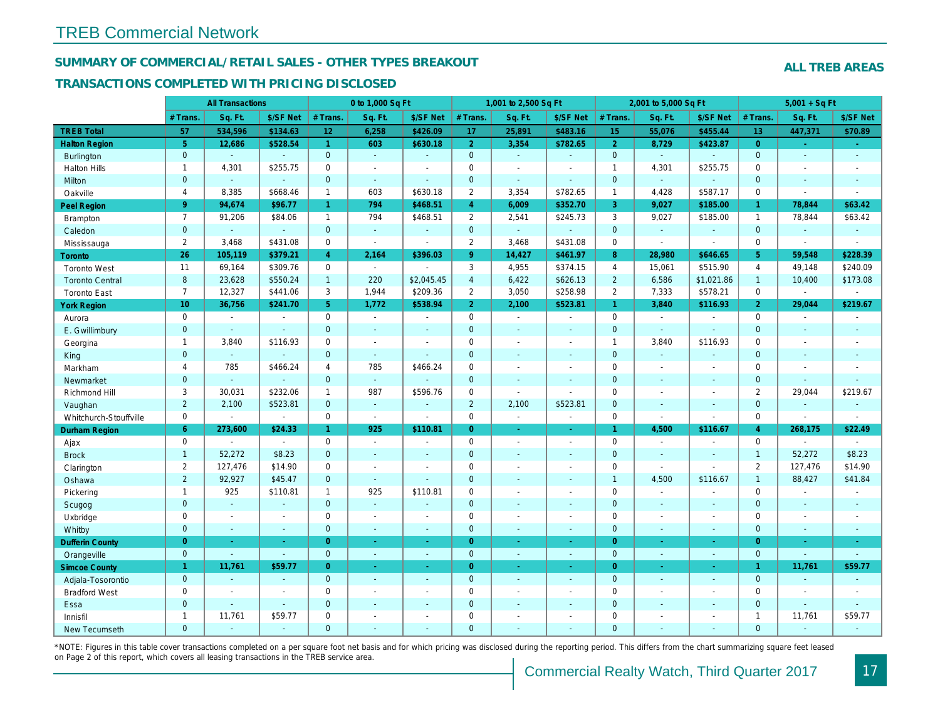#### SUMMARY OF COMMERCIAL/RETAIL SALES - OTHER TYPES BREAKOUT

#### TRANSACTIONS COMPLETED WITH PRICING DISCLOSED

|                        |                 | <b>All Transactions</b>  |                          |                      | 0 to 1,000 Sq Ft      |                          |                     | 1,001 to 2,500 Sq Ft |                |                  | 2,001 to 5,000 Sq Ft |                          |
|------------------------|-----------------|--------------------------|--------------------------|----------------------|-----------------------|--------------------------|---------------------|----------------------|----------------|------------------|----------------------|--------------------------|
|                        | # Trans.        | Sq. Ft.                  | \$/SF Net                | # Trans.             | Sq. Ft.               | \$/SF Net                | # Trans.            | Sq. Ft.              | \$/SF Net      | # Trans.         | Sq. Ft.              | \$/SF Ne                 |
| <b>TREB Total</b>      | 57              | 534,596                  | \$134.63                 | 12                   | 6,258                 | \$426.09                 | 17                  | 25,891               | \$483.16       | 15 <sub>15</sub> | 55,076               | \$455.44                 |
| <b>Halton Region</b>   | $\overline{5}$  | 12,686                   | \$528.54                 | $\blacktriangleleft$ | 603                   | \$630.18                 | 2 <sup>1</sup>      | 3,354                | \$782.65       | $\overline{2}$   | 8,729                | \$423.87                 |
| <b>Burlington</b>      | $\mathbf 0$     | $\omega$                 | $\omega$                 | $\mathbf 0$          | $\omega$              | $\omega$                 | $\mathbf{0}$        | $\omega$             | $\omega$       | $\mathbf 0$      | $\omega$             | $\blacksquare$           |
| <b>Halton Hills</b>    | $\mathbf{1}$    | 4,301                    | \$255.75                 | $\mathbf 0$          | $\sim$                | $\sim$                   | $\mathbf 0$         | $\sim$               | $\sim$         | $\overline{1}$   | 4,301                | \$255.75                 |
| Milton                 | $\mathbf{0}$    | $\omega$                 | $\mathbf{r}$             | $\Omega$             | $\omega$              | $\omega$                 | $\mathbf{0}$        | ä,                   | $\Delta$       | $\mathbf{0}$     | $\omega$             | $\blacksquare$           |
| Oakville               | $\overline{4}$  | 8,385                    | \$668.46                 | $\mathbf{1}$         | 603                   | \$630.18                 | $\overline{2}$      | 3,354                | \$782.65       | $\mathbf{1}$     | 4,428                | \$587.1                  |
| <b>Peel Region</b>     | $9^{\circ}$     | 94,674                   | \$96.77                  | $\mathbf{1}$         | 794                   | \$468.51                 | $\overline{4}$      | 6,009                | \$352.70       | 3                | 9,027                | \$185.0                  |
| <b>Brampton</b>        | $\overline{7}$  | 91,206                   | \$84.06                  | $\mathbf{1}$         | 794                   | \$468.51                 | $\overline{2}$      | 2,541                | \$245.73       | 3                | 9,027                | \$185.00                 |
| Caledon                | $\mathbf{0}$    | $\omega$                 | $\omega$                 | $\mathbf{0}$         | $\omega$              | $\blacksquare$           | $\mathbf{0}$        | $\omega$             | $\blacksquare$ | $\mathbf{0}$     | $\blacksquare$       | $\blacksquare$           |
| Mississauga            | 2               | 3,468                    | \$431.08                 | $\mathbf 0$          | $\blacksquare$        | $\sim$                   | $\overline{2}$      | 3,468                | \$431.08       | $\mathbf 0$      | $\blacksquare$       | $\blacksquare$           |
| <b>Toronto</b>         | 26              | 105,119                  | \$379.21                 | $\overline{4}$       | 2,164                 | \$396.03                 | 9                   | 14,427               | \$461.97       | 8                | 28,980               | \$646.65                 |
| <b>Toronto West</b>    | 11              | 69,164                   | \$309.76                 | $\mathbf 0$          | $\omega$              | ÷.                       | 3                   | 4,955                | \$374.15       | $\overline{4}$   | 15,061               | \$515.90                 |
| <b>Toronto Central</b> | 8               | 23,628                   | \$550.24                 | $\mathbf{1}$         | 220                   | \$2,045.45               | $\overline{4}$      | 6,422                | \$626.13       | $\overline{2}$   | 6,586                | \$1,021.8                |
| <b>Toronto East</b>    | $\overline{7}$  | 12,327                   | \$441.06                 | 3                    | 1,944                 | \$209.36                 | $\overline{2}$      | 3,050                | \$258.98       | $\overline{2}$   | 7,333                | \$578.2                  |
| <b>York Region</b>     | 10 <sub>1</sub> | 36,756                   | \$241.70                 | 5 <sup>1</sup>       | 1,772                 | \$538.94                 | 2 <sup>1</sup>      | 2,100                | \$523.81       | $\mathbf{1}$     | 3,840                | \$116.93                 |
| Aurora                 | $\mathbf 0$     | $\blacksquare$           | $\blacksquare$           | $\mathbf 0$          | $\sim$                | $\blacksquare$           | $\mathbf 0$         | $\blacksquare$       | $\sim$         | $\mathbf 0$      | $\blacksquare$       | $\blacksquare$           |
| E. Gwillimbury         | $\mathbf{0}$    | $\sim$                   | $\sim$                   | $\mathbf{0}$         | $\sim$                | ٠                        | $\mathbf{0}$        | $\omega$             | $\omega$       | $\mathbf{0}$     | $\omega$             | $\blacksquare$           |
| Georgina               | $\mathbf{1}$    | 3,840                    | \$116.93                 | $\mathbf 0$          | $\blacksquare$        | $\overline{\phantom{a}}$ | $\mathbf 0$         | $\blacksquare$       | $\blacksquare$ | $\mathbf{1}$     | 3,840                | \$116.93                 |
| King                   | $\mathbf{0}$    | $\omega$                 | $\sim$                   | $\mathbf{0}$         | $\sim$                | $\sim$                   | $\mathbf{0}$        | $\sim$               | $\sim$         | $\mathbf{0}$     | $\sim$               | $\sim$                   |
| Markham                | 4               | 785                      | \$466.24                 | 4                    | 785                   | \$466.24                 | $\mathbf 0$         | $\blacksquare$       | $\blacksquare$ | $\mathbf 0$      | $\sim$               | $\overline{\phantom{a}}$ |
| Newmarket              | $\mathbf{0}$    | $\sim$                   | $\sim$                   | $\overline{0}$       | $\omega$              |                          | $\mathbf{0}$        | $\sim$               | $\sim$         | $\mathbf{0}$     | $\sim$               | $\blacksquare$           |
| Richmond Hill          | 3               | 30,031                   | \$232.06                 | $\mathbf{1}$         | 987                   | \$596.76                 | $\mathsf{O}\xspace$ | $\blacksquare$       | $\overline{a}$ | $\mathbf 0$      | $\blacksquare$       | $\overline{\phantom{a}}$ |
| Vaughan                | $\overline{2}$  | 2,100                    | \$523.81                 | $\mathbf{0}$         | $\sim$                | $\blacksquare$           | $\overline{2}$      | 2,100                | \$523.81       | $\mathbf{0}$     | $\blacksquare$       | $\sim$                   |
| Whitchurch-Stouffville | $\mathbf 0$     | $\sim$                   | $\sim$                   | $\mathbf 0$          | $\mathbf{r}$          | $\sim$                   | $\mathbf 0$         | $\blacksquare$       | $\blacksquare$ | $\mathbf 0$      | $\sim$               | $\blacksquare$           |
| Durham Region          | $6^{\circ}$     | 273,600                  | \$24.33                  | $\mathbf{1}$         | 925                   | \$110.81                 | $\overline{0}$      | ÷                    | ÷              | $\mathbf{1}$     | 4,500                | \$116.67                 |
| Ajax                   | $\mathbf 0$     | $\sim$                   | $\sim$                   | $\mathbf 0$          | $\sim$                | $\blacksquare$           | $\mathbf 0$         | $\blacksquare$       | $\blacksquare$ | $\mathbf 0$      | $\sim$               | $\sim$                   |
| <b>Brock</b>           | $\mathbf{1}$    | 52,272                   | \$8.23                   | $\mathbf{0}$         | $\omega$              | $\blacksquare$           | $\mathbf 0$         | $\blacksquare$       | $\sim$         | $\mathbf{0}$     | $\omega$             | $\blacksquare$           |
| Clarington             | $\overline{2}$  | 127,476                  | \$14.90                  | $\mathbf 0$          | $\blacksquare$        | $\overline{\phantom{a}}$ | $\mathbf 0$         | $\sim$               | $\blacksquare$ | $\mathbf 0$      | $\sim$               | $\blacksquare$           |
| Oshawa                 | 2               | 92,927                   | \$45.47                  | $\mathbf{0}$         | $\sim$                | $\omega$                 | $\mathbf{0}$        | ٠                    | $\blacksquare$ | $\mathbf{1}$     | 4,500                | \$116.67                 |
| Pickering              | $\mathbf{1}$    | 925                      | \$110.81                 | $\mathbf{1}$         | 925                   | \$110.81                 | $\mathbf 0$         | $\sim$               | $\blacksquare$ | $\mathbf 0$      | $\blacksquare$       | $\overline{\phantom{a}}$ |
| Scugog                 | $\mathbf{0}$    | $\omega$                 | $\omega$                 | $\mathbf{0}$         | $\mathbf{r}$          | $\blacksquare$           | $\mathbf{0}$        | $\omega$             | $\omega$       | $\mathbf{0}$     | $\omega$             | $\sim$                   |
| Uxbridge               | $\mathbf 0$     | $\blacksquare$           | $\sim$                   | $\mathbf 0$          | $\tilde{\phantom{a}}$ | $\blacksquare$           | $\mathbf 0$         | $\blacksquare$       | $\omega$       | $\mathbf 0$      | $\blacksquare$       | $\blacksquare$           |
| Whitby                 | $\mathbf{0}$    | $\sim$                   | $\sim$                   | $\overline{0}$       | $\blacksquare$        | $\blacksquare$           | $\mathbf{0}$        | $\blacksquare$       | $\omega$       | $\mathbf{0}$     | $\blacksquare$       | $\blacksquare$           |
| <b>Dufferin County</b> | $\overline{0}$  | $\sim$                   | $\sim$                   | $\overline{0}$       | $\sim$                | $\sim$                   | $\overline{0}$      | $\omega$             | $\omega$       | $\overline{0}$   | $\omega$             | $\sim$                   |
| Orangeville            | $\mathbf{0}$    | $\sim$                   | $\omega$                 | $\mathbf{0}$         | $\sim$                | $\sim$                   | $\mathbf 0$         | $\omega$             | $\sim$         | $\overline{0}$   | $\blacksquare$       | $\blacksquare$           |
| <b>Simcoe County</b>   | $\mathbf{1}$    | 11,761                   | \$59.77                  | $\overline{0}$       | $\blacksquare$        | ÷.                       | $\overline{0}$      | $\omega$             | ÷.             | $\overline{0}$   | $\omega$             | $\frac{1}{\sqrt{2}}$     |
| Adjala-Tosorontio      | $\mathbf{0}$    | $\sim$                   | $\sim$                   | $\mathbf{0}$         | $\sim$                | $\sim$                   | $\mathbf{0}$        | $\sim$               | $\sim$         | $\overline{0}$   | $\sim$               | $\sim$                   |
| <b>Bradford West</b>   | 0               | $\overline{\phantom{a}}$ | $\overline{\phantom{a}}$ | $\mathbf 0$          | $\blacksquare$        | $\overline{\phantom{a}}$ | $\mathbf 0$         | $\blacksquare$       | $\sim$         | $\mathbf 0$      | $\blacksquare$       | $\sim$                   |
| Essa                   | $\mathbf 0$     | $\sim$                   | $\omega$                 | $\overline{0}$       | ÷.                    | $\blacksquare$           | $\mathbf 0$         | $\blacksquare$       | $\blacksquare$ | $\mathbf{0}$     | $\overline{a}$       | $\blacksquare$           |
| Innisfil               | $\mathbf{1}$    | 11,761                   | \$59.77                  | $\mathbf 0$          | $\sim$                | $\blacksquare$           | $\mathbf 0$         | $\blacksquare$       | $\blacksquare$ | 0                | $\blacksquare$       | $\blacksquare$           |
| <b>New Tecumseth</b>   | $\Omega$        | $\sim$                   | $\sim$                   | $\Omega$             | ä,                    | $\omega$                 | $\mathbf{0}$        | ä,                   | ä,             | $\Omega$         | $\omega$             | $\sim$                   |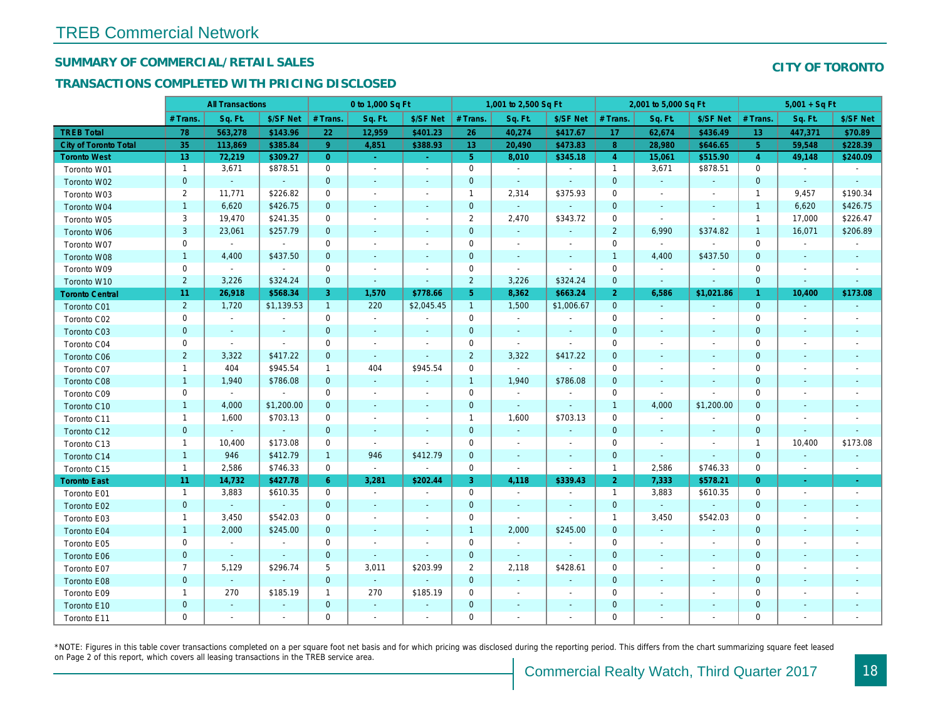#### SUMMARY OF COMMERCIAL/RETAIL SALES

#### TRANSACTIONS COMPLETED WITH PRICING DISCLOSED

| Sq. Ft.<br>Sq. Ft.<br>\$/SF Net<br>Sq. Ft.<br>Sq. Ft.<br># Trans.<br>\$/SF Net<br># Trans.<br># Trans.<br>\$/SF Net<br># Trans.<br>\$/SF Ne<br><b>TREB Total</b><br>12,959<br>\$401.23<br>62,674<br>\$436.49<br>78<br>563,278<br>\$143.96<br>22<br>26<br>40,274<br>\$417.67<br>17<br>35<br>\$385.84<br>9 <sup>°</sup><br>\$388.93<br>13<br>\$473.83<br>8<br>\$646.6<br><b>City of Toronto Total</b><br>113,869<br>4,851<br>20,490<br>28,980<br>5 <sup>1</sup><br><b>Toronto West</b><br>13<br>72,219<br>\$309.27<br>\$345.18<br>15,061<br>$\overline{0}$<br>8,010<br>$\overline{4}$<br>$\omega$<br>$\sim$<br>$\mathbf{1}$<br>\$878.51<br>$\mathbf 0$<br>$\mathbf 0$<br>$\mathbf{1}$<br>3,671<br>3,671<br>$\mathbf{r}$<br>$\sim$<br>Toronto W01<br>$\blacksquare$<br>$\sim$<br>$\mathbf{0}$<br>$\mathbf 0$<br>$\mathbf 0$<br>$\mathbf 0$<br>Toronto W02<br>$\omega$<br>$\omega$<br>$\blacksquare$<br>$\blacksquare$<br>$\blacksquare$<br>$\blacksquare$<br>$\sim$<br>$\blacksquare$<br>$\overline{2}$<br>11,771<br>\$226.82<br>2,314<br>\$375.93<br>0<br>$\mathbf{1}$<br>0<br>Toronto W03<br>$\blacksquare$<br>$\blacksquare$<br>$\blacksquare$<br>$\blacksquare$<br>$\mathbf{1}$<br>\$426.75<br>$\mathbf{0}$<br>$\mathbf 0$<br>6,620<br>$\mathbf{0}$<br>Toronto W04<br>$\blacksquare$<br>$\omega$<br>$\blacksquare$<br>$\blacksquare$<br>$\blacksquare$<br>$\blacksquare$<br>3<br>\$241.35<br>$\overline{2}$<br>19,470<br>$\mathbf 0$<br>2,470<br>\$343.72<br>$\mathbf 0$<br>Toronto W05<br>$\sim$<br>$\blacksquare$<br>$\blacksquare$<br>$\blacksquare$<br>3<br>\$257.79<br>$\mathbf{0}$<br>$\mathbf 0$<br>$\overline{2}$<br>6,990<br>23,061<br>Toronto W06<br>ä,<br>$\blacksquare$<br>$\blacksquare$<br>$\blacksquare$<br>0<br>0<br>$\mathbf 0$<br>$\mathbf 0$<br>Toronto W07<br>$\sim$<br>$\sim$<br>$\blacksquare$<br>$\blacksquare$<br>$\blacksquare$<br>$\sim$<br>$\blacksquare$<br>$\overline{\phantom{a}}$<br>\$437.50<br>$\mathbf{0}$<br>$\mathbf{0}$<br>$\mathbf{1}$<br>$\mathbf{1}$<br>4,400<br>4,400<br>Toronto W08<br>$\mathbf{r}$<br>$\blacksquare$<br>$\omega$<br>$\sim$<br>$\mathbf 0$<br>$\mathbf 0$<br>$\mathbf 0$<br>$\mathbf 0$<br>Toronto W09<br>$\blacksquare$<br>$\sim$<br>$\sim$<br>$\blacksquare$<br>$\blacksquare$<br>$\blacksquare$<br>$\overline{\phantom{a}}$<br>$\overline{2}$<br>\$324.24<br>$\overline{2}$<br>3,226<br>$\mathbf 0$<br>3,226<br>\$324.24<br>$\mathbf 0$<br>Toronto W10<br>$\blacksquare$<br>$\blacksquare$<br>$\blacksquare$<br>$\bullet$<br>11<br>\$568.34<br>3<br>5 <sub>5</sub><br>8,362<br>\$663.24<br>26,918<br>1,570<br>\$778.66<br>$\overline{2}$<br>6,586<br><b>Toronto Central</b><br>$\overline{2}$<br>\$2,045.45<br>$\mathbf{1}$<br>1,720<br>\$1,139.53<br>$\mathbf{1}$<br>220<br>1,500<br>\$1,006.67<br>$\overline{0}$<br>Toronto C01<br>$\sim$<br>$\sim$<br>$\mathbf 0$<br>0<br>$\mathbf 0$<br>Toronto C02<br>$\sim$<br>$\blacksquare$<br>$\mathbf 0$<br>$\blacksquare$<br>$\omega$<br>$\sim$<br>$\blacksquare$<br>$\blacksquare$<br>$\blacksquare$<br>$\mathbf 0$<br>$\overline{0}$<br>$\mathbf 0$<br>$\mathbf 0$<br>Toronto C03<br>$\sim$<br>$\sim$<br>$\sim$<br>$\blacksquare$<br>$\sim$<br>$\omega$<br>$\sim$<br>$\blacksquare$<br>Toronto C04<br>0<br>0<br>0<br>$\mathbf 0$<br>$\sim$<br>$\blacksquare$<br>$\blacksquare$<br>$\blacksquare$<br>$\blacksquare$<br>$\blacksquare$<br>$\overline{\phantom{a}}$<br>$\overline{\phantom{a}}$<br>$\overline{2}$<br>$\overline{2}$<br>\$417.22<br>$\mathbf{0}$<br>3,322<br>3,322<br>\$417.22<br>$\mathbf{0}$<br>Toronto C06<br>$\sim$<br>$\blacksquare$<br>$\blacksquare$<br>$\sim$<br>$\mathbf{1}$<br>404<br>\$945.54<br>$\mathbf{1}$<br>404<br>\$945.54<br>$\mathbf 0$<br>$\mathbf 0$<br>Toronto C07<br>$\blacksquare$<br>$\blacksquare$<br>$\blacksquare$<br>$\blacksquare$<br>\$786.08<br>$\mathbf{0}$<br>$\mathbf{1}$<br>1,940<br>\$786.08<br>$\mathbf{0}$<br>$\mathbf{1}$<br>1,940<br>Toronto C08<br>$\blacksquare$<br>$\blacksquare$<br>$\sim$<br>$\overline{\phantom{a}}$<br>0<br>$\mathbf 0$<br>Toronto C09<br>0<br>0<br>$\blacksquare$<br>$\blacksquare$<br>$\sim$<br>$\blacksquare$<br>$\blacksquare$<br>$\blacksquare$<br>$\overline{\phantom{a}}$<br>$\blacksquare$<br>\$1,200.00<br>$\mathbf{0}$<br>$\mathbf 0$<br>4,000<br>$\mathbf{1}$<br>4,000<br>$\overline{1}$<br>Toronto C10<br>$\blacksquare$<br>$\blacksquare$<br>$\blacksquare$<br>$\blacksquare$<br>\$703.13<br>$\mathbf{1}$<br>1,600<br>$\mathbf 0$<br>$\mathbf{1}$<br>1,600<br>\$703.13<br>$\mathbf 0$<br>Toronto C11<br>$\blacksquare$<br>$\blacksquare$<br>$\blacksquare$<br>$\blacksquare$<br>$\mathbf{0}$<br>$\mathbf 0$<br>$\mathbf{0}$<br>$\mathbf{0}$<br>Toronto C12<br>$\omega$<br>$\omega$<br>$\omega$<br>$\blacksquare$<br>$\blacksquare$<br>$\blacksquare$<br>$\blacksquare$<br>$\blacksquare$<br>\$173.08<br>$\mathbf 0$<br>$\mathbf 0$<br>$\mathbf 0$<br>$\mathbf{1}$<br>10,400<br>Toronto C13<br>$\blacksquare$<br>$\blacksquare$<br>$\overline{\phantom{a}}$<br>$\blacksquare$<br>$\blacksquare$<br>$\blacksquare$<br>946<br>\$412.79<br>\$412.79<br>$\mathbf 0$<br>$\mathbf{1}$<br>$\mathbf{1}$<br>946<br>$\mathbf 0$<br>Toronto C14<br>$\blacksquare$<br>$\blacksquare$<br>$\blacksquare$<br>$\blacksquare$<br>2,586<br>\$746.33<br>$\mathbf 0$<br>$\mathbf 0$<br>2,586<br>$\mathbf{1}$<br>$\overline{1}$<br>Toronto C15<br>$\sim$<br>$\sim$<br>$\blacksquare$<br>$\sim$<br>3<br>$\overline{2}$<br>11<br>14,732<br>\$427.78<br>$6^{\circ}$<br>3,281<br>\$202.44<br>4,118<br>\$339.43<br>7,333<br>\$578.2<br><b>Toronto East</b><br>$\mathbf 0$<br>$\mathbf{1}$<br>3,883<br>\$610.35<br>$\mathbf 0$<br>$\mathbf{1}$<br>3,883<br>$\sim$<br>Toronto E01<br>$\sim$<br>$\sim$<br>$\blacksquare$<br>$\mathbf 0$<br>$\mathbf 0$<br>$\mathbf 0$<br>$\mathbf 0$<br>Toronto E02<br>$\sim$<br>$\omega$<br>$\sim$<br>$\sim$<br>$\blacksquare$<br>$\blacksquare$<br>$\blacksquare$<br>$\sim$<br>\$542.03<br>3,450<br>0<br>0<br>3,450<br>Toronto E03<br>$\mathbf{1}$<br>$\overline{1}$<br>$\sim$<br>$\blacksquare$<br>$\sim$<br>$\overline{\phantom{a}}$<br>$\mathbf{1}$<br>$\mathbf{1}$<br>\$245.00<br>$\mathbf{0}$<br>2,000<br>\$245.00<br>2,000<br>$\mathbf 0$<br>Toronto E04<br>$\omega$<br>$\omega$<br>$\sim$<br>$\sim$<br>0<br>$\mathbf 0$<br>0<br>$\blacksquare$<br>$\mathbf 0$<br>Toronto E05<br>$\sim$<br>$\sim$<br>$\sim$<br>$\blacksquare$<br>$\blacksquare$<br>$\sim$<br>$\overline{\phantom{a}}$<br>$\mathbf 0$<br>$\mathbf 0$<br>$\mathbf 0$<br>$\mathbf 0$<br>Toronto E06<br>$\sim$<br>$\sim$<br>$\sim$<br>$\sim$<br>$\sim$<br>$\sim$<br>$\sim$<br>$\sim$<br>$\overline{7}$<br>$\overline{2}$<br>5,129<br>\$296.74<br>5<br>3,011<br>\$203.99<br>2,118<br>\$428.61<br>$\mathbf 0$<br>Toronto E07<br>$\overline{\phantom{a}}$<br>$\overline{\phantom{a}}$<br>$\mathbf{0}$<br>$\mathbf{0}$<br>$\sim$<br>$\mathbf 0$<br>$\mathbf{0}$<br>Toronto E08<br>$\omega$<br>$\omega$<br>$\omega$<br>$\blacksquare$<br>$\blacksquare$<br>$\blacksquare$<br>$\blacksquare$<br>270<br>\$185.19<br>270<br>\$185.19<br>$\mathbf 0$<br>$\mathbf 0$<br>$\mathbf{1}$<br>$\mathbf{1}$<br>Toronto E09<br>$\blacksquare$<br>$\overline{\phantom{a}}$<br>$\blacksquare$<br>$\blacksquare$<br>$\mathbf{0}$<br>$\mathbf 0$<br>$\mathbf 0$<br>$\mathbf 0$<br>Toronto E10<br>$\blacksquare$<br>$\blacksquare$<br>$\blacksquare$<br>$\blacksquare$<br>٠<br>$\blacksquare$<br>$\blacksquare$<br>$\sim$<br>$\blacksquare$<br>$\blacksquare$<br>$\sim$<br>$\sim$ |             |             | <b>All Transactions</b> |             | 0 to 1,000 Sq Ft |                          |             | 1,001 to 2,500 Sq Ft |   | 2,001 to 5,000 Sq Ft |  |
|--------------------------------------------------------------------------------------------------------------------------------------------------------------------------------------------------------------------------------------------------------------------------------------------------------------------------------------------------------------------------------------------------------------------------------------------------------------------------------------------------------------------------------------------------------------------------------------------------------------------------------------------------------------------------------------------------------------------------------------------------------------------------------------------------------------------------------------------------------------------------------------------------------------------------------------------------------------------------------------------------------------------------------------------------------------------------------------------------------------------------------------------------------------------------------------------------------------------------------------------------------------------------------------------------------------------------------------------------------------------------------------------------------------------------------------------------------------------------------------------------------------------------------------------------------------------------------------------------------------------------------------------------------------------------------------------------------------------------------------------------------------------------------------------------------------------------------------------------------------------------------------------------------------------------------------------------------------------------------------------------------------------------------------------------------------------------------------------------------------------------------------------------------------------------------------------------------------------------------------------------------------------------------------------------------------------------------------------------------------------------------------------------------------------------------------------------------------------------------------------------------------------------------------------------------------------------------------------------------------------------------------------------------------------------------------------------------------------------------------------------------------------------------------------------------------------------------------------------------------------------------------------------------------------------------------------------------------------------------------------------------------------------------------------------------------------------------------------------------------------------------------------------------------------------------------------------------------------------------------------------------------------------------------------------------------------------------------------------------------------------------------------------------------------------------------------------------------------------------------------------------------------------------------------------------------------------------------------------------------------------------------------------------------------------------------------------------------------------------------------------------------------------------------------------------------------------------------------------------------------------------------------------------------------------------------------------------------------------------------------------------------------------------------------------------------------------------------------------------------------------------------------------------------------------------------------------------------------------------------------------------------------------------------------------------------------------------------------------------------------------------------------------------------------------------------------------------------------------------------------------------------------------------------------------------------------------------------------------------------------------------------------------------------------------------------------------------------------------------------------------------------------------------------------------------------------------------------------------------------------------------------------------------------------------------------------------------------------------------------------------------------------------------------------------------------------------------------------------------------------------------------------------------------------------------------------------------------------------------------------------------------------------------------------------------------------------------------------------------------------------------------------------------------------------------------------------------------------------------------------------------------------------------------------------------------------------------------------------------------------------------------------------------------------------------------------------------------------------------------------------------------------------------------------------------------------------------------------------------------------------------------------------------------------------------------------------------------------------------------------------------------------------------------------------------------------------------------------------------------------------------------------------------------------------------------------------------------------------------------------------------------------------------------------------------------------------------------------------------------------------------------------------------------------------------------------------------------------------------------------------------------------------------------------------------------------------------------------------------------------------------------------------------------------------------------------------------------------------------------------------------------------------------------------------------------------------------------------------------------------------------------------------------------------------------------------------------------------------------------------------------------------------------------------------------------------------------------------------------------------------------------------------------------------------------------------------------------------------------------------------------------------------------------------------------------------------------------------------------------------------------------------------------------------------------------|-------------|-------------|-------------------------|-------------|------------------|--------------------------|-------------|----------------------|---|----------------------|--|
|                                                                                                                                                                                                                                                                                                                                                                                                                                                                                                                                                                                                                                                                                                                                                                                                                                                                                                                                                                                                                                                                                                                                                                                                                                                                                                                                                                                                                                                                                                                                                                                                                                                                                                                                                                                                                                                                                                                                                                                                                                                                                                                                                                                                                                                                                                                                                                                                                                                                                                                                                                                                                                                                                                                                                                                                                                                                                                                                                                                                                                                                                                                                                                                                                                                                                                                                                                                                                                                                                                                                                                                                                                                                                                                                                                                                                                                                                                                                                                                                                                                                                                                                                                                                                                                                                                                                                                                                                                                                                                                                                                                                                                                                                                                                                                                                                                                                                                                                                                                                                                                                                                                                                                                                                                                                                                                                                                                                                                                                                                                                                                                                                                                                                                                                                                                                                                                                                                                                                                                                                                                                                                                                                                                                                                                                                                                                                                                                                                                                                                                                                                                                                                                                                                                                                                                                                                                                                                                                                                                                                                                                                                                                                                                                                                                                                                                                                                                                                                      |             |             |                         |             |                  |                          |             |                      |   |                      |  |
|                                                                                                                                                                                                                                                                                                                                                                                                                                                                                                                                                                                                                                                                                                                                                                                                                                                                                                                                                                                                                                                                                                                                                                                                                                                                                                                                                                                                                                                                                                                                                                                                                                                                                                                                                                                                                                                                                                                                                                                                                                                                                                                                                                                                                                                                                                                                                                                                                                                                                                                                                                                                                                                                                                                                                                                                                                                                                                                                                                                                                                                                                                                                                                                                                                                                                                                                                                                                                                                                                                                                                                                                                                                                                                                                                                                                                                                                                                                                                                                                                                                                                                                                                                                                                                                                                                                                                                                                                                                                                                                                                                                                                                                                                                                                                                                                                                                                                                                                                                                                                                                                                                                                                                                                                                                                                                                                                                                                                                                                                                                                                                                                                                                                                                                                                                                                                                                                                                                                                                                                                                                                                                                                                                                                                                                                                                                                                                                                                                                                                                                                                                                                                                                                                                                                                                                                                                                                                                                                                                                                                                                                                                                                                                                                                                                                                                                                                                                                                                      |             |             |                         |             |                  |                          |             |                      |   |                      |  |
| \$515.90<br>\$878.51<br>\$374.82<br>\$437.50<br>\$1,021.8<br>\$1,200.0<br>\$746.33<br>\$610.35<br>\$542.03                                                                                                                                                                                                                                                                                                                                                                                                                                                                                                                                                                                                                                                                                                                                                                                                                                                                                                                                                                                                                                                                                                                                                                                                                                                                                                                                                                                                                                                                                                                                                                                                                                                                                                                                                                                                                                                                                                                                                                                                                                                                                                                                                                                                                                                                                                                                                                                                                                                                                                                                                                                                                                                                                                                                                                                                                                                                                                                                                                                                                                                                                                                                                                                                                                                                                                                                                                                                                                                                                                                                                                                                                                                                                                                                                                                                                                                                                                                                                                                                                                                                                                                                                                                                                                                                                                                                                                                                                                                                                                                                                                                                                                                                                                                                                                                                                                                                                                                                                                                                                                                                                                                                                                                                                                                                                                                                                                                                                                                                                                                                                                                                                                                                                                                                                                                                                                                                                                                                                                                                                                                                                                                                                                                                                                                                                                                                                                                                                                                                                                                                                                                                                                                                                                                                                                                                                                                                                                                                                                                                                                                                                                                                                                                                                                                                                                                           |             |             |                         |             |                  |                          |             |                      |   |                      |  |
|                                                                                                                                                                                                                                                                                                                                                                                                                                                                                                                                                                                                                                                                                                                                                                                                                                                                                                                                                                                                                                                                                                                                                                                                                                                                                                                                                                                                                                                                                                                                                                                                                                                                                                                                                                                                                                                                                                                                                                                                                                                                                                                                                                                                                                                                                                                                                                                                                                                                                                                                                                                                                                                                                                                                                                                                                                                                                                                                                                                                                                                                                                                                                                                                                                                                                                                                                                                                                                                                                                                                                                                                                                                                                                                                                                                                                                                                                                                                                                                                                                                                                                                                                                                                                                                                                                                                                                                                                                                                                                                                                                                                                                                                                                                                                                                                                                                                                                                                                                                                                                                                                                                                                                                                                                                                                                                                                                                                                                                                                                                                                                                                                                                                                                                                                                                                                                                                                                                                                                                                                                                                                                                                                                                                                                                                                                                                                                                                                                                                                                                                                                                                                                                                                                                                                                                                                                                                                                                                                                                                                                                                                                                                                                                                                                                                                                                                                                                                                                      |             |             |                         |             |                  |                          |             |                      |   |                      |  |
|                                                                                                                                                                                                                                                                                                                                                                                                                                                                                                                                                                                                                                                                                                                                                                                                                                                                                                                                                                                                                                                                                                                                                                                                                                                                                                                                                                                                                                                                                                                                                                                                                                                                                                                                                                                                                                                                                                                                                                                                                                                                                                                                                                                                                                                                                                                                                                                                                                                                                                                                                                                                                                                                                                                                                                                                                                                                                                                                                                                                                                                                                                                                                                                                                                                                                                                                                                                                                                                                                                                                                                                                                                                                                                                                                                                                                                                                                                                                                                                                                                                                                                                                                                                                                                                                                                                                                                                                                                                                                                                                                                                                                                                                                                                                                                                                                                                                                                                                                                                                                                                                                                                                                                                                                                                                                                                                                                                                                                                                                                                                                                                                                                                                                                                                                                                                                                                                                                                                                                                                                                                                                                                                                                                                                                                                                                                                                                                                                                                                                                                                                                                                                                                                                                                                                                                                                                                                                                                                                                                                                                                                                                                                                                                                                                                                                                                                                                                                                                      |             |             |                         |             |                  |                          |             |                      |   |                      |  |
|                                                                                                                                                                                                                                                                                                                                                                                                                                                                                                                                                                                                                                                                                                                                                                                                                                                                                                                                                                                                                                                                                                                                                                                                                                                                                                                                                                                                                                                                                                                                                                                                                                                                                                                                                                                                                                                                                                                                                                                                                                                                                                                                                                                                                                                                                                                                                                                                                                                                                                                                                                                                                                                                                                                                                                                                                                                                                                                                                                                                                                                                                                                                                                                                                                                                                                                                                                                                                                                                                                                                                                                                                                                                                                                                                                                                                                                                                                                                                                                                                                                                                                                                                                                                                                                                                                                                                                                                                                                                                                                                                                                                                                                                                                                                                                                                                                                                                                                                                                                                                                                                                                                                                                                                                                                                                                                                                                                                                                                                                                                                                                                                                                                                                                                                                                                                                                                                                                                                                                                                                                                                                                                                                                                                                                                                                                                                                                                                                                                                                                                                                                                                                                                                                                                                                                                                                                                                                                                                                                                                                                                                                                                                                                                                                                                                                                                                                                                                                                      |             |             |                         |             |                  |                          |             |                      |   |                      |  |
|                                                                                                                                                                                                                                                                                                                                                                                                                                                                                                                                                                                                                                                                                                                                                                                                                                                                                                                                                                                                                                                                                                                                                                                                                                                                                                                                                                                                                                                                                                                                                                                                                                                                                                                                                                                                                                                                                                                                                                                                                                                                                                                                                                                                                                                                                                                                                                                                                                                                                                                                                                                                                                                                                                                                                                                                                                                                                                                                                                                                                                                                                                                                                                                                                                                                                                                                                                                                                                                                                                                                                                                                                                                                                                                                                                                                                                                                                                                                                                                                                                                                                                                                                                                                                                                                                                                                                                                                                                                                                                                                                                                                                                                                                                                                                                                                                                                                                                                                                                                                                                                                                                                                                                                                                                                                                                                                                                                                                                                                                                                                                                                                                                                                                                                                                                                                                                                                                                                                                                                                                                                                                                                                                                                                                                                                                                                                                                                                                                                                                                                                                                                                                                                                                                                                                                                                                                                                                                                                                                                                                                                                                                                                                                                                                                                                                                                                                                                                                                      |             |             |                         |             |                  |                          |             |                      |   |                      |  |
|                                                                                                                                                                                                                                                                                                                                                                                                                                                                                                                                                                                                                                                                                                                                                                                                                                                                                                                                                                                                                                                                                                                                                                                                                                                                                                                                                                                                                                                                                                                                                                                                                                                                                                                                                                                                                                                                                                                                                                                                                                                                                                                                                                                                                                                                                                                                                                                                                                                                                                                                                                                                                                                                                                                                                                                                                                                                                                                                                                                                                                                                                                                                                                                                                                                                                                                                                                                                                                                                                                                                                                                                                                                                                                                                                                                                                                                                                                                                                                                                                                                                                                                                                                                                                                                                                                                                                                                                                                                                                                                                                                                                                                                                                                                                                                                                                                                                                                                                                                                                                                                                                                                                                                                                                                                                                                                                                                                                                                                                                                                                                                                                                                                                                                                                                                                                                                                                                                                                                                                                                                                                                                                                                                                                                                                                                                                                                                                                                                                                                                                                                                                                                                                                                                                                                                                                                                                                                                                                                                                                                                                                                                                                                                                                                                                                                                                                                                                                                                      |             |             |                         |             |                  |                          |             |                      |   |                      |  |
|                                                                                                                                                                                                                                                                                                                                                                                                                                                                                                                                                                                                                                                                                                                                                                                                                                                                                                                                                                                                                                                                                                                                                                                                                                                                                                                                                                                                                                                                                                                                                                                                                                                                                                                                                                                                                                                                                                                                                                                                                                                                                                                                                                                                                                                                                                                                                                                                                                                                                                                                                                                                                                                                                                                                                                                                                                                                                                                                                                                                                                                                                                                                                                                                                                                                                                                                                                                                                                                                                                                                                                                                                                                                                                                                                                                                                                                                                                                                                                                                                                                                                                                                                                                                                                                                                                                                                                                                                                                                                                                                                                                                                                                                                                                                                                                                                                                                                                                                                                                                                                                                                                                                                                                                                                                                                                                                                                                                                                                                                                                                                                                                                                                                                                                                                                                                                                                                                                                                                                                                                                                                                                                                                                                                                                                                                                                                                                                                                                                                                                                                                                                                                                                                                                                                                                                                                                                                                                                                                                                                                                                                                                                                                                                                                                                                                                                                                                                                                                      |             |             |                         |             |                  |                          |             |                      |   |                      |  |
|                                                                                                                                                                                                                                                                                                                                                                                                                                                                                                                                                                                                                                                                                                                                                                                                                                                                                                                                                                                                                                                                                                                                                                                                                                                                                                                                                                                                                                                                                                                                                                                                                                                                                                                                                                                                                                                                                                                                                                                                                                                                                                                                                                                                                                                                                                                                                                                                                                                                                                                                                                                                                                                                                                                                                                                                                                                                                                                                                                                                                                                                                                                                                                                                                                                                                                                                                                                                                                                                                                                                                                                                                                                                                                                                                                                                                                                                                                                                                                                                                                                                                                                                                                                                                                                                                                                                                                                                                                                                                                                                                                                                                                                                                                                                                                                                                                                                                                                                                                                                                                                                                                                                                                                                                                                                                                                                                                                                                                                                                                                                                                                                                                                                                                                                                                                                                                                                                                                                                                                                                                                                                                                                                                                                                                                                                                                                                                                                                                                                                                                                                                                                                                                                                                                                                                                                                                                                                                                                                                                                                                                                                                                                                                                                                                                                                                                                                                                                                                      |             |             |                         |             |                  |                          |             |                      |   |                      |  |
|                                                                                                                                                                                                                                                                                                                                                                                                                                                                                                                                                                                                                                                                                                                                                                                                                                                                                                                                                                                                                                                                                                                                                                                                                                                                                                                                                                                                                                                                                                                                                                                                                                                                                                                                                                                                                                                                                                                                                                                                                                                                                                                                                                                                                                                                                                                                                                                                                                                                                                                                                                                                                                                                                                                                                                                                                                                                                                                                                                                                                                                                                                                                                                                                                                                                                                                                                                                                                                                                                                                                                                                                                                                                                                                                                                                                                                                                                                                                                                                                                                                                                                                                                                                                                                                                                                                                                                                                                                                                                                                                                                                                                                                                                                                                                                                                                                                                                                                                                                                                                                                                                                                                                                                                                                                                                                                                                                                                                                                                                                                                                                                                                                                                                                                                                                                                                                                                                                                                                                                                                                                                                                                                                                                                                                                                                                                                                                                                                                                                                                                                                                                                                                                                                                                                                                                                                                                                                                                                                                                                                                                                                                                                                                                                                                                                                                                                                                                                                                      |             |             |                         |             |                  |                          |             |                      |   |                      |  |
|                                                                                                                                                                                                                                                                                                                                                                                                                                                                                                                                                                                                                                                                                                                                                                                                                                                                                                                                                                                                                                                                                                                                                                                                                                                                                                                                                                                                                                                                                                                                                                                                                                                                                                                                                                                                                                                                                                                                                                                                                                                                                                                                                                                                                                                                                                                                                                                                                                                                                                                                                                                                                                                                                                                                                                                                                                                                                                                                                                                                                                                                                                                                                                                                                                                                                                                                                                                                                                                                                                                                                                                                                                                                                                                                                                                                                                                                                                                                                                                                                                                                                                                                                                                                                                                                                                                                                                                                                                                                                                                                                                                                                                                                                                                                                                                                                                                                                                                                                                                                                                                                                                                                                                                                                                                                                                                                                                                                                                                                                                                                                                                                                                                                                                                                                                                                                                                                                                                                                                                                                                                                                                                                                                                                                                                                                                                                                                                                                                                                                                                                                                                                                                                                                                                                                                                                                                                                                                                                                                                                                                                                                                                                                                                                                                                                                                                                                                                                                                      |             |             |                         |             |                  |                          |             |                      |   |                      |  |
|                                                                                                                                                                                                                                                                                                                                                                                                                                                                                                                                                                                                                                                                                                                                                                                                                                                                                                                                                                                                                                                                                                                                                                                                                                                                                                                                                                                                                                                                                                                                                                                                                                                                                                                                                                                                                                                                                                                                                                                                                                                                                                                                                                                                                                                                                                                                                                                                                                                                                                                                                                                                                                                                                                                                                                                                                                                                                                                                                                                                                                                                                                                                                                                                                                                                                                                                                                                                                                                                                                                                                                                                                                                                                                                                                                                                                                                                                                                                                                                                                                                                                                                                                                                                                                                                                                                                                                                                                                                                                                                                                                                                                                                                                                                                                                                                                                                                                                                                                                                                                                                                                                                                                                                                                                                                                                                                                                                                                                                                                                                                                                                                                                                                                                                                                                                                                                                                                                                                                                                                                                                                                                                                                                                                                                                                                                                                                                                                                                                                                                                                                                                                                                                                                                                                                                                                                                                                                                                                                                                                                                                                                                                                                                                                                                                                                                                                                                                                                                      |             |             |                         |             |                  |                          |             |                      |   |                      |  |
|                                                                                                                                                                                                                                                                                                                                                                                                                                                                                                                                                                                                                                                                                                                                                                                                                                                                                                                                                                                                                                                                                                                                                                                                                                                                                                                                                                                                                                                                                                                                                                                                                                                                                                                                                                                                                                                                                                                                                                                                                                                                                                                                                                                                                                                                                                                                                                                                                                                                                                                                                                                                                                                                                                                                                                                                                                                                                                                                                                                                                                                                                                                                                                                                                                                                                                                                                                                                                                                                                                                                                                                                                                                                                                                                                                                                                                                                                                                                                                                                                                                                                                                                                                                                                                                                                                                                                                                                                                                                                                                                                                                                                                                                                                                                                                                                                                                                                                                                                                                                                                                                                                                                                                                                                                                                                                                                                                                                                                                                                                                                                                                                                                                                                                                                                                                                                                                                                                                                                                                                                                                                                                                                                                                                                                                                                                                                                                                                                                                                                                                                                                                                                                                                                                                                                                                                                                                                                                                                                                                                                                                                                                                                                                                                                                                                                                                                                                                                                                      |             |             |                         |             |                  |                          |             |                      |   |                      |  |
|                                                                                                                                                                                                                                                                                                                                                                                                                                                                                                                                                                                                                                                                                                                                                                                                                                                                                                                                                                                                                                                                                                                                                                                                                                                                                                                                                                                                                                                                                                                                                                                                                                                                                                                                                                                                                                                                                                                                                                                                                                                                                                                                                                                                                                                                                                                                                                                                                                                                                                                                                                                                                                                                                                                                                                                                                                                                                                                                                                                                                                                                                                                                                                                                                                                                                                                                                                                                                                                                                                                                                                                                                                                                                                                                                                                                                                                                                                                                                                                                                                                                                                                                                                                                                                                                                                                                                                                                                                                                                                                                                                                                                                                                                                                                                                                                                                                                                                                                                                                                                                                                                                                                                                                                                                                                                                                                                                                                                                                                                                                                                                                                                                                                                                                                                                                                                                                                                                                                                                                                                                                                                                                                                                                                                                                                                                                                                                                                                                                                                                                                                                                                                                                                                                                                                                                                                                                                                                                                                                                                                                                                                                                                                                                                                                                                                                                                                                                                                                      |             |             |                         |             |                  |                          |             |                      |   |                      |  |
|                                                                                                                                                                                                                                                                                                                                                                                                                                                                                                                                                                                                                                                                                                                                                                                                                                                                                                                                                                                                                                                                                                                                                                                                                                                                                                                                                                                                                                                                                                                                                                                                                                                                                                                                                                                                                                                                                                                                                                                                                                                                                                                                                                                                                                                                                                                                                                                                                                                                                                                                                                                                                                                                                                                                                                                                                                                                                                                                                                                                                                                                                                                                                                                                                                                                                                                                                                                                                                                                                                                                                                                                                                                                                                                                                                                                                                                                                                                                                                                                                                                                                                                                                                                                                                                                                                                                                                                                                                                                                                                                                                                                                                                                                                                                                                                                                                                                                                                                                                                                                                                                                                                                                                                                                                                                                                                                                                                                                                                                                                                                                                                                                                                                                                                                                                                                                                                                                                                                                                                                                                                                                                                                                                                                                                                                                                                                                                                                                                                                                                                                                                                                                                                                                                                                                                                                                                                                                                                                                                                                                                                                                                                                                                                                                                                                                                                                                                                                                                      |             |             |                         |             |                  |                          |             |                      |   |                      |  |
|                                                                                                                                                                                                                                                                                                                                                                                                                                                                                                                                                                                                                                                                                                                                                                                                                                                                                                                                                                                                                                                                                                                                                                                                                                                                                                                                                                                                                                                                                                                                                                                                                                                                                                                                                                                                                                                                                                                                                                                                                                                                                                                                                                                                                                                                                                                                                                                                                                                                                                                                                                                                                                                                                                                                                                                                                                                                                                                                                                                                                                                                                                                                                                                                                                                                                                                                                                                                                                                                                                                                                                                                                                                                                                                                                                                                                                                                                                                                                                                                                                                                                                                                                                                                                                                                                                                                                                                                                                                                                                                                                                                                                                                                                                                                                                                                                                                                                                                                                                                                                                                                                                                                                                                                                                                                                                                                                                                                                                                                                                                                                                                                                                                                                                                                                                                                                                                                                                                                                                                                                                                                                                                                                                                                                                                                                                                                                                                                                                                                                                                                                                                                                                                                                                                                                                                                                                                                                                                                                                                                                                                                                                                                                                                                                                                                                                                                                                                                                                      |             |             |                         |             |                  |                          |             |                      |   |                      |  |
|                                                                                                                                                                                                                                                                                                                                                                                                                                                                                                                                                                                                                                                                                                                                                                                                                                                                                                                                                                                                                                                                                                                                                                                                                                                                                                                                                                                                                                                                                                                                                                                                                                                                                                                                                                                                                                                                                                                                                                                                                                                                                                                                                                                                                                                                                                                                                                                                                                                                                                                                                                                                                                                                                                                                                                                                                                                                                                                                                                                                                                                                                                                                                                                                                                                                                                                                                                                                                                                                                                                                                                                                                                                                                                                                                                                                                                                                                                                                                                                                                                                                                                                                                                                                                                                                                                                                                                                                                                                                                                                                                                                                                                                                                                                                                                                                                                                                                                                                                                                                                                                                                                                                                                                                                                                                                                                                                                                                                                                                                                                                                                                                                                                                                                                                                                                                                                                                                                                                                                                                                                                                                                                                                                                                                                                                                                                                                                                                                                                                                                                                                                                                                                                                                                                                                                                                                                                                                                                                                                                                                                                                                                                                                                                                                                                                                                                                                                                                                                      |             |             |                         |             |                  |                          |             |                      |   |                      |  |
|                                                                                                                                                                                                                                                                                                                                                                                                                                                                                                                                                                                                                                                                                                                                                                                                                                                                                                                                                                                                                                                                                                                                                                                                                                                                                                                                                                                                                                                                                                                                                                                                                                                                                                                                                                                                                                                                                                                                                                                                                                                                                                                                                                                                                                                                                                                                                                                                                                                                                                                                                                                                                                                                                                                                                                                                                                                                                                                                                                                                                                                                                                                                                                                                                                                                                                                                                                                                                                                                                                                                                                                                                                                                                                                                                                                                                                                                                                                                                                                                                                                                                                                                                                                                                                                                                                                                                                                                                                                                                                                                                                                                                                                                                                                                                                                                                                                                                                                                                                                                                                                                                                                                                                                                                                                                                                                                                                                                                                                                                                                                                                                                                                                                                                                                                                                                                                                                                                                                                                                                                                                                                                                                                                                                                                                                                                                                                                                                                                                                                                                                                                                                                                                                                                                                                                                                                                                                                                                                                                                                                                                                                                                                                                                                                                                                                                                                                                                                                                      |             |             |                         |             |                  |                          |             |                      |   |                      |  |
|                                                                                                                                                                                                                                                                                                                                                                                                                                                                                                                                                                                                                                                                                                                                                                                                                                                                                                                                                                                                                                                                                                                                                                                                                                                                                                                                                                                                                                                                                                                                                                                                                                                                                                                                                                                                                                                                                                                                                                                                                                                                                                                                                                                                                                                                                                                                                                                                                                                                                                                                                                                                                                                                                                                                                                                                                                                                                                                                                                                                                                                                                                                                                                                                                                                                                                                                                                                                                                                                                                                                                                                                                                                                                                                                                                                                                                                                                                                                                                                                                                                                                                                                                                                                                                                                                                                                                                                                                                                                                                                                                                                                                                                                                                                                                                                                                                                                                                                                                                                                                                                                                                                                                                                                                                                                                                                                                                                                                                                                                                                                                                                                                                                                                                                                                                                                                                                                                                                                                                                                                                                                                                                                                                                                                                                                                                                                                                                                                                                                                                                                                                                                                                                                                                                                                                                                                                                                                                                                                                                                                                                                                                                                                                                                                                                                                                                                                                                                                                      |             |             |                         |             |                  |                          |             |                      |   |                      |  |
|                                                                                                                                                                                                                                                                                                                                                                                                                                                                                                                                                                                                                                                                                                                                                                                                                                                                                                                                                                                                                                                                                                                                                                                                                                                                                                                                                                                                                                                                                                                                                                                                                                                                                                                                                                                                                                                                                                                                                                                                                                                                                                                                                                                                                                                                                                                                                                                                                                                                                                                                                                                                                                                                                                                                                                                                                                                                                                                                                                                                                                                                                                                                                                                                                                                                                                                                                                                                                                                                                                                                                                                                                                                                                                                                                                                                                                                                                                                                                                                                                                                                                                                                                                                                                                                                                                                                                                                                                                                                                                                                                                                                                                                                                                                                                                                                                                                                                                                                                                                                                                                                                                                                                                                                                                                                                                                                                                                                                                                                                                                                                                                                                                                                                                                                                                                                                                                                                                                                                                                                                                                                                                                                                                                                                                                                                                                                                                                                                                                                                                                                                                                                                                                                                                                                                                                                                                                                                                                                                                                                                                                                                                                                                                                                                                                                                                                                                                                                                                      |             |             |                         |             |                  |                          |             |                      |   |                      |  |
|                                                                                                                                                                                                                                                                                                                                                                                                                                                                                                                                                                                                                                                                                                                                                                                                                                                                                                                                                                                                                                                                                                                                                                                                                                                                                                                                                                                                                                                                                                                                                                                                                                                                                                                                                                                                                                                                                                                                                                                                                                                                                                                                                                                                                                                                                                                                                                                                                                                                                                                                                                                                                                                                                                                                                                                                                                                                                                                                                                                                                                                                                                                                                                                                                                                                                                                                                                                                                                                                                                                                                                                                                                                                                                                                                                                                                                                                                                                                                                                                                                                                                                                                                                                                                                                                                                                                                                                                                                                                                                                                                                                                                                                                                                                                                                                                                                                                                                                                                                                                                                                                                                                                                                                                                                                                                                                                                                                                                                                                                                                                                                                                                                                                                                                                                                                                                                                                                                                                                                                                                                                                                                                                                                                                                                                                                                                                                                                                                                                                                                                                                                                                                                                                                                                                                                                                                                                                                                                                                                                                                                                                                                                                                                                                                                                                                                                                                                                                                                      |             |             |                         |             |                  |                          |             |                      |   |                      |  |
|                                                                                                                                                                                                                                                                                                                                                                                                                                                                                                                                                                                                                                                                                                                                                                                                                                                                                                                                                                                                                                                                                                                                                                                                                                                                                                                                                                                                                                                                                                                                                                                                                                                                                                                                                                                                                                                                                                                                                                                                                                                                                                                                                                                                                                                                                                                                                                                                                                                                                                                                                                                                                                                                                                                                                                                                                                                                                                                                                                                                                                                                                                                                                                                                                                                                                                                                                                                                                                                                                                                                                                                                                                                                                                                                                                                                                                                                                                                                                                                                                                                                                                                                                                                                                                                                                                                                                                                                                                                                                                                                                                                                                                                                                                                                                                                                                                                                                                                                                                                                                                                                                                                                                                                                                                                                                                                                                                                                                                                                                                                                                                                                                                                                                                                                                                                                                                                                                                                                                                                                                                                                                                                                                                                                                                                                                                                                                                                                                                                                                                                                                                                                                                                                                                                                                                                                                                                                                                                                                                                                                                                                                                                                                                                                                                                                                                                                                                                                                                      |             |             |                         |             |                  |                          |             |                      |   |                      |  |
|                                                                                                                                                                                                                                                                                                                                                                                                                                                                                                                                                                                                                                                                                                                                                                                                                                                                                                                                                                                                                                                                                                                                                                                                                                                                                                                                                                                                                                                                                                                                                                                                                                                                                                                                                                                                                                                                                                                                                                                                                                                                                                                                                                                                                                                                                                                                                                                                                                                                                                                                                                                                                                                                                                                                                                                                                                                                                                                                                                                                                                                                                                                                                                                                                                                                                                                                                                                                                                                                                                                                                                                                                                                                                                                                                                                                                                                                                                                                                                                                                                                                                                                                                                                                                                                                                                                                                                                                                                                                                                                                                                                                                                                                                                                                                                                                                                                                                                                                                                                                                                                                                                                                                                                                                                                                                                                                                                                                                                                                                                                                                                                                                                                                                                                                                                                                                                                                                                                                                                                                                                                                                                                                                                                                                                                                                                                                                                                                                                                                                                                                                                                                                                                                                                                                                                                                                                                                                                                                                                                                                                                                                                                                                                                                                                                                                                                                                                                                                                      |             |             |                         |             |                  |                          |             |                      |   |                      |  |
|                                                                                                                                                                                                                                                                                                                                                                                                                                                                                                                                                                                                                                                                                                                                                                                                                                                                                                                                                                                                                                                                                                                                                                                                                                                                                                                                                                                                                                                                                                                                                                                                                                                                                                                                                                                                                                                                                                                                                                                                                                                                                                                                                                                                                                                                                                                                                                                                                                                                                                                                                                                                                                                                                                                                                                                                                                                                                                                                                                                                                                                                                                                                                                                                                                                                                                                                                                                                                                                                                                                                                                                                                                                                                                                                                                                                                                                                                                                                                                                                                                                                                                                                                                                                                                                                                                                                                                                                                                                                                                                                                                                                                                                                                                                                                                                                                                                                                                                                                                                                                                                                                                                                                                                                                                                                                                                                                                                                                                                                                                                                                                                                                                                                                                                                                                                                                                                                                                                                                                                                                                                                                                                                                                                                                                                                                                                                                                                                                                                                                                                                                                                                                                                                                                                                                                                                                                                                                                                                                                                                                                                                                                                                                                                                                                                                                                                                                                                                                                      |             |             |                         |             |                  |                          |             |                      |   |                      |  |
|                                                                                                                                                                                                                                                                                                                                                                                                                                                                                                                                                                                                                                                                                                                                                                                                                                                                                                                                                                                                                                                                                                                                                                                                                                                                                                                                                                                                                                                                                                                                                                                                                                                                                                                                                                                                                                                                                                                                                                                                                                                                                                                                                                                                                                                                                                                                                                                                                                                                                                                                                                                                                                                                                                                                                                                                                                                                                                                                                                                                                                                                                                                                                                                                                                                                                                                                                                                                                                                                                                                                                                                                                                                                                                                                                                                                                                                                                                                                                                                                                                                                                                                                                                                                                                                                                                                                                                                                                                                                                                                                                                                                                                                                                                                                                                                                                                                                                                                                                                                                                                                                                                                                                                                                                                                                                                                                                                                                                                                                                                                                                                                                                                                                                                                                                                                                                                                                                                                                                                                                                                                                                                                                                                                                                                                                                                                                                                                                                                                                                                                                                                                                                                                                                                                                                                                                                                                                                                                                                                                                                                                                                                                                                                                                                                                                                                                                                                                                                                      |             |             |                         |             |                  |                          |             |                      |   |                      |  |
|                                                                                                                                                                                                                                                                                                                                                                                                                                                                                                                                                                                                                                                                                                                                                                                                                                                                                                                                                                                                                                                                                                                                                                                                                                                                                                                                                                                                                                                                                                                                                                                                                                                                                                                                                                                                                                                                                                                                                                                                                                                                                                                                                                                                                                                                                                                                                                                                                                                                                                                                                                                                                                                                                                                                                                                                                                                                                                                                                                                                                                                                                                                                                                                                                                                                                                                                                                                                                                                                                                                                                                                                                                                                                                                                                                                                                                                                                                                                                                                                                                                                                                                                                                                                                                                                                                                                                                                                                                                                                                                                                                                                                                                                                                                                                                                                                                                                                                                                                                                                                                                                                                                                                                                                                                                                                                                                                                                                                                                                                                                                                                                                                                                                                                                                                                                                                                                                                                                                                                                                                                                                                                                                                                                                                                                                                                                                                                                                                                                                                                                                                                                                                                                                                                                                                                                                                                                                                                                                                                                                                                                                                                                                                                                                                                                                                                                                                                                                                                      |             |             |                         |             |                  |                          |             |                      |   |                      |  |
|                                                                                                                                                                                                                                                                                                                                                                                                                                                                                                                                                                                                                                                                                                                                                                                                                                                                                                                                                                                                                                                                                                                                                                                                                                                                                                                                                                                                                                                                                                                                                                                                                                                                                                                                                                                                                                                                                                                                                                                                                                                                                                                                                                                                                                                                                                                                                                                                                                                                                                                                                                                                                                                                                                                                                                                                                                                                                                                                                                                                                                                                                                                                                                                                                                                                                                                                                                                                                                                                                                                                                                                                                                                                                                                                                                                                                                                                                                                                                                                                                                                                                                                                                                                                                                                                                                                                                                                                                                                                                                                                                                                                                                                                                                                                                                                                                                                                                                                                                                                                                                                                                                                                                                                                                                                                                                                                                                                                                                                                                                                                                                                                                                                                                                                                                                                                                                                                                                                                                                                                                                                                                                                                                                                                                                                                                                                                                                                                                                                                                                                                                                                                                                                                                                                                                                                                                                                                                                                                                                                                                                                                                                                                                                                                                                                                                                                                                                                                                                      |             |             |                         |             |                  |                          |             |                      |   |                      |  |
|                                                                                                                                                                                                                                                                                                                                                                                                                                                                                                                                                                                                                                                                                                                                                                                                                                                                                                                                                                                                                                                                                                                                                                                                                                                                                                                                                                                                                                                                                                                                                                                                                                                                                                                                                                                                                                                                                                                                                                                                                                                                                                                                                                                                                                                                                                                                                                                                                                                                                                                                                                                                                                                                                                                                                                                                                                                                                                                                                                                                                                                                                                                                                                                                                                                                                                                                                                                                                                                                                                                                                                                                                                                                                                                                                                                                                                                                                                                                                                                                                                                                                                                                                                                                                                                                                                                                                                                                                                                                                                                                                                                                                                                                                                                                                                                                                                                                                                                                                                                                                                                                                                                                                                                                                                                                                                                                                                                                                                                                                                                                                                                                                                                                                                                                                                                                                                                                                                                                                                                                                                                                                                                                                                                                                                                                                                                                                                                                                                                                                                                                                                                                                                                                                                                                                                                                                                                                                                                                                                                                                                                                                                                                                                                                                                                                                                                                                                                                                                      |             |             |                         |             |                  |                          |             |                      |   |                      |  |
|                                                                                                                                                                                                                                                                                                                                                                                                                                                                                                                                                                                                                                                                                                                                                                                                                                                                                                                                                                                                                                                                                                                                                                                                                                                                                                                                                                                                                                                                                                                                                                                                                                                                                                                                                                                                                                                                                                                                                                                                                                                                                                                                                                                                                                                                                                                                                                                                                                                                                                                                                                                                                                                                                                                                                                                                                                                                                                                                                                                                                                                                                                                                                                                                                                                                                                                                                                                                                                                                                                                                                                                                                                                                                                                                                                                                                                                                                                                                                                                                                                                                                                                                                                                                                                                                                                                                                                                                                                                                                                                                                                                                                                                                                                                                                                                                                                                                                                                                                                                                                                                                                                                                                                                                                                                                                                                                                                                                                                                                                                                                                                                                                                                                                                                                                                                                                                                                                                                                                                                                                                                                                                                                                                                                                                                                                                                                                                                                                                                                                                                                                                                                                                                                                                                                                                                                                                                                                                                                                                                                                                                                                                                                                                                                                                                                                                                                                                                                                                      |             |             |                         |             |                  |                          |             |                      |   |                      |  |
|                                                                                                                                                                                                                                                                                                                                                                                                                                                                                                                                                                                                                                                                                                                                                                                                                                                                                                                                                                                                                                                                                                                                                                                                                                                                                                                                                                                                                                                                                                                                                                                                                                                                                                                                                                                                                                                                                                                                                                                                                                                                                                                                                                                                                                                                                                                                                                                                                                                                                                                                                                                                                                                                                                                                                                                                                                                                                                                                                                                                                                                                                                                                                                                                                                                                                                                                                                                                                                                                                                                                                                                                                                                                                                                                                                                                                                                                                                                                                                                                                                                                                                                                                                                                                                                                                                                                                                                                                                                                                                                                                                                                                                                                                                                                                                                                                                                                                                                                                                                                                                                                                                                                                                                                                                                                                                                                                                                                                                                                                                                                                                                                                                                                                                                                                                                                                                                                                                                                                                                                                                                                                                                                                                                                                                                                                                                                                                                                                                                                                                                                                                                                                                                                                                                                                                                                                                                                                                                                                                                                                                                                                                                                                                                                                                                                                                                                                                                                                                      |             |             |                         |             |                  |                          |             |                      |   |                      |  |
|                                                                                                                                                                                                                                                                                                                                                                                                                                                                                                                                                                                                                                                                                                                                                                                                                                                                                                                                                                                                                                                                                                                                                                                                                                                                                                                                                                                                                                                                                                                                                                                                                                                                                                                                                                                                                                                                                                                                                                                                                                                                                                                                                                                                                                                                                                                                                                                                                                                                                                                                                                                                                                                                                                                                                                                                                                                                                                                                                                                                                                                                                                                                                                                                                                                                                                                                                                                                                                                                                                                                                                                                                                                                                                                                                                                                                                                                                                                                                                                                                                                                                                                                                                                                                                                                                                                                                                                                                                                                                                                                                                                                                                                                                                                                                                                                                                                                                                                                                                                                                                                                                                                                                                                                                                                                                                                                                                                                                                                                                                                                                                                                                                                                                                                                                                                                                                                                                                                                                                                                                                                                                                                                                                                                                                                                                                                                                                                                                                                                                                                                                                                                                                                                                                                                                                                                                                                                                                                                                                                                                                                                                                                                                                                                                                                                                                                                                                                                                                      |             |             |                         |             |                  |                          |             |                      |   |                      |  |
|                                                                                                                                                                                                                                                                                                                                                                                                                                                                                                                                                                                                                                                                                                                                                                                                                                                                                                                                                                                                                                                                                                                                                                                                                                                                                                                                                                                                                                                                                                                                                                                                                                                                                                                                                                                                                                                                                                                                                                                                                                                                                                                                                                                                                                                                                                                                                                                                                                                                                                                                                                                                                                                                                                                                                                                                                                                                                                                                                                                                                                                                                                                                                                                                                                                                                                                                                                                                                                                                                                                                                                                                                                                                                                                                                                                                                                                                                                                                                                                                                                                                                                                                                                                                                                                                                                                                                                                                                                                                                                                                                                                                                                                                                                                                                                                                                                                                                                                                                                                                                                                                                                                                                                                                                                                                                                                                                                                                                                                                                                                                                                                                                                                                                                                                                                                                                                                                                                                                                                                                                                                                                                                                                                                                                                                                                                                                                                                                                                                                                                                                                                                                                                                                                                                                                                                                                                                                                                                                                                                                                                                                                                                                                                                                                                                                                                                                                                                                                                      |             |             |                         |             |                  |                          |             |                      |   |                      |  |
|                                                                                                                                                                                                                                                                                                                                                                                                                                                                                                                                                                                                                                                                                                                                                                                                                                                                                                                                                                                                                                                                                                                                                                                                                                                                                                                                                                                                                                                                                                                                                                                                                                                                                                                                                                                                                                                                                                                                                                                                                                                                                                                                                                                                                                                                                                                                                                                                                                                                                                                                                                                                                                                                                                                                                                                                                                                                                                                                                                                                                                                                                                                                                                                                                                                                                                                                                                                                                                                                                                                                                                                                                                                                                                                                                                                                                                                                                                                                                                                                                                                                                                                                                                                                                                                                                                                                                                                                                                                                                                                                                                                                                                                                                                                                                                                                                                                                                                                                                                                                                                                                                                                                                                                                                                                                                                                                                                                                                                                                                                                                                                                                                                                                                                                                                                                                                                                                                                                                                                                                                                                                                                                                                                                                                                                                                                                                                                                                                                                                                                                                                                                                                                                                                                                                                                                                                                                                                                                                                                                                                                                                                                                                                                                                                                                                                                                                                                                                                                      |             |             |                         |             |                  |                          |             |                      |   |                      |  |
|                                                                                                                                                                                                                                                                                                                                                                                                                                                                                                                                                                                                                                                                                                                                                                                                                                                                                                                                                                                                                                                                                                                                                                                                                                                                                                                                                                                                                                                                                                                                                                                                                                                                                                                                                                                                                                                                                                                                                                                                                                                                                                                                                                                                                                                                                                                                                                                                                                                                                                                                                                                                                                                                                                                                                                                                                                                                                                                                                                                                                                                                                                                                                                                                                                                                                                                                                                                                                                                                                                                                                                                                                                                                                                                                                                                                                                                                                                                                                                                                                                                                                                                                                                                                                                                                                                                                                                                                                                                                                                                                                                                                                                                                                                                                                                                                                                                                                                                                                                                                                                                                                                                                                                                                                                                                                                                                                                                                                                                                                                                                                                                                                                                                                                                                                                                                                                                                                                                                                                                                                                                                                                                                                                                                                                                                                                                                                                                                                                                                                                                                                                                                                                                                                                                                                                                                                                                                                                                                                                                                                                                                                                                                                                                                                                                                                                                                                                                                                                      |             |             |                         |             |                  |                          |             |                      |   |                      |  |
|                                                                                                                                                                                                                                                                                                                                                                                                                                                                                                                                                                                                                                                                                                                                                                                                                                                                                                                                                                                                                                                                                                                                                                                                                                                                                                                                                                                                                                                                                                                                                                                                                                                                                                                                                                                                                                                                                                                                                                                                                                                                                                                                                                                                                                                                                                                                                                                                                                                                                                                                                                                                                                                                                                                                                                                                                                                                                                                                                                                                                                                                                                                                                                                                                                                                                                                                                                                                                                                                                                                                                                                                                                                                                                                                                                                                                                                                                                                                                                                                                                                                                                                                                                                                                                                                                                                                                                                                                                                                                                                                                                                                                                                                                                                                                                                                                                                                                                                                                                                                                                                                                                                                                                                                                                                                                                                                                                                                                                                                                                                                                                                                                                                                                                                                                                                                                                                                                                                                                                                                                                                                                                                                                                                                                                                                                                                                                                                                                                                                                                                                                                                                                                                                                                                                                                                                                                                                                                                                                                                                                                                                                                                                                                                                                                                                                                                                                                                                                                      |             |             |                         |             |                  |                          |             |                      |   |                      |  |
|                                                                                                                                                                                                                                                                                                                                                                                                                                                                                                                                                                                                                                                                                                                                                                                                                                                                                                                                                                                                                                                                                                                                                                                                                                                                                                                                                                                                                                                                                                                                                                                                                                                                                                                                                                                                                                                                                                                                                                                                                                                                                                                                                                                                                                                                                                                                                                                                                                                                                                                                                                                                                                                                                                                                                                                                                                                                                                                                                                                                                                                                                                                                                                                                                                                                                                                                                                                                                                                                                                                                                                                                                                                                                                                                                                                                                                                                                                                                                                                                                                                                                                                                                                                                                                                                                                                                                                                                                                                                                                                                                                                                                                                                                                                                                                                                                                                                                                                                                                                                                                                                                                                                                                                                                                                                                                                                                                                                                                                                                                                                                                                                                                                                                                                                                                                                                                                                                                                                                                                                                                                                                                                                                                                                                                                                                                                                                                                                                                                                                                                                                                                                                                                                                                                                                                                                                                                                                                                                                                                                                                                                                                                                                                                                                                                                                                                                                                                                                                      |             |             |                         |             |                  |                          |             |                      |   |                      |  |
|                                                                                                                                                                                                                                                                                                                                                                                                                                                                                                                                                                                                                                                                                                                                                                                                                                                                                                                                                                                                                                                                                                                                                                                                                                                                                                                                                                                                                                                                                                                                                                                                                                                                                                                                                                                                                                                                                                                                                                                                                                                                                                                                                                                                                                                                                                                                                                                                                                                                                                                                                                                                                                                                                                                                                                                                                                                                                                                                                                                                                                                                                                                                                                                                                                                                                                                                                                                                                                                                                                                                                                                                                                                                                                                                                                                                                                                                                                                                                                                                                                                                                                                                                                                                                                                                                                                                                                                                                                                                                                                                                                                                                                                                                                                                                                                                                                                                                                                                                                                                                                                                                                                                                                                                                                                                                                                                                                                                                                                                                                                                                                                                                                                                                                                                                                                                                                                                                                                                                                                                                                                                                                                                                                                                                                                                                                                                                                                                                                                                                                                                                                                                                                                                                                                                                                                                                                                                                                                                                                                                                                                                                                                                                                                                                                                                                                                                                                                                                                      |             |             |                         |             |                  |                          |             |                      |   |                      |  |
|                                                                                                                                                                                                                                                                                                                                                                                                                                                                                                                                                                                                                                                                                                                                                                                                                                                                                                                                                                                                                                                                                                                                                                                                                                                                                                                                                                                                                                                                                                                                                                                                                                                                                                                                                                                                                                                                                                                                                                                                                                                                                                                                                                                                                                                                                                                                                                                                                                                                                                                                                                                                                                                                                                                                                                                                                                                                                                                                                                                                                                                                                                                                                                                                                                                                                                                                                                                                                                                                                                                                                                                                                                                                                                                                                                                                                                                                                                                                                                                                                                                                                                                                                                                                                                                                                                                                                                                                                                                                                                                                                                                                                                                                                                                                                                                                                                                                                                                                                                                                                                                                                                                                                                                                                                                                                                                                                                                                                                                                                                                                                                                                                                                                                                                                                                                                                                                                                                                                                                                                                                                                                                                                                                                                                                                                                                                                                                                                                                                                                                                                                                                                                                                                                                                                                                                                                                                                                                                                                                                                                                                                                                                                                                                                                                                                                                                                                                                                                                      |             |             |                         |             |                  |                          |             |                      |   |                      |  |
|                                                                                                                                                                                                                                                                                                                                                                                                                                                                                                                                                                                                                                                                                                                                                                                                                                                                                                                                                                                                                                                                                                                                                                                                                                                                                                                                                                                                                                                                                                                                                                                                                                                                                                                                                                                                                                                                                                                                                                                                                                                                                                                                                                                                                                                                                                                                                                                                                                                                                                                                                                                                                                                                                                                                                                                                                                                                                                                                                                                                                                                                                                                                                                                                                                                                                                                                                                                                                                                                                                                                                                                                                                                                                                                                                                                                                                                                                                                                                                                                                                                                                                                                                                                                                                                                                                                                                                                                                                                                                                                                                                                                                                                                                                                                                                                                                                                                                                                                                                                                                                                                                                                                                                                                                                                                                                                                                                                                                                                                                                                                                                                                                                                                                                                                                                                                                                                                                                                                                                                                                                                                                                                                                                                                                                                                                                                                                                                                                                                                                                                                                                                                                                                                                                                                                                                                                                                                                                                                                                                                                                                                                                                                                                                                                                                                                                                                                                                                                                      |             |             |                         |             |                  |                          |             |                      |   |                      |  |
|                                                                                                                                                                                                                                                                                                                                                                                                                                                                                                                                                                                                                                                                                                                                                                                                                                                                                                                                                                                                                                                                                                                                                                                                                                                                                                                                                                                                                                                                                                                                                                                                                                                                                                                                                                                                                                                                                                                                                                                                                                                                                                                                                                                                                                                                                                                                                                                                                                                                                                                                                                                                                                                                                                                                                                                                                                                                                                                                                                                                                                                                                                                                                                                                                                                                                                                                                                                                                                                                                                                                                                                                                                                                                                                                                                                                                                                                                                                                                                                                                                                                                                                                                                                                                                                                                                                                                                                                                                                                                                                                                                                                                                                                                                                                                                                                                                                                                                                                                                                                                                                                                                                                                                                                                                                                                                                                                                                                                                                                                                                                                                                                                                                                                                                                                                                                                                                                                                                                                                                                                                                                                                                                                                                                                                                                                                                                                                                                                                                                                                                                                                                                                                                                                                                                                                                                                                                                                                                                                                                                                                                                                                                                                                                                                                                                                                                                                                                                                                      | Toronto E11 | $\mathbf 0$ | $\sim$                  | $\mathbf 0$ | $\blacksquare$   | $\overline{\phantom{a}}$ | $\mathbf 0$ |                      | 0 |                      |  |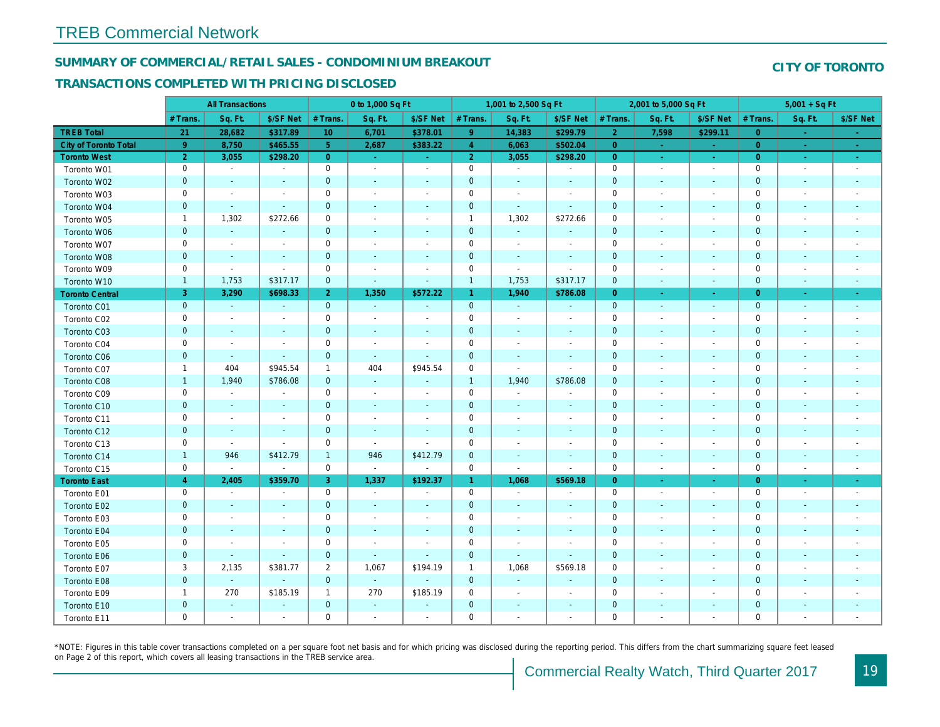#### SUMMARY OF COMMERCIAL/RETAIL SALES - CONDOMINIUM BREAKOUT

#### TRANSACTIONS COMPLETED WITH PRICING DISCLOSED

|                        |                | <b>All Transactions</b> |                          |                | 0 to 1,000 Sq Ft |                          |                     | 1,001 to 2,500 Sq Ft         |                          |                | 2,001 to 5,000 Sq Ft     |                          |
|------------------------|----------------|-------------------------|--------------------------|----------------|------------------|--------------------------|---------------------|------------------------------|--------------------------|----------------|--------------------------|--------------------------|
|                        | # Trans.       | Sq. Ft.                 | \$/SF Net                | # Trans.       | Sq. Ft.          | \$/SF Net                | # Trans.            | Sq. Ft.                      | \$/SF Net                | # Trans.       | Sq. Ft.                  | \$/SF Ne                 |
| <b>TREB Total</b>      | 21             | 28,682                  | \$317.89                 | 10             | 6,701            | \$378.01                 | 9 <sup>°</sup>      | 14,383                       | \$299.79                 | $\overline{2}$ | 7,598                    | \$299.1                  |
| City of Toronto Total  | 9              | 8,750                   | \$465.55                 | $\overline{5}$ | 2,687            | \$383.22                 | $\overline{4}$      | 6,063                        | \$502.04                 | $\overline{0}$ | $\sim$                   | $\sim$                   |
| <b>Toronto West</b>    | $\overline{2}$ | 3,055                   | \$298.20                 | $\overline{0}$ | $\sim$           | $\omega_{\rm{eff}}$      | 2 <sup>1</sup>      | 3,055                        | \$298.20                 | $\overline{0}$ | $\omega$                 | $\sim$                   |
| Toronto W01            | 0              | $\blacksquare$          | $\blacksquare$           | $\mathbf 0$    | $\blacksquare$   | $\blacksquare$           | $\mathsf{O}\xspace$ | $\sim$                       | $\blacksquare$           | $\mathbf 0$    | $\blacksquare$           | $\blacksquare$           |
| Toronto W02            | $\mathbf{0}$   | $\sim$                  |                          | $\mathbf 0$    | $\blacksquare$   | $\blacksquare$           | $\pmb{0}$           | $\blacksquare$               |                          | $\mathbf{0}$   | $\sim$                   | $\blacksquare$           |
| Toronto W03            | 0              | $\sim$                  | $\overline{\phantom{a}}$ | $\mathbf 0$    | $\blacksquare$   | $\blacksquare$           | $\mathbf 0$         | $\blacksquare$               | $\blacksquare$           | $\mathbf 0$    | $\blacksquare$           | $\blacksquare$           |
| Toronto W04            | $\mathbf 0$    | $\sim$                  | $\sim$                   | $\mathbf 0$    | $\blacksquare$   | $\blacksquare$           | $\pmb{0}$           | $\sim$                       | $\blacksquare$           | $\mathbf 0$    | $\blacksquare$           | $\blacksquare$           |
| Toronto W05            | $\mathbf{1}$   | 1,302                   | \$272.66                 | 0              | $\sim$           | $\blacksquare$           | $\mathbf{1}$        | 1,302                        | \$272.66                 | $\mathbf 0$    | $\blacksquare$           | $\overline{\phantom{a}}$ |
| Toronto W06            | $\mathbf 0$    | $\sim$                  | $\sim$                   | $\mathbf 0$    | $\blacksquare$   | $\blacksquare$           | $\pmb{0}$           | $\sim$                       | $\blacksquare$           | $\mathbf 0$    | $\sim$                   | $\sim$                   |
| Toronto W07            | 0              | $\sim$                  | $\overline{\phantom{a}}$ | $\mathbf 0$    | $\blacksquare$   | $\blacksquare$           | $\mathbf 0$         | $\blacksquare$               | $\blacksquare$           | $\mathbf 0$    | ÷,                       | $\overline{\phantom{a}}$ |
| Toronto W08            | $\mathbf{0}$   | $\sim$                  | $\sim$                   | $\mathbf 0$    | $\sim$           | $\sim$                   | $\mathbf 0$         | $\blacksquare$               | $\blacksquare$           | $\mathbf{0}$   | $\blacksquare$           | $\blacksquare$           |
| Toronto W09            | 0              | $\blacksquare$          | $\blacksquare$           | $\mathsf 0$    | $\blacksquare$   | $\overline{a}$           | $\mathsf{O}\xspace$ | ÷,                           | $\overline{a}$           | $\mathbf 0$    | ÷,                       | $\blacksquare$           |
| Toronto W10            | $\mathbf{1}$   | 1,753                   | \$317.17                 | $\mathbf 0$    | $\blacksquare$   | $\blacksquare$           | $\mathbf{1}$        | 1,753                        | \$317.17                 | $\mathbf 0$    | $\blacksquare$           | $\blacksquare$           |
| <b>Toronto Central</b> | 3              | 3,290                   | \$698.33                 | $\overline{2}$ | 1,350            | \$572.22                 | $\mathbf{1}$        | 1,940                        | \$786.08                 | $\overline{0}$ | $\blacksquare$           | $\blacksquare$           |
| Toronto C01            | $\mathbf{0}$   | $\omega$                | $\omega$                 | $\mathbf{0}$   | $\sim$           | $\omega$                 | $\mathbf{0}$        | $\sim$                       | $\sim$                   | $\mathbf{0}$   | $\blacksquare$           | $\blacksquare$           |
| Toronto C02            | 0              | $\blacksquare$          | $\overline{\phantom{a}}$ | $\mathbf 0$    | $\blacksquare$   |                          | $\mathsf{O}\xspace$ | $\blacksquare$               | $\overline{a}$           | $\mathbf 0$    | $\overline{a}$           | $\blacksquare$           |
| Toronto C03            | $\mathbf 0$    | $\blacksquare$          | $\blacksquare$           | $\mathbf 0$    | $\blacksquare$   | $\blacksquare$           | $\mathbf 0$         | $\blacksquare$               | $\blacksquare$           | $\mathbf{0}$   | $\blacksquare$           | ٠                        |
| Toronto C04            | 0              | $\sim$                  | $\sim$                   | $\mathsf 0$    | $\blacksquare$   |                          | $\mathbf 0$         | $\overline{\phantom{a}}$     | $\blacksquare$           | $\mathbf 0$    | $\sim$                   | $\blacksquare$           |
| Toronto C06            | $\mathbf 0$    | $\sim$                  | $\mathbf{r}$             | $\mathbf 0$    | $\omega$         | $\omega$                 | $\mathbf 0$         | $\blacksquare$               | $\blacksquare$           | $\mathbf{0}$   | $\blacksquare$           | $\blacksquare$           |
| Toronto C07            | $\mathbf{1}$   | 404                     | \$945.54                 | $\mathbf{1}$   | 404              | \$945.54                 | $\mathbf 0$         | $\blacksquare$               | $\overline{\phantom{a}}$ | $\mathbf 0$    | $\blacksquare$           | $\blacksquare$           |
| Toronto C08            | $\mathbf{1}$   | 1,940                   | \$786.08                 | $\mathbf{0}$   | $\sim$           | $\sim$                   | $\mathbf{1}$        | 1,940                        | \$786.08                 | $\mathbf 0$    | $\sim$                   | ٠                        |
| Toronto C09            | 0              | $\blacksquare$          | $\overline{\phantom{a}}$ | 0              | $\blacksquare$   | $\blacksquare$           | $\mathbf 0$         | $\blacksquare$               | $\overline{a}$           | $\mathbf 0$    | $\overline{\phantom{a}}$ | $\blacksquare$           |
| Toronto C10            | $\mathbf 0$    | $\sim$                  | $\sim$                   | $\mathbf 0$    | $\sim$           | $\overline{\phantom{a}}$ | $\mathbf 0$         | $\sim$                       | $\blacksquare$           | $\mathbf{0}$   | $\blacksquare$           | $\blacksquare$           |
| Toronto C11            | 0              | $\blacksquare$          | $\overline{\phantom{a}}$ | $\mathbf 0$    | $\blacksquare$   | $\overline{\phantom{a}}$ | $\mathbf 0$         | $\blacksquare$               | $\blacksquare$           | $\mathbf 0$    | $\blacksquare$           | $\overline{\phantom{a}}$ |
| Toronto C12            | $\mathbf{0}$   | $\sim$                  | $\sim$                   | $\mathbf 0$    | $\mathbf{r}$     | $\sim$                   | $\mathbf 0$         | $\blacksquare$               | $\blacksquare$           | $\mathbf{0}$   | $\sim$                   | $\overline{\phantom{a}}$ |
| Toronto C13            | 0              | $\blacksquare$          | $\overline{\phantom{a}}$ | $\mathbf 0$    | $\sim$           | $\overline{\phantom{a}}$ | $\mathbf 0$         | $\overline{\phantom{a}}$     | $\blacksquare$           | $\mathbf 0$    | $\blacksquare$           | $\overline{\phantom{a}}$ |
| Toronto C14            | $\mathbf{1}$   | 946                     | \$412.79                 | $\mathbf{1}$   | 946              | \$412.79                 | $\mathbf 0$         | $\blacksquare$               | $\overline{\phantom{a}}$ | $\mathbf 0$    | $\blacksquare$           | $\blacksquare$           |
| Toronto C15            | 0              | $\blacksquare$          | $\blacksquare$           | $\mathbf 0$    | $\bullet$        | $\blacksquare$           | $\mathsf{O}$        | $\blacksquare$               | $\blacksquare$           | $\mathbf 0$    | $\blacksquare$           | $\blacksquare$           |
| <b>Toronto East</b>    | $\overline{4}$ | 2,405                   | \$359.70                 | 3              | 1,337            | \$192.37                 | $\mathbf{1}$        | 1,068                        | \$569.18                 | $\overline{0}$ | $\omega$                 | $\sim$                   |
| Toronto E01            | 0              | $\blacksquare$          | $\blacksquare$           | $\mathbf 0$    | $\bullet$        | $\blacksquare$           | $\mathsf{O}$        | $\blacksquare$               | $\blacksquare$           | $\mathbf 0$    | $\blacksquare$           | $\blacksquare$           |
| Toronto E02            | $\mathbf{0}$   | $\sim$                  |                          | $\mathbf 0$    | $\blacksquare$   | $\blacksquare$           | $\mathbf 0$         | ä,                           |                          | $\mathbf{0}$   | $\sim$                   | $\blacksquare$           |
| Toronto E03            | 0              | $\sim$                  | $\overline{\phantom{a}}$ | $\mathbf 0$    | $\blacksquare$   | $\blacksquare$           | $\mathbf 0$         | $\blacksquare$               | $\blacksquare$           | $\mathbf 0$    | $\blacksquare$           | $\blacksquare$           |
| Toronto E04            | $\pmb{0}$      | $\sim$                  | $\overline{\phantom{a}}$ | $\mathbf 0$    | $\blacksquare$   | $\blacksquare$           | $\pmb{0}$           | $\blacksquare$               | $\blacksquare$           | $\mathbf 0$    | $\blacksquare$           | $\blacksquare$           |
| Toronto E05            | 0              | $\blacksquare$          | $\overline{\phantom{a}}$ | 0              | $\sim$           | $\blacksquare$           | $\mathbf 0$         | $\blacksquare$               | $\blacksquare$           | 0              | $\blacksquare$           | $\blacksquare$           |
| Toronto E06            | $\mathbf 0$    | $\sim$                  | $\sim$                   | $\mathbf 0$    | $\sim$           | $\blacksquare$           | $\pmb{0}$           | $\omega$                     | $\blacksquare$           | $\mathbf 0$    | $\sim$                   | $\sim$                   |
| Toronto E07            | 3              | 2,135                   | \$381.77                 | $\overline{c}$ | 1,067            | \$194.19                 | $\mathbf{1}$        | 1,068                        | \$569.18                 | 0              | ÷,                       | $\overline{\phantom{a}}$ |
| Toronto E08            | $\mathbf{0}$   | $\omega$                | $\omega$                 | $\mathbf{0}$   | $\omega$         | $\blacksquare$           | $\mathbf 0$         | $\blacksquare$               | ÷,                       | $\mathbf 0$    | $\blacksquare$           | ٠                        |
| Toronto E09            | $\mathbf{1}$   | 270                     | \$185.19                 | $\mathbf{1}$   | 270              | \$185.19                 | 0                   | $\overline{a}$               | $\overline{a}$           | $\mathbf 0$    |                          | $\blacksquare$           |
| Toronto E10            | $\mathbf 0$    | $\blacksquare$          |                          | $\mathbf 0$    | $\blacksquare$   |                          | $\mathbf 0$         | $\qquad \qquad \blacksquare$ | ÷,                       | $\mathbf 0$    | $\overline{\phantom{a}}$ |                          |
| Toronto E11            | $\mathbf 0$    | $\sim$                  |                          | $\mathbf 0$    | $\blacksquare$   | $\overline{a}$           | $\mathbf 0$         | $\blacksquare$               | $\blacksquare$           | $\mathbf 0$    |                          | $\sim$                   |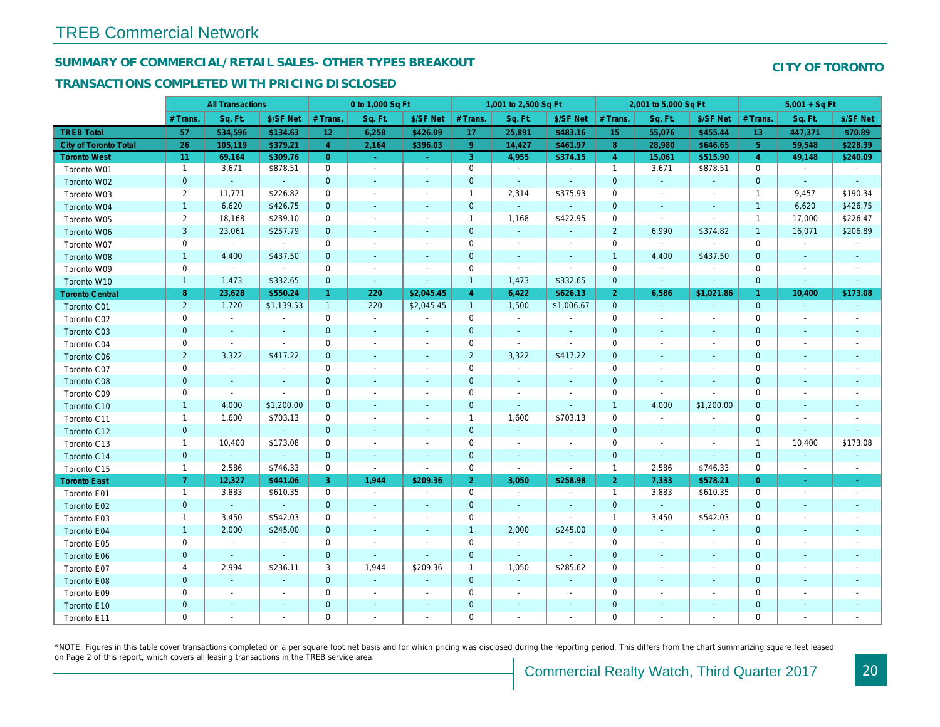#### SUMMARY OF COMMERCIAL/RETAIL SALES- OTHER TYPES BREAKOUT

#### TRANSACTIONS COMPLETED WITH PRICING DISCLOSED

|                              |                | <b>All Transactions</b>  |                          |                      | 0 to 1,000 Sq Ft         |                          |                | 1,001 to 2,500 Sq Ft     |                          |                  | 2,001 to 5,000 Sq Ft     |                          |
|------------------------------|----------------|--------------------------|--------------------------|----------------------|--------------------------|--------------------------|----------------|--------------------------|--------------------------|------------------|--------------------------|--------------------------|
|                              | # Trans.       | Sq. Ft.                  | \$/SF Net                | # Trans.             | Sq. Ft.                  | \$/SF Net                | # Trans.       | Sq. Ft.                  | \$/SF Net                | # Trans.         | Sq. Ft.                  | \$/SF Ne                 |
| <b>TREB Total</b>            | 57             | 534,596                  | \$134.63                 | 12                   | 6,258                    | \$426.09                 | 17             | 25,891                   | \$483.16                 | 15 <sub>15</sub> | 55,076                   | \$455.4                  |
| <b>City of Toronto Total</b> | 26             | 105,119                  | \$379.21                 | $\overline{4}$       | 2,164                    | \$396.03                 | 9 <sup>°</sup> | 14,427                   | \$461.97                 | 8                | 28,980                   | \$646.6                  |
| <b>Toronto West</b>          | 11             | 69,164                   | \$309.76                 | $\overline{0}$       | $\omega$                 | $\sim$                   | 3              | 4,955                    | \$374.15                 | $\overline{4}$   | 15,061                   | \$515.90                 |
| Toronto W01                  | $\mathbf{1}$   | 3,671                    | \$878.51                 | $\mathbf 0$          | $\mathbf{r}$             | $\blacksquare$           | $\mathbf 0$    | $\blacksquare$           | $\sim$                   | $\mathbf{1}$     | 3,671                    | \$878.51                 |
| Toronto W02                  | $\mathbf{0}$   | $\omega$                 | $\omega$                 | $\mathbf 0$          | $\blacksquare$           | $\blacksquare$           | $\mathbf 0$    | $\blacksquare$           | $\sim$                   | $\mathbf 0$      | $\blacksquare$           | $\blacksquare$           |
| Toronto W03                  | $\overline{2}$ | 11,771                   | \$226.82                 | 0                    | $\blacksquare$           | $\blacksquare$           | $\mathbf{1}$   | 2,314                    | \$375.93                 | 0                | $\blacksquare$           | $\blacksquare$           |
| Toronto W04                  | $\mathbf{1}$   | 6,620                    | \$426.75                 | $\mathbf{0}$         | $\blacksquare$           | $\sim$                   | $\mathbf{0}$   | $\omega$                 | $\omega$                 | $\mathbf{0}$     | $\blacksquare$           | $\blacksquare$           |
| Toronto W05                  | 2              | 18,168                   | \$239.10                 | $\mathbf 0$          | $\blacksquare$           | $\blacksquare$           | $\mathbf{1}$   | 1,168                    | \$422.95                 | $\mathbf 0$      | $\sim$                   | $\blacksquare$           |
| Toronto W06                  | 3              | 23,061                   | \$257.79                 | $\mathbf{0}$         | ä,                       | $\blacksquare$           | $\mathbf 0$    | $\blacksquare$           | $\blacksquare$           | $\overline{2}$   | 6,990                    | \$374.82                 |
| Toronto W07                  | 0              | $\sim$                   | $\sim$                   | 0                    | $\blacksquare$           | $\blacksquare$           | $\mathbf 0$    | $\blacksquare$           | $\overline{\phantom{a}}$ | $\mathbf 0$      | $\blacksquare$           | $\sim$                   |
| Toronto W08                  | $\mathbf{1}$   | 4,400                    | \$437.50                 | $\mathbf{0}$         | $\sim$                   | $\blacksquare$           | $\mathbf{0}$   | $\omega$                 | $\sim$                   | $\mathbf{1}$     | 4,400                    | \$437.50                 |
| Toronto W09                  | $\mathbf 0$    | $\blacksquare$           | $\sim$                   | $\mathbf 0$          | $\sim$                   | $\overline{\phantom{a}}$ | $\mathbf 0$    | $\blacksquare$           | $\overline{\phantom{a}}$ | $\mathbf 0$      | $\blacksquare$           |                          |
| Toronto W10                  | $\mathbf{1}$   | 1,473                    | \$332.65                 | $\mathbf 0$          | $\sim$                   | $\blacksquare$           | $\mathbf{1}$   | 1,473                    | \$332.65                 | $\mathbf 0$      | $\blacksquare$           | $\bullet$                |
| <b>Toronto Central</b>       | 8              | 23,628                   | \$550.24                 | $\blacktriangleleft$ | 220                      | \$2,045.45               | $\overline{4}$ | 6,422                    | \$626.13                 | $\overline{2}$   | 6,586                    | \$1,021.8                |
| Toronto C01                  | $\overline{2}$ | 1,720                    | \$1,139.53               | $\mathbf{1}$         | 220                      | \$2,045.45               | $\mathbf{1}$   | 1,500                    | \$1,006.67               | $\overline{0}$   | $\sim$                   | $\sim$                   |
| Toronto C02                  | 0              | $\blacksquare$           | $\sim$                   | $\mathbf 0$          | $\sim$                   | $\sim$                   | $\mathbf 0$    | $\blacksquare$           | $\blacksquare$           | $\mathbf 0$      | $\omega$                 | $\blacksquare$           |
| Toronto C03                  | $\mathbf 0$    | $\sim$                   | $\sim$                   | $\overline{0}$       | $\sim$                   | $\blacksquare$           | $\mathbf{0}$   | $\blacksquare$           | $\sim$                   | $\mathbf 0$      | $\sim$                   | $\blacksquare$           |
| Toronto C04                  | 0              | $\sim$                   | $\blacksquare$           | 0                    | $\sim$                   | $\overline{\phantom{a}}$ | 0              | $\sim$                   | $\blacksquare$           | $\mathbf 0$      | $\blacksquare$           | $\overline{\phantom{a}}$ |
| Toronto C06                  | $\overline{2}$ | 3,322                    | \$417.22                 | $\mathbf{0}$         | $\overline{\phantom{a}}$ | $\overline{\phantom{a}}$ | $\overline{2}$ | 3,322                    | \$417.22                 | $\mathbf{0}$     | $\blacksquare$           | $\blacksquare$           |
| Toronto C07                  | 0              | $\blacksquare$           |                          | $\mathbf 0$          | $\blacksquare$           | $\overline{\phantom{a}}$ | $\mathbf 0$    | $\blacksquare$           | $\blacksquare$           | $\mathbf 0$      | $\blacksquare$           | $\blacksquare$           |
| Toronto C08                  | $\mathbf{0}$   | $\sim$                   | $\sim$                   | $\mathbf{0}$         | $\sim$                   | $\blacksquare$           | $\mathbf 0$    | $\blacksquare$           | $\blacksquare$           | $\mathbf{0}$     | $\sim$                   | $\overline{\phantom{a}}$ |
| Toronto C09                  | 0              | $\blacksquare$           | $\sim$                   | 0                    | $\blacksquare$           | $\overline{\phantom{a}}$ | $\mathbf 0$    | $\blacksquare$           | $\blacksquare$           | 0                | $\blacksquare$           | $\blacksquare$           |
| Toronto C10                  | $\mathbf{1}$   | 4,000                    | \$1,200.00               | $\mathbf{0}$         | $\sim$                   | $\blacksquare$           | $\mathbf 0$    | $\blacksquare$           | $\sim$                   | $\overline{1}$   | 4,000                    | \$1,200.0                |
| Toronto C11                  | $\mathbf{1}$   | 1,600                    | \$703.13                 | $\mathbf 0$          | $\blacksquare$           | $\blacksquare$           | $\mathbf{1}$   | 1,600                    | \$703.13                 | $\mathbf 0$      | $\omega$                 | $\blacksquare$           |
| Toronto C12                  | $\mathbf{0}$   | $\blacksquare$           | $\sim$                   | $\mathbf{0}$         | $\blacksquare$           | $\blacksquare$           | $\mathbf 0$    | $\omega$                 | $\blacksquare$           | $\mathbf{0}$     | $\blacksquare$           | $\blacksquare$           |
| Toronto C13                  | $\mathbf{1}$   | 10,400                   | \$173.08                 | $\mathbf 0$          | $\overline{\phantom{a}}$ | $\blacksquare$           | $\mathbf 0$    | $\blacksquare$           | $\blacksquare$           | $\mathbf 0$      | $\blacksquare$           | $\overline{\phantom{a}}$ |
| Toronto C14                  | $\mathbf 0$    |                          | $\sim$                   | $\mathbf 0$          | $\blacksquare$           | $\blacksquare$           | $\mathbf 0$    | $\blacksquare$           | $\blacksquare$           | $\mathbf 0$      | $\blacksquare$           | $\blacksquare$           |
| Toronto C15                  | $\mathbf{1}$   | 2,586                    | \$746.33                 | $\mathbf 0$          | $\mathbf{r}$             | $\sim$                   | 0              | $\blacksquare$           | $\sim$                   | $\overline{1}$   | 2,586                    | \$746.33                 |
| <b>Toronto East</b>          | 7 <sup>1</sup> | 12,327                   | \$441.06                 | 3                    | 1,944                    | \$209.36                 | 2 <sup>1</sup> | 3,050                    | \$258.98                 | $\overline{2}$   | 7,333                    | \$578.2                  |
| Toronto E01                  | $\mathbf{1}$   | 3,883                    | \$610.35                 | $\mathbf 0$          | $\sim$                   | $\sim$                   | $\mathbf 0$    | $\sim$                   | $\blacksquare$           | $\mathbf{1}$     | 3,883                    | \$610.35                 |
| Toronto E02                  | $\mathbf 0$    | $\sim$                   | $\sim$                   | $\mathbf 0$          | $\blacksquare$           | $\overline{\phantom{a}}$ | $\mathbf 0$    | $\blacksquare$           | $\sim$                   | $\mathbf 0$      | $\omega$                 | $\sim$                   |
| Toronto E03                  | $\mathbf{1}$   | 3,450                    | \$542.03                 | 0                    | $\sim$                   | $\overline{\phantom{a}}$ | $\mathbf 0$    | $\blacksquare$           | $\sim$                   | $\overline{1}$   | 3,450                    | \$542.03                 |
| Toronto E04                  | $\mathbf{1}$   | 2,000                    | \$245.00                 | $\mathbf{0}$         | $\omega$                 | $\sim$                   | $\mathbf{1}$   | 2,000                    | \$245.00                 | $\mathbf 0$      | $\blacksquare$           | $\sim$                   |
| Toronto E05                  | 0              | $\blacksquare$           | $\sim$                   | 0                    | $\sim$                   | $\sim$                   | $\mathbf 0$    | $\sim$                   | $\blacksquare$           | 0                | $\blacksquare$           | $\overline{\phantom{a}}$ |
| Toronto E06                  | $\mathbf{0}$   | $\sim$                   | $\sim$                   | $\mathbf 0$          | $\sim$                   | $\sim$                   | $\mathbf 0$    | $\sim$                   | $\sim$                   | $\mathbf 0$      | $\sim$                   | $\sim$                   |
| Toronto E07                  | 4              | 2,994                    | \$236.11                 | 3                    | 1,944                    | \$209.36                 | $\mathbf{1}$   | 1,050                    | \$285.62                 | $\mathbf 0$      | $\overline{\phantom{a}}$ | $\overline{\phantom{a}}$ |
| Toronto E08                  | $\mathbf{0}$   | $\sim$                   | $\sim$                   | $\overline{0}$       | $\omega$                 | $\blacksquare$           | $\mathbf 0$    | $\blacksquare$           | $\blacksquare$           | $\mathbf{0}$     | $\blacksquare$           | $\blacksquare$           |
| Toronto E09                  | 0              | $\overline{\phantom{a}}$ | $\overline{\phantom{a}}$ | $\mathbf 0$          | $\blacksquare$           | $\blacksquare$           | $\mathbf 0$    | $\overline{\phantom{a}}$ | $\overline{\phantom{a}}$ | $\mathbf 0$      | $\blacksquare$           | $\overline{\phantom{a}}$ |
| Toronto E10                  | $\mathbf{0}$   | $\blacksquare$           | $\sim$                   | $\mathbf 0$          | $\frac{1}{2}$            | $\blacksquare$           | $\mathbf 0$    | $\overline{\phantom{a}}$ | ٠                        | $\mathbf 0$      | $\blacksquare$           |                          |
| Toronto E11                  | $\mathbf 0$    |                          |                          | $\mathbf 0$          | ä,                       | ٠                        | $\mathbf 0$    | $\blacksquare$           | $\blacksquare$           | $\mathbf 0$      | $\sim$                   | $\sim$                   |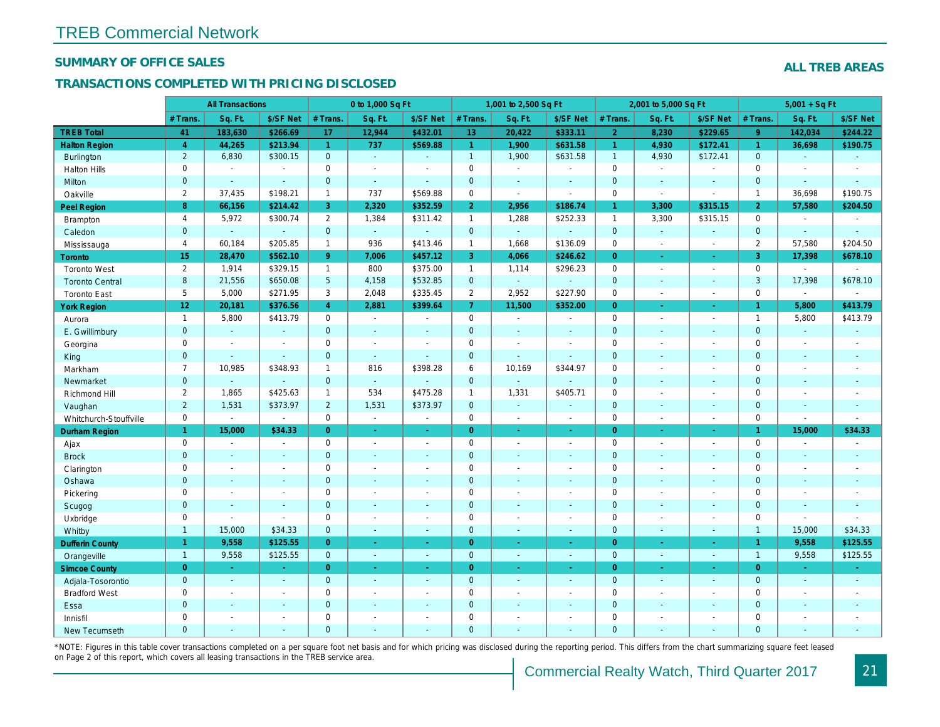#### SUMMARY OF OFFICE SALES

#### TRANSACTIONS COMPLETED WITH PRICING DISCLOSED

|                        |                 | <b>All Transactions</b>  |                          |                | 0 to 1,000 Sq Ft |                      |                     | 1,001 to 2,500 Sq Ft |                  |                | 2,001 to 5,000 Sq Ft |                          |
|------------------------|-----------------|--------------------------|--------------------------|----------------|------------------|----------------------|---------------------|----------------------|------------------|----------------|----------------------|--------------------------|
|                        | # Trans.        | Sq. Ft.                  | \$/SF Net                | # Trans.       | Sq. Ft.          | \$/SF Net            | # Trans.            | Sq. Ft.              | \$/SF Net        | # Trans.       | Sq. Ft.              | \$/SF Ne                 |
| <b>TREB Total</b>      | 41              | 183,630                  | \$266.69                 | 17             | 12,944           | \$432.01             | 13                  | 20,422               | \$333.11         | $\overline{2}$ | 8,230                | \$229.6                  |
| <b>Halton Region</b>   | $\overline{4}$  | 44,265                   | \$213.94                 | $\mathbf{1}$   | 737              | \$569.88             | $\mathbf{1}$        | 1,900                | \$631.58         | $\mathbf{1}$   | 4,930                | \$172.4                  |
| <b>Burlington</b>      | $\overline{2}$  | 6,830                    | \$300.15                 | $\mathbf{0}$   | $\sim$           | $\blacksquare$       | $\mathbf{1}$        | 1,900                | \$631.58         | $\overline{1}$ | 4,930                | \$172.4'                 |
| <b>Halton Hills</b>    | 0               | $\sim$                   | $\sim$                   | $\mathbf 0$    | $\blacksquare$   |                      | $\mathsf{O}$        | $\blacksquare$       | $\blacksquare$   | $\mathbf 0$    | $\sim$               | $\blacksquare$           |
| Milton                 | $\mathbf{0}$    | $\sim$                   | $\sim$                   | $\mathbf 0$    | $\omega$         | $\blacksquare$       | $\pmb{0}$           | $\blacksquare$       | $\blacksquare$   | $\mathbf 0$    | $\blacksquare$       | $\blacksquare$           |
| Oakville               | $\overline{2}$  | 37,435                   | \$198.21                 | $\mathbf{1}$   | 737              | \$569.88             | 0                   | $\blacksquare$       | $\sim$           | $\mathbf 0$    | $\blacksquare$       | $\blacksquare$           |
| Peel Region            | 8               | 66,156                   | \$214.42                 | 3              | 2,320            | \$352.59             | $\overline{2}$      | 2,956                | \$186.74         | $\mathbf{1}$   | 3,300                | \$315.15                 |
| Brampton               | $\overline{4}$  | 5,972                    | \$300.74                 | $\overline{2}$ | 1,384            | \$311.42             | $\mathbf{1}$        | 1,288                | \$252.33         | $\mathbf{1}$   | 3,300                | \$315.15                 |
| Caledon                | $\mathbf{0}$    | $\sim$                   | $\omega$                 | $\mathbf 0$    | $\omega$         | $\blacksquare$       | $\mathbf{0}$        | $\omega_{\rm c}$     | $\blacksquare$   | $\mathbf 0$    | $\blacksquare$       | $\blacksquare$           |
| Mississauga            | $\overline{4}$  | 60,184                   | \$205.85                 | $\mathbf{1}$   | 936              | \$413.46             | $\mathbf{1}$        | 1,668                | \$136.09         | $\mathbf 0$    | $\blacksquare$       | $\blacksquare$           |
| <b>Toronto</b>         | 15              | 28,470                   | \$562.10                 | 9 <sup>°</sup> | 7,006            | \$457.12             | 3                   | 4,066                | \$246.62         | $\Omega$       | ÷.                   | $\sim$                   |
| <b>Toronto West</b>    | $\overline{2}$  | 1,914                    | \$329.15                 | $\mathbf{1}$   | 800              | \$375.00             | $\mathbf{1}$        | 1,114                | \$296.23         | $\mathbf 0$    | $\blacksquare$       | $\sim$                   |
| <b>Toronto Central</b> | 8               | 21,556                   | \$650.08                 | 5              | 4,158            | \$532.85             | $\mathbf{0}$        | $\omega_{\rm c}$     | ä,               | $\mathbf{0}$   | $\blacksquare$       | $\blacksquare$           |
| <b>Toronto East</b>    | 5               | 5,000                    | \$271.95                 | 3              | 2,048            | \$335.45             | $\overline{2}$      | 2,952                | \$227.90         | $\mathbf 0$    | $\blacksquare$       | $\blacksquare$           |
| <b>York Region</b>     | 12 <sub>1</sub> | 20,181                   | \$376.56                 | $\overline{4}$ | 2,881            | \$399.64             | $\overline{7}$      | 11,500               | \$352.00         | $\overline{0}$ | $\blacksquare$       | ÷                        |
| Aurora                 | $\overline{1}$  | 5,800                    | \$413.79                 | $\mathbf 0$    | $\sim$           | $\blacksquare$       | $\mathsf{O}$        | $\blacksquare$       | $\sim$           | $\mathbf 0$    | $\blacksquare$       | $\sim$                   |
| E. Gwillimbury         | $\mathbf{0}$    | $\omega$                 | $\omega$                 | $\overline{0}$ | $\sim$           | $\blacksquare$       | $\mathbf{0}$        | $\blacksquare$       | $\blacksquare$   | $\mathbf{0}$   | $\sim$               | $\blacksquare$           |
| Georgina               | 0               | $\sim$                   | $\blacksquare$           | 0              | $\blacksquare$   | $\blacksquare$       | $\mathsf{O}\xspace$ | $\blacksquare$       | $\blacksquare$   | $\mathbf 0$    | $\blacksquare$       | $\blacksquare$           |
| King                   | $\mathbf{0}$    | $\blacksquare$           | $\sim$                   | $\mathbf 0$    | $\sim$           | $\overline{a}$       | $\mathbf 0$         | $\blacksquare$       | $\blacksquare$   | $\mathbf{0}$   | $\sim$               | $\blacksquare$           |
| Markham                | $\overline{7}$  | 10,985                   | \$348.93                 | $\mathbf{1}$   | 816              | \$398.28             | 6                   | 10,169               | \$344.97         | $\mathbf 0$    | $\blacksquare$       | $\blacksquare$           |
| Newmarket              | $\mathbf{0}$    | $\blacksquare$           | $\blacksquare$           | $\mathbf{0}$   | $\omega$         |                      | $\mathbf{0}$        | ä,                   | ÷,               | $\mathbf{0}$   | $\overline{a}$       | $\blacksquare$           |
| Richmond Hill          | $\overline{2}$  | 1,865                    | \$425.63                 | $\mathbf{1}$   | 534              | \$475.28             | $\mathbf{1}$        | 1,331                | \$405.71         | 0              | $\blacksquare$       | $\blacksquare$           |
| Vaughan                | $\overline{2}$  | 1,531                    | \$373.97                 | $\overline{2}$ | 1,531            | \$373.97             | $\overline{0}$      | $\mathbf{r}$         | $\blacksquare$   | $\mathbf{0}$   | $\omega$             | $\sim$                   |
| Whitchurch-Stouffville | 0               | $\sim$                   | $\blacksquare$           | $\mathbf 0$    | $\omega$         | $\blacksquare$       | $\mathbf 0$         | $\sim$               | $\blacksquare$   | $\mathbf 0$    | $\blacksquare$       | $\sim$                   |
| <b>Durham Region</b>   | $\mathbf{1}$    | 15,000                   | \$34.33                  | $\overline{0}$ | $\sim$           | $\frac{1}{\sqrt{2}}$ | $\overline{0}$      | $\frac{1}{\sqrt{2}}$ | ÷                | $\overline{0}$ | $\blacksquare$       | $\bullet$                |
| Ajax                   | 0               | $\blacksquare$           | $\blacksquare$           | $\mathbf 0$    | $\blacksquare$   | $\blacksquare$       | $\mathsf{O}\xspace$ | $\blacksquare$       | $\blacksquare$   | $\mathbf 0$    | $\blacksquare$       | $\sim$                   |
| <b>Brock</b>           | $\mathbf{0}$    | $\sim$                   | $\sim$                   | $\mathbf{0}$   | $\blacksquare$   | $\sim$               | $\mathbf{0}$        | $\omega$             | $\blacksquare$   | $\mathbf{0}$   | $\blacksquare$       | $\blacksquare$           |
| Clarington             | 0               | $\blacksquare$           | $\blacksquare$           | $\mathsf 0$    | $\blacksquare$   | $\blacksquare$       | $\mathsf{O}\xspace$ | ÷,                   | $\overline{a}$   | $\mathbf 0$    | ÷,                   | $\overline{\phantom{a}}$ |
| Oshawa                 | $\mathbf{0}$    | $\blacksquare$           | $\sim$                   | $\mathbf{0}$   | $\blacksquare$   | ٠                    | $\mathbf 0$         | ÷,                   | $\blacksquare$   | $\mathbf{0}$   | $\blacksquare$       | $\blacksquare$           |
| Pickering              | 0               | $\sim$                   | $\overline{\phantom{a}}$ | $\mathbf 0$    | $\sim$           | $\blacksquare$       | $\mathbf 0$         | $\blacksquare$       | $\blacksquare$   | $\mathbf 0$    | ÷,                   | $\blacksquare$           |
| Scugog                 | $\mathbf{0}$    | $\sim$                   | $\sim$                   | $\mathbf{0}$   | $\mathbf{r}$     | $\blacksquare$       | $\mathbf{0}$        | $\omega$             | $\omega$         | $\mathbf{0}$   | $\blacksquare$       | $\blacksquare$           |
| Uxbridge               | 0               | $\overline{\phantom{a}}$ | $\blacksquare$           | $\mathbf 0$    | $\blacksquare$   | $\blacksquare$       | 0                   | $\overline{a}$       | $\overline{a}$   | $\mathbf 0$    | $\blacksquare$       | $\blacksquare$           |
| Whitby                 | $\mathbf{1}$    | 15,000                   | \$34.33                  | $\mathbf 0$    | $\sim$           | $\sim$               | $\mathbf{0}$        | $\blacksquare$       | $\sim$           | $\mathbf{0}$   | $\blacksquare$       | $\sim$                   |
| <b>Dufferin County</b> | $\mathbf{1}$    | 9,558                    | \$125.55                 | $\overline{0}$ | ÷.               | $\sim$               | $\overline{0}$      | ÷.                   | ×.               | $\overline{0}$ | $\sim$               | $\sim$                   |
| Orangeville            | $\overline{1}$  | 9,558                    | \$125.55                 | $\mathbf 0$    | $\omega$         | $\omega$             | $\mathbf 0$         | $\omega$             | $\omega_{\rm c}$ | $\mathbf 0$    | $\omega$             | $\omega_{\rm c}$         |
| <b>Simcoe County</b>   | $\overline{0}$  | $\sim$                   | $\sim$                   | $\overline{0}$ | $\omega$         | $\omega$             | $\overline{0}$      | ä,                   | $\omega$         | $\overline{0}$ | $\blacksquare$       | $\sigma_{\rm c}$         |
| Adjala-Tosorontio      | $\mathbf{0}$    | $\sim$                   | $\sim$                   | $\mathbf 0$    | $\mathbf{r}$     | $\sim$               | $\mathbf{0}$        | $\blacksquare$       | $\blacksquare$   | $\mathbf 0$    | $\Delta$             | $\sim$                   |
| <b>Bradford West</b>   | 0               | $\blacksquare$           | $\blacksquare$           | 0              | $\sim$           | $\sim$               | $\mathsf{O}\xspace$ | $\blacksquare$       | $\blacksquare$   | $\mathbf 0$    | $\blacksquare$       | $\blacksquare$           |
| Essa                   | $\mathbf{0}$    | $\sim$                   | $\sim$                   | $\mathbf 0$    | $\blacksquare$   | $\blacksquare$       | $\mathbf 0$         | ä,                   | ä,               | $\mathbf 0$    | $\sim$               |                          |
| Innisfil               | 0               | $\sim$                   | $\sim$                   | $\mathbf 0$    | $\blacksquare$   | $\blacksquare$       | $\mathbf 0$         | $\blacksquare$       | $\blacksquare$   | $\mathbf 0$    | $\sim$               | $\blacksquare$           |
| <b>New Tecumseth</b>   | $\Omega$        |                          |                          | $\Omega$       |                  |                      | $\mathbf{0}$        |                      |                  | $\Omega$       |                      |                          |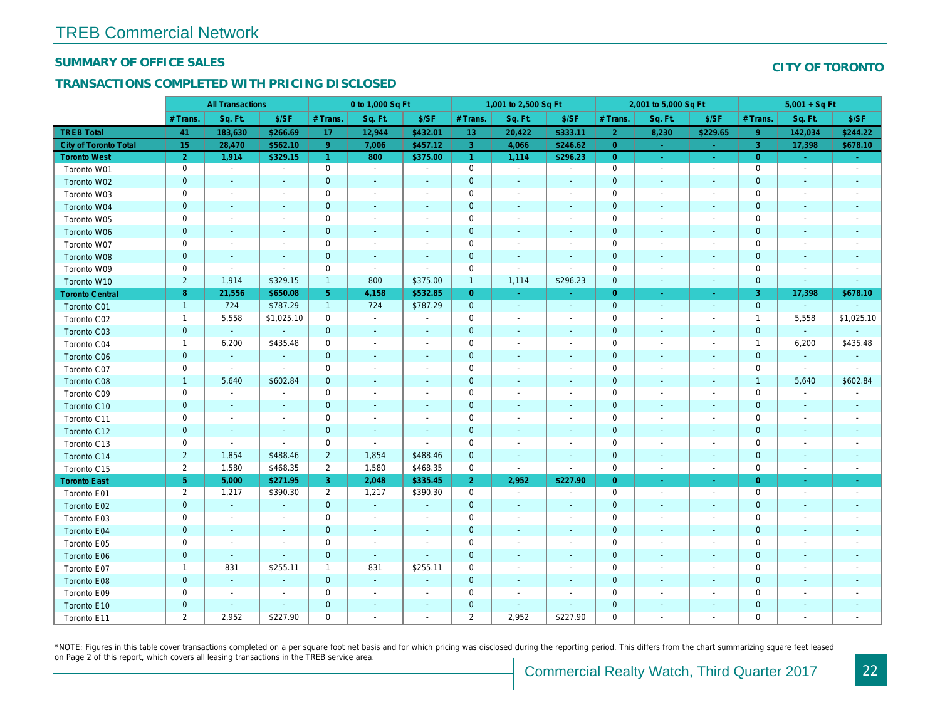#### SUMMARY OF OFFICE SALES

#### TRANSACTIONS COMPLETED WITH PRICING DISCLOSED

|                              |                | <b>All Transactions</b>  |                          |                      | 0 to 1,000 Sq Ft         |                          |                 | 1,001 to 2,500 Sq Ft     |                          |                | 2,001 to 5,000 Sq Ft     |                                        |
|------------------------------|----------------|--------------------------|--------------------------|----------------------|--------------------------|--------------------------|-----------------|--------------------------|--------------------------|----------------|--------------------------|----------------------------------------|
|                              | # Trans.       | Sq. Ft.                  | \$/SF                    | # Trans.             | Sq. Ft.                  | \$/SF                    | # Trans.        | Sq. Ft.                  | \$/SF                    | # Trans.       | Sq. Ft.                  | \$/SF                                  |
| <b>TREB Total</b>            | 41             | 183,630                  | \$266.69                 | 17                   | 12,944                   | \$432.01                 | 13 <sup>°</sup> | 20,422                   | \$333.11                 | $\overline{2}$ | 8,230                    | \$229.65                               |
| <b>City of Toronto Total</b> | 15             | 28,470                   | \$562.10                 | 9 <sup>°</sup>       | 7,006                    | \$457.12                 | 3               | 4,066                    | \$246.62                 | $\overline{0}$ | reali                    | $\sim 10$                              |
| <b>Toronto West</b>          | $\overline{2}$ | 1,914                    | \$329.15                 | $\blacktriangleleft$ | 800                      | \$375.00                 | $\mathbf{1}$    | 1,114                    | \$296.23                 | $\overline{0}$ | $\sim$                   | $\frac{1}{2} \mathcal{L}_{\text{max}}$ |
| Toronto W01                  | 0              | $\blacksquare$           | $\blacksquare$           | 0                    | $\blacksquare$           | $\overline{\phantom{a}}$ | $\pmb{0}$       | $\blacksquare$           | $\blacksquare$           | $\mathbf 0$    | $\blacksquare$           | $\blacksquare$                         |
| Toronto W02                  | $\mathbf{0}$   | $\blacksquare$           |                          | $\mathbf{0}$         |                          |                          | $\mathbf 0$     |                          |                          | $\mathbf 0$    |                          | $\sim$                                 |
| Toronto W03                  | 0              | $\blacksquare$           | $\blacksquare$           | 0                    | $\sim$                   | $\overline{\phantom{a}}$ | $\mathbf 0$     | $\blacksquare$           | $\sim$                   | $\mathbf 0$    | $\sim$                   |                                        |
| Toronto W04                  | $\mathbf 0$    | $\sim$                   | $\sim$                   | $\mathbf{0}$         | $\sim$                   | $\blacksquare$           | $\pmb{0}$       | $\sim$                   | $\sim$                   | $\mathbf 0$    | $\sim$                   |                                        |
| Toronto W05                  | 0              | $\sim$                   | $\blacksquare$           | 0                    | $\blacksquare$           | $\overline{\phantom{a}}$ | $\pmb{0}$       | $\blacksquare$           |                          | $\mathbf 0$    | $\blacksquare$           |                                        |
| Toronto W06                  | $\mathbf{0}$   | $\sim$                   |                          | $\mathbf{0}$         | $\sim$                   |                          | $\mathbf 0$     | $\sim$                   |                          | $\mathbf 0$    | $\sim$                   |                                        |
| Toronto W07                  | 0              | $\sim$                   | $\blacksquare$           | $\mathbf 0$          | $\sim$                   | $\overline{\phantom{a}}$ | $\pmb{0}$       | $\overline{\phantom{a}}$ |                          | $\mathbf 0$    | $\sim$                   |                                        |
| Toronto W08                  | $\mathbf 0$    | $\blacksquare$           | $\blacksquare$           | $\mathbf{0}$         | $\sim$                   | $\overline{\phantom{a}}$ | $\pmb{0}$       | $\sim$                   | $\sim$                   | $\mathbf 0$    | $\sim$                   |                                        |
| Toronto W09                  | 0              | $\overline{\phantom{a}}$ | $\blacksquare$           | $\mathbf 0$          | $\blacksquare$           | $\blacksquare$           | $\mathbf 0$     | $\blacksquare$           | $\blacksquare$           | $\mathbf 0$    | $\overline{\phantom{a}}$ |                                        |
| Toronto W10                  | $\overline{2}$ | 1,914                    | \$329.15                 | $\mathbf{1}$         | 800                      | \$375.00                 | $\mathbf{1}$    | 1,114                    | \$296.23                 | $\mathbf 0$    | $\sim$                   | $\sim$                                 |
| <b>Toronto Central</b>       | 8              | 21,556                   | \$650.08                 | 5 <sub>5</sub>       | 4,158                    | \$532.85                 | $\overline{0}$  | $\sim$                   | $\sim$                   | $\overline{0}$ | $\sim$                   | $\sim$                                 |
| Toronto C01                  | $\mathbf{1}$   | 724                      | \$787.29                 | $\mathbf{1}$         | 724                      | \$787.29                 | $\pmb{0}$       | $\sim$                   | $\blacksquare$           | $\mathbf 0$    | $\blacksquare$           | $\blacksquare$                         |
| Toronto C02                  | $\mathbf{1}$   | 5,558                    | \$1,025.10               | 0                    | $\blacksquare$           |                          | 0               | $\sim$                   |                          | 0              | ÷.                       |                                        |
| Toronto C03                  | $\mathbf{0}$   | $\blacksquare$           | $\blacksquare$           | $\mathbf{0}$         | $\blacksquare$           | $\blacksquare$           | $\pmb{0}$       | $\blacksquare$           | $\sim$                   | $\mathbf 0$    | $\blacksquare$           | $\sim$                                 |
| Toronto C04                  | $\mathbf{1}$   | 6,200                    | \$435.48                 | 0                    | $\blacksquare$           | $\overline{\phantom{a}}$ | $\pmb{0}$       | $\blacksquare$           | $\sim$                   | $\mathbf 0$    | $\sim$                   |                                        |
| <b>Toronto C06</b>           | $\mathbf 0$    | $\blacksquare$           | $\blacksquare$           | $\mathbf 0$          | $\blacksquare$           | $\overline{\phantom{a}}$ | $\pmb{0}$       | $\blacksquare$           |                          | $\mathbf 0$    | $\blacksquare$           |                                        |
| Toronto C07                  | $\mathbf 0$    | $\blacksquare$           | $\blacksquare$           | $\mathbf 0$          | $\sim$                   | $\overline{\phantom{a}}$ | $\pmb{0}$       |                          |                          | $\mathsf 0$    |                          |                                        |
| Toronto C08                  | $\mathbf{1}$   | 5,640                    | \$602.84                 | $\mathbf{0}$         | $\sim$                   | $\blacksquare$           | $\pmb{0}$       | $\sim$                   |                          | $\mathbf 0$    |                          | $\sim$                                 |
| Toronto C09                  | 0              | $\overline{\phantom{a}}$ | $\overline{\phantom{a}}$ | 0                    | $\overline{\phantom{a}}$ | $\overline{\phantom{a}}$ | $\pmb{0}$       | $\blacksquare$           | $\overline{\phantom{a}}$ | 0              | $\blacksquare$           |                                        |
| Toronto C10                  | $\mathbf{0}$   | $\sim$                   | $\sim$                   | $\mathbf{0}$         | $\sim$                   | $\sim$                   | $\mathbf 0$     | $\sim$                   | $\overline{a}$           | $\mathbf 0$    | $\sim$                   | $\sim$                                 |
| Toronto C11                  | 0              | $\sim$                   | $\blacksquare$           | 0                    | $\overline{\phantom{a}}$ |                          | $\mathbf 0$     | $\blacksquare$           |                          | $\mathbf 0$    | $\blacksquare$           |                                        |
| Toronto C12                  | $\mathbf{0}$   | $\sim$                   | $\blacksquare$           | $\mathbf{0}$         | $\sim$                   | $\sim$                   | $\pmb{0}$       | $\sim$                   | $\sim$                   | $\mathbf 0$    | $\sim$                   | $\sim$                                 |
| Toronto C13                  | 0              | $\overline{\phantom{a}}$ | $\blacksquare$           | 0                    | $\sim$                   | $\overline{\phantom{a}}$ | 0               | $\overline{\phantom{a}}$ | $\overline{\phantom{a}}$ | 0              | $\blacksquare$           | $\overline{\phantom{a}}$               |
| Toronto C14                  | $\overline{2}$ | 1,854                    | \$488.46                 | $\overline{2}$       | 1,854                    | \$488.46                 | $\pmb{0}$       | $\sim$                   | $\sim$                   | $\mathbf 0$    | $\sim$                   | $\sim$                                 |
| Toronto C15                  | $\overline{2}$ | 1,580                    | \$468.35                 | $\overline{2}$       | 1,580                    | \$468.35                 | 0               | $\blacksquare$           | $\blacksquare$           | $\mathsf 0$    | $\blacksquare$           | $\blacksquare$                         |
| <b>Toronto East</b>          | 5 <sub>5</sub> | 5,000                    | \$271.95                 | 3                    | 2,048                    | \$335.45                 | $\overline{2}$  | 2,952                    | \$227.90                 | $\overline{0}$ | $\sim$                   | $\sim$                                 |
| Toronto E01                  | $\overline{2}$ | 1,217                    | \$390.30                 | $\overline{2}$       | 1,217                    | \$390.30                 | 0               | $\sim$                   | $\blacksquare$           | $\mathbf 0$    | $\sim$                   | $\sim$                                 |
| Toronto E02                  | $\pmb{0}$      | $\sim$                   | $\sim$                   | $\mathbf{0}$         | $\sim$                   |                          | $\pmb{0}$       | $\overline{\phantom{a}}$ |                          | $\mathbf 0$    | $\sim$                   | $\sim$                                 |
| Toronto E03                  | 0              | $\blacksquare$           | $\blacksquare$           | 0                    | $\overline{\phantom{a}}$ | $\blacksquare$           | $\pmb{0}$       | $\overline{\phantom{a}}$ |                          | $\mathbf 0$    | $\overline{\phantom{a}}$ |                                        |
| Toronto E04                  | $\mathbf 0$    | $\blacksquare$           |                          | $\mathbf{0}$         | $\blacksquare$           |                          | $\pmb{0}$       | $\blacksquare$           |                          | $\mathbf 0$    | $\blacksquare$           |                                        |
| Toronto E05                  | 0              | $\blacksquare$           | $\blacksquare$           | 0                    | $\blacksquare$           | $\blacksquare$           | $\pmb{0}$       | $\blacksquare$           | $\overline{\phantom{a}}$ | $\mathbf 0$    | $\sim$                   |                                        |
| Toronto E06                  | $\mathbf 0$    | $\blacksquare$           | $\sim$                   | $\mathbf{0}$         | $\sim$                   | $\sim$                   | $\pmb{0}$       |                          |                          | $\mathbf 0$    |                          |                                        |
| Toronto E07                  | $\mathbf 1$    | 831                      | \$255.11                 | $\mathbf 1$          | 831                      | \$255.11                 | $\pmb{0}$       | $\blacksquare$           | $\overline{\phantom{a}}$ | 0              | $\blacksquare$           |                                        |
| Toronto E08                  | $\mathbf{0}$   | $\sim$                   | $\sim$                   | $\mathbf{0}$         | $\sim$                   | $\sim$                   | $\mathbf 0$     | $\sim$                   | $\overline{a}$           | $\mathbf 0$    | $\sim$                   |                                        |
| Toronto E09                  | 0              | $\blacksquare$           | $\sim$                   | 0                    | $\sim$                   | $\overline{\phantom{a}}$ | $\mathbf 0$     | $\sim$                   | $\sim$                   | $\mathbf 0$    | $\blacksquare$           |                                        |
| Toronto E10                  | $\mathbf 0$    | $\sim$                   | $\sim$                   | $\mathbf{0}$         |                          |                          | $\pmb{0}$       | $\overline{\phantom{a}}$ | $\sim$                   | $\mathbf 0$    |                          |                                        |
| Toronto E11                  | $\overline{2}$ | 2,952                    | \$227.90                 | $\mathbf 0$          | $\sim$                   | $\overline{\phantom{a}}$ | $\overline{2}$  | 2,952                    | \$227.90                 | $\mathbf 0$    | $\blacksquare$           |                                        |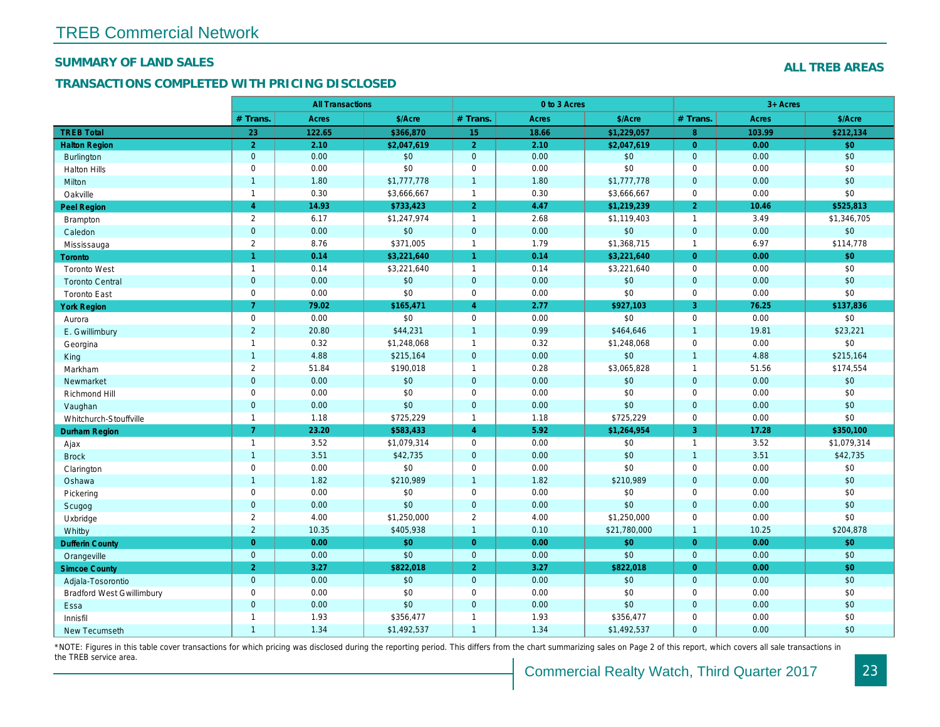#### SUMMARY OF LAND SALES

#### TRANSACTIONS COMPLETED WITH PRICING DISCLOSED

|                                  |                      | <b>All Transactions</b> |             |                         | 0 to 3 Acres |              |                |
|----------------------------------|----------------------|-------------------------|-------------|-------------------------|--------------|--------------|----------------|
|                                  | # Trans.             | Acres                   | \$/Acre     | # Trans.                | Acres        | \$/Acre      | # Trans.       |
| <b>TREB Total</b>                | 23                   | 122.65                  | \$366,870   | 15                      | 18.66        | \$1,229,057  | 8              |
| <b>Halton Region</b>             | $\overline{2}$       | 2.10                    | \$2,047,619 | $\overline{\mathbf{2}}$ | 2.10         | \$2,047,619  | $\overline{0}$ |
| <b>Burlington</b>                | $\mathbf{0}$         | 0.00                    | \$0         | $\mathbf 0$             | 0.00         | \$0          | $\overline{0}$ |
| <b>Halton Hills</b>              | $\mathbf 0$          | 0.00                    | \$0         | $\pmb{0}$               | 0.00         | \$0          | $\mathbf 0$    |
| Milton                           | $\mathbf{1}$         | 1.80                    | \$1,777,778 | $\mathbf{1}$            | 1.80         | \$1,777,778  | $\mathbf 0$    |
| Oakville                         | $\mathbf{1}$         | 0.30                    | \$3,666,667 | $\mathbf{1}$            | 0.30         | \$3,666,667  | $\mathbf 0$    |
| <b>Peel Region</b>               | $\overline{4}$       | 14.93                   | \$733,423   | $\overline{2}$          | 4.47         | \$1,219,239  | $\overline{2}$ |
| <b>Brampton</b>                  | $\overline{2}$       | 6.17                    | \$1,247,974 | $\mathbf{1}$            | 2.68         | \$1,119,403  | $\overline{1}$ |
| Caledon                          | $\mathbf{0}$         | 0.00                    | \$0         | $\mathbf 0$             | 0.00         | \$0          | $\mathbf{0}$   |
| Mississauga                      | $\overline{2}$       | 8.76                    | \$371,005   | $\mathbf{1}$            | 1.79         | \$1,368,715  | $\overline{1}$ |
| <b>Toronto</b>                   | $\blacktriangleleft$ | 0.14                    | \$3,221,640 | $\blacktriangleleft$    | 0.14         | \$3,221,640  | $\overline{0}$ |
| <b>Toronto West</b>              | $\mathbf{1}$         | 0.14                    | \$3,221,640 | $\mathbf{1}$            | 0.14         | \$3,221,640  | $\mathbf 0$    |
| <b>Toronto Central</b>           | $\mathbf{0}$         | 0.00                    | \$0         | $\mathbf 0$             | 0.00         | \$0          | $\mathbf{0}$   |
| <b>Toronto East</b>              | $\mathsf 0$          | 0.00                    | \$0         | $\pmb{0}$               | 0.00         | \$0          | $\mathbf 0$    |
| <b>York Region</b>               | $\overline{7}$       | 79.02                   | \$165,471   | $\overline{4}$          | 2.77         | \$927,103    | $\overline{3}$ |
| Aurora                           | $\mathsf 0$          | 0.00                    | \$0         | $\pmb{0}$               | 0.00         | \$0          | $\mathbf 0$    |
| E. Gwillimbury                   | $\overline{2}$       | 20.80                   | \$44,231    | $\mathbf{1}$            | 0.99         | \$464,646    | $\overline{1}$ |
| Georgina                         | $\mathbf{1}$         | 0.32                    | \$1,248,068 | $\mathbf{1}$            | 0.32         | \$1,248,068  | $\mathbf 0$    |
| King                             | $\mathbf{1}$         | 4.88                    | \$215,164   | $\mathbf{0}$            | 0.00         | \$0          | $\overline{1}$ |
| Markham                          | $\overline{2}$       | 51.84                   | \$190,018   | $\mathbf{1}$            | 0.28         | \$3,065,828  | $\overline{1}$ |
| Newmarket                        | $\mathbf{0}$         | 0.00                    | \$0         | $\mathbf 0$             | 0.00         | \$0          | $\overline{0}$ |
| Richmond Hill                    | $\mathsf 0$          | 0.00                    | \$0         | $\mathbf 0$             | 0.00         | \$0          | $\mathbf 0$    |
| Vaughan                          | $\mathbf{0}$         | 0.00                    | \$0         | $\mathbf{0}$            | 0.00         | \$0          | $\overline{0}$ |
| Whitchurch-Stouffville           | $\mathbf{1}$         | 1.18                    | \$725,229   | $\mathbf{1}$            | 1.18         | \$725,229    | $\mathbf 0$    |
| <b>Durham Region</b>             | $\overline{7}$       | 23.20                   | \$583,433   | $\overline{4}$          | 5.92         | \$1,264,954  | 3              |
| Ajax                             | $\mathbf{1}$         | 3.52                    | \$1,079,314 | $\mathbf 0$             | 0.00         | \$0          | $\overline{1}$ |
| <b>Brock</b>                     | $\overline{1}$       | 3.51                    | \$42,735    | $\mathbf 0$             | 0.00         | \$0          | $\overline{1}$ |
| Clarington                       | $\mathsf 0$          | 0.00                    | \$0         | $\pmb{0}$               | 0.00         | \$0          | $\mathbf 0$    |
| Oshawa                           | $\overline{1}$       | 1.82                    | \$210,989   | $\overline{1}$          | 1.82         | \$210,989    | $\mathbf{0}$   |
| Pickering                        | $\mathsf 0$          | 0.00                    | \$0         | $\pmb{0}$               | 0.00         | \$0          | $\mathbf 0$    |
| Scugog                           | $\mathbf{0}$         | 0.00                    | \$0         | $\mathbf 0$             | 0.00         | \$0          | $\mathbf{0}$   |
| Uxbridge                         | $\overline{2}$       | 4.00                    | \$1,250,000 | $\overline{2}$          | 4.00         | \$1,250,000  | $\mathbf 0$    |
| Whitby                           | $\overline{2}$       | 10.35                   | \$405,938   | $\mathbf{1}$            | 0.10         | \$21,780,000 | $\overline{1}$ |
| <b>Dufferin County</b>           | $\overline{0}$       | 0.00                    | \$0         | $\mathbf{0}$            | 0.00         | \$0          | $\overline{0}$ |
| Orangeville                      | $\mathbf{0}$         | 0.00                    | \$0         | $\mathbf{0}$            | 0.00         | \$0          | $\Omega$       |
| <b>Simcoe County</b>             | 2 <sup>1</sup>       | 3.27                    | \$822,018   | $\overline{2}$          | 3.27         | \$822,018    | $\overline{0}$ |
| Adjala-Tosorontio                | $\mathbf{0}$         | 0.00                    | \$0         | $\mathbf{0}$            | 0.00         | \$0          | $\mathbf{0}$   |
| <b>Bradford West Gwillimbury</b> | $\mathsf 0$          | 0.00                    | \$0         | $\pmb{0}$               | 0.00         | \$0          | $\mathbf 0$    |
| Essa                             | $\mathbf{0}$         | 0.00                    | \$0         | $\mathbf{0}$            | 0.00         | \$0          | $\mathbf{0}$   |
| Innisfil                         | $\mathbf{1}$         | 1.93                    | \$356,477   | $\mathbf{1}$            | 1.93         | \$356,477    | $\mathbf 0$    |
| New Tecumseth                    | $\mathbf{1}$         | 1.34                    | \$1,492,537 | $\mathbf{1}$            | 1.34         | \$1,492,537  | $\mathbf{0}$   |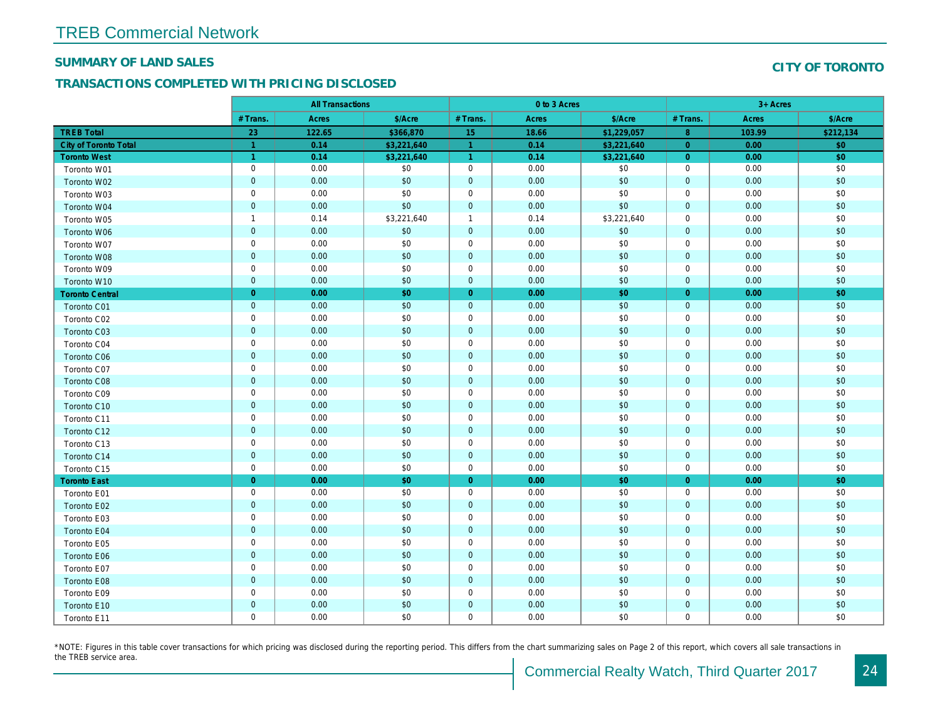#### SUMMARY OF LAND SALES

#### TRANSACTIONS COMPLETED WITH PRICING DISCLOSED

|                              |                | <b>All Transactions</b> |             |                | 0 to 3 Acres |             |                |  |
|------------------------------|----------------|-------------------------|-------------|----------------|--------------|-------------|----------------|--|
|                              | # Trans.       | Acres                   | \$/Acre     | # Trans.       | Acres        | \$/Acre     | # Trans.       |  |
| <b>TREB Total</b>            | 23             | 122.65                  | \$366,870   | 15             | 18.66        | \$1,229,057 | 8 <sup>°</sup> |  |
| <b>City of Toronto Total</b> | $\overline{1}$ | 0.14                    | \$3,221,640 | 1              | 0.14         | \$3,221,640 | $\overline{0}$ |  |
| <b>Toronto West</b>          | $\overline{1}$ | 0.14                    | \$3,221,640 | $\overline{1}$ | 0.14         | \$3,221,640 | $\overline{0}$ |  |
| Toronto W01                  | $\mathbf 0$    | 0.00                    | \$0         | $\mathbf 0$    | 0.00         | \$0         | 0              |  |
| Toronto W02                  | $\mathbf{0}$   | 0.00                    | \$0         | $\mathbf{0}$   | 0.00         | \$0         | $\overline{0}$ |  |
| Toronto W03                  | $\mathbf 0$    | 0.00                    | \$0         | $\mathbf 0$    | 0.00         | \$0         | $\mathbf 0$    |  |
| Toronto W04                  | $\overline{0}$ | 0.00                    | \$0         | $\mathbf 0$    | 0.00         | \$0         | $\overline{0}$ |  |
| Toronto W05                  | $\overline{1}$ | 0.14                    | \$3,221,640 | $\overline{1}$ | 0.14         | \$3,221,640 | $\mathbf 0$    |  |
| Toronto W06                  | $\mathbf 0$    | 0.00                    | \$0         | $\mathbf 0$    | 0.00         | \$0         | $\overline{0}$ |  |
| Toronto W07                  | $\mathbf 0$    | 0.00                    | \$0         | $\pmb{0}$      | 0.00         | \$0         | $\pmb{0}$      |  |
| Toronto W08                  | $\mathbf 0$    | 0.00                    | \$0         | $\pmb{0}$      | 0.00         | \$0         | $\mathbf 0$    |  |
| Toronto W09                  | $\mathbf 0$    | 0.00                    | \$0         | 0              | 0.00         | \$0         | $\mathbf 0$    |  |
| Toronto W10                  | $\overline{0}$ | 0.00                    | \$0         | $\mathbf{0}$   | 0.00         | \$0         | $\overline{0}$ |  |
| <b>Toronto Central</b>       | $\overline{0}$ | 0.00                    | \$0         | $\overline{0}$ | 0.00         | \$0         | $\overline{0}$ |  |
| Toronto C01                  | $\mathbf 0$    | 0.00                    | \$0         | $\mathbf 0$    | 0.00         | \$0         | $\mathbf{0}$   |  |
| Toronto C02                  | $\mathbf 0$    | 0.00                    | \$0         | $\mathbf 0$    | 0.00         | \$0         | $\mathbf 0$    |  |
| <b>Toronto C03</b>           | $\overline{0}$ | 0.00                    | \$0         | $\mathbf 0$    | 0.00         | \$0         | $\mathbf{0}$   |  |
| Toronto C04                  | $\mathbf 0$    | 0.00                    | \$0         | $\mathbf 0$    | 0.00         | \$0         | 0              |  |
| <b>Toronto C06</b>           | $\mathbf 0$    | 0.00                    | \$0         | $\mathbf 0$    | 0.00         | \$0         | $\mathbf{0}$   |  |
| Toronto C07                  | $\mathbf 0$    | 0.00                    | \$0         | $\mathbf 0$    | 0.00         | \$0         | 0              |  |
| Toronto C08                  | $\overline{0}$ | 0.00                    | \$0         | $\mathbf{0}$   | 0.00         | \$0         | $\mathbf{0}$   |  |
| Toronto C09                  | $\mathsf 0$    | 0.00                    | \$0         | $\mathbf 0$    | 0.00         | \$0         | 0              |  |
| Toronto C10                  | $\overline{0}$ | 0.00                    | \$0         | $\mathbf{0}$   | 0.00         | \$0         | $\mathbf{0}$   |  |
| Toronto C11                  | $\mathbf 0$    | 0.00                    | \$0         | $\mathbf 0$    | 0.00         | \$0         | 0              |  |
| Toronto C12                  | $\overline{0}$ | 0.00                    | \$0         | $\mathbf 0$    | 0.00         | \$0         | $\mathbf 0$    |  |
| Toronto C13                  | $\pmb{0}$      | 0.00                    | \$0         | 0              | 0.00         | \$0         | 0              |  |
| Toronto C14                  | $\mathbf 0$    | 0.00                    | \$0         | $\mathbf 0$    | 0.00         | \$0         | $\mathbf{0}$   |  |
| Toronto C15                  | $\mathbf 0$    | 0.00                    | \$0         | $\mathbf 0$    | 0.00         | \$0         | 0              |  |
| <b>Toronto East</b>          | $\overline{0}$ | 0.00                    | \$0         | $\overline{0}$ | 0.00         | \$0         | $\overline{0}$ |  |
| Toronto E01                  | $\mathbf 0$    | 0.00                    | \$0         | $\mathbf 0$    | 0.00         | \$0         | 0              |  |
| Toronto E02                  | $\mathbf 0$    | 0.00                    | \$0         | $\mathbf 0$    | 0.00         | \$0         | $\mathbf{0}$   |  |
| Toronto E03                  | $\mathbf 0$    | 0.00                    | \$0         | $\mathbf 0$    | 0.00         | \$0         | 0              |  |
| Toronto E04                  | $\overline{0}$ | 0.00                    | \$0         | $\mathbf 0$    | 0.00         | \$0         | $\mathbf 0$    |  |
| Toronto E05                  | $\mathbf 0$    | 0.00                    | \$0         | $\mathbf 0$    | 0.00         | \$0         | $\mathbf 0$    |  |
| Toronto E06                  | $\mathbf 0$    | 0.00                    | \$0         | $\mathbf 0$    | 0.00         | \$0         | $\mathbf{0}$   |  |
| Toronto E07                  | $\pmb{0}$      | 0.00                    | \$0         | $\mathbf 0$    | 0.00         | \$0         | $\mathbf 0$    |  |
| Toronto E08                  | $\overline{0}$ | 0.00                    | \$0         | $\mathbf 0$    | 0.00         | \$0         | $\mathbf 0$    |  |
| Toronto E09                  | $\mathbf 0$    | 0.00                    | \$0         | $\mathbf 0$    | 0.00         | \$0         | 0              |  |
| Toronto E10                  | $\mathbf 0$    | 0.00                    | \$0         | $\mathbf 0$    | 0.00         | \$0         | $\mathbf 0$    |  |
| Toronto E11                  | $\mathbf 0$    | 0.00                    | \$0         | $\mathbf 0$    | 0.00         | \$0         | 0              |  |